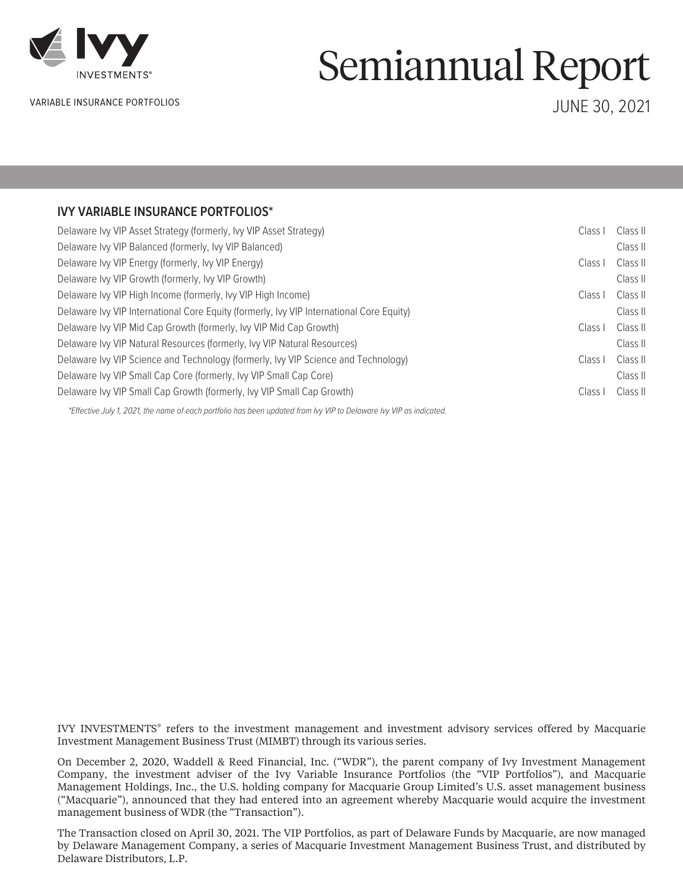

VARIABLE INSURANCE PORTFOLIOS

# Semiannual Report

JUNE 30, 2021

### **IVY VARIABLE INSURANCE PORTFOLIOS\***

| Delaware Ivy VIP Asset Strategy (formerly, Ivy VIP Asset Strategy)                       | Class I | Class II |
|------------------------------------------------------------------------------------------|---------|----------|
| Delaware Ivy VIP Balanced (formerly, Ivy VIP Balanced)                                   |         | Class II |
| Delaware Ivy VIP Energy (formerly, Ivy VIP Energy)                                       | Class I | Class II |
| Delaware Ivy VIP Growth (formerly, Ivy VIP Growth)                                       |         | Class II |
| Delaware Ivy VIP High Income (formerly, Ivy VIP High Income)                             | Class I | Class II |
| Delaware Ivy VIP International Core Equity (formerly, Ivy VIP International Core Equity) |         | Class II |
| Delaware Ivy VIP Mid Cap Growth (formerly, Ivy VIP Mid Cap Growth)                       | Class I | Class II |
| Delaware Ivy VIP Natural Resources (formerly, Ivy VIP Natural Resources)                 |         | Class II |
| Delaware Ivy VIP Science and Technology (formerly, Ivy VIP Science and Technology)       | Class I | Class II |
| Delaware Ivy VIP Small Cap Core (formerly, Ivy VIP Small Cap Core)                       |         | Class II |
| Delaware Ivy VIP Small Cap Growth (formerly, Ivy VIP Small Cap Growth)                   | Class I | Class II |

\*Effective July 1, 2021, the name of each portfolio has been updated from Ivy VIP to Delaware Ivy VIP as indicated.

IVY INVESTMENTS® refers to the investment management and investment advisory services offered by Macquarie Investment Management Business Trust (MIMBT) through its various series.

On December 2, 2020, Waddell & Reed Financial, Inc. ("WDR"), the parent company of Ivy Investment Management Company, the investment adviser of the Ivy Variable Insurance Portfolios (the "VIP Portfolios"), and Macquarie Management Holdings, Inc., the U.S. holding company for Macquarie Group Limited's U.S. asset management business ("Macquarie"), announced that they had entered into an agreement whereby Macquarie would acquire the investment management business of WDR (the "Transaction").

The Transaction closed on April 30, 2021. The VIP Portfolios, as part of Delaware Funds by Macquarie, are now managed by Delaware Management Company, a series of Macquarie Investment Management Business Trust, and distributed by Delaware Distributors, L.P.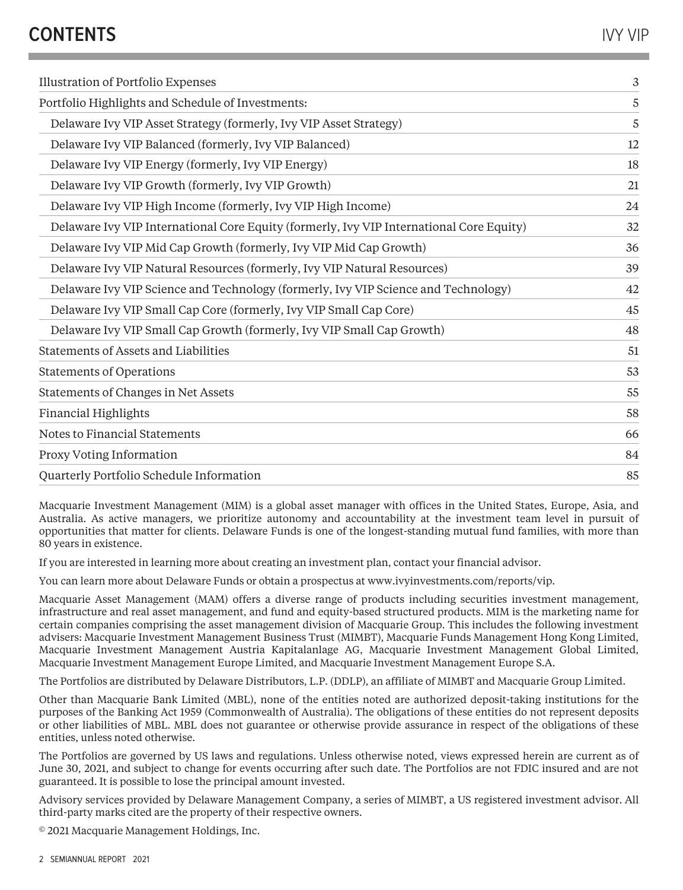# **CONTENTS** IVY VIP

| Portfolio Highlights and Schedule of Investments:                                        | 5  |
|------------------------------------------------------------------------------------------|----|
| Delaware Ivy VIP Asset Strategy (formerly, Ivy VIP Asset Strategy)                       | 5  |
| Delaware Ivy VIP Balanced (formerly, Ivy VIP Balanced)                                   | 12 |
| Delaware Ivy VIP Energy (formerly, Ivy VIP Energy)                                       | 18 |
| Delaware Ivy VIP Growth (formerly, Ivy VIP Growth)                                       | 21 |
| Delaware Ivy VIP High Income (formerly, Ivy VIP High Income)                             | 24 |
| Delaware Ivy VIP International Core Equity (formerly, Ivy VIP International Core Equity) | 32 |
| Delaware Ivy VIP Mid Cap Growth (formerly, Ivy VIP Mid Cap Growth)                       | 36 |
| Delaware Ivy VIP Natural Resources (formerly, Ivy VIP Natural Resources)                 | 39 |
| Delaware Ivy VIP Science and Technology (formerly, Ivy VIP Science and Technology)       | 42 |
| Delaware Ivy VIP Small Cap Core (formerly, Ivy VIP Small Cap Core)                       | 45 |
| Delaware Ivy VIP Small Cap Growth (formerly, Ivy VIP Small Cap Growth)                   | 48 |
| <b>Statements of Assets and Liabilities</b>                                              | 51 |
| <b>Statements of Operations</b>                                                          | 53 |
| Statements of Changes in Net Assets                                                      | 55 |
| <b>Financial Highlights</b>                                                              | 58 |
| <b>Notes to Financial Statements</b>                                                     | 66 |
| Proxy Voting Information                                                                 | 84 |
| Quarterly Portfolio Schedule Information                                                 | 85 |

Macquarie Investment Management (MIM) is a global asset manager with offices in the United States, Europe, Asia, and Australia. As active managers, we prioritize autonomy and accountability at the investment team level in pursuit of opportunities that matter for clients. Delaware Funds is one of the longest-standing mutual fund families, with more than 80 years in existence.

If you are interested in learning more about creating an investment plan, contact your financial advisor.

You can learn more about Delaware Funds or obtain a prospectus at www.ivyinvestments.com/reports/vip.

Macquarie Asset Management (MAM) offers a diverse range of products including securities investment management, infrastructure and real asset management, and fund and equity-based structured products. MIM is the marketing name for certain companies comprising the asset management division of Macquarie Group. This includes the following investment advisers: Macquarie Investment Management Business Trust (MIMBT), Macquarie Funds Management Hong Kong Limited, Macquarie Investment Management Austria Kapitalanlage AG, Macquarie Investment Management Global Limited, Macquarie Investment Management Europe Limited, and Macquarie Investment Management Europe S.A.

The Portfolios are distributed by Delaware Distributors, L.P. (DDLP), an affiliate of MIMBT and Macquarie Group Limited.

Other than Macquarie Bank Limited (MBL), none of the entities noted are authorized deposit-taking institutions for the purposes of the Banking Act 1959 (Commonwealth of Australia). The obligations of these entities do not represent deposits or other liabilities of MBL. MBL does not guarantee or otherwise provide assurance in respect of the obligations of these entities, unless noted otherwise.

The Portfolios are governed by US laws and regulations. Unless otherwise noted, views expressed herein are current as of June 30, 2021, and subject to change for events occurring after such date. The Portfolios are not FDIC insured and are not guaranteed. It is possible to lose the principal amount invested.

Advisory services provided by Delaware Management Company, a series of MIMBT, a US registered investment advisor. All third-party marks cited are the property of their respective owners.

© 2021 Macquarie Management Holdings, Inc.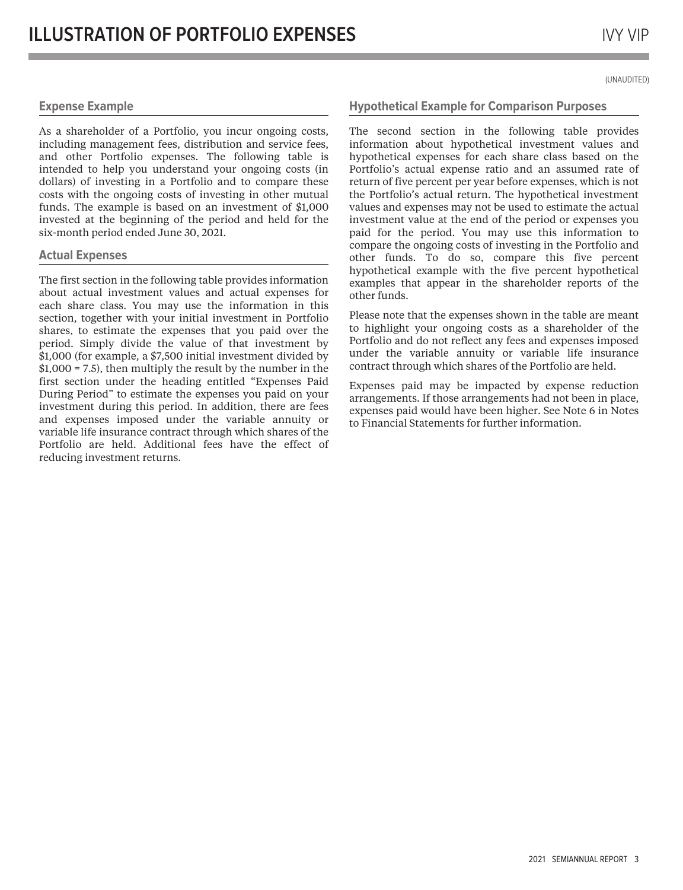#### <span id="page-2-0"></span>**Expense Example**

As a shareholder of a Portfolio, you incur ongoing costs, including management fees, distribution and service fees, and other Portfolio expenses. The following table is intended to help you understand your ongoing costs (in dollars) of investing in a Portfolio and to compare these costs with the ongoing costs of investing in other mutual funds. The example is based on an investment of \$1,000 invested at the beginning of the period and held for the six-month period ended June 30, 2021.

#### **Actual Expenses**

The first section in the following table provides information about actual investment values and actual expenses for each share class. You may use the information in this section, together with your initial investment in Portfolio shares, to estimate the expenses that you paid over the period. Simply divide the value of that investment by \$1,000 (for example, a \$7,500 initial investment divided by \$1,000 = 7.5), then multiply the result by the number in the first section under the heading entitled "Expenses Paid During Period" to estimate the expenses you paid on your investment during this period. In addition, there are fees and expenses imposed under the variable annuity or variable life insurance contract through which shares of the Portfolio are held. Additional fees have the effect of reducing investment returns.

### **Hypothetical Example for Comparison Purposes**

The second section in the following table provides information about hypothetical investment values and hypothetical expenses for each share class based on the Portfolio's actual expense ratio and an assumed rate of return of five percent per year before expenses, which is not the Portfolio's actual return. The hypothetical investment values and expenses may not be used to estimate the actual investment value at the end of the period or expenses you paid for the period. You may use this information to compare the ongoing costs of investing in the Portfolio and other funds. To do so, compare this five percent hypothetical example with the five percent hypothetical examples that appear in the shareholder reports of the other funds.

Please note that the expenses shown in the table are meant to highlight your ongoing costs as a shareholder of the Portfolio and do not reflect any fees and expenses imposed under the variable annuity or variable life insurance contract through which shares of the Portfolio are held.

Expenses paid may be impacted by expense reduction arrangements. If those arrangements had not been in place, expenses paid would have been higher. See Note 6 in Notes to Financial Statements for further information.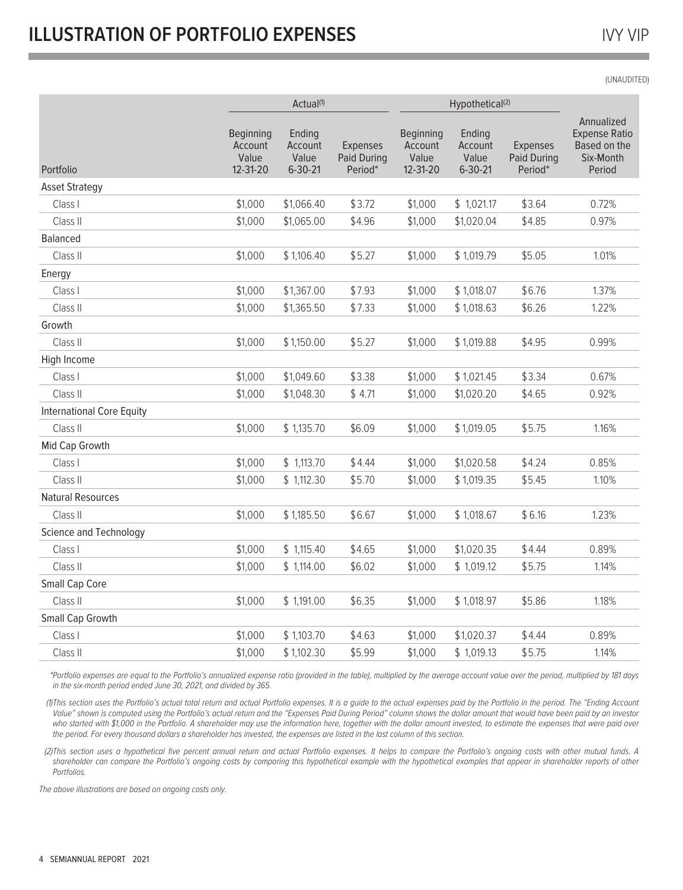|                                  | Actual <sup>(1)</sup>                            |                                             | Hypothetical <sup>(2)</sup>               |                                                  |                                             |                                    |                                                                           |
|----------------------------------|--------------------------------------------------|---------------------------------------------|-------------------------------------------|--------------------------------------------------|---------------------------------------------|------------------------------------|---------------------------------------------------------------------------|
| Portfolio                        | <b>Beginning</b><br>Account<br>Value<br>12-31-20 | Ending<br>Account<br>Value<br>$6 - 30 - 21$ | Expenses<br><b>Paid During</b><br>Period* | <b>Beginning</b><br>Account<br>Value<br>12-31-20 | Ending<br>Account<br>Value<br>$6 - 30 - 21$ | Expenses<br>Paid During<br>Period* | Annualized<br><b>Expense Ratio</b><br>Based on the<br>Six-Month<br>Period |
| <b>Asset Strategy</b>            |                                                  |                                             |                                           |                                                  |                                             |                                    |                                                                           |
| Class I                          | \$1,000                                          | \$1,066.40                                  | \$3.72                                    | \$1,000                                          | \$1,021.17                                  | \$3.64                             | 0.72%                                                                     |
| Class II                         | \$1,000                                          | \$1,065.00                                  | \$4.96                                    | \$1,000                                          | \$1,020.04                                  | \$4.85                             | 0.97%                                                                     |
| <b>Balanced</b>                  |                                                  |                                             |                                           |                                                  |                                             |                                    |                                                                           |
| Class II                         | \$1,000                                          | \$1,106.40                                  | \$5.27                                    | \$1,000                                          | \$1,019.79                                  | \$5.05                             | 1.01%                                                                     |
| Energy                           |                                                  |                                             |                                           |                                                  |                                             |                                    |                                                                           |
| Class I                          | \$1,000                                          | \$1,367.00                                  | \$7.93                                    | \$1,000                                          | \$1,018.07                                  | \$6.76                             | 1.37%                                                                     |
| Class II                         | \$1,000                                          | \$1,365.50                                  | \$7.33                                    | \$1,000                                          | \$1,018.63                                  | \$6.26                             | 1.22%                                                                     |
| Growth                           |                                                  |                                             |                                           |                                                  |                                             |                                    |                                                                           |
| Class II                         | \$1,000                                          | \$1,150.00                                  | \$5.27                                    | \$1,000                                          | \$1,019.88                                  | \$4.95                             | 0.99%                                                                     |
| High Income                      |                                                  |                                             |                                           |                                                  |                                             |                                    |                                                                           |
| Class I                          | \$1,000                                          | \$1,049.60                                  | \$3.38                                    | \$1,000                                          | \$1,021.45                                  | \$3.34                             | 0.67%                                                                     |
| Class II                         | \$1,000                                          | \$1,048.30                                  | \$4.71                                    | \$1,000                                          | \$1,020.20                                  | \$4.65                             | 0.92%                                                                     |
| <b>International Core Equity</b> |                                                  |                                             |                                           |                                                  |                                             |                                    |                                                                           |
| Class II                         | \$1,000                                          | \$1,135.70                                  | \$6.09                                    | \$1,000                                          | \$1,019.05                                  | \$5.75                             | 1.16%                                                                     |
| Mid Cap Growth                   |                                                  |                                             |                                           |                                                  |                                             |                                    |                                                                           |
| Class I                          | \$1,000                                          | \$1,113.70                                  | \$4.44                                    | \$1,000                                          | \$1,020.58                                  | \$4.24                             | 0.85%                                                                     |
| Class II                         | \$1,000                                          | \$1,112.30                                  | \$5.70                                    | \$1,000                                          | \$1,019.35                                  | \$5.45                             | 1.10%                                                                     |
| <b>Natural Resources</b>         |                                                  |                                             |                                           |                                                  |                                             |                                    |                                                                           |
| Class II                         | \$1,000                                          | \$1,185.50                                  | \$6.67                                    | \$1,000                                          | \$1,018.67                                  | \$6.16                             | 1.23%                                                                     |
| Science and Technology           |                                                  |                                             |                                           |                                                  |                                             |                                    |                                                                           |
| Class I                          | \$1,000                                          | \$1,115.40                                  | \$4.65                                    | \$1,000                                          | \$1,020.35                                  | \$4.44                             | 0.89%                                                                     |
| Class II                         | \$1,000                                          | \$1,114.00                                  | \$6.02                                    | \$1,000                                          | \$1,019.12                                  | \$5.75                             | 1.14%                                                                     |
| Small Cap Core                   |                                                  |                                             |                                           |                                                  |                                             |                                    |                                                                           |
| Class II                         | \$1,000                                          | \$1,191.00                                  | \$6.35                                    | \$1,000                                          | \$1,018.97                                  | \$5.86                             | 1.18%                                                                     |
| Small Cap Growth                 |                                                  |                                             |                                           |                                                  |                                             |                                    |                                                                           |
| Class I                          | \$1,000                                          | \$1,103.70                                  | \$4.63                                    | \$1,000                                          | \$1,020.37                                  | \$4.44                             | 0.89%                                                                     |
| Class II                         | \$1,000                                          | \$1,102.30                                  | \$5.99                                    | \$1,000                                          | \$1,019.13                                  | \$5.75                             | 1.14%                                                                     |

\*Portfolio expenses are equal to the Portfolio's annualized expense ratio (provided in the table), multiplied by the average account value over the period, multiplied by 181 days in the six-month period ended June 30, 2021, and divided by 365.

(1)This section uses the Portfolio's actual total return and actual Portfolio expenses. It is a guide to the actual expenses paid by the Portfolio in the period. The "Ending Account Value" shown is computed using the Portfolio's actual return and the "Expenses Paid During Period" column shows the dollar amount that would have been paid by an investor who started with \$1,000 in the Portfolio. A shareholder may use the information here, together with the dollar amount invested, to estimate the expenses that were paid over the period. For every thousand dollars a shareholder has invested, the expenses are listed in the last column of this section.

(2)This section uses a hypothetical five percent annual return and actual Portfolio expenses. It helps to compare the Portfolio's ongoing costs with other mutual funds. A shareholder can compare the Portfolio's ongoing costs by comparing this hypothetical example with the hypothetical examples that appear in shareholder reports of other Portfolios.

The above illustrations are based on ongoing costs only.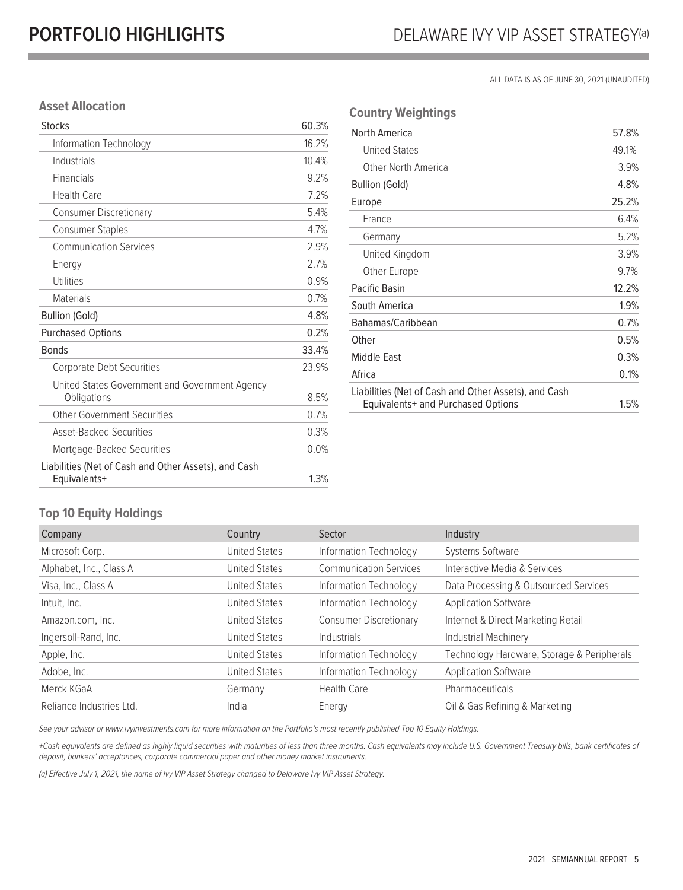### <span id="page-4-1"></span><span id="page-4-0"></span>**Asset Allocation**

| <b>Stocks</b>                                                        | 60.3% |
|----------------------------------------------------------------------|-------|
| Information Technology                                               | 16.2% |
| Industrials                                                          | 10.4% |
| <b>Financials</b>                                                    | 9.2%  |
| <b>Health Care</b>                                                   | 7.2%  |
| <b>Consumer Discretionary</b>                                        | 5.4%  |
| <b>Consumer Staples</b>                                              | 4.7%  |
| <b>Communication Services</b>                                        | 2.9%  |
| Energy                                                               | 2.7%  |
| Utilities                                                            | 0.9%  |
| <b>Materials</b>                                                     | 0.7%  |
| <b>Bullion (Gold)</b>                                                | 4.8%  |
| <b>Purchased Options</b>                                             | 0.2%  |
| <b>Bonds</b>                                                         | 33.4% |
| Corporate Debt Securities                                            | 23.9% |
| United States Government and Government Agency                       |       |
| Obligations                                                          | 8.5%  |
| Other Government Securities                                          | 0.7%  |
| Asset-Backed Securities                                              | 0.3%  |
| Mortgage-Backed Securities                                           | 0.0%  |
| Liabilities (Net of Cash and Other Assets), and Cash<br>Equivalents+ | 1.3%  |
|                                                                      |       |

### **Country Weightings**

| North America                                        | 57.8% |
|------------------------------------------------------|-------|
| United States                                        | 49.1% |
| Other North America                                  | 3.9%  |
| Bullion (Gold)                                       | 4.8%  |
| Europe                                               | 25.2% |
| France                                               | 6.4%  |
| Germany                                              | 5.2%  |
| United Kingdom                                       | 3.9%  |
| Other Europe                                         | 9.7%  |
| Pacific Basin                                        | 12.2% |
| South America                                        | 1.9%  |
| Bahamas/Caribbean                                    | 0.7%  |
| Other                                                | 0.5%  |
| Middle East                                          | 0.3%  |
| Africa                                               | 0.1%  |
| Liabilities (Net of Cash and Other Assets), and Cash |       |
| Equivalents+ and Purchased Options                   | 1.5%  |

#### **Top 10 Equity Holdings**

| Company                  | Country              | Sector                        | Industry                                   |
|--------------------------|----------------------|-------------------------------|--------------------------------------------|
| Microsoft Corp.          | <b>United States</b> | Information Technology        | Systems Software                           |
| Alphabet, Inc., Class A  | United States        | <b>Communication Services</b> | Interactive Media & Services               |
| Visa, Inc., Class A      | United States        | Information Technology        | Data Processing & Outsourced Services      |
| Intuit, Inc.             | United States        | Information Technology        | <b>Application Software</b>                |
| Amazon.com, Inc.         | United States        | <b>Consumer Discretionary</b> | Internet & Direct Marketing Retail         |
| Ingersoll-Rand, Inc.     | <b>United States</b> | Industrials                   | Industrial Machinery                       |
| Apple, Inc.              | United States        | Information Technology        | Technology Hardware, Storage & Peripherals |
| Adobe, Inc.              | United States        | Information Technology        | <b>Application Software</b>                |
| Merck KGaA               | Germany              | <b>Health Care</b>            | <b>Pharmaceuticals</b>                     |
| Reliance Industries Ltd. | India                | Energy                        | Oil & Gas Refining & Marketing             |

See your advisor or www.ivyinvestments.com for more information on the Portfolio's most recently published Top 10 Equity Holdings.

+Cash equivalents are defined as highly liquid securities with maturities of less than three months. Cash equivalents may include U.S. Government Treasury bills, bank certificates of deposit, bankers' acceptances, corporate commercial paper and other money market instruments.

(a) Effective July 1, 2021, the name of Ivy VIP Asset Strategy changed to Delaware Ivy VIP Asset Strategy.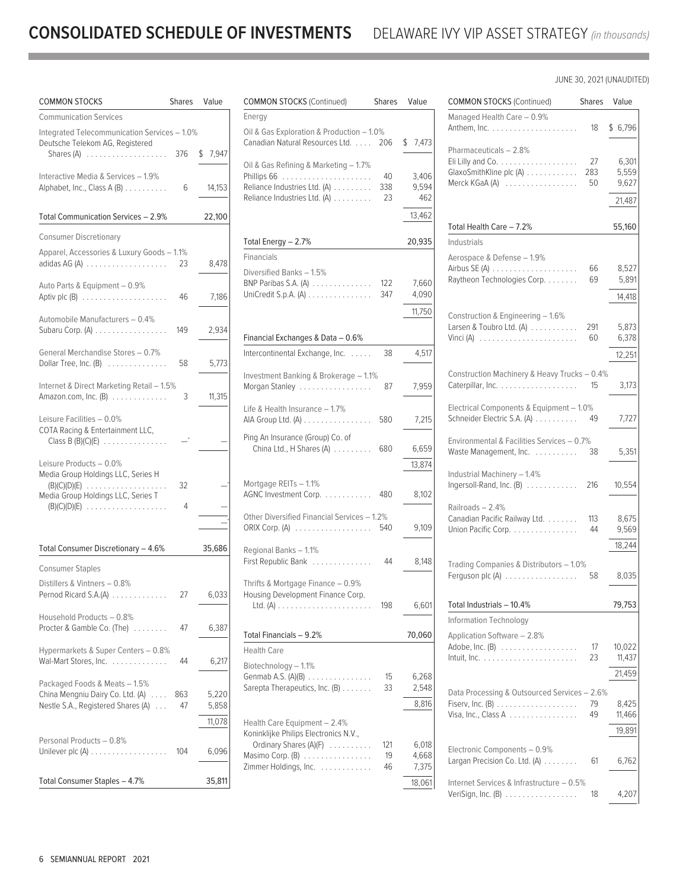| <b>COMMON STOCKS</b>                                                                                                       | <b>Shares</b> | Value                    |
|----------------------------------------------------------------------------------------------------------------------------|---------------|--------------------------|
| <b>Communication Services</b>                                                                                              |               |                          |
| Integrated Telecommunication Services - 1.0%<br>Deutsche Telekom AG, Registered                                            | 376           | \$7,947                  |
| Interactive Media & Services - 1.9%<br>Alphabet, Inc., Class A $(B)$<br>.                                                  | 6             | 14,153                   |
| Total Communication Services - 2.9%                                                                                        |               | 22,100                   |
| <b>Consumer Discretionary</b>                                                                                              |               |                          |
| Apparel, Accessories & Luxury Goods - 1.1%                                                                                 | 23            | 8,478                    |
| Auto Parts & Equipment - 0.9%<br>Aptiv plc $(B)$                                                                           | 46            | 7,186                    |
| Automobile Manufacturers - 0.4%<br>Subaru Corp. (A)                                                                        | 149           | 2,934                    |
| General Merchandise Stores - 0.7%<br>Dollar Tree, Inc. $(B)$                                                               | 58            | 5,773                    |
| Internet & Direct Marketing Retail - 1.5%<br>Amazon.com, Inc. $(B)$                                                        | 3             | 11,315                   |
| Leisure Facilities - 0.0%<br>COTA Racing & Entertainment LLC,<br>Class B $(B)(C)(E)$                                       |               |                          |
| Leisure Products - 0.0%<br>Media Group Holdings LLC, Series H<br>$(B)(C)(D)(E)$<br>.<br>Media Group Holdings LLC, Series T | 32<br>4       |                          |
| Total Consumer Discretionary - 4.6%                                                                                        |               | 35,686                   |
| <b>Consumer Staples</b>                                                                                                    |               |                          |
| Distillers & Vintners - 0.8%<br>Pernod Ricard S.A.(A)                                                                      | 27            | 6,033                    |
| Household Products - 0.8%<br>Procter & Gamble Co. (The)                                                                    | 47            | 6,387                    |
| Hypermarkets & Super Centers - 0.8%<br>Wal-Mart Stores, Inc.                                                               | 44            | 6,217                    |
| Packaged Foods & Meats - 1.5%<br>China Mengniu Dairy Co. Ltd. (A)<br>$\sim 100$<br>Nestle S.A., Registered Shares (A)      | 863<br>47     | 5,220<br>5,858<br>11,078 |
| Personal Products - 0.8%<br>Unilever plc $(A)$                                                                             | 104           | 6,096                    |
| Total Consumer Staples - 4.7%                                                                                              |               | 35,811                   |

| <b>COMMON STOCKS (Continued)</b>                                       | <b>Shares</b> | Value          |
|------------------------------------------------------------------------|---------------|----------------|
| Energy                                                                 |               |                |
| Oil & Gas Exploration & Production - 1.0%                              |               |                |
| Canadian Natural Resources Ltd.                                        | 206           | \$<br>7,473    |
|                                                                        |               |                |
| Oil & Gas Refining & Marketing - 1.7%                                  |               |                |
|                                                                        | 40            | 3,406          |
| Reliance Industries Ltd. (A)<br>Reliance Industries Ltd. (A)           | 338<br>23     | 9,594<br>462   |
|                                                                        |               |                |
|                                                                        |               | 13,462         |
| Total Energy - 2.7%                                                    |               | 20,935         |
| Financials                                                             |               |                |
|                                                                        |               |                |
| Diversified Banks - 1.5%                                               |               |                |
| BNP Paribas S.A. (A)<br>UniCredit S.p.A. (A)                           | 122<br>347    | 7,660<br>4,090 |
|                                                                        |               |                |
|                                                                        |               | 11,750         |
|                                                                        |               |                |
| Financial Exchanges & Data - 0.6%                                      |               |                |
| Intercontinental Exchange, Inc.                                        | 38            | 4,517          |
| Investment Banking & Brokerage - 1.1%                                  |               |                |
| Morgan Stanley                                                         | 87            | 7,959          |
|                                                                        |               |                |
| Life & Health Insurance - 1.7%                                         |               |                |
| AIA Group Ltd. $(A)$                                                   | 580           | 7,215          |
| Ping An Insurance (Group) Co. of                                       |               |                |
| China Ltd., H Shares (A)                                               | 680           | 6,659          |
|                                                                        |               | 13,874         |
|                                                                        |               |                |
| Mortgage REITs - 1.1%                                                  |               |                |
| AGNC Investment Corp.                                                  | 480           | 8,102          |
| Other Diversified Financial Services - 1.2%                            |               |                |
| ORIX Corp. (A)                                                         | 540           | 9,109          |
|                                                                        |               |                |
| Regional Banks - 1.1%                                                  |               |                |
| First Republic Bank                                                    | 44            | 8,148          |
|                                                                        |               |                |
| Thrifts & Mortgage Finance - 0.9%<br>Housing Development Finance Corp. |               |                |
|                                                                        | 198           | 6,601          |
|                                                                        |               |                |
| Total Financials - 9.2%                                                |               | 70,060         |
|                                                                        |               |                |
| <b>Health Care</b>                                                     |               |                |
| Biotechnology - 1.1%                                                   |               |                |
| Genmab A.S. $(A)(B)$                                                   | 15            | 6,268          |
| Sarepta Therapeutics, Inc. (B)                                         | 33            | 2,548          |
|                                                                        |               | 8,816          |
| Health Care Equipment - 2.4%                                           |               |                |
| Koninklijke Philips Electronics N.V.,                                  |               |                |
| Ordinary Shares (A)(F)                                                 | 121           | 6,018          |
| Masimo Corp. $(B)$                                                     | 19            | 4,668          |
| Zimmer Holdings, Inc.                                                  | 46            | 7,375          |
|                                                                        |               | 18,061         |

| <b>COMMON STOCKS (Continued)</b>                                                        | <b>Shares</b>   | Value                      |
|-----------------------------------------------------------------------------------------|-----------------|----------------------------|
| Managed Health Care - 0.9%<br>Anthem. Inc. $\ldots$ , $\ldots$                          | 18              | \$6,796                    |
| Pharmaceuticals - 2.8%<br>GlaxoSmithKline plc (A)<br>Merck KGaA (A)                     | 27<br>283<br>50 | 6,301<br>5,559<br>9,627    |
|                                                                                         |                 | 21,487                     |
| Total Health Care - 7.2%                                                                |                 | 55,160                     |
| Industrials                                                                             |                 |                            |
| Aerospace & Defense - 1.9%<br>Raytheon Technologies Corp.                               | 66<br>69        | 8,527<br>5,891             |
|                                                                                         |                 | 14,418                     |
| Construction & Engineering - 1.6%<br>Larsen & Toubro Ltd. (A)                           | 291<br>60       | 5,873<br>6,378             |
|                                                                                         |                 | 12,251                     |
| Construction Machinery & Heavy Trucks - 0.4%<br>Caterpillar, Inc.                       | 15              | 3,173                      |
| Electrical Components & Equipment - 1.0%<br>Schneider Electric S.A. (A)                 | 49              | 7,727                      |
| Environmental & Facilities Services - 0.7%<br>Waste Management, Inc.                    | 38              | 5,351                      |
| Industrial Machinery - 1.4%<br>Ingersoll-Rand, Inc. (B)<br>1.1.1.1.1                    | 216             | 10,554                     |
| Railroads - 2.4%<br>Canadian Pacific Railway Ltd.<br>Union Pacific Corp.                | 113<br>44       | 8,675<br>9,569<br>18,244   |
| Trading Companies & Distributors - 1.0%<br>Ferguson plc $(A)$                           | 58              | 8,035                      |
| Total Industrials - 10.4%                                                               |                 | 79,753                     |
| <b>Information Technology</b>                                                           |                 |                            |
| Application Software - 2.8%<br>Adobe, Inc. (B)<br>Intuit, Inc.<br>a a a a a a a a a a a | 17<br>23        | 10,022<br>11,437<br>21,459 |
|                                                                                         |                 |                            |
| Data Processing & Outsourced Services - 2.6%<br>Visa, Inc., Class A $\ldots$            | 79<br>49        | 8,425<br>11,466            |
|                                                                                         |                 | 19,891                     |
| Electronic Components - 0.9%<br>Largan Precision Co. Ltd. (A)                           | 61              | 6,762                      |
| Internet Services & Infrastructure - 0.5%<br>VeriSign, Inc. (B)                         | 18              | 4,207                      |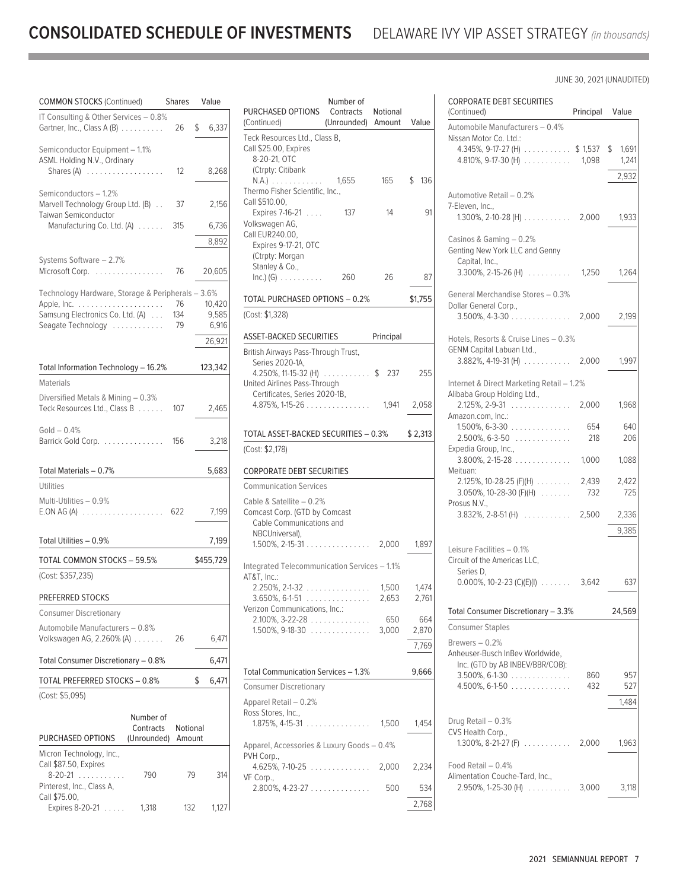| <b>COMMON STOCKS (Continued)</b>                                                                            |                                       | <b>Shares</b>      | Value                              |
|-------------------------------------------------------------------------------------------------------------|---------------------------------------|--------------------|------------------------------------|
| IT Consulting & Other Services - 0.8%<br>Gartner, Inc., Class A $(B)$                                       |                                       | 26                 | \$<br>6,337                        |
| Semiconductor Equipment - 1.1%<br>ASML Holding N.V., Ordinary                                               |                                       |                    |                                    |
| Shares $(A)$                                                                                                |                                       | 12                 | 8,268                              |
| Semiconductors - 1.2%<br>Marvell Technology Group Ltd. (B)<br><b>Taiwan Semiconductor</b>                   |                                       | 37                 | 2,156                              |
| Manufacturing Co. Ltd. (A)                                                                                  |                                       | 315                | 6,736                              |
|                                                                                                             |                                       |                    | 8,892                              |
| Systems Software - 2.7%<br>Microsoft Corp.                                                                  |                                       | 76                 | 20,605                             |
| Technology Hardware, Storage & Peripherals - 3.6%<br>Samsung Electronics Co. Ltd. (A)<br>Seagate Technology |                                       | 76<br>134<br>79    | 10,420<br>9,585<br>6,916<br>26,921 |
| Total Information Technology - 16.2%                                                                        |                                       |                    | 123,342                            |
| <b>Materials</b>                                                                                            |                                       |                    |                                    |
| Diversified Metals & Mining - 0.3%<br>Teck Resources Ltd., Class B                                          |                                       | 107                | 2,465                              |
| $Gold - 0.4%$<br>Barrick Gold Corp.                                                                         |                                       | 156                | 3,218                              |
| Total Materials - 0.7%                                                                                      |                                       |                    | 5,683                              |
| Utilities                                                                                                   |                                       |                    |                                    |
| Multi-Utilities - 0.9%                                                                                      |                                       |                    | 7,199                              |
| Total Utilities - 0.9%                                                                                      |                                       |                    | 7,199                              |
| TOTAL COMMON STOCKS - 59.5%                                                                                 |                                       |                    | \$455,729                          |
| (Cost: \$357,235)                                                                                           |                                       |                    |                                    |
| PREFERRED STOCKS                                                                                            |                                       |                    |                                    |
| <b>Consumer Discretionary</b>                                                                               |                                       |                    |                                    |
| Automobile Manufacturers - 0.8%<br>Volkswagen AG, 2.260% (A)                                                |                                       | 26                 | 6,471                              |
| Total Consumer Discretionary - 0.8%                                                                         |                                       |                    | 6,471                              |
| TOTAL PREFERRED STOCKS - 0.8%                                                                               |                                       |                    | \$<br>6,471                        |
| (Cost: \$5,095)                                                                                             |                                       |                    |                                    |
| PURCHASED OPTIONS                                                                                           | Number of<br>Contracts<br>(Unrounded) | Notional<br>Amount |                                    |
| Micron Technology, Inc.,                                                                                    |                                       |                    |                                    |

| <b>FURUMAJED UF HUNJ</b>                          | (UIIIUUIIUEU) AIIIUUIIL |                  |       |
|---------------------------------------------------|-------------------------|------------------|-------|
| Micron Technology, Inc.,<br>Call \$87.50, Expires |                         |                  |       |
| $8-20-21$                                         | 790                     | 79               | 314   |
| Pinterest. Inc., Class A.                         |                         |                  |       |
| Call \$75.00,                                     |                         |                  |       |
| Expires 8-20-21                                   | 1.318                   | 132 <sup>°</sup> | 1.127 |

|                                                                                                                                              | Number of                       |                |                       |
|----------------------------------------------------------------------------------------------------------------------------------------------|---------------------------------|----------------|-----------------------|
| PURCHASED OPTIONS<br>(Continued)                                                                                                             | Contracts<br>(Unrounded) Amount | Notional       | Value                 |
| Teck Resources Ltd., Class B,<br>Call \$25.00, Expires<br>8-20-21, OTC<br>(Ctrpty: Citibank                                                  |                                 |                |                       |
| $N.A.)$ 1,655<br>Thermo Fisher Scientific, Inc.,<br>Call \$510.00,                                                                           |                                 | 165            | \$136                 |
| Expires 7-16-21<br>Volkswagen AG,<br>Call EUR240.00,<br>Expires 9-17-21, OTC<br>(Ctrpty: Morgan                                              | 137                             | 14             | 91                    |
| Stanley & Co.,<br>$Inc.)$ (G) $ \dots $                                                                                                      | 260                             | 26             | 87                    |
| TOTAL PURCHASED OPTIONS - 0.2%                                                                                                               |                                 |                | \$1,755               |
| (Cost: \$1,328)                                                                                                                              |                                 |                |                       |
| ASSET-BACKED SECURITIES                                                                                                                      |                                 | Principal      |                       |
| British Airways Pass-Through Trust,<br>Series 2020-1A.<br>4.250%, 11-15-32 (H) $\ldots \ldots \ldots$ \$ 237<br>United Airlines Pass-Through |                                 |                | 255                   |
| Certificates, Series 2020-1B,<br>$4.875\%$ , 1-15-26 1,941                                                                                   |                                 |                | 2,058                 |
| TOTAL ASSET-BACKED SECURITIES - 0.3%                                                                                                         |                                 |                | \$2,313               |
| (Cost: \$2,178)                                                                                                                              |                                 |                |                       |
| <b>CORPORATE DEBT SECURITIES</b>                                                                                                             |                                 |                |                       |
| <b>Communication Services</b>                                                                                                                |                                 |                |                       |
| Cable & Satellite - 0.2%<br>Comcast Corp. (GTD by Comcast<br>Cable Communications and<br>NBCUniversal),<br>$1.500\%$ , 2-15-31               |                                 | 2,000          | 1,897                 |
| Integrated Telecommunication Services - 1.1%                                                                                                 |                                 |                |                       |
| AT&T, Inc.:                                                                                                                                  |                                 |                |                       |
| $2.250\%$ , 2-1-32<br>$3.650\%$ , 6-1-51<br>Verizon Communications, Inc.:                                                                    |                                 | 1,500<br>2,653 | 1,474<br>2,761        |
| $2.100\%$ , 3-22-28<br>1.500%, 9-18-30                                                                                                       | .                               | 650<br>3,000   | 664<br>2,870<br>7,769 |
| Total Communication Services - 1.3%                                                                                                          |                                 |                | 9,666                 |
| <b>Consumer Discretionary</b>                                                                                                                |                                 |                |                       |
| Apparel Retail - 0.2%<br>Ross Stores, Inc.,<br>1.875%, 4-15-31<br>$\ddotsc$                                                                  | .                               | 1,500          | 1,454                 |
| Apparel, Accessories & Luxury Goods - 0.4%                                                                                                   |                                 |                |                       |
| PVH Corp.,<br>4.625%, 7-10-25                                                                                                                | .                               | 2,000          | 2,234                 |
| VF Corp.,<br>2.800%, 4-23-27                                                                                                                 |                                 | 500            | 534<br>2,768          |
|                                                                                                                                              |                                 |                |                       |

| <b>CORPORATE DEBT SECURITIES</b><br>(Continued)                                                                | Principal    | Value               |
|----------------------------------------------------------------------------------------------------------------|--------------|---------------------|
| Automobile Manufacturers - 0.4%<br>Nissan Motor Co. Ltd.:                                                      |              |                     |
| 4.345%, 9-17-27 (H) $\ldots \ldots \ldots$ \$ 1,537<br>$4.810\%$ , 9-17-30 (H) $\ldots \ldots \ldots$          | 1,098        | \$1,691<br>1,241    |
|                                                                                                                |              | 2,932               |
| Automotive Retail - 0.2%<br>7-Eleven, Inc.,<br>1.300%, 2-10-28 (H) $\ldots \ldots \ldots$ 2,000                |              | 1,933               |
| Casinos & Gaming - 0.2%<br>Genting New York LLC and Genny<br>Capital, Inc.,                                    |              |                     |
| $3.300\%$ , 2-15-26 (H) $\ldots \ldots \ldots$ 1,250                                                           |              | 1,264               |
| General Merchandise Stores - 0.3%                                                                              |              |                     |
| Dollar General Corp.,<br>$3.500\%$ , 4-3-30                                                                    | 2,000        | 2,199               |
| Hotels, Resorts & Cruise Lines - 0.3%                                                                          |              |                     |
| GENM Capital Labuan Ltd.,<br>$3.882\%$ , 4-19-31 (H)                                                           | 2,000        | 1,997               |
| Internet & Direct Marketing Retail - 1.2%                                                                      |              |                     |
| Alibaba Group Holding Ltd.,<br>$2.125\%$ , 2-9-31                                                              | 2,000        | 1,968               |
| Amazon.com, Inc.:<br>$1.500\%$ , 6-3-30<br>$2.500\%$ , 6-3-50                                                  | 654<br>218   | 640<br>206          |
| Expedia Group, Inc.,<br>$3.800\%$ , 2-15-28                                                                    | 1,000        | 1,088               |
| Meituan:<br>2.125%, 10-28-25 (F)(H) $\ldots \ldots$                                                            | 2,439        | 2,422               |
| $3.050\%$ , 10-28-30 (F)(H) $\ldots \ldots$<br>Prosus N.V.,<br>$3.832\%$ , $2-8-51$ (H) $\ldots \ldots \ldots$ | 732<br>2,500 | 725<br>2,336        |
|                                                                                                                |              | 9,385               |
| Leisure Facilities - 0.1%<br>Circuit of the Americas LLC.                                                      |              |                     |
| Series D.<br>$0.000\%$ , 10-2-23 (C)(E)(I) $\ldots \ldots$                                                     | 3,642        | 637                 |
| Total Consumer Discretionary - 3.3%                                                                            |              | 24,569              |
| <b>Consumer Staples</b>                                                                                        |              |                     |
| Brewers $-0.2%$<br>Anheuser-Busch InBev Worldwide,<br>Inc. (GTD by AB INBEV/BBR/COB):                          |              |                     |
| $3.500\%$ , 6-1-30<br>$4.500\%$ , 6-1-50                                                                       | 860<br>432   | 957<br>527<br>1,484 |
| Drug Retail - 0.3%                                                                                             |              |                     |
| CVS Health Corp.,<br>1.300%, 8-21-27 (F)<br>.                                                                  | 2,000        | 1,963               |
| Food Retail - 0.4%<br>Alimentation Couche-Tard, Inc.,                                                          |              |                     |
| $2.950\%$ , 1-25-30 (H)                                                                                        | 3,000        | 3,118               |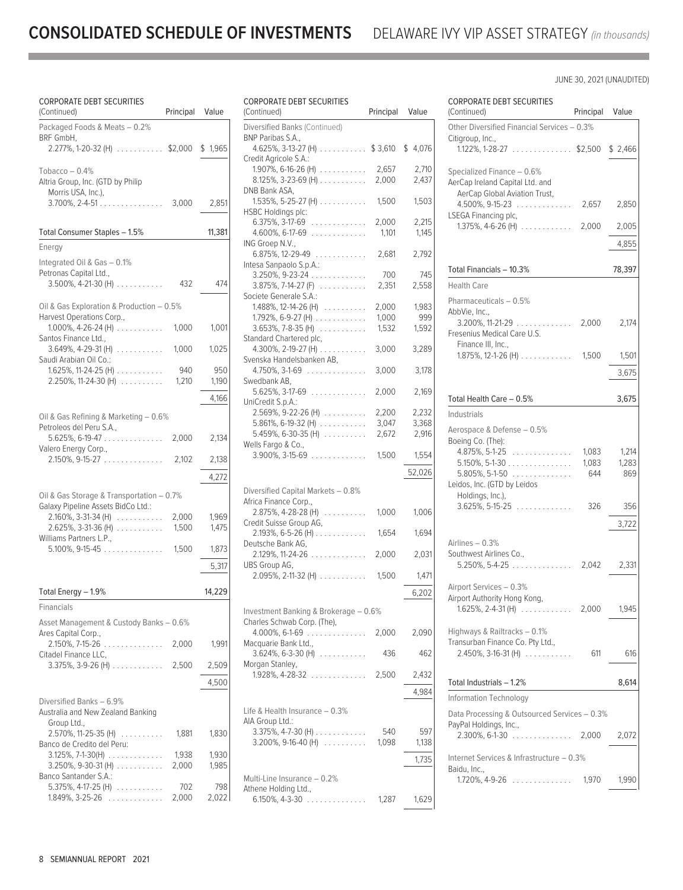| <b>CORPORATE DEBT SECURITIES</b><br>(Continued)                                                       | Principal      | Value          |
|-------------------------------------------------------------------------------------------------------|----------------|----------------|
| Packaged Foods & Meats - 0.2%<br>BRF GmbH,<br>$2.277\%$ , 1-20-32 (H) $\ldots \ldots \ldots$ \$2,000  |                | \$1,965        |
| Tobacco $-0.4%$<br>Altria Group, Inc. (GTD by Philip<br>Morris USA, Inc.),<br>$3.700\%$ , 2-4-51<br>. | 3,000          | 2,851          |
|                                                                                                       |                |                |
| Total Consumer Staples - 1.5%<br>Energy                                                               |                | 11,381         |
| Integrated Oil & Gas - 0.1%                                                                           |                |                |
| Petronas Capital Ltd.,<br>$3.500\%$ , 4-21-30 (H) $\ldots$                                            | 432            | 474            |
| Oil & Gas Exploration & Production - 0.5%                                                             |                |                |
| Harvest Operations Corp.,                                                                             |                |                |
| $1.000\%$ , 4-26-24 (H) $\ldots \ldots \ldots$<br>Santos Finance Ltd.,                                | 1,000          | 1,001          |
| $3.649\%$ , 4-29-31 (H)<br>Saudi Arabian Oil Co.:                                                     | 1,000          | 1,025          |
| 1.625%, 11-24-25 (H) $\ldots$<br>$2.250\%$ , 11-24-30 (H)                                             | 940<br>1,210   | 950            |
|                                                                                                       |                | 1,190          |
|                                                                                                       |                | 4,166          |
| Oil & Gas Refining & Marketing - 0.6%<br>Petroleos del Peru S.A.,                                     |                |                |
| $5.625\%$ , 6-19-47 $\dots\dots\dots\dots\dots\dots$<br>Valero Energy Corp.,                          | 2,000          | 2,134          |
| $2.150\%$ , 9-15-27                                                                                   | 2,102          | 2,138          |
|                                                                                                       |                | 4,272          |
| Oil & Gas Storage & Transportation - 0.7%                                                             |                |                |
| Galaxy Pipeline Assets BidCo Ltd.:<br>$2.160\%$ , 3-31-34 (H) $\ldots \ldots \ldots$                  | 2,000          | 1,969          |
| $2.625\%$ , 3-31-36 (H)                                                                               | 1,500          | 1,475          |
| Williams Partners L.P.,<br>$5.100\%$ , 9-15-45                                                        | 1,500          | 1,873          |
|                                                                                                       |                | 5,317          |
| Total Energy - 1.9%                                                                                   |                | 14,229         |
| Financials                                                                                            |                |                |
| Asset Management & Custody Banks - 0.6%<br>Ares Capital Corp.,                                        |                |                |
| 2.150%, 7-15-26.<br>.                                                                                 | 2,000          | 1,991          |
| Citadel Finance LLC,<br>$3.375\%$ , $3-9-26$ (H)                                                      | 2,500          | 2,509          |
|                                                                                                       |                | 4,500          |
| Diversified Banks - 6.9%                                                                              |                |                |
| Australia and New Zealand Banking<br>Group Ltd.,                                                      |                |                |
| $2.570\%$ , 11-25-35 (H) $\ldots \ldots \ldots$<br>Banco de Credito del Peru:                         | 1,881          | 1,830          |
| $3.125\%$ , 7-1-30(H)<br>$3.250\%$ , 9-30-31 (H)                                                      | 1,938<br>2,000 | 1,930<br>1,985 |
| Banco Santander S.A.:                                                                                 |                |                |
| $5.375\%$ , 4-17-25 (H) $\ldots \ldots \ldots$<br>$1.849\%$ , $3-25-26$                               | 702<br>2,000   | 798<br>2,022   |

| <b>CORPORATE DEBT SECURITIES</b><br>(Continued)                                                  | Principal      | Value          |
|--------------------------------------------------------------------------------------------------|----------------|----------------|
| Diversified Banks (Continued)                                                                    |                |                |
| BNP Paribas S.A.,                                                                                |                |                |
| 4.625%, 3-13-27 (H) $\ldots \ldots \ldots$ \$ 3,610<br>Credit Agricole S.A.:                     |                | \$4,076        |
| $1.907\%$ , 6-16-26 (H)                                                                          | 2,657          | 2,710          |
| $8.125\%$ , 3-23-69 (H)                                                                          | 2,000          | 2,437          |
| DNB Bank ASA,                                                                                    |                |                |
| $1.535\%$ , 5-25-27 (H)                                                                          | 1,500          | 1,503          |
| <b>HSBC Holdings plc:</b><br>6.375%, 3-17-69<br>.                                                | 2,000          | 2,215          |
| $4.600\%$ , 6-17-69                                                                              | 1,101          | 1,145          |
| ING Groep N.V.,                                                                                  |                |                |
| $6.875\%$ , 12-29-49                                                                             | 2,681          | 2,792          |
| Intesa Sanpaolo S.p.A.:                                                                          |                |                |
| $3.250\%$ , 9-23-24<br>$3.875\%$ , 7-14-27 (F) $\ldots \ldots \ldots$                            | 700            | 745            |
| Societe Generale S.A.:                                                                           | 2,351          | 2,558          |
| $1.488\%$ , 12-14-26 (H) $\ldots \ldots \ldots$                                                  | 2,000          | 1,983          |
| 1.792%, 6-9-27 (H) $\ldots$                                                                      | 1,000          | 999            |
| $3.653\%$ , 7-8-35 (H) $\ldots$                                                                  | 1,532          | 1,592          |
| Standard Chartered plc,                                                                          |                |                |
| 4.300%, $2-19-27$ (H) $\ldots \ldots \ldots$<br>Svenska Handelsbanken AB,                        | 3,000          | 3,289          |
| $4.750\%$ , 3-1-69                                                                               | 3,000          | 3,178          |
| Swedbank AB.                                                                                     |                |                |
| 5.625%, 3-17-69<br>.                                                                             | 2,000          | 2,169          |
| UniCredit S.p.A.:                                                                                |                |                |
| $2.569\%$ , 9-22-26 (H) $\ldots \ldots \ldots$<br>$5.861\%$ , 6-19-32 (H) $\ldots \ldots \ldots$ | 2,200<br>3,047 | 2,232          |
| $5.459\%$ , 6-30-35 (H)                                                                          | 2,672          | 3,368<br>2,916 |
| Wells Fargo & Co.,                                                                               |                |                |
| 3.900%, 3-15-69<br>.                                                                             | 1,500          | 1,554          |
|                                                                                                  |                | 52,026         |
|                                                                                                  |                |                |
| Diversified Capital Markets - 0.8%                                                               |                |                |
| Africa Finance Corp.,<br>$2.875\%$ , 4-28-28 (H)                                                 | 1,000          | 1,006          |
| Credit Suisse Group AG,                                                                          |                |                |
| $2.193\%$ , 6-5-26 (H)                                                                           | 1,654          | 1,694          |
| Deutsche Bank AG,                                                                                |                |                |
| $2.129\%$ , 11-24-26                                                                             | 2,000          | 2,031          |
| UBS Group AG,<br>$2.095\%$ , 2-11-32 (H)                                                         | 1,500          | 1,471          |
|                                                                                                  |                |                |
|                                                                                                  |                | 6,202          |
| Investment Banking & Brokerage -                                                                 | $-0.6%$        |                |
| Charles Schwab Corp. (The),<br>$4.000\%$ , 6-1-69                                                | 2,000          | 2,090          |
| Macquarie Bank Ltd.,                                                                             |                |                |
| 3.624%, 6-3-30 (H)<br>.                                                                          | 436            | 462            |
| Morgan Stanley,                                                                                  |                |                |
| 1.928%, 4-28-32<br>.                                                                             | 2,500          | 2,432          |
|                                                                                                  |                | 4,984          |
| Life & Health Insurance $-0.3%$                                                                  |                |                |
| AIA Group Ltd.:                                                                                  |                |                |
| $3.375\%$ , 4-7-30 (H)                                                                           | 540            | 597            |
| 3.200%, 9-16-40 (H)<br>.                                                                         | 1,098          | 1,138          |
|                                                                                                  |                | 1,735          |
|                                                                                                  |                |                |
| Multi-Line Insurance - 0.2%<br>Athene Holding Ltd.,                                              |                |                |
| $6.150\%$ , 4-3-30                                                                               | 1,287          | 1,629          |

| <b>CORPORATE DEBT SECURITIES</b><br>(Continued)                                                                                                                                                  | Principal Value       |                       |
|--------------------------------------------------------------------------------------------------------------------------------------------------------------------------------------------------|-----------------------|-----------------------|
| Other Diversified Financial Services - 0.3%                                                                                                                                                      |                       |                       |
| Citigroup, Inc.,<br>1.122%, 1-28-27<br>.                                                                                                                                                         | \$2,500               | \$2,466               |
| Specialized Finance - 0.6%<br>AerCap Ireland Capital Ltd. and<br>AerCap Global Aviation Trust,                                                                                                   |                       |                       |
| $4.500\%$ , 9-15-23<br>LSEGA Financing plc,                                                                                                                                                      | 2,657                 | 2,850                 |
| $1.375\%$ , 4-6-26 (H) $\ldots \ldots \ldots$                                                                                                                                                    | 2,000                 | 2,005                 |
|                                                                                                                                                                                                  |                       | 4,855                 |
| Total Financials - 10.3%                                                                                                                                                                         |                       | 78,397                |
| <b>Health Care</b>                                                                                                                                                                               |                       |                       |
| Pharmaceuticals - 0.5%<br>AbbVie, Inc.,<br>$3.200\%$ , 11-21-29<br>Fresenius Medical Care U.S.                                                                                                   | 2,000                 | 2,174                 |
| Finance III, Inc.,<br>$1.875\%$ , 12-1-26 (H)                                                                                                                                                    | 1,500                 | 1,501                 |
|                                                                                                                                                                                                  |                       | 3,675                 |
| Total Health Care - 0.5%                                                                                                                                                                         |                       | 3,675                 |
| Industrials                                                                                                                                                                                      |                       |                       |
| Aerospace & Defense - 0.5%<br>Boeing Co. (The):<br>$4.875\%$ , 5-1-25<br>$5.150\%$ , 5-1-30<br>$5.805\%$ , 5-1-50 $\dots\dots\dots\dots\dots$<br>Leidos, Inc. (GTD by Leidos<br>Holdings, Inc.), | 1,083<br>1,083<br>644 | 1,214<br>1,283<br>869 |
| 3.625%, 5-15-25<br>.                                                                                                                                                                             | 326                   | 356                   |
|                                                                                                                                                                                                  |                       | 3,722                 |
| Airlines - 0.3%<br>Southwest Airlines Co.,<br>$5.250\%$ , 5-4-25                                                                                                                                 | 2,042                 | 2,331                 |
| Airport Services - 0.3%<br>Airport Authority Hong Kong,<br>1.625%, 2-4-31 (H) $\ldots \ldots \ldots$                                                                                             | 2,000                 | 1,945                 |
| Highways & Railtracks - 0.1%<br>Transurban Finance Co. Pty Ltd.,<br>$2.450\%$ , 3-16-31 (H)                                                                                                      | 611                   | 616                   |
| Total Industrials - 1.2%                                                                                                                                                                         |                       | 8,614                 |
| Information Technology                                                                                                                                                                           |                       |                       |
| Data Processing & Outsourced Services - 0.3%<br>PayPal Holdings, Inc.,<br>2.300%, 6-1-30<br>$\ddot{\phantom{0}}$<br>a a sial                                                                     | 2,000                 | 2,072                 |
| Internet Services & Infrastructure - 0.3%                                                                                                                                                        |                       |                       |
| Baidu, Inc.,<br>1.720%, 4-9-26                                                                                                                                                                   | 1,970                 | 1,990                 |

 $1.849\%, 3-25-26 \ldots \ldots \ldots \ldots 2,000$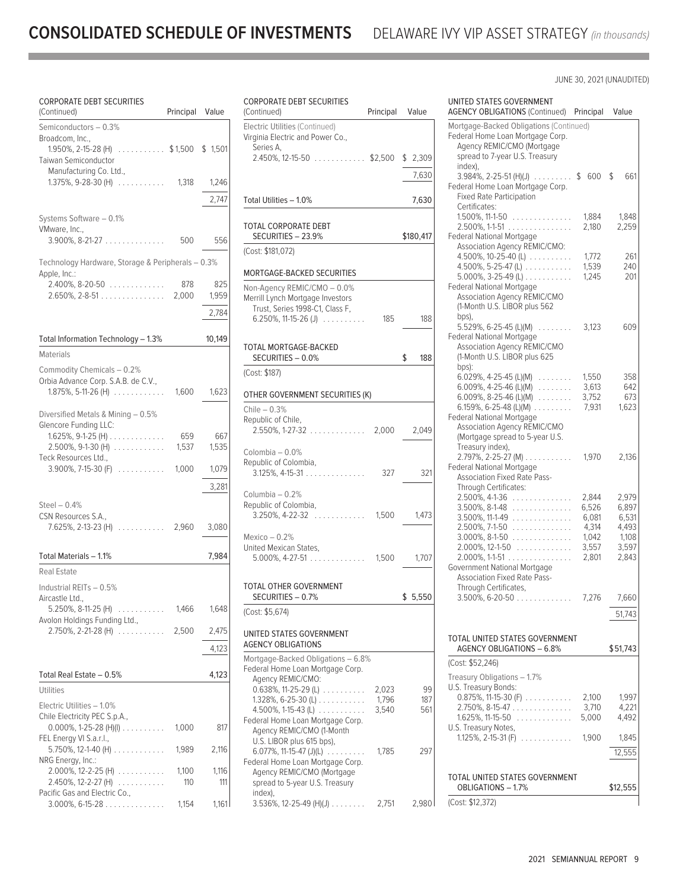| <b>CORPORATE DEBT SECURITIES</b><br>(Continued)                                                                                            | Principal    | Value          |
|--------------------------------------------------------------------------------------------------------------------------------------------|--------------|----------------|
| Semiconductors - 0.3%<br>Broadcom, Inc.,<br>1.950%, 2-15-28 (H) \$1,500<br>Taiwan Semiconductor                                            |              | \$1,501        |
| Manufacturing Co. Ltd.,<br>1.375%, 9-28-30 (H)                                                                                             | 1,318        | 1,246<br>2,747 |
| Systems Software - 0.1%                                                                                                                    |              |                |
| VMware, Inc.,<br>$3.900\%$ , $8-21-27$                                                                                                     | 500          | 556            |
| Technology Hardware, Storage & Peripherals - 0.3%                                                                                          |              |                |
| Apple, Inc.:<br>$2.400\%$ , 8-20-50<br>2.650%, 2-8-51                                                                                      | 878<br>2,000 | 825<br>1,959   |
|                                                                                                                                            |              | 2,784          |
| Total Information Technology - 1.3%                                                                                                        |              | 10,149         |
| <b>Materials</b>                                                                                                                           |              |                |
| Commodity Chemicals - 0.2%<br>Orbia Advance Corp. S.A.B. de C.V.,<br>$1.875\%$ , 5-11-26 (H)                                               | 1,600        | 1,623          |
| Diversified Metals & Mining - 0.5%<br>Glencore Funding LLC:<br>1.625%, 9-1-25 (H) $\dots$<br>$2.500\%$ , 9-1-30 (H) $\ldots \ldots \ldots$ | 659<br>1,537 | 667            |
| Teck Resources Ltd.,                                                                                                                       |              | 1,535          |
| $3.900\%$ , 7-15-30 (F) $\ldots$                                                                                                           | 1,000        | 1,079<br>3,281 |
| Steel $-0.4%$                                                                                                                              |              |                |
| CSN Resources S.A.,<br>7.625%, 2-13-23 (H)                                                                                                 | 2,960        | 3,080          |
| Total Materials - 1.1%                                                                                                                     |              | 7,984          |
| <b>Real Estate</b>                                                                                                                         |              |                |
| Industrial REITs - 0.5%<br>Aircastle Ltd.,                                                                                                 |              |                |
| $5.250\%$ , 8-11-25 (H) $\ldots$<br>Avolon Holdings Funding Ltd.,                                                                          | 1,466        | 1,648          |
| $2.750\%$ , 2-21-28 (H) $\ldots \ldots \ldots 2,500$                                                                                       |              | 2,475          |
|                                                                                                                                            |              | 4,123          |
| Total Real Estate - 0.5%                                                                                                                   |              | 4,123          |
| Utilities                                                                                                                                  |              |                |
| Electric Utilities - 1.0%<br>Chile Electricity PEC S.p.A.,                                                                                 |              |                |
| $0.000\%$ , 1-25-28 (H)(I)<br>FEL Energy VI S.a.r.l.,                                                                                      | 1,000        | 817            |
| $5.750\%$ , 12-1-40 (H) $\ldots \ldots \ldots$                                                                                             | 1,989        | 2,116          |
| NRG Energy, Inc.:<br>$2.000\%$ , 12-2-25 (H)<br>$2.450\%$ , 12-2-27 (H) $\ldots \ldots \ldots$                                             | 1,100<br>110 | 1,116<br>111   |
| Pacific Gas and Electric Co.,<br>$3.000\%$ , 6-15-28                                                                                       | 1,154        | 1,161          |

| Series A.<br>2.450%, 12-15-50<br>\$2,500<br>\$2,309<br>7,630<br>7,630<br><b>TOTAL CORPORATE DEBT</b><br>SECURITIES - 23.9%<br>\$180,417<br>Trust, Series 1998-C1, Class F,<br>$6.250\%$ , 11-15-26 (J) $\ldots \ldots \ldots$<br>185<br>188<br>\$<br>SECURITIES - 0.0%<br>188<br>OTHER GOVERNMENT SECURITIES (K)<br>2,049<br>2.550%, 1-27-32<br>2,000<br>$3.125\%$ , 4-15-31<br>321<br>327<br>3.250%, 4-22-32.<br>1,500<br>1,473<br>United Mexican States,<br>$5.000\%$ , 4-27-51<br>1.707<br>1,500<br>SECURITIES - 0.7%<br>\$5,550<br>Mortgage-Backed Obligations - 6.8%<br>Federal Home Loan Mortgage Corp.<br>Agency REMIC/CMO:<br>$0.638\%$ , 11-25-29 (L) $\ldots \ldots \ldots$<br>99<br>2,023<br>$1.328\%$ , 6-25-30 (L)<br>1,796<br>187<br>4.500%, 1-15-43 (L) $\ldots$<br>3,540<br>561<br>Agency REMIC/CMO (1-Month<br>U.S. LIBOR plus 615 bps),<br>6.077%, 11-15-47 (J)(L) $\ldots \ldots$<br>1,785<br>297<br>Agency REMIC/CMO (Mortgage<br>spread to 5-year U.S. Treasury<br>index), | CORPORATE DEBT SECURITIES<br>(Continued)                        | Principal | Value |
|-------------------------------------------------------------------------------------------------------------------------------------------------------------------------------------------------------------------------------------------------------------------------------------------------------------------------------------------------------------------------------------------------------------------------------------------------------------------------------------------------------------------------------------------------------------------------------------------------------------------------------------------------------------------------------------------------------------------------------------------------------------------------------------------------------------------------------------------------------------------------------------------------------------------------------------------------------------------------------------------------|-----------------------------------------------------------------|-----------|-------|
|                                                                                                                                                                                                                                                                                                                                                                                                                                                                                                                                                                                                                                                                                                                                                                                                                                                                                                                                                                                                 | <b>Electric Utilities (Continued)</b>                           |           |       |
|                                                                                                                                                                                                                                                                                                                                                                                                                                                                                                                                                                                                                                                                                                                                                                                                                                                                                                                                                                                                 | Virginia Electric and Power Co.,                                |           |       |
|                                                                                                                                                                                                                                                                                                                                                                                                                                                                                                                                                                                                                                                                                                                                                                                                                                                                                                                                                                                                 |                                                                 |           |       |
|                                                                                                                                                                                                                                                                                                                                                                                                                                                                                                                                                                                                                                                                                                                                                                                                                                                                                                                                                                                                 |                                                                 |           |       |
|                                                                                                                                                                                                                                                                                                                                                                                                                                                                                                                                                                                                                                                                                                                                                                                                                                                                                                                                                                                                 | Total Utilities - 1.0%                                          |           |       |
|                                                                                                                                                                                                                                                                                                                                                                                                                                                                                                                                                                                                                                                                                                                                                                                                                                                                                                                                                                                                 |                                                                 |           |       |
|                                                                                                                                                                                                                                                                                                                                                                                                                                                                                                                                                                                                                                                                                                                                                                                                                                                                                                                                                                                                 |                                                                 |           |       |
|                                                                                                                                                                                                                                                                                                                                                                                                                                                                                                                                                                                                                                                                                                                                                                                                                                                                                                                                                                                                 | (Cost: \$181,072)                                               |           |       |
|                                                                                                                                                                                                                                                                                                                                                                                                                                                                                                                                                                                                                                                                                                                                                                                                                                                                                                                                                                                                 | MORTGAGE-BACKED SECURITIES                                      |           |       |
|                                                                                                                                                                                                                                                                                                                                                                                                                                                                                                                                                                                                                                                                                                                                                                                                                                                                                                                                                                                                 | Non-Agency REMIC/CMO - 0.0%<br>Merrill Lynch Mortgage Investors |           |       |
|                                                                                                                                                                                                                                                                                                                                                                                                                                                                                                                                                                                                                                                                                                                                                                                                                                                                                                                                                                                                 |                                                                 |           |       |
|                                                                                                                                                                                                                                                                                                                                                                                                                                                                                                                                                                                                                                                                                                                                                                                                                                                                                                                                                                                                 | <b>TOTAL MORTGAGE-BACKED</b>                                    |           |       |
|                                                                                                                                                                                                                                                                                                                                                                                                                                                                                                                                                                                                                                                                                                                                                                                                                                                                                                                                                                                                 | (Cost: \$187)                                                   |           |       |
|                                                                                                                                                                                                                                                                                                                                                                                                                                                                                                                                                                                                                                                                                                                                                                                                                                                                                                                                                                                                 |                                                                 |           |       |
|                                                                                                                                                                                                                                                                                                                                                                                                                                                                                                                                                                                                                                                                                                                                                                                                                                                                                                                                                                                                 | $Chile - 0.3%$                                                  |           |       |
|                                                                                                                                                                                                                                                                                                                                                                                                                                                                                                                                                                                                                                                                                                                                                                                                                                                                                                                                                                                                 | Republic of Chile,                                              |           |       |
|                                                                                                                                                                                                                                                                                                                                                                                                                                                                                                                                                                                                                                                                                                                                                                                                                                                                                                                                                                                                 | Colombia - 0.0%<br>Republic of Colombia,                        |           |       |
|                                                                                                                                                                                                                                                                                                                                                                                                                                                                                                                                                                                                                                                                                                                                                                                                                                                                                                                                                                                                 | Columbia - 0.2%<br>Republic of Colombia,                        |           |       |
|                                                                                                                                                                                                                                                                                                                                                                                                                                                                                                                                                                                                                                                                                                                                                                                                                                                                                                                                                                                                 | $Mexico - 0.2%$                                                 |           |       |
|                                                                                                                                                                                                                                                                                                                                                                                                                                                                                                                                                                                                                                                                                                                                                                                                                                                                                                                                                                                                 |                                                                 |           |       |
|                                                                                                                                                                                                                                                                                                                                                                                                                                                                                                                                                                                                                                                                                                                                                                                                                                                                                                                                                                                                 | TOTAL OTHER GOVERNMENT                                          |           |       |
|                                                                                                                                                                                                                                                                                                                                                                                                                                                                                                                                                                                                                                                                                                                                                                                                                                                                                                                                                                                                 | (Cost: \$5,674)                                                 |           |       |
|                                                                                                                                                                                                                                                                                                                                                                                                                                                                                                                                                                                                                                                                                                                                                                                                                                                                                                                                                                                                 | UNITED STATES GOVERNMENT<br><b>AGENCY OBLIGATIONS</b>           |           |       |
|                                                                                                                                                                                                                                                                                                                                                                                                                                                                                                                                                                                                                                                                                                                                                                                                                                                                                                                                                                                                 |                                                                 |           |       |
|                                                                                                                                                                                                                                                                                                                                                                                                                                                                                                                                                                                                                                                                                                                                                                                                                                                                                                                                                                                                 |                                                                 |           |       |
|                                                                                                                                                                                                                                                                                                                                                                                                                                                                                                                                                                                                                                                                                                                                                                                                                                                                                                                                                                                                 |                                                                 |           |       |
|                                                                                                                                                                                                                                                                                                                                                                                                                                                                                                                                                                                                                                                                                                                                                                                                                                                                                                                                                                                                 | Federal Home Loan Mortgage Corp.                                |           |       |
|                                                                                                                                                                                                                                                                                                                                                                                                                                                                                                                                                                                                                                                                                                                                                                                                                                                                                                                                                                                                 |                                                                 |           |       |
|                                                                                                                                                                                                                                                                                                                                                                                                                                                                                                                                                                                                                                                                                                                                                                                                                                                                                                                                                                                                 | Federal Home Loan Mortgage Corp.                                |           |       |
|                                                                                                                                                                                                                                                                                                                                                                                                                                                                                                                                                                                                                                                                                                                                                                                                                                                                                                                                                                                                 | $3.536\%$ , 12-25-49 (H)(J)                                     | 2,751     | 2,980 |

| UNITED STATES GOVERNMENT<br>AGENCY OBLIGATIONS (Continued)                                                                                                                                                                                                                                                         | Principal                                                   | Value                                                       |
|--------------------------------------------------------------------------------------------------------------------------------------------------------------------------------------------------------------------------------------------------------------------------------------------------------------------|-------------------------------------------------------------|-------------------------------------------------------------|
| Mortgage-Backed Obligations (Continued)<br>Federal Home Loan Mortgage Corp.<br>Agency REMIC/CMO (Mortgage<br>spread to 7-year U.S. Treasury                                                                                                                                                                        |                                                             |                                                             |
| index),<br>$3.984\%$ , 2-25-51 (H)(J)<br>Federal Home Loan Mortgage Corp.<br><b>Fixed Rate Participation</b>                                                                                                                                                                                                       | \$<br>600                                                   | \$<br>661                                                   |
| Certificates:<br>$1.500\%$ , 11-1-50 $\ldots \ldots \ldots \ldots$<br>2.500%, 1-1-51<br>Federal National Mortgage                                                                                                                                                                                                  | 1,884<br>2,180                                              | 1,848<br>2,259                                              |
| Association Agency REMIC/CMO:<br>4.500%, 10-25-40 (L) $\ldots \ldots \ldots$<br>4.500%, 5-25-47 (L) $\ldots \ldots \ldots$<br>$5.000\%$ , 3-25-49 (L)<br>Federal National Mortgage<br>Association Agency REMIC/CMO                                                                                                 | 1,772<br>1,539<br>1,245                                     | 261<br>240<br>201                                           |
| (1-Month U.S. LIBOR plus 562<br>bps),<br>5.529%, 6-25-45 (L)(M)<br>.<br><b>Federal National Mortgage</b><br>Association Agency REMIC/CMO                                                                                                                                                                           | 3,123                                                       | 609                                                         |
| (1-Month U.S. LIBOR plus 625<br>bps):<br>6.029%, 4-25-45 (L)(M)<br>.<br>6.009%, 4-25-46 (L)(M) $\ldots \ldots$<br>6.009%, 8-25-46 (L)(M)<br>$\sim$<br>6.159%, 6-25-48 (L)(M)<br><b>Federal National Mortgage</b><br>Association Agency REMIC/CMO<br>(Mortgage spread to 5-year U.S.                                | 1,550<br>3,613<br>3,752<br>7,931                            | 358<br>642<br>673<br>1,623                                  |
| Treasury index),<br>$2.797\%$ , 2-25-27 (M)<br>Federal National Mortgage<br>Association Fixed Rate Pass-                                                                                                                                                                                                           | 1,970                                                       | 2,136                                                       |
| Through Certificates:<br>2.500%, 4-1-36<br>.<br>3.500%, 8-1-48<br>.<br>3.500%, 11-1-49<br>.<br>2.500%, 7-1-50<br>.<br>3.000%, 8-1-50<br>.<br>$2.000\%$ , 12-1-50 $\dots\dots\dots\dots\dots$<br>$2.000\%$ , 1-1-51<br>Government National Mortgage<br><b>Association Fixed Rate Pass-</b><br>Through Certificates, | 2,844<br>6,526<br>6,081<br>4,314<br>1,042<br>3.557<br>2,801 | 2,979<br>6,897<br>6,531<br>4,493<br>1,108<br>3,597<br>2.843 |
| $3.500\%$ , 6-20-50                                                                                                                                                                                                                                                                                                | 7,276                                                       | 7,660<br>51,743                                             |
| TOTAL UNITED STATES GOVERNMENT<br><b>AGENCY OBLIGATIONS - 6.8%</b>                                                                                                                                                                                                                                                 |                                                             | \$51,743                                                    |
| (Cost: \$52,246)                                                                                                                                                                                                                                                                                                   |                                                             |                                                             |
| Treasury Obligations - 1.7%<br>U.S. Treasury Bonds:<br>$0.875\%$ , 11-15-30 (F) $\ldots \ldots \ldots$<br>$2.750\%$ , 8-15-47<br>$1.625\%$ , 11-15-50 $\ldots \ldots \ldots$<br>U.S. Treasury Notes,<br>1.125%, 2-15-31 (F) $\ldots \ldots \ldots$                                                                 | 2,100<br>3,710<br>5,000<br>1,900                            | 1,997<br>4,221<br>4,492<br>1,845<br>12,555                  |
| TOTAL UNITED STATES GOVERNMENT<br>OBLIGATIONS - 1.7%                                                                                                                                                                                                                                                               |                                                             | \$12,555                                                    |
| (Cost: \$12,372)                                                                                                                                                                                                                                                                                                   |                                                             |                                                             |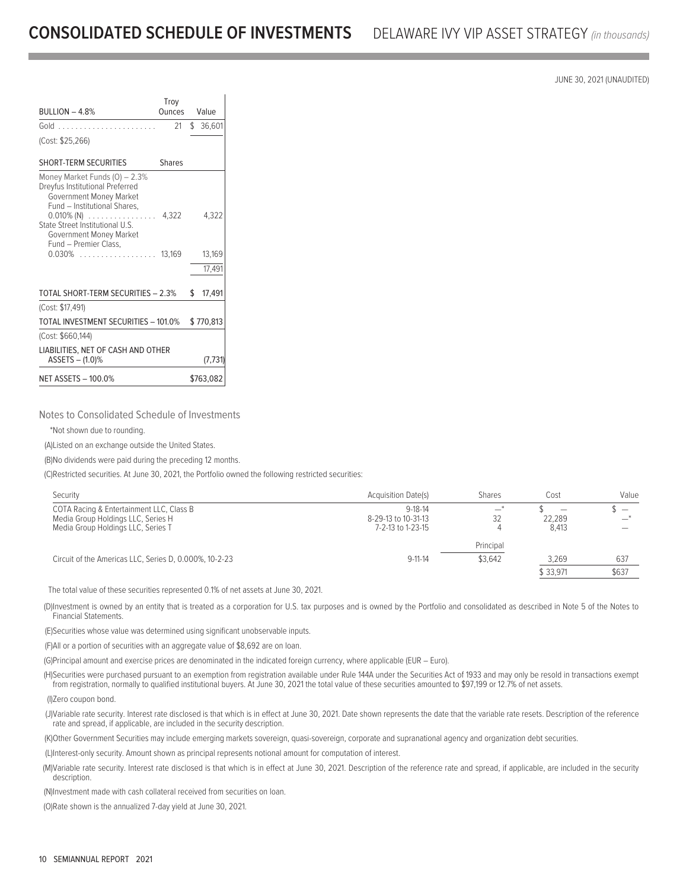|                                                                                                                                                                                                                                                            | Troy          |              |           |
|------------------------------------------------------------------------------------------------------------------------------------------------------------------------------------------------------------------------------------------------------------|---------------|--------------|-----------|
| $BULLION - 4.8%$                                                                                                                                                                                                                                           | Qunces        |              | Value     |
| Gold                                                                                                                                                                                                                                                       | 21            | $\mathbb{S}$ | 36,601    |
| (Cost: \$25,266)                                                                                                                                                                                                                                           |               |              |           |
| <b>SHORT-TERM SECURITIES</b>                                                                                                                                                                                                                               | <b>Shares</b> |              |           |
| Money Market Funds (0) - 2.3%<br>Dreyfus Institutional Preferred<br>Government Money Market<br>Fund - Institutional Shares,<br>$0.010\%$ (N) $\ldots \ldots \ldots$<br>State Street Institutional U.S.<br>Government Money Market<br>Fund - Premier Class, | 4,322         |              | 4,322     |
| $0.030\%$                                                                                                                                                                                                                                                  | 13,169        |              | 13,169    |
|                                                                                                                                                                                                                                                            |               |              | 17,491    |
| TOTAL SHORT-TERM SECURITIES - 2.3%                                                                                                                                                                                                                         |               | \$           | 17,491    |
| (Cost: \$17,491)                                                                                                                                                                                                                                           |               |              |           |
| TOTAL INVESTMENT SECURITIES - 101.0%                                                                                                                                                                                                                       |               |              | \$770,813 |
| (Cost: \$660,144)                                                                                                                                                                                                                                          |               |              |           |
| LIABILITIES, NET OF CASH AND OTHER<br>$ASSETS - (1.0)$ %                                                                                                                                                                                                   |               |              | (7,731)   |
| <b>NET ASSETS - 100.0%</b>                                                                                                                                                                                                                                 |               |              | \$763,082 |

Notes to Consolidated Schedule of Investments

\*Not shown due to rounding.

(A)Listed on an exchange outside the United States.

(B)No dividends were paid during the preceding 12 months.

(C)Restricted securities. At June 30, 2021, the Portfolio owned the following restricted securities:

| Security                                                                                                             | <b>Acquisition Date(s)</b>                                | <b>Shares</b>        | Cost            | Value |
|----------------------------------------------------------------------------------------------------------------------|-----------------------------------------------------------|----------------------|-----------------|-------|
| COTA Racing & Entertainment LLC, Class B<br>Media Group Holdings LLC, Series H<br>Media Group Holdings LLC, Series T | $9 - 18 - 14$<br>8-29-13 to 10-31-13<br>7-2-13 to 1-23-15 | 32                   | 22.289<br>8.413 |       |
| Circuit of the Americas LLC, Series D, 0.000%, 10-2-23                                                               | $9 - 11 - 14$                                             | Principal<br>\$3.642 | 3,269           | 637   |
|                                                                                                                      |                                                           |                      | \$33.971        | \$637 |

The total value of these securities represented 0.1% of net assets at June 30, 2021.

(D)Investment is owned by an entity that is treated as a corporation for U.S. tax purposes and is owned by the Portfolio and consolidated as described in Note 5 of the Notes to Financial Statements.

(E)Securities whose value was determined using significant unobservable inputs.

(F)All or a portion of securities with an aggregate value of \$8,692 are on loan.

(G)Principal amount and exercise prices are denominated in the indicated foreign currency, where applicable (EUR – Euro).

(H)Securities were purchased pursuant to an exemption from registration available under Rule 144A under the Securities Act of 1933 and may only be resold in transactions exempt from registration, normally to qualified institutional buyers. At June 30, 2021 the total value of these securities amounted to \$97,199 or 12.7% of net assets.

(I)Zero coupon bond.

(J)Variable rate security. Interest rate disclosed is that which is in effect at June 30, 2021. Date shown represents the date that the variable rate resets. Description of the reference rate and spread, if applicable, are included in the security description.

(K)Other Government Securities may include emerging markets sovereign, quasi-sovereign, corporate and supranational agency and organization debt securities.

(L)Interest-only security. Amount shown as principal represents notional amount for computation of interest.

(M)Variable rate security. Interest rate disclosed is that which is in effect at June 30, 2021. Description of the reference rate and spread, if applicable, are included in the security description.

(N)Investment made with cash collateral received from securities on loan.

(O)Rate shown is the annualized 7-day yield at June 30, 2021.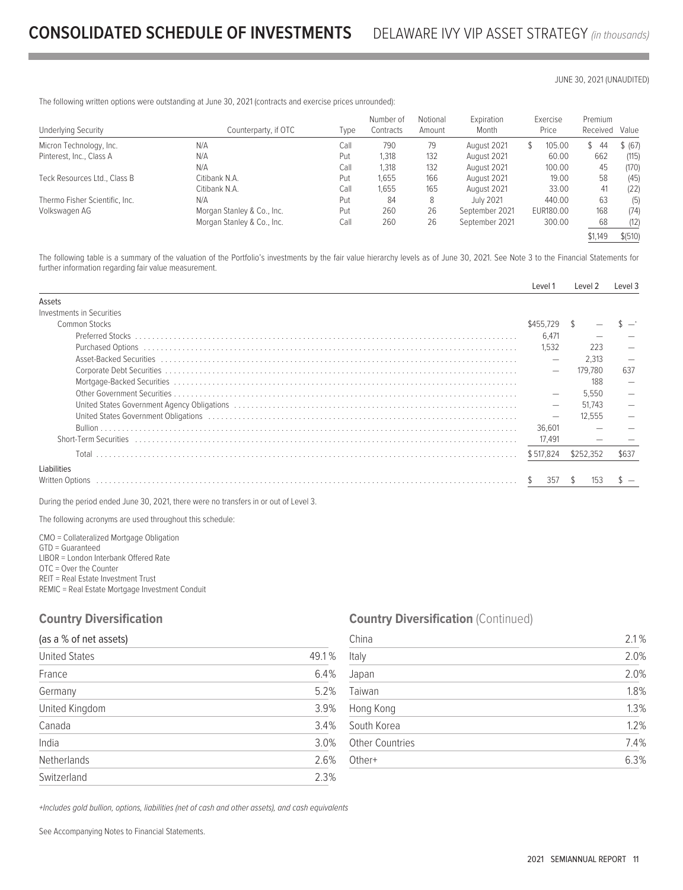The following written options were outstanding at June 30, 2021 (contracts and exercise prices unrounded):

| <b>Underlying Security</b>     | Counterparty, if OTC       | Type | Number of<br>Contracts | Notional<br>Amount | Expiration<br>Month | Exercise<br>Price | Premium<br>Received | Value    |
|--------------------------------|----------------------------|------|------------------------|--------------------|---------------------|-------------------|---------------------|----------|
| Micron Technology, Inc.        | N/A                        | Call | 790                    | 79                 | August 2021         | 105.00            | \$.<br>44           | \$ (67)  |
| Pinterest, Inc., Class A       | N/A                        | Put  | 1,318                  | 132                | August 2021         | 60.00             | 662                 | (115)    |
|                                | N/A                        | Call | 1,318                  | 132                | August 2021         | 100.00            | 45                  | (170)    |
| Teck Resources Ltd., Class B   | Citibank N.A.              | Put  | 1,655                  | 166                | August 2021         | 19.00             | 58                  | (45)     |
|                                | Citibank N.A.              | Call | 1,655                  | 165                | August 2021         | 33.00             | 41                  | (22)     |
| Thermo Fisher Scientific, Inc. | N/A                        | Put  | 84                     | 8                  | <b>July 2021</b>    | 440.00            | 63                  | (5)      |
| Volkswagen AG                  | Morgan Stanley & Co., Inc. | Put  | 260                    | 26                 | September 2021      | EUR180.00         | 168                 | (74)     |
|                                | Morgan Stanley & Co., Inc. | Call | 260                    | 26                 | September 2021      | 300.00            | 68                  | (12)     |
|                                |                            |      |                        |                    |                     |                   | \$1,149             | \$ (510) |

The following table is a summary of the valuation of the Portfolio's investments by the fair value hierarchy levels as of June 30, 2021. See Note 3 to the Financial Statements for further information regarding fair value measurement.

|                                                                                                                                                                                                                                | Level     | l evel 2  | Level 3 |
|--------------------------------------------------------------------------------------------------------------------------------------------------------------------------------------------------------------------------------|-----------|-----------|---------|
| Assets                                                                                                                                                                                                                         |           |           |         |
| <b>Investments in Securities</b>                                                                                                                                                                                               |           |           |         |
| Common Stocks                                                                                                                                                                                                                  | \$455.729 |           |         |
|                                                                                                                                                                                                                                | 6.471     |           |         |
|                                                                                                                                                                                                                                | 1.532     | 223       |         |
|                                                                                                                                                                                                                                |           | 2.313     |         |
|                                                                                                                                                                                                                                |           | 179.780   | 637     |
|                                                                                                                                                                                                                                |           | 188       |         |
|                                                                                                                                                                                                                                |           | 5.550     |         |
| United States Government Agency Obligations (all contained accommodal contained accommodal contained accommoda                                                                                                                 |           | 51.743    |         |
| United States Government Obligations (and according to the control of the control of the control of the control of the control of the control of the control of the control of the control of the control of the control of th |           | 12.555    |         |
|                                                                                                                                                                                                                                | 36.601    |           |         |
|                                                                                                                                                                                                                                | 17,491    |           |         |
|                                                                                                                                                                                                                                | \$517.824 | \$252.352 | \$637   |
| Liabilities                                                                                                                                                                                                                    |           |           |         |
| Written Options                                                                                                                                                                                                                | 357       | 153       |         |

During the period ended June 30, 2021, there were no transfers in or out of Level 3.

The following acronyms are used throughout this schedule:

CMO = Collateralized Mortgage Obligation GTD = Guaranteed LIBOR = London Interbank Offered Rate OTC = Over the Counter REIT = Real Estate Investment Trust REMIC = Real Estate Mortgage Investment Conduit

#### **Country Diversification**

#### (as a % of net assets)

| <b>United States</b> | 49.1% |
|----------------------|-------|
| France               | 6.4%  |
| Germany              | 5.2%  |
| United Kingdom       | 3.9%  |
| Canada               | 3.4%  |
| India                | 3.0%  |
| Netherlands          | 2.6%  |
| Switzerland          | 2.3%  |

#### **Country Diversification** (Continued)

| China                  | 2.1% |
|------------------------|------|
| Italy                  | 2.0% |
| Japan                  | 2.0% |
| Taiwan                 | 1.8% |
| Hong Kong              | 1.3% |
| South Korea            | 1.2% |
| <b>Other Countries</b> | 7.4% |
| Other+                 | 6.3% |

+Includes gold bullion, options, liabilities (net of cash and other assets), and cash equivalents

See Accompanying Notes to Financial Statements.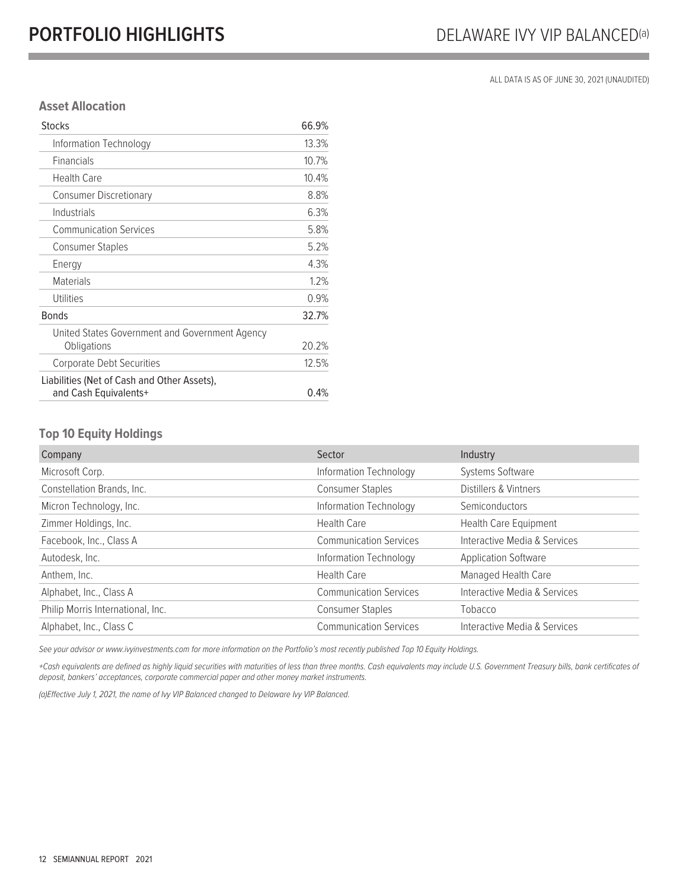### <span id="page-11-0"></span>**Asset Allocation**

| <b>Stocks</b>                                                        | 66.9% |
|----------------------------------------------------------------------|-------|
| Information Technology                                               | 13.3% |
| <b>Financials</b>                                                    | 10.7% |
| Health Care                                                          | 10.4% |
| <b>Consumer Discretionary</b>                                        | 8.8%  |
| Industrials                                                          | 6.3%  |
| <b>Communication Services</b>                                        | 5.8%  |
| <b>Consumer Staples</b>                                              | 5.2%  |
| Energy                                                               | 4.3%  |
| <b>Materials</b>                                                     | 1.2%  |
| Utilities                                                            | 0.9%  |
| <b>Bonds</b>                                                         | 32.7% |
| United States Government and Government Agency<br>Obligations        | 20.2% |
| <b>Corporate Debt Securities</b>                                     | 12.5% |
| Liabilities (Net of Cash and Other Assets),<br>and Cash Equivalents+ | 0.4%  |

#### **Top 10 Equity Holdings**

| Company                           | Sector                        | Industry                     |
|-----------------------------------|-------------------------------|------------------------------|
| Microsoft Corp.                   | Information Technology        | Systems Software             |
| Constellation Brands, Inc.        | Consumer Staples              | Distillers & Vintners        |
| Micron Technology, Inc.           | Information Technology        | Semiconductors               |
| Zimmer Holdings, Inc.             | <b>Health Care</b>            | <b>Health Care Equipment</b> |
| Facebook, Inc., Class A           | <b>Communication Services</b> | Interactive Media & Services |
| Autodesk, Inc.                    | Information Technology        | <b>Application Software</b>  |
| Anthem. Inc.                      | <b>Health Care</b>            | Managed Health Care          |
| Alphabet, Inc., Class A           | <b>Communication Services</b> | Interactive Media & Services |
| Philip Morris International, Inc. | <b>Consumer Staples</b>       | Tobacco                      |
| Alphabet, Inc., Class C           | <b>Communication Services</b> | Interactive Media & Services |

See your advisor or www.ivyinvestments.com for more information on the Portfolio's most recently published Top 10 Equity Holdings.

+Cash equivalents are defined as highly liquid securities with maturities of less than three months. Cash equivalents may include U.S. Government Treasury bills, bank certificates of deposit, bankers' acceptances, corporate commercial paper and other money market instruments.

(a)Effective July 1, 2021, the name of Ivy VIP Balanced changed to Delaware Ivy VIP Balanced.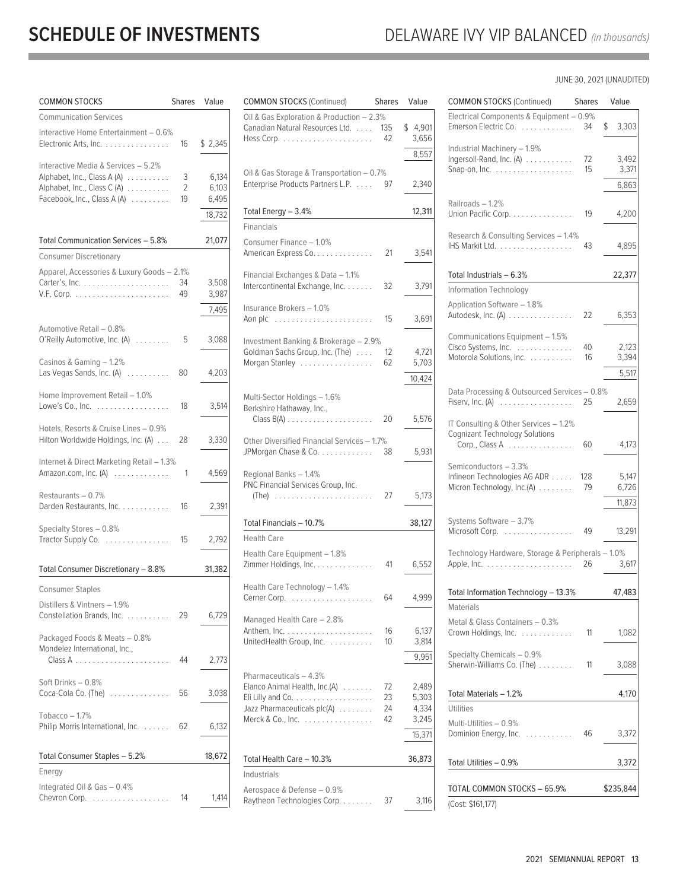| <b>COMMON STOCKS</b>                                                                                                             | <b>Shares</b>             | Value                             |
|----------------------------------------------------------------------------------------------------------------------------------|---------------------------|-----------------------------------|
| <b>Communication Services</b>                                                                                                    |                           |                                   |
| Interactive Home Entertainment - 0.6%<br>Electronic Arts, Inc.                                                                   | 16                        | \$2,345                           |
| Interactive Media & Services - 5.2%<br>Alphabet, Inc., Class A (A)<br>Alphabet, Inc., Class C (A)<br>Facebook, Inc., Class A (A) | 3<br>$\overline{2}$<br>19 | 6,134<br>6,103<br>6,495<br>18,732 |
| Total Communication Services - 5.8%                                                                                              |                           | 21,077                            |
| <b>Consumer Discretionary</b>                                                                                                    |                           |                                   |
| Apparel, Accessories & Luxury Goods - 2.1%                                                                                       | 34<br>49                  | 3,508<br>3,987<br>7,495           |
| Automotive Retail - 0.8%<br>O'Reilly Automotive, Inc. (A)                                                                        | 5                         | 3,088                             |
| Casinos & Gaming - 1.2%<br>Las Vegas Sands, Inc. (A) .<br>.                                                                      | 80                        | 4,203                             |
| Home Improvement Retail - 1.0%<br>Lowe's Co., Inc. $\ldots \ldots \ldots$                                                        | 18                        | 3,514                             |
| Hotels, Resorts & Cruise Lines - 0.9%<br>Hilton Worldwide Holdings, Inc. (A)                                                     | 28                        | 3,330                             |
| Internet & Direct Marketing Retail - 1.3%<br>Amazon.com, Inc. $(A)$                                                              | 1                         | 4,569                             |
| Restaurants - 0.7%<br>Darden Restaurants, Inc.                                                                                   | 16                        | 2,391                             |
| Specialty Stores - 0.8%<br>Tractor Supply Co.                                                                                    | 15                        | 2,792                             |
| Total Consumer Discretionary - 8.8%                                                                                              |                           | 31,382                            |
| <b>Consumer Staples</b>                                                                                                          |                           |                                   |
| Distillers & Vintners - 1.9%<br>Constellation Brands, Inc.                                                                       | 29                        | 6,729                             |
| Packaged Foods & Meats - 0.8%<br>Mondelez International, Inc.,                                                                   | 44                        | 2,773                             |
| Soft Drinks - 0.8%<br>Coca-Cola Co. (The) $\ldots \ldots \ldots \ldots$                                                          | 56                        | 3,038                             |
| Tobacco $-1.7%$<br>Philip Morris International, Inc.                                                                             | 62                        | 6,132                             |
| Total Consumer Staples - 5.2%                                                                                                    |                           | 18,672                            |
| Energy                                                                                                                           |                           |                                   |
| Integrated Oil & Gas - 0.4%<br>Chevron Corp.                                                                                     | 14                        | 1,414                             |
|                                                                                                                                  |                           |                                   |

| <b>COMMON STOCKS (Continued)</b>                                                                                        | <b>Shares</b>        | Value                                      |
|-------------------------------------------------------------------------------------------------------------------------|----------------------|--------------------------------------------|
| Oil & Gas Exploration & Production - 2.3%<br>Canadian Natural Resources Ltd.<br>Hess Corp.                              | 135<br>42            | \$4,901<br>3,656                           |
|                                                                                                                         |                      | 8,557                                      |
| Oil & Gas Storage & Transportation - 0.7%<br>Enterprise Products Partners L.P.                                          | 97                   | 2,340                                      |
| Total Energy - 3.4%                                                                                                     |                      | 12,311                                     |
| Financials                                                                                                              |                      |                                            |
| Consumer Finance - 1.0%<br>American Express Co.                                                                         | 21                   | 3,541                                      |
| Financial Exchanges & Data - 1.1%<br>Intercontinental Exchange, Inc.                                                    | 32                   | 3,791                                      |
| Insurance Brokers - 1.0%<br>Aon plc $\ldots$                                                                            | 15                   | 3,691                                      |
| Investment Banking & Brokerage - 2.9%<br>Goldman Sachs Group, Inc. (The)<br>Morgan Stanley                              | 12<br>62             | 4,721<br>5,703<br>10,424                   |
| Multi-Sector Holdings - 1.6%                                                                                            |                      |                                            |
| Berkshire Hathaway, Inc.,<br>Class $B(A)$                                                                               | 20                   | 5,576                                      |
| Other Diversified Financial Services - 1.7%<br>JPMorgan Chase & Co.                                                     | 38                   | 5,931                                      |
| Regional Banks - 1.4%<br>PNC Financial Services Group, Inc.                                                             | 27                   | 5,173                                      |
| Total Financials - 10.7%                                                                                                |                      | 38,127                                     |
| <b>Health Care</b>                                                                                                      |                      |                                            |
| Health Care Equipment - 1.8%<br>Zimmer Holdings, Inc.                                                                   | 41                   | 6,552                                      |
| Health Care Technology - 1.4%<br>Cerner Corp.                                                                           | 64                   | 4,999                                      |
| Managed Health Care - 2.8%<br>Anthem, Inc.<br>UnitedHealth Group, Inc.                                                  | 16<br>10             | 6,137<br>3,814<br>9,951                    |
| Pharmaceuticals - 4.3%<br>Elanco Animal Health, Inc.(A)<br>Jazz Pharmaceuticals plc(A)<br>Merck & Co., Inc.<br>$\cdots$ | 72<br>23<br>24<br>42 | 2,489<br>5,303<br>4,334<br>3,245<br>15,371 |
| Total Health Care - 10.3%                                                                                               |                      | 36,873                                     |
| Industrials                                                                                                             |                      |                                            |
| Aerospace & Defense - 0.9%<br>Raytheon Technologies Corp.                                                               | 37                   | 3,116                                      |

| <b>COMMON STOCKS (Continued)</b>                                                                               | <b>Shares</b> | Value                                 |
|----------------------------------------------------------------------------------------------------------------|---------------|---------------------------------------|
| Electrical Components & Equipment - 0.9%<br>Emerson Electric Co.                                               | 34            | 3,303<br>\$                           |
| Industrial Machinery - 1.9%<br>Ingersoll-Rand, Inc. (A)<br>Snap-on, Inc. $\dots\dots\dots\dots\dots\dots\dots$ | 72<br>15      | 3,492<br>3,371<br>$\overline{6}$ ,863 |
| Railroads-1.2%<br>Union Pacific Corp.                                                                          | 19            | 4,200                                 |
| Research & Consulting Services - 1.4%<br>IHS Markit Ltd.                                                       | 43            | 4,895                                 |
| Total Industrials - 6.3%                                                                                       |               | 22,377                                |
| Information Technology                                                                                         |               |                                       |
| Application Software - 1.8%<br>Autodesk, Inc. $(A)$                                                            | 22            | 6,353                                 |
| Communications Equipment - 1.5%<br>$Cisco Systems, Inc. \ldots \ldots \ldots$<br>Motorola Solutions, Inc.      | 40<br>16      | 2,123<br>3,394                        |
|                                                                                                                |               | 5,517                                 |
| Data Processing & Outsourced Services - 0.8%<br>Fiserv, Inc. (A)                                               | 25            | 2,659                                 |
| IT Consulting & Other Services - 1.2%<br>Cognizant Technology Solutions<br>Corp., Class A $\ldots$             | 60            | 4,173                                 |
| Semiconductors - 3.3%<br>Infineon Technologies AG ADR<br>Micron Technology, Inc.(A) $\dots\dots$               | 128<br>79     | 5,147<br>6,726<br>11,873              |
| Systems Software - 3.7%<br>Microsoft Corp.<br>.                                                                | 49            | 13,291                                |
| Technology Hardware, Storage & Peripherals - 1.0%<br>Apple, Inc. $\ldots \ldots \ldots \ldots \ldots$          | 26            | 3,617                                 |
| Total Information Technology - 13.3%                                                                           |               | 47,483                                |
| Materials                                                                                                      |               |                                       |
| Metal & Glass Containers - 0.3%<br>Crown Holdings, Inc.                                                        | 11            | 1,082                                 |
| Specialty Chemicals - 0.9%<br>Sherwin-Williams Co. (The)                                                       | 11            | 3,088                                 |
| Total Materials - 1.2%<br>Utilities                                                                            |               | 4,170                                 |
| Multi-Utilities - 0.9%<br>Dominion Energy, Inc.<br>.                                                           | 46            | 3,372                                 |
| Total Utilities - 0.9%                                                                                         |               | 3,372                                 |
| TOTAL COMMON STOCKS - 65.9%                                                                                    |               | \$235,844                             |
| (Cost: \$161,177)                                                                                              |               |                                       |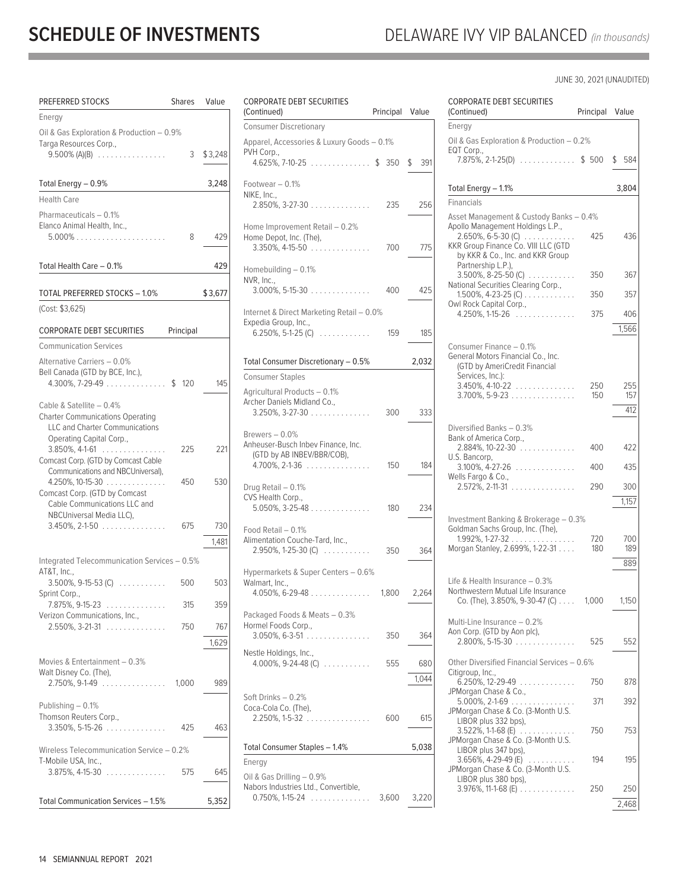# **SCHEDULE OF INVESTMENTS** DELAWARE IVY VIP BALANCED (in thousands)

| PREFERRED STOCKS                                                    | <b>Shares</b> | Value   |
|---------------------------------------------------------------------|---------------|---------|
| Energy                                                              |               |         |
| Oil & Gas Exploration & Production - 0.9%<br>Targa Resources Corp., |               |         |
| $9.500\%$ (A)(B)                                                    | 3             | \$3,248 |
| Total Energy – 0.9%                                                 |               | 3,248   |
| <b>Health Care</b>                                                  |               |         |
| Pharmaceuticals - 0.1%                                              |               |         |
| Elanco Animal Health, Inc.,                                         |               |         |
|                                                                     | 8             | 429     |
| Total Health Care - 0.1%                                            |               | 429     |
| TOTAL PREFERRED STOCKS - 1.0%                                       |               | \$3,677 |
| (Cost: \$3,625)                                                     |               |         |
| <b>CORPORATE DEBT SECURITIES</b>                                    | Principal     |         |
| <b>Communication Services</b>                                       |               |         |
| Alternative Carriers - 0.0%                                         |               |         |
| Bell Canada (GTD by BCE, Inc.),                                     |               |         |
| $4.300\%$ , 7-29-49                                                 | \$120         | 145     |
| Cable & Satellite - 0.4%                                            |               |         |
| <b>Charter Communications Operating</b>                             |               |         |
| LLC and Charter Communications                                      |               |         |
| Operating Capital Corp.,<br>$3.850\%$ , 4-1-61                      | 225           | 221     |
| Comcast Corp. (GTD by Comcast Cable                                 |               |         |
| Communications and NBCUniversal),                                   |               |         |
| $4.250\%$ , 10-15-30 $\ldots \ldots \ldots \ldots$                  | 450           | 530     |
| Comcast Corp. (GTD by Comcast                                       |               |         |
| Cable Communications LLC and<br>NBCUniversal Media LLC),            |               |         |
| $3.450\%$ , 2-1-50 $\dots\dots\dots\dots\dots\dots$                 | 675           | 730     |
|                                                                     |               | 1,481   |
|                                                                     |               |         |
| Integrated Telecommunication Services - 0.5%<br>AT&T, Inc.,         |               |         |
| $3.500\%$ , 9-15-53 (C)                                             | 500           | 503     |
| Sprint Corp.,                                                       |               |         |
| $7.875\%$ , 9-15-23                                                 | 315           | 359     |
| Verizon Communications, Inc.,<br>$2.550\%$ , $3-21-31$              | 750           | 767     |
|                                                                     |               |         |
|                                                                     |               | 1.629   |
| Movies & Entertainment - 0.3%                                       |               |         |
| Walt Disney Co. (The),                                              |               |         |
| $2.750\%$ , 9-1-49 $\dots\dots\dots\dots\dots$ 1,000                |               | 989     |
| Publishing - 0.1%                                                   |               |         |
| Thomson Reuters Corp.,                                              |               |         |
| $3.350\%$ , 5-15-26                                                 | 425           | 463     |
| Wireless Telecommunication Service - 0.2%                           |               |         |
| T-Mobile USA, Inc.,<br>$3.875\%$ , 4-15-30                          | 575           | 645     |
|                                                                     |               |         |
| Total Communication Services - 1.5%                                 |               | 5,352   |

| <b>CORPORATE DEBT SECURITIES</b><br>(Continued)                                                                                         | Principal | Value        |
|-----------------------------------------------------------------------------------------------------------------------------------------|-----------|--------------|
| <b>Consumer Discretionary</b>                                                                                                           |           |              |
| Apparel, Accessories & Luxury Goods - 0.1%<br>PVH Corp.,<br>$4.625\%$ , 7-10-25                                                         | \$<br>350 | \$<br>391    |
| Footwear - 0.1%<br>NIKE, Inc.,                                                                                                          |           |              |
| $2.850\%$ , $3-27-30$                                                                                                                   | 235       | 256          |
| Home Improvement Retail - 0.2%<br>Home Depot, Inc. (The),<br>$3.350\%$ , 4-15-50 $\dots\dots\dots\dots\dots$                            | 700       | 775          |
| Homebuilding $-0.1%$<br>NVR, Inc.,<br>$3.000\%$ , 5-15-30                                                                               | 400       | 425          |
| Internet & Direct Marketing Retail - 0.0%<br>Expedia Group, Inc.,                                                                       |           |              |
| $6.250\%$ , 5-1-25 (C)                                                                                                                  | 159       | 185          |
| Total Consumer Discretionary - 0.5%                                                                                                     |           | 2,032        |
| <b>Consumer Staples</b>                                                                                                                 |           |              |
| Agricultural Products - 0.1%<br>Archer Daniels Midland Co.,<br>$3.250\%$ , $3-27-30$                                                    | 300       | 333          |
| Brewers-0.0%<br>Anheuser-Busch Inbev Finance, Inc.<br>(GTD by AB INBEV/BBR/COB),<br>$4.700\%$ , 2-1-36 $\dots\dots\dots\dots\dots\dots$ | 150       | 184          |
| Drug Retail - 0.1%<br>CVS Health Corp.,<br>$5.050\%$ , $3-25-48$                                                                        | 180       | 234          |
| Food Retail - 0.1%<br>Alimentation Couche-Tard, Inc.,<br>$2.950\%$ , 1-25-30 (C) $\ldots \ldots \ldots$                                 | 350       | 364          |
| Hypermarkets & Super Centers - 0.6%<br>Walmart, Inc.,<br>$4.050\%$ , 6-29-48                                                            | 1,800     | 2,264        |
| Packaged Foods & Meats - 0.3%<br>Hormel Foods Corp.,<br>3.050%, 6-3-51                                                                  | 350       | 364          |
| Nestle Holdings, Inc.,<br>4.000%, 9-24-48 (C)<br>.                                                                                      | 555       | 680          |
| Soft Drinks - 0.2%<br>Coca-Cola Co. (The),<br>2.250%, 1-5-32<br>$\sim$<br>.                                                             | 600       | 1,044<br>615 |
|                                                                                                                                         |           |              |
| Total Consumer Staples - 1.4%                                                                                                           |           | 5,038        |
| Energy<br>Oil & Gas Drilling — 0.9%                                                                                                     |           |              |
| Nabors Industries Ltd., Convertible,<br>$0.750\%$ , 1-15-24 $\dots\dots\dots\dots\dots$                                                 | 3,600     | 3,220        |

| <b>CORPORATE DEBT SECURITIES</b><br>(Continued)                                      | Principal  | Value      |
|--------------------------------------------------------------------------------------|------------|------------|
| Energy                                                                               |            |            |
| Oil & Gas Exploration & Production - 0.2%                                            |            |            |
| EQT Corp.,                                                                           |            |            |
| .<br>7.875%, 2-1-25(D)                                                               | \$500      | \$<br>584  |
|                                                                                      |            |            |
| Total Energy - 1.1%<br>Financials                                                    |            | 3,804      |
| Asset Management & Custody Banks - 0.4%                                              |            |            |
| Apollo Management Holdings L.P.,                                                     |            |            |
| $2.650\%$ , 6-5-30 (C) $\ldots \ldots \ldots$<br>KKR Group Finance Co. VIII LLC (GTD | 425        | 436        |
| by KKR & Co., Inc. and KKR Group                                                     |            |            |
| Partnership L.P.),<br>$3.500\%$ , $8-25-50$ (C)                                      | 350        | 367        |
| National Securities Clearing Corp.,                                                  |            |            |
| $1.500\%$ , 4-23-25 (C)<br>Owl Rock Capital Corp.,                                   | 350        | 357        |
| 4.250%, 1-15-26<br>.                                                                 | 375        | 406        |
|                                                                                      |            | 1,566      |
| Consumer Finance - 0.1%                                                              |            |            |
| General Motors Financial Co., Inc.<br>(GTD by AmeriCredit Financial                  |            |            |
| Services, Inc.):                                                                     |            |            |
| $3.450\%$ , 4-10-22<br>$3.700\%$ , 5-9-23                                            | 250<br>150 | 255<br>157 |
|                                                                                      |            | 412        |
| Diversified Banks - 0.3%                                                             |            |            |
| Bank of America Corp.,                                                               |            |            |
| $2.884\%$ , 10-22-30<br>U.S. Bancorp,                                                | 400        | 422        |
| $3.100\%$ , 4-27-26                                                                  | 400        | 435        |
| Wells Fargo & Co.,<br>$2.572\%$ , 2-11-31                                            | 290        | 300        |
|                                                                                      |            | 1,157      |
| Investment Banking & Brokerage - 0.3%                                                |            |            |
| Goldman Sachs Group, Inc. (The),                                                     |            |            |
| 1.992%, 1-27-32<br>Morgan Stanley, 2.699%, 1-22-31                                   | 720<br>180 | 700<br>189 |
|                                                                                      |            | 889        |
| Life & Health Insurance $-0.3%$                                                      |            |            |
| Northwestern Mutual Life Insurance                                                   |            |            |
| Co. (The), $3.850\%$ , $9-30-47$ (C)                                                 | 1,000      | 1,150      |
| Multi-Line Insurance - 0.2%                                                          |            |            |
| Aon Corp. (GTD by Aon plc),<br>$2.800\%$ , 5-15-30 $\dots$<br>.                      | 525        | 552        |
|                                                                                      |            |            |
| Other Diversified Financial Services - 0.6%<br>Citigroup, Inc.,                      |            |            |
| $6.250\%$ . 12-29-49                                                                 | 750        | 878        |
| JPMorgan Chase & Co.,<br>$5.000\%$ , 2-1-69                                          | 371        | 392        |
| JPMorgan Chase & Co. (3-Month U.S.                                                   |            |            |
| LIBOR plus 332 bps),<br>$3.522\%$ , 1-1-68 (E) $\ldots$<br>1.1.1.1.1.1.1.1.1         | 750        | 753        |
| JPMorgan Chase & Co. (3-Month U.S.<br>LIBOR plus 347 bps),                           |            |            |
| $3.656\%$ , 4-29-49 (E) $\ldots \ldots \ldots$                                       | 194        | 195        |
| JPMorgan Chase & Co. (3-Month U.S.<br>LIBOR plus 380 bps),                           |            |            |
| $3.976\%$ , 11-1-68 (E)                                                              | 250        | 250        |
|                                                                                      |            | 2,468      |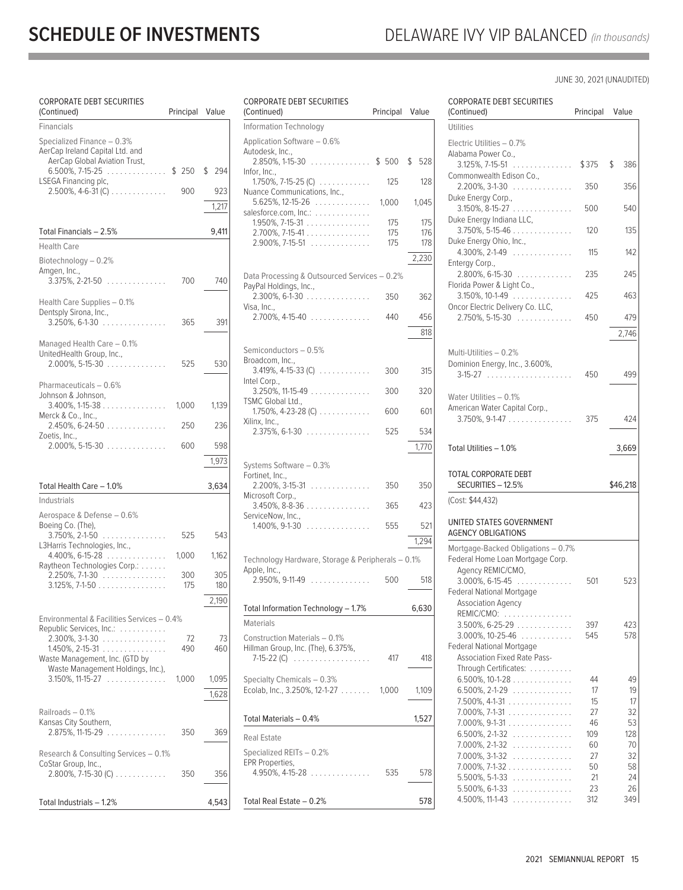#### CORPORATE DEBT SECURITIES (Continued) Principal Value Financials Specialized Finance – 0.3% AerCap Ireland Capital Ltd. and AerCap Global Aviation Trust, 6.500%, 7-15-25 .............. \$ 250 \$ 294 LSEGA Financing plc, 2.500%, 4-6-31 (C) ............. 900 923 1,217 Total Financials – 2.5% 9,411 Health Care Biotechnology – 0.2% Amgen, Inc., 3.375%, 2-21-50 .............. 700 740 Health Care Supplies – 0.1% Dentsply Sirona, Inc., 3.250%, 6-1-30 ............... 365 391 Managed Health Care – 0.1% UnitedHealth Group, Inc., 2.000%, 5-15-30 .............. 525 530 Pharmaceuticals – 0.6% Johnson & Johnson, 3.400%, 1-15-38 ............... 1,000 1,139 Merck & Co., Inc., 2.450%, 6-24-50 .............. 250 236 Zoetis, Inc., 2.000%, 5-15-30 .............. 600 598 1,973 Total Health Care – 1.0% 3,634 Industrials Aerospace & Defense – 0.6% Boeing Co. (The), 3.750%, 2-1-50 ............... 525 543 L3Harris Technologies, Inc., 4.400%, 6-15-28 .............. 1,000 1,162 Raytheon Technologies Corp.: . . . . . .  $2.250\%$ , 7-1-30 . . . . . . . . . . . . . . . 300 305<br>3.125%, 7-1-50 . . . . . . . . . . . . . . . 175 180  $3.125\%$ ,  $7-1-50$  . . . . . . . . . . . . . . . . 2,190 Environmental & Facilities Services – 0.4% Republic Services, Inc.: . . . . . . . . . . . 2.300%, 3-1-30 . . . . . . . . . . . . . . . 72 73 1.450%, 2-15-31 . . . . . . . . . . . . . . . 490 460 Waste Management, Inc. (GTD by Waste Management Holdings, Inc.), 3.150%, 11-15-27 .............. 1,000 1,095 1,628 Railroads – 0.1% Kansas City Southern, 2.875%, 11-15-29 .............. 350 369 Research & Consulting Services – 0.1% CoStar Group, Inc., 2.800%, 7-15-30 (C) . . . . . . . . . . . . 350 356

Total Industrials  $-1.2\%$  4,543

| <b>Information Technology</b><br>Application Software - 0.6%<br>Autodesk, Inc.,<br>$2.850\%$ , 1-15-30<br>\$500<br>\$<br>528<br>Infor, Inc.,<br>1.750%, 7-15-25 (C) $\ldots \ldots \ldots$<br>125<br>128<br>Nuance Communications, Inc.,<br>$5.625\%$ , 12-15-26<br>1,045<br>1,000<br>salesforce.com, Inc.:<br>175<br>175<br>1.950%, 7-15-31<br>$2.700\%$ , 7-15-41<br>175<br>176<br>$2.900\%$ , 7-15-51<br>175<br>178<br>2,230<br>Data Processing & Outsourced Services - 0.2%<br>PayPal Holdings, Inc.,<br>$2.300\%$ , 6-1-30<br>350<br>362<br>Visa, Inc.,<br>$2.700\%$ , 4-15-40<br>440<br>456<br>818<br>Semiconductors - 0.5%<br>Broadcom, Inc.,<br>$3.419\%$ , 4-15-33 (C)<br>315<br>300<br>Intel Corp.,<br>$3.250\%$ , 11-15-49<br>300<br>320<br>TSMC Global Ltd.,<br>$1.750\%$ , 4-23-28 (C) $\ldots \ldots \ldots$<br>600<br>601<br>Xilinx, Inc.,<br>$2.375\%$ , 6-1-30<br>525<br>534<br>1,770<br>Systems Software - 0.3%<br>Fortinet, Inc.,<br>$2.200\%$ , $3-15-31$<br>350<br>350<br>Microsoft Corp.,<br>$3.450\%$ , $8-8-36$<br>365<br>423<br>ServiceNow, Inc.,<br>1.400%, 9-1-30<br>.<br>555<br>521<br>1.294<br>Technology Hardware, Storage & Peripherals - 0.1%<br>Apple, Inc.,<br>2.950%, 9-11-49<br>500<br>518<br>.<br>Total Information Technology - 1.7%<br>6,630<br><b>Materials</b><br>Construction Materials - 0.1%<br>Hillman Group, Inc. (The), 6.375%,<br>7-15-22 (C)<br>417<br>418<br>Specialty Chemicals - 0.3%<br>Ecolab, Inc., 3.250%, 12-1-27 1,000<br>1,109<br>Total Materials - 0.4%<br>1,527<br><b>Real Estate</b><br>Specialized REITs - 0.2%<br>EPR Properties,<br>$4.950\%$ , 4-15-28<br>535<br>578<br>Total Real Estate - 0.2%<br>578 | CORPORATE DEBT SECURITIES<br>(Continued) | Principal | Value |
|---------------------------------------------------------------------------------------------------------------------------------------------------------------------------------------------------------------------------------------------------------------------------------------------------------------------------------------------------------------------------------------------------------------------------------------------------------------------------------------------------------------------------------------------------------------------------------------------------------------------------------------------------------------------------------------------------------------------------------------------------------------------------------------------------------------------------------------------------------------------------------------------------------------------------------------------------------------------------------------------------------------------------------------------------------------------------------------------------------------------------------------------------------------------------------------------------------------------------------------------------------------------------------------------------------------------------------------------------------------------------------------------------------------------------------------------------------------------------------------------------------------------------------------------------------------------------------------------------------------------------------------------------------------------------|------------------------------------------|-----------|-------|
|                                                                                                                                                                                                                                                                                                                                                                                                                                                                                                                                                                                                                                                                                                                                                                                                                                                                                                                                                                                                                                                                                                                                                                                                                                                                                                                                                                                                                                                                                                                                                                                                                                                                           |                                          |           |       |
|                                                                                                                                                                                                                                                                                                                                                                                                                                                                                                                                                                                                                                                                                                                                                                                                                                                                                                                                                                                                                                                                                                                                                                                                                                                                                                                                                                                                                                                                                                                                                                                                                                                                           |                                          |           |       |
|                                                                                                                                                                                                                                                                                                                                                                                                                                                                                                                                                                                                                                                                                                                                                                                                                                                                                                                                                                                                                                                                                                                                                                                                                                                                                                                                                                                                                                                                                                                                                                                                                                                                           |                                          |           |       |
|                                                                                                                                                                                                                                                                                                                                                                                                                                                                                                                                                                                                                                                                                                                                                                                                                                                                                                                                                                                                                                                                                                                                                                                                                                                                                                                                                                                                                                                                                                                                                                                                                                                                           |                                          |           |       |
|                                                                                                                                                                                                                                                                                                                                                                                                                                                                                                                                                                                                                                                                                                                                                                                                                                                                                                                                                                                                                                                                                                                                                                                                                                                                                                                                                                                                                                                                                                                                                                                                                                                                           |                                          |           |       |
|                                                                                                                                                                                                                                                                                                                                                                                                                                                                                                                                                                                                                                                                                                                                                                                                                                                                                                                                                                                                                                                                                                                                                                                                                                                                                                                                                                                                                                                                                                                                                                                                                                                                           |                                          |           |       |
|                                                                                                                                                                                                                                                                                                                                                                                                                                                                                                                                                                                                                                                                                                                                                                                                                                                                                                                                                                                                                                                                                                                                                                                                                                                                                                                                                                                                                                                                                                                                                                                                                                                                           |                                          |           |       |
|                                                                                                                                                                                                                                                                                                                                                                                                                                                                                                                                                                                                                                                                                                                                                                                                                                                                                                                                                                                                                                                                                                                                                                                                                                                                                                                                                                                                                                                                                                                                                                                                                                                                           |                                          |           |       |
|                                                                                                                                                                                                                                                                                                                                                                                                                                                                                                                                                                                                                                                                                                                                                                                                                                                                                                                                                                                                                                                                                                                                                                                                                                                                                                                                                                                                                                                                                                                                                                                                                                                                           |                                          |           |       |
|                                                                                                                                                                                                                                                                                                                                                                                                                                                                                                                                                                                                                                                                                                                                                                                                                                                                                                                                                                                                                                                                                                                                                                                                                                                                                                                                                                                                                                                                                                                                                                                                                                                                           |                                          |           |       |
|                                                                                                                                                                                                                                                                                                                                                                                                                                                                                                                                                                                                                                                                                                                                                                                                                                                                                                                                                                                                                                                                                                                                                                                                                                                                                                                                                                                                                                                                                                                                                                                                                                                                           |                                          |           |       |
|                                                                                                                                                                                                                                                                                                                                                                                                                                                                                                                                                                                                                                                                                                                                                                                                                                                                                                                                                                                                                                                                                                                                                                                                                                                                                                                                                                                                                                                                                                                                                                                                                                                                           |                                          |           |       |
|                                                                                                                                                                                                                                                                                                                                                                                                                                                                                                                                                                                                                                                                                                                                                                                                                                                                                                                                                                                                                                                                                                                                                                                                                                                                                                                                                                                                                                                                                                                                                                                                                                                                           |                                          |           |       |
|                                                                                                                                                                                                                                                                                                                                                                                                                                                                                                                                                                                                                                                                                                                                                                                                                                                                                                                                                                                                                                                                                                                                                                                                                                                                                                                                                                                                                                                                                                                                                                                                                                                                           |                                          |           |       |
|                                                                                                                                                                                                                                                                                                                                                                                                                                                                                                                                                                                                                                                                                                                                                                                                                                                                                                                                                                                                                                                                                                                                                                                                                                                                                                                                                                                                                                                                                                                                                                                                                                                                           |                                          |           |       |
|                                                                                                                                                                                                                                                                                                                                                                                                                                                                                                                                                                                                                                                                                                                                                                                                                                                                                                                                                                                                                                                                                                                                                                                                                                                                                                                                                                                                                                                                                                                                                                                                                                                                           |                                          |           |       |
|                                                                                                                                                                                                                                                                                                                                                                                                                                                                                                                                                                                                                                                                                                                                                                                                                                                                                                                                                                                                                                                                                                                                                                                                                                                                                                                                                                                                                                                                                                                                                                                                                                                                           |                                          |           |       |
|                                                                                                                                                                                                                                                                                                                                                                                                                                                                                                                                                                                                                                                                                                                                                                                                                                                                                                                                                                                                                                                                                                                                                                                                                                                                                                                                                                                                                                                                                                                                                                                                                                                                           |                                          |           |       |
|                                                                                                                                                                                                                                                                                                                                                                                                                                                                                                                                                                                                                                                                                                                                                                                                                                                                                                                                                                                                                                                                                                                                                                                                                                                                                                                                                                                                                                                                                                                                                                                                                                                                           |                                          |           |       |
|                                                                                                                                                                                                                                                                                                                                                                                                                                                                                                                                                                                                                                                                                                                                                                                                                                                                                                                                                                                                                                                                                                                                                                                                                                                                                                                                                                                                                                                                                                                                                                                                                                                                           |                                          |           |       |
|                                                                                                                                                                                                                                                                                                                                                                                                                                                                                                                                                                                                                                                                                                                                                                                                                                                                                                                                                                                                                                                                                                                                                                                                                                                                                                                                                                                                                                                                                                                                                                                                                                                                           |                                          |           |       |
|                                                                                                                                                                                                                                                                                                                                                                                                                                                                                                                                                                                                                                                                                                                                                                                                                                                                                                                                                                                                                                                                                                                                                                                                                                                                                                                                                                                                                                                                                                                                                                                                                                                                           |                                          |           |       |
|                                                                                                                                                                                                                                                                                                                                                                                                                                                                                                                                                                                                                                                                                                                                                                                                                                                                                                                                                                                                                                                                                                                                                                                                                                                                                                                                                                                                                                                                                                                                                                                                                                                                           |                                          |           |       |
|                                                                                                                                                                                                                                                                                                                                                                                                                                                                                                                                                                                                                                                                                                                                                                                                                                                                                                                                                                                                                                                                                                                                                                                                                                                                                                                                                                                                                                                                                                                                                                                                                                                                           |                                          |           |       |
|                                                                                                                                                                                                                                                                                                                                                                                                                                                                                                                                                                                                                                                                                                                                                                                                                                                                                                                                                                                                                                                                                                                                                                                                                                                                                                                                                                                                                                                                                                                                                                                                                                                                           |                                          |           |       |
|                                                                                                                                                                                                                                                                                                                                                                                                                                                                                                                                                                                                                                                                                                                                                                                                                                                                                                                                                                                                                                                                                                                                                                                                                                                                                                                                                                                                                                                                                                                                                                                                                                                                           |                                          |           |       |
|                                                                                                                                                                                                                                                                                                                                                                                                                                                                                                                                                                                                                                                                                                                                                                                                                                                                                                                                                                                                                                                                                                                                                                                                                                                                                                                                                                                                                                                                                                                                                                                                                                                                           |                                          |           |       |
|                                                                                                                                                                                                                                                                                                                                                                                                                                                                                                                                                                                                                                                                                                                                                                                                                                                                                                                                                                                                                                                                                                                                                                                                                                                                                                                                                                                                                                                                                                                                                                                                                                                                           |                                          |           |       |
|                                                                                                                                                                                                                                                                                                                                                                                                                                                                                                                                                                                                                                                                                                                                                                                                                                                                                                                                                                                                                                                                                                                                                                                                                                                                                                                                                                                                                                                                                                                                                                                                                                                                           |                                          |           |       |
|                                                                                                                                                                                                                                                                                                                                                                                                                                                                                                                                                                                                                                                                                                                                                                                                                                                                                                                                                                                                                                                                                                                                                                                                                                                                                                                                                                                                                                                                                                                                                                                                                                                                           |                                          |           |       |
|                                                                                                                                                                                                                                                                                                                                                                                                                                                                                                                                                                                                                                                                                                                                                                                                                                                                                                                                                                                                                                                                                                                                                                                                                                                                                                                                                                                                                                                                                                                                                                                                                                                                           |                                          |           |       |
|                                                                                                                                                                                                                                                                                                                                                                                                                                                                                                                                                                                                                                                                                                                                                                                                                                                                                                                                                                                                                                                                                                                                                                                                                                                                                                                                                                                                                                                                                                                                                                                                                                                                           |                                          |           |       |
|                                                                                                                                                                                                                                                                                                                                                                                                                                                                                                                                                                                                                                                                                                                                                                                                                                                                                                                                                                                                                                                                                                                                                                                                                                                                                                                                                                                                                                                                                                                                                                                                                                                                           |                                          |           |       |
|                                                                                                                                                                                                                                                                                                                                                                                                                                                                                                                                                                                                                                                                                                                                                                                                                                                                                                                                                                                                                                                                                                                                                                                                                                                                                                                                                                                                                                                                                                                                                                                                                                                                           |                                          |           |       |

| <b>CORPORATE DEBT SECURITIES</b><br>(Continued)                                                        | Principal  | Value      |
|--------------------------------------------------------------------------------------------------------|------------|------------|
| Utilities                                                                                              |            |            |
| Electric Utilities - 0.7%                                                                              |            |            |
| Alabama Power Co.,                                                                                     |            |            |
| $3.125\%$ , $7-15-51$<br>Commonwealth Edison Co.,                                                      | \$375      | \$<br>386  |
| $2.200\%$ , 3-1-30 $\dots\dots\dots\dots\dots$                                                         | 350        | 356        |
| Duke Energy Corp.,                                                                                     |            |            |
| $3.150\%$ , $8-15-27$<br>Duke Energy Indiana LLC,                                                      | 500        | 540        |
| $3.750\%$ , 5-15-46                                                                                    | 120        | 135        |
| Duke Energy Ohio, Inc.,<br>$4.300\%$ , 2-1-49                                                          | 115        | 142        |
| Entergy Corp.,<br>$2.800\%$ , 6-15-30 $\dots\dots\dots\dots$                                           | 235        | 245        |
| Florida Power & Light Co.,                                                                             |            |            |
| $3.150\%$ , 10-1-49<br>Oncor Electric Delivery Co. LLC,                                                | 425        | 463        |
| $2.750\%$ , 5-15-30 $\dots\dots\dots\dots$                                                             | 450        | 479        |
|                                                                                                        |            | 2,746      |
| Multi-Utilities - 0.2%                                                                                 |            |            |
| Dominion Energy, Inc., 3.600%,                                                                         |            |            |
|                                                                                                        | 450        | 499        |
| Water Utilities - 0.1%                                                                                 |            |            |
| American Water Capital Corp.,                                                                          |            |            |
| $3.750\%$ , $9-1-47$                                                                                   | 375        | 424        |
| Total Utilities - 1.0%                                                                                 |            | 3,669      |
| <b>TOTAL CORPORATE DEBT</b>                                                                            |            |            |
| SECURITIES - 12.5%                                                                                     |            | \$46,218   |
| (Cost: \$44,432)                                                                                       |            |            |
| UNITED STATES GOVERNMENT<br><b>AGENCY OBLIGATIONS</b>                                                  |            |            |
| Mortgage-Backed Obligations - 0.7%<br>Federal Home Loan Mortgage Corp.                                 |            |            |
| Agency REMIC/CMO,                                                                                      |            |            |
| $3.000\%$ , 6-15-45                                                                                    | 501        | 523        |
| Federal National Mortgage<br><b>Association Agency</b>                                                 |            |            |
| REMIC/CMO:                                                                                             |            |            |
| $3.500\%$ , 6-25-29<br>$3.000\%$ , 10-25-46 $\dots\dots\dots\dots$                                     | 397<br>545 | 423<br>578 |
| <b>Federal National Mortgage</b>                                                                       |            |            |
| <b>Association Fixed Rate Pass-</b>                                                                    |            |            |
| Through Certificates:                                                                                  |            | 49         |
| $6.500\%$ , 10-1-28 $\dots\dots\dots\dots\dots$<br>$6.500\%$ , 2-1-29 $\dots\dots\dots\dots\dots\dots$ | 44<br>17   | 19         |
| 7.500%, 4-1-31                                                                                         | 15         | 17         |
| 7.000%, 7-1-31<br>.                                                                                    | 27         | 32         |
| $7.000\%$ , 9-1-31<br>6.500%, 2-1-32<br>.                                                              | 46<br>109  | 53<br>128  |
| $7.000\%$ , 2-1-32                                                                                     | 60         | 70         |
| 7.000%, 3-1-32<br>.                                                                                    | 27         | 32         |
| $7.000\%$ , 7-1-32                                                                                     | 50         | 58         |
| 5.500%, 5-1-33<br>.<br>5.500%, 6-1-33<br>.                                                             | 21<br>23   | 24         |
|                                                                                                        |            | 26         |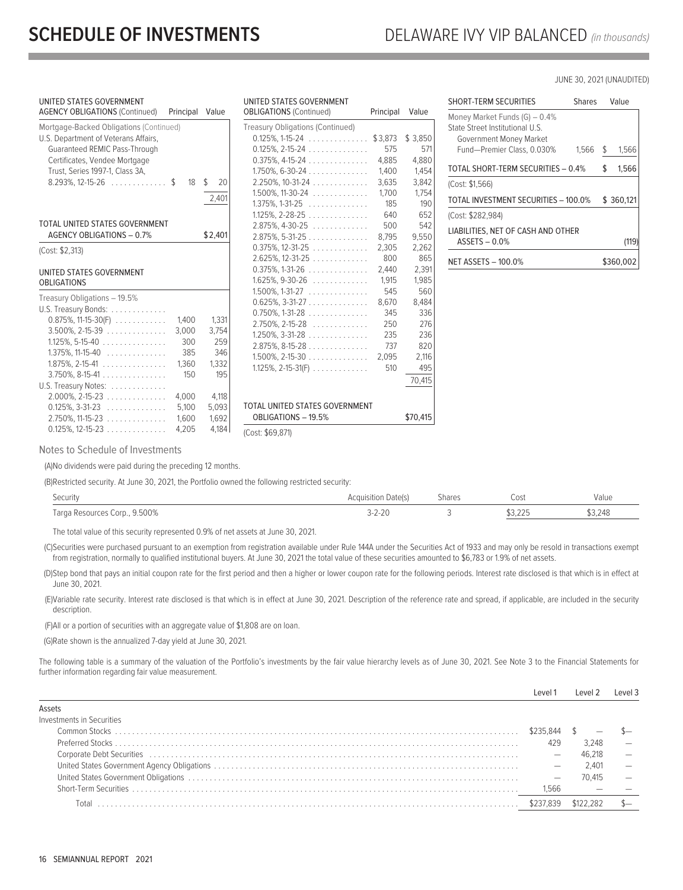| UNITED STATES GOVERNMENT<br><b>AGENCY OBLIGATIONS (Continued)</b><br>Principal<br>Value<br>Mortgage-Backed Obligations (Continued)<br>U.S. Department of Veterans Affairs,<br>Guaranteed REMIC Pass-Through<br>Certificates, Vendee Mortgage<br>Trust. Series 1997-1, Class 3A,<br>$8.293\%$ , 12-15-26<br>\$<br>18<br>\$<br>20 |
|---------------------------------------------------------------------------------------------------------------------------------------------------------------------------------------------------------------------------------------------------------------------------------------------------------------------------------|
|                                                                                                                                                                                                                                                                                                                                 |
|                                                                                                                                                                                                                                                                                                                                 |
|                                                                                                                                                                                                                                                                                                                                 |
|                                                                                                                                                                                                                                                                                                                                 |
|                                                                                                                                                                                                                                                                                                                                 |
|                                                                                                                                                                                                                                                                                                                                 |
|                                                                                                                                                                                                                                                                                                                                 |
| 2,401                                                                                                                                                                                                                                                                                                                           |
|                                                                                                                                                                                                                                                                                                                                 |
| TOTAL UNITED STATES GOVERNMENT                                                                                                                                                                                                                                                                                                  |
| \$2,401<br><b>AGENCY OBLIGATIONS - 0.7%</b>                                                                                                                                                                                                                                                                                     |
| (Cost: \$2,313)                                                                                                                                                                                                                                                                                                                 |
|                                                                                                                                                                                                                                                                                                                                 |
| UNITED STATES GOVERNMENT                                                                                                                                                                                                                                                                                                        |
| OBLIGATIONS                                                                                                                                                                                                                                                                                                                     |
| Treasury Obligations - 19.5%                                                                                                                                                                                                                                                                                                    |
| U.S. Treasury Bonds:                                                                                                                                                                                                                                                                                                            |
| $0.875\%$ , 11-15-30(F)<br>1,331<br>1,400                                                                                                                                                                                                                                                                                       |
| $3.500\%$ , 2-15-39<br>3.000<br>3,754                                                                                                                                                                                                                                                                                           |
| 300<br>259<br>$1.125\%$ , 5-15-40                                                                                                                                                                                                                                                                                               |
| $1.375\%$ , 11-15-40 $\dots\dots\dots\dots\dots$<br>385<br>346                                                                                                                                                                                                                                                                  |
| $1.875\%$ , 2-15-41<br>1,332<br>1,360                                                                                                                                                                                                                                                                                           |
| $3.750\%$ , $8-15-41$<br>150<br>195                                                                                                                                                                                                                                                                                             |
| U.S. Treasury Notes:<br>$2.000\%$ , 2-15-23<br>4.118                                                                                                                                                                                                                                                                            |
| 4.000<br>$0.125\%$ , $3-31-23$<br>5,100<br>5,093                                                                                                                                                                                                                                                                                |
| 1,692<br>$2.750\%$ , 11-15-23<br>1,600                                                                                                                                                                                                                                                                                          |
| $0.125\%$ , 12-15-23<br>4,205<br>4,184                                                                                                                                                                                                                                                                                          |

| UNITED STATES GOVERNMENT<br><b>OBLIGATIONS (Continued)</b>                                                                                                                                                                                                                                                                                                                                                                                                                                                                         | Principal                                                                                                                                                      | Value                                                                                                                                                          |
|------------------------------------------------------------------------------------------------------------------------------------------------------------------------------------------------------------------------------------------------------------------------------------------------------------------------------------------------------------------------------------------------------------------------------------------------------------------------------------------------------------------------------------|----------------------------------------------------------------------------------------------------------------------------------------------------------------|----------------------------------------------------------------------------------------------------------------------------------------------------------------|
| <b>Treasury Obligations (Continued)</b><br>$0.125\%$ , 1-15-24<br>$0.125\%$ , 2-15-24<br>$0.375\%$ , 4-15-24<br>$1.750\%$ , 6-30-24<br>$2.250\%$ , 10-31-24<br>$1.500\%$ . 11-30-24<br>$1.375\%$ , 1-31-25<br>$1.125\%$ , 2-28-25<br>2.875%. 4-30-25<br>.<br>2.875%, 5-31-25.<br>.<br>0.375%, 12-31-25<br>.<br>$2.625\%$ , 12-31-25<br>0.375%, 1-31-26<br>.<br>1.625%, 9-30-26<br>.<br>1.500%, 1-31-27<br>.<br>$0.625\%$ , 3-31-27<br>$0.750\%$ , 1-31-28<br>2.750%, 2-15-28<br>.<br>1.250%, 3-31-28<br>.<br>$2.875\%$ , $8-15-28$ | \$3,873<br>575<br>4.885<br>1,400<br>3,635<br>1.700<br>185<br>640<br>500<br>8.795<br>2,305<br>800<br>2,440<br>1,915<br>545<br>8,670<br>345<br>250<br>235<br>737 | \$3,850<br>571<br>4,880<br>1,454<br>3,842<br>1.754<br>190<br>652<br>542<br>9.550<br>2,262<br>865<br>2,391<br>1,985<br>560<br>8,484<br>336<br>276<br>236<br>820 |
| 1.500%, 2-15-30.<br>.<br>$1.125\%$ , 2-15-31(F)                                                                                                                                                                                                                                                                                                                                                                                                                                                                                    | 2,095<br>510                                                                                                                                                   | 2,116<br>495<br>70.415                                                                                                                                         |
| TOTAL UNITED STATES GOVERNMENT<br>OBLIGATIONS - 19.5%                                                                                                                                                                                                                                                                                                                                                                                                                                                                              |                                                                                                                                                                | \$70,415                                                                                                                                                       |
| (Cost: \$69.871)                                                                                                                                                                                                                                                                                                                                                                                                                                                                                                                   |                                                                                                                                                                |                                                                                                                                                                |

| <b>SHORT-TERM SECURITIES</b>                                                                                              | <b>Shares</b> | Value       |
|---------------------------------------------------------------------------------------------------------------------------|---------------|-------------|
| Money Market Funds (G) - 0.4%<br>State Street Institutional U.S.<br>Government Money Market<br>Fund-Premier Class, 0.030% | 1,566         | \$<br>1,566 |
| TOTAL SHORT-TERM SECURITIES - 0.4%                                                                                        |               | \$<br>1.566 |
| (Cost: \$1,566)                                                                                                           |               |             |
| TOTAL INVESTMENT SECURITIES - 100.0%                                                                                      |               | \$ 360.121  |
| (Cost: \$282,984)                                                                                                         |               |             |
| LIABILITIES, NET OF CASH AND OTHER<br>$ASSETS - 0.0%$                                                                     |               | (119        |
| <b>NET ASSETS - 100.0%</b>                                                                                                |               | \$360.00    |

Notes to Schedule of Investments

(A)No dividends were paid during the preceding 12 months.

(B)Restricted security. At June 30, 2021, the Portfolio owned the following restricted security:

| Security                      | <b>Acquisition Date(s)</b> | <b>Shares</b> | COST.                     | Value   |
|-------------------------------|----------------------------|---------------|---------------------------|---------|
| Targa Resources Corp., 9.500% |                            |               | $\cap$<br>-ا (<br>JJ, LLJ | \$3,248 |

The total value of this security represented 0.9% of net assets at June 30, 2021.

(C)Securities were purchased pursuant to an exemption from registration available under Rule 144A under the Securities Act of 1933 and may only be resold in transactions exempt from registration, normally to qualified institutional buyers. At June 30, 2021 the total value of these securities amounted to \$6,783 or 1.9% of net assets.

(D)Step bond that pays an initial coupon rate for the first period and then a higher or lower coupon rate for the following periods. Interest rate disclosed is that which is in effect at June 30, 2021.

(E)Variable rate security. Interest rate disclosed is that which is in effect at June 30, 2021. Description of the reference rate and spread, if applicable, are included in the security description.

(F)All or a portion of securities with an aggregate value of \$1,808 are on loan.

(G)Rate shown is the annualized 7-day yield at June 30, 2021.

The following table is a summary of the valuation of the Portfolio's investments by the fair value hierarchy levels as of June 30, 2021. See Note 3 to the Financial Statements for further information regarding fair value measurement.

|                           |           | AVAL 7 | ? امµم ا |
|---------------------------|-----------|--------|----------|
| Assets                    |           |        |          |
| Investments in Securities |           |        |          |
|                           | \$235.844 |        |          |
|                           | 429       |        |          |
|                           |           | 46 218 |          |
|                           |           | 2.401  |          |
|                           |           | 70 415 |          |
|                           | 1.566     |        |          |
|                           |           |        |          |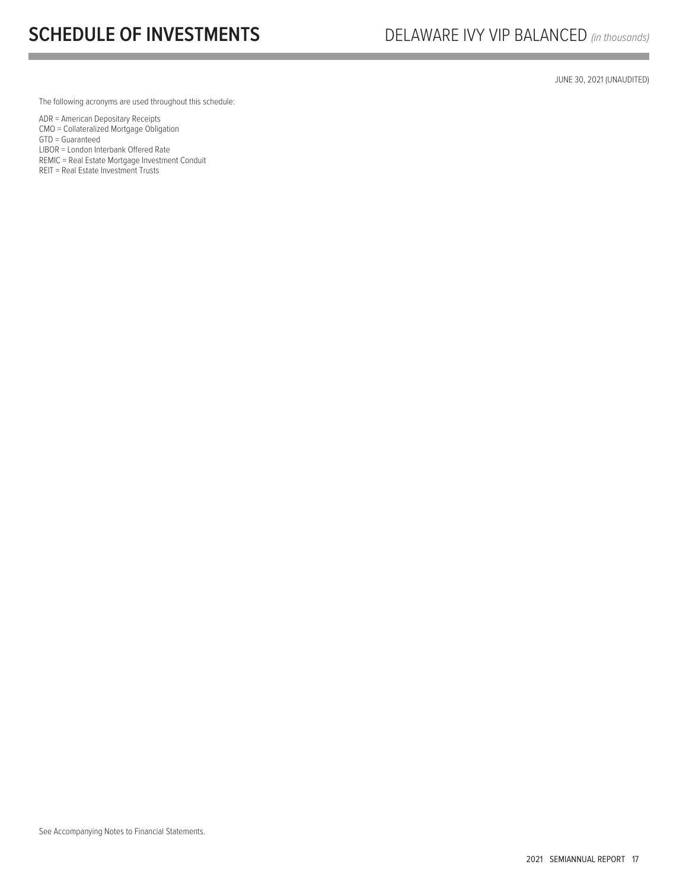The following acronyms are used throughout this schedule:

ADR = American Depositary Receipts CMO = Collateralized Mortgage Obligation GTD = Guaranteed LIBOR = London Interbank Offered Rate REMIC = Real Estate Mortgage Investment Conduit REIT = Real Estate Investment Trusts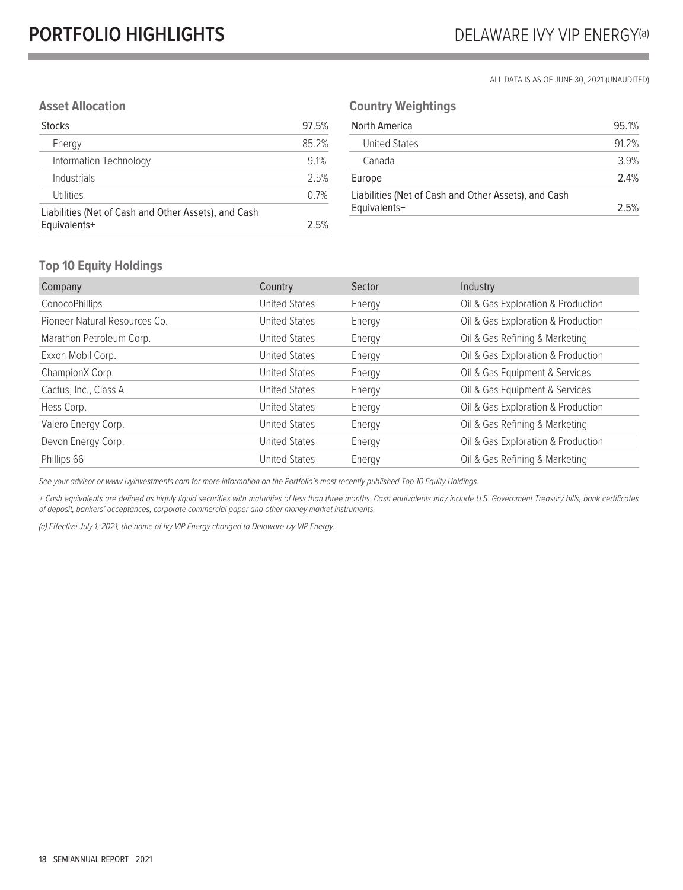#### <span id="page-17-0"></span>**Asset Allocation**

| <b>Stocks</b>                                                        | 97.5%   |
|----------------------------------------------------------------------|---------|
| Energy                                                               | 852%    |
| Information Technology                                               | $91\%$  |
| Industrials                                                          | 2.5%    |
| Utilities                                                            | $0.7\%$ |
| Liabilities (Net of Cash and Other Assets), and Cash<br>Equivalents+ | 2.5%    |

#### **Country Weightings**

| North America                                        | 95.1% |
|------------------------------------------------------|-------|
| <b>United States</b>                                 | 91 2% |
| Canada                                               | 39%   |
| Europe                                               | 2.4%  |
| Liabilities (Net of Cash and Other Assets), and Cash |       |
| Equivalents+                                         | 25%   |

#### **Top 10 Equity Holdings**

| Company                       | Country              | Sector | Industry                           |
|-------------------------------|----------------------|--------|------------------------------------|
| ConocoPhillips                | <b>United States</b> | Energy | Oil & Gas Exploration & Production |
| Pioneer Natural Resources Co. | <b>United States</b> | Energy | Oil & Gas Exploration & Production |
| Marathon Petroleum Corp.      | <b>United States</b> | Energy | Oil & Gas Refining & Marketing     |
| Exxon Mobil Corp.             | <b>United States</b> | Energy | Oil & Gas Exploration & Production |
| ChampionX Corp.               | <b>United States</b> | Energy | Oil & Gas Equipment & Services     |
| Cactus, Inc., Class A         | <b>United States</b> | Energy | Oil & Gas Equipment & Services     |
| Hess Corp.                    | <b>United States</b> | Energy | Oil & Gas Exploration & Production |
| Valero Energy Corp.           | <b>United States</b> | Energy | Oil & Gas Refining & Marketing     |
| Devon Energy Corp.            | <b>United States</b> | Energy | Oil & Gas Exploration & Production |
| Phillips 66                   | <b>United States</b> | Energy | Oil & Gas Refining & Marketing     |

See your advisor or www.ivyinvestments.com for more information on the Portfolio's most recently published Top 10 Equity Holdings.

+ Cash equivalents are defined as highly liquid securities with maturities of less than three months. Cash equivalents may include U.S. Government Treasury bills, bank certificates of deposit, bankers' acceptances, corporate commercial paper and other money market instruments.

(a) Effective July 1, 2021, the name of Ivy VIP Energy changed to Delaware Ivy VIP Energy.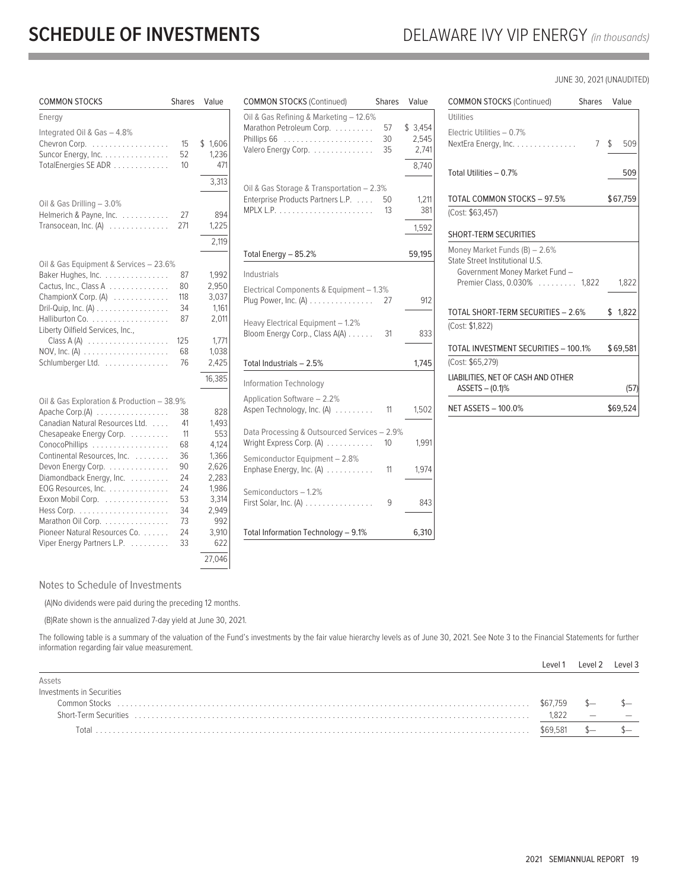| <b>COMMON STOCKS</b>                                                                                                                                                                                                                                                                                                                                            | <b>Shares</b>                                                              | Value                                                                                                     |
|-----------------------------------------------------------------------------------------------------------------------------------------------------------------------------------------------------------------------------------------------------------------------------------------------------------------------------------------------------------------|----------------------------------------------------------------------------|-----------------------------------------------------------------------------------------------------------|
| Energy                                                                                                                                                                                                                                                                                                                                                          |                                                                            |                                                                                                           |
| Integrated Oil & Gas - 4.8%<br>Chevron Corp.<br>Suncor Energy, Inc.<br>TotalEnergies SE ADR                                                                                                                                                                                                                                                                     | 15<br>52<br>10                                                             | \$<br>1,606<br>1.236<br>471<br>3,313                                                                      |
| Oil & Gas Drilling - 3.0%<br>Helmerich & Payne, Inc.<br>Transocean, Inc. $(A)$                                                                                                                                                                                                                                                                                  | 27<br>271                                                                  | 894<br>1,225<br>2,119                                                                                     |
| Oil & Gas Equipment & Services - 23.6%<br>Baker Hughes, Inc.<br>Cactus, Inc., Class A<br>ChampionX Corp. (A)<br>Dril-Quip, Inc. $(A)$<br>Liberty Oilfield Services, Inc.,<br>Schlumberger Ltd.                                                                                                                                                                  | 87<br>80<br>118<br>34<br>87<br>125<br>68<br>76                             | 1,992<br>2,950<br>3,037<br>1,161<br>2,011<br>1,771<br>1,038<br>2,425<br>16,385                            |
| Oil & Gas Exploration & Production - 38.9%<br>Apache Corp.(A)<br>Canadian Natural Resources Ltd.<br>Chesapeake Energy Corp.<br>ConocoPhillips<br>Continental Resources, Inc.<br>Devon Energy Corp.<br>Diamondback Energy, Inc.<br>EOG Resources, Inc.<br>Exxon Mobil Corp.<br>Marathon Oil Corp.<br>Pioneer Natural Resources Co.<br>Viper Energy Partners L.P. | 38<br>41<br>11<br>68<br>36<br>90<br>24<br>24<br>53<br>34<br>73<br>24<br>33 | 828<br>1,493<br>553<br>4,124<br>1,366<br>2,626<br>2,283<br>1,986<br>3,314<br>2,949<br>992<br>3,910<br>622 |
|                                                                                                                                                                                                                                                                                                                                                                 |                                                                            | 27,046                                                                                                    |

| <b>COMMON STOCKS (Continued)</b>                                                             | <b>Shares</b>    | Value                     |
|----------------------------------------------------------------------------------------------|------------------|---------------------------|
| Oil & Gas Refining & Marketing - 12.6%<br>Marathon Petroleum Corp.<br>Valero Energy Corp.    | 57<br>30<br>35   | \$3,454<br>2,545<br>2,741 |
|                                                                                              |                  | 8,740                     |
| Oil & Gas Storage & Transportation - 2.3%<br>Enterprise Products Partners L.P.               | 50<br>13         | 1,211<br>381<br>1,592     |
| Total Energy - 85.2%                                                                         |                  | 59,195                    |
| Industrials                                                                                  |                  |                           |
| Electrical Components & Equipment - 1.3%<br>Plug Power, Inc. (A) $\dots\dots\dots\dots\dots$ | 27               | 912                       |
| Heavy Electrical Equipment - 1.2%<br>Bloom Energy Corp., Class A(A)                          | 31               | 833                       |
| Total Industrials - 2.5%                                                                     |                  | 1,745                     |
| <b>Information Technology</b>                                                                |                  |                           |
| Application Software - 2.2%<br>Aspen Technology, Inc. (A)                                    | 11               | 1,502                     |
| Data Processing & Outsourced Services - 2.9%<br>Wright Express Corp. (A)                     | 10 <sup>10</sup> | 1,991                     |
| Semiconductor Equipment - 2.8%<br>Enphase Energy, Inc. (A) $\ldots \ldots \ldots$            | 11               | 1.974                     |
| Semiconductors - 1.2%<br>First Solar, Inc. (A)                                               | 9                | 843                       |
| Total Information Technology - 9.1%                                                          |                  | 6,310                     |

| <b>COMMON STOCKS (Continued)</b>                                                                                                  | Shares Value |
|-----------------------------------------------------------------------------------------------------------------------------------|--------------|
| <b>Utilities</b>                                                                                                                  |              |
| Flectric Utilities - 0.7%<br>NextEra Energy, Inc.<br>7                                                                            | \$<br>509    |
| Total Utilities - 0.7%                                                                                                            | 509          |
| TOTAL COMMON STOCKS - 97.5%                                                                                                       | \$67,759     |
| (Cost: \$63,457)                                                                                                                  |              |
| <b>SHORT-TERM SECURITIES</b>                                                                                                      |              |
| Money Market Funds (B) - 2.6%<br>State Street Institutional U.S.<br>Government Money Market Fund -<br>Premier Class, 0.030% 1,822 | 1,822        |
| TOTAL SHORT-TERM SECURITIES - 2.6%                                                                                                | \$1,822      |
| (Cost: \$1,822)                                                                                                                   |              |
| TOTAL INVESTMENT SECURITIES - 100.1%                                                                                              | \$69,581     |
| (Cost: \$65,279)                                                                                                                  |              |
| LIABILITIES, NET OF CASH AND OTHER<br>$ASSETS - (0.1)\%$                                                                          | (57          |
| <b>NET ASSETS - 100.0%</b>                                                                                                        | \$69,524     |

Notes to Schedule of Investments

(A)No dividends were paid during the preceding 12 months.

(B)Rate shown is the annualized 7-day yield at June 30, 2021.

The following table is a summary of the valuation of the Fund's investments by the fair value hierarchy levels as of June 30, 2021. See Note 3 to the Financial Statements for further information regarding fair value measurement.

|                           | Level 1  | Level 2 | Level 3 |
|---------------------------|----------|---------|---------|
| Assets                    |          |         |         |
| Investments in Securities |          |         |         |
|                           | \$67,759 |         |         |
|                           | 1.822    |         |         |
| Tota                      | \$69581  |         |         |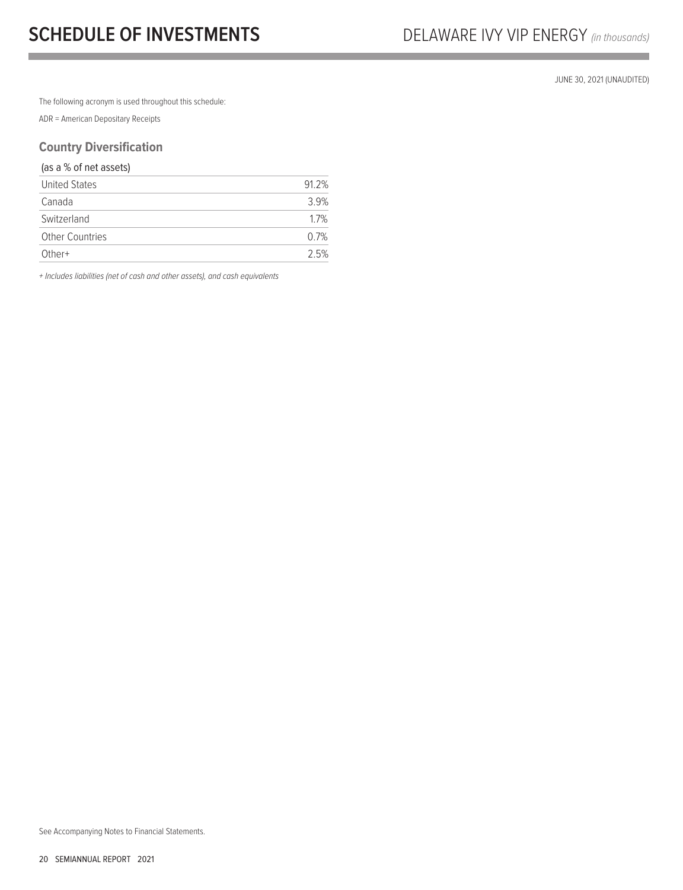The following acronym is used throughout this schedule:

ADR = American Depositary Receipts

### **Country Diversification**

### (as a % of net assets)

| <b>United States</b>   | 91 2% |
|------------------------|-------|
| Canada                 | 3.9%  |
| Switzerland            | 17%   |
| <b>Other Countries</b> | 0.7%  |
| Other+                 | 2.5%  |

+ Includes liabilities (net of cash and other assets), and cash equivalents

See Accompanying Notes to Financial Statements.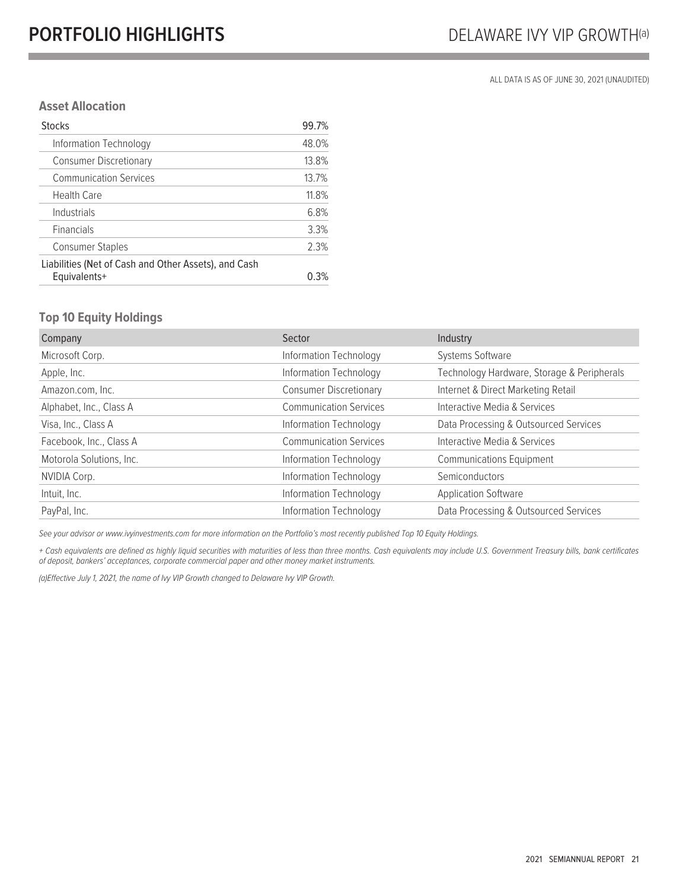### **Asset Allocation**

| <b>Stocks</b>                                        | 99.7% |
|------------------------------------------------------|-------|
| Information Technology                               | 48.0% |
| <b>Consumer Discretionary</b>                        | 13.8% |
| <b>Communication Services</b>                        | 13.7% |
| <b>Health Care</b>                                   | 11.8% |
| Industrials                                          | 6.8%  |
| <b>Financials</b>                                    | 3.3%  |
| <b>Consumer Staples</b>                              | 2.3%  |
| Liabilities (Net of Cash and Other Assets), and Cash |       |
| Equivalents+                                         | 0.3%  |

### **Top 10 Equity Holdings**

| Company                  | Sector                        | Industry                                   |
|--------------------------|-------------------------------|--------------------------------------------|
| Microsoft Corp.          | Information Technology        | Systems Software                           |
| Apple, Inc.              | Information Technology        | Technology Hardware, Storage & Peripherals |
| Amazon.com, Inc.         | <b>Consumer Discretionary</b> | Internet & Direct Marketing Retail         |
| Alphabet, Inc., Class A  | <b>Communication Services</b> | Interactive Media & Services               |
| Visa, Inc., Class A      | Information Technology        | Data Processing & Outsourced Services      |
| Facebook, Inc., Class A  | <b>Communication Services</b> | Interactive Media & Services               |
| Motorola Solutions, Inc. | Information Technology        | <b>Communications Equipment</b>            |
| NVIDIA Corp.             | Information Technology        | Semiconductors                             |
| Intuit, Inc.             | Information Technology        | <b>Application Software</b>                |
| PayPal, Inc.             | Information Technology        | Data Processing & Outsourced Services      |

See your advisor or www.ivyinvestments.com for more information on the Portfolio's most recently published Top 10 Equity Holdings.

+ Cash equivalents are defined as highly liquid securities with maturities of less than three months. Cash equivalents may include U.S. Government Treasury bills, bank certificates of deposit, bankers' acceptances, corporate commercial paper and other money market instruments.

(a)Effective July 1, 2021, the name of Ivy VIP Growth changed to Delaware Ivy VIP Growth.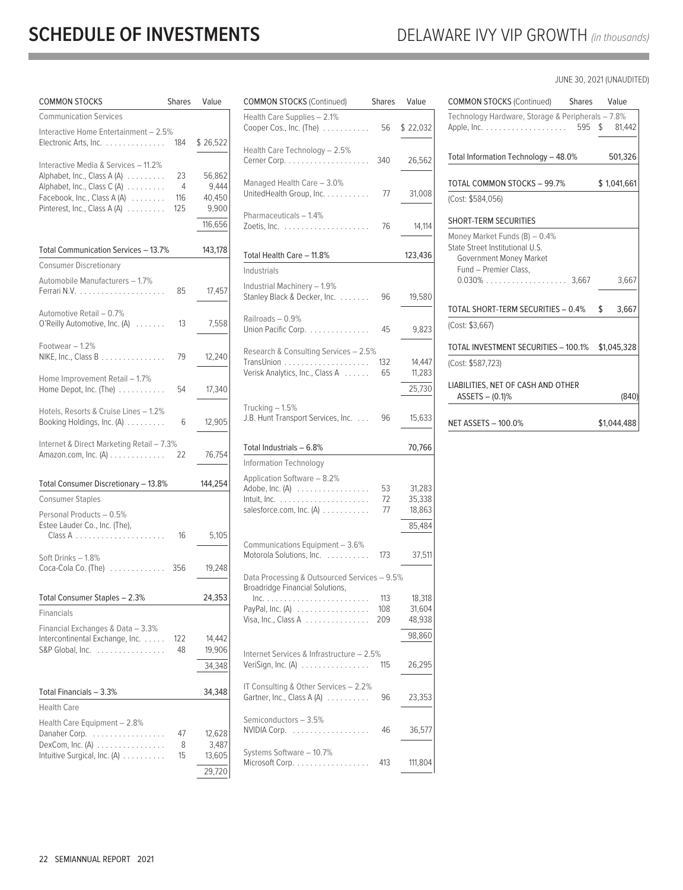# **SCHEDULE OF INVESTMENTS** DELAWARE IVY VIP GROWTH (in thousands)

| JUNE 30, 2021 (UNAUDITED) |  |  |
|---------------------------|--|--|

| <b>COMMON STOCKS</b>                                                                                                                                              | <b>Shares</b>                      | Value                                         |
|-------------------------------------------------------------------------------------------------------------------------------------------------------------------|------------------------------------|-----------------------------------------------|
| <b>Communication Services</b>                                                                                                                                     |                                    |                                               |
| Interactive Home Entertainment - 2.5%<br>Electronic Arts, Inc.                                                                                                    | 184                                | \$26,522                                      |
| Interactive Media & Services - 11.2%<br>Alphabet, Inc., Class A (A)<br>Alphabet, Inc., Class C (A)<br>Facebook, Inc., Class A (A)<br>Pinterest, Inc., Class A (A) | 23<br>$\overline{4}$<br>116<br>125 | 56,862<br>9,444<br>40,450<br>9,900<br>116,656 |
|                                                                                                                                                                   |                                    |                                               |
| Total Communication Services - 13.7%                                                                                                                              |                                    | 143,178                                       |
| <b>Consumer Discretionary</b><br>Automobile Manufacturers - 1.7%                                                                                                  | 85                                 | 17,457                                        |
| Automotive Retail - 0.7%<br>O'Reilly Automotive, Inc. (A)                                                                                                         | 13                                 | 7,558                                         |
| Footwear-1.2%<br>NIKE, Inc., Class B                                                                                                                              | 79                                 | 12,240                                        |
| Home Improvement Retail - 1.7%<br>Home Depot, Inc. (The)                                                                                                          | 54                                 | 17,340                                        |
| Hotels, Resorts & Cruise Lines - 1.2%<br>Booking Holdings, Inc. $(A)$                                                                                             | 6                                  | 12,905                                        |
| Internet & Direct Marketing Retail - 7.3%<br>Amazon.com, Inc. (A)                                                                                                 | 22                                 | 76,754                                        |
| Total Consumer Discretionary – 13.8%                                                                                                                              |                                    | 144,254                                       |
| <b>Consumer Staples</b>                                                                                                                                           |                                    |                                               |
| Personal Products - 0.5%<br>Estee Lauder Co., Inc. (The),                                                                                                         | 16                                 | 5,105                                         |
| Soft Drinks - 1.8%<br>$Coca-Cola Co. (The) \ldots$<br>1.1.1.1                                                                                                     | 356                                | 19.248                                        |
| Total Consumer Staples – 2.3%                                                                                                                                     |                                    | 24,353                                        |
| Financials                                                                                                                                                        |                                    |                                               |
| Financial Exchanges & Data - 3.3%<br>Intercontinental Exchange, Inc.<br>S&P Global, Inc.                                                                          | 122<br>48                          | 14,442<br>19,906<br>34,348                    |
| Total Financials - 3.3%                                                                                                                                           |                                    | 34,348                                        |
| <b>Health Care</b>                                                                                                                                                |                                    |                                               |
| Health Care Equipment - 2.8%<br>Danaher Corp.<br>.<br>DexCom, Inc. $(A)$<br>Intuitive Surgical, Inc. (A)                                                          | 47<br>8<br>15                      | 12,628<br>3,487<br>13,605                     |
|                                                                                                                                                                   |                                    | 29,720                                        |

| <b>COMMON STOCKS (Continued)</b>                                              | <b>Shares</b> | Value            |
|-------------------------------------------------------------------------------|---------------|------------------|
| Health Care Supplies - 2.1%<br>Cooper Cos., Inc. (The) $\ldots \ldots \ldots$ | 56            | \$22,032         |
| Health Care Technology - 2.5%                                                 |               |                  |
| Cerner Corp.                                                                  | 340           | 26,562           |
| Managed Health Care - 3.0%<br>UnitedHealth Group, Inc.                        | 77            | 31,008           |
| Pharmaceuticals - 1.4%<br>Zoetis, Inc. $\ldots$ , $\ldots$ , $\ldots$         | 76            | 14,114           |
| Total Health Care - 11.8%                                                     |               | 123,436          |
| Industrials                                                                   |               |                  |
| Industrial Machinery - 1.9%<br>Stanley Black & Decker, Inc.<br>1.1.1.1        | 96            | 19,580           |
| Railroads - 0.9%<br>Union Pacific Corp.<br>.                                  | 45            | 9,823            |
| Research & Consulting Services - 2.5%                                         |               |                  |
|                                                                               | 132           | 14,447           |
| Verisk Analytics, Inc., Class A                                               | 65            | 11,283           |
|                                                                               |               | 25,730           |
| Trucking $-1.5%$<br>J.B. Hunt Transport Services, Inc.<br>$\sim$ .            | 96            | 15,633           |
| Total Industrials - 6.8%                                                      |               | 70,766           |
| Information Technology                                                        |               |                  |
| Application Software - 8.2%                                                   |               |                  |
| Adobe, Inc. $(A)$                                                             | 53            | 31,283           |
|                                                                               | 72            | 35,338           |
| salesforce.com, Inc. $(A)$                                                    | 77            | 18,863           |
|                                                                               |               | 85,484           |
|                                                                               |               |                  |
| Communications Equipment - 3.6%<br>Motorola Solutions, Inc.                   | 173           | 37,511           |
| Data Processing & Outsourced Services - 9.5%                                  |               |                  |
| Broadridge Financial Solutions,                                               |               |                  |
| PayPal, Inc. (A)                                                              | 113<br>108    | 18,318<br>31,604 |
| .<br>Visa, Inc., Class A                                                      | 209           | 48,938           |
|                                                                               |               | 98,860           |
| Internet Services & Infrastructure - 2.5%                                     |               |                  |
| VeriSign, Inc. $(A)$                                                          | 115           | 26,295           |
| IT Consulting & Other Services - 2.2%<br>Gartner, Inc., Class A (A)           | 96            | 23,353           |
| Semiconductors - 3.5%<br>NVIDIA Corp.<br>$\ldots$                             | 46            | 36,577           |

L.

| <b>COMMON STOCKS (Continued) Shares Value</b>                                                                                 |             |
|-------------------------------------------------------------------------------------------------------------------------------|-------------|
| Technology Hardware, Storage & Peripherals - 7.8%                                                                             | 81,442      |
| Total Information Technology - 48.0%                                                                                          | 501,326     |
| TOTAL COMMON STOCKS - 99.7%                                                                                                   | \$1,041,661 |
| (Cost: \$584,056)                                                                                                             |             |
| <b>SHORT-TERM SECURITIES</b>                                                                                                  |             |
| Money Market Funds (B) - 0.4%<br>State Street Institutional U.S.<br>Government Money Market<br>Fund - Premier Class,<br>3,667 | 3,667       |
| TOTAL SHORT-TERM SECURITIES - 0.4%                                                                                            | \$<br>3,667 |
| (Cost: \$3,667)                                                                                                               |             |
| TOTAL INVESTMENT SECURITIES - 100.1%                                                                                          | \$1,045,328 |
| (Cost: \$587,723)                                                                                                             |             |
| LIABILITIES, NET OF CASH AND OTHER<br>$ASSETS - (0.1)\%$                                                                      | (840        |
| <b>NET ASSETS - 100.0%</b>                                                                                                    | \$1,044,488 |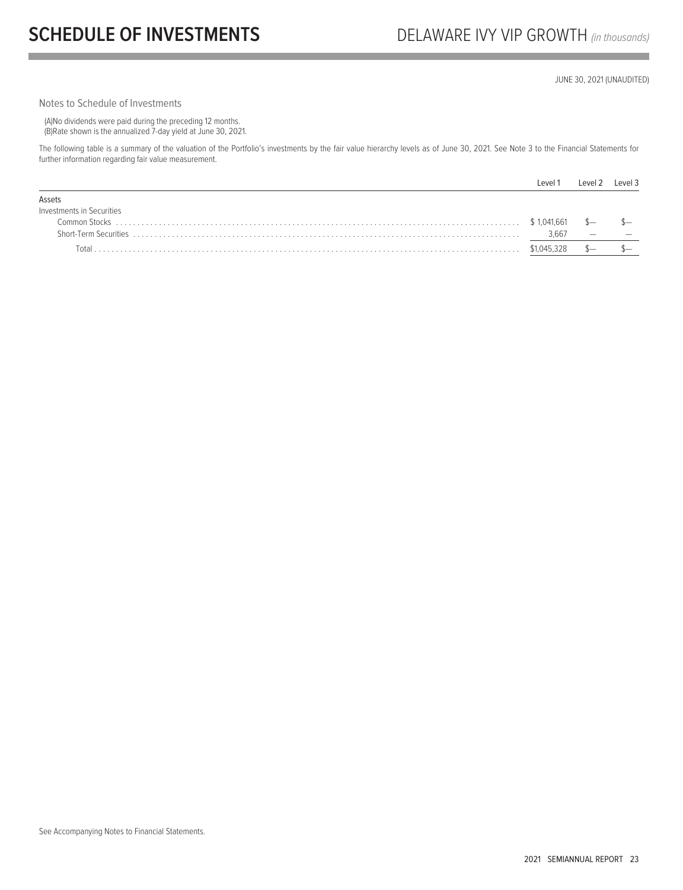Notes to Schedule of Investments

(A)No dividends were paid during the preceding 12 months. (B)Rate shown is the annualized 7-day yield at June 30, 2021.

The following table is a summary of the valuation of the Portfolio's investments by the fair value hierarchy levels as of June 30, 2021. See Note 3 to the Financial Statements for further information regarding fair value measurement.

|                           | evel '      | l evel 2 | E level |
|---------------------------|-------------|----------|---------|
| Assets                    |             |          |         |
| Investments in Securities |             |          |         |
| Common Stocks .           | \$1.041.661 |          |         |
|                           | 3.667       |          |         |
| T∩ts                      | \$1,045,328 |          |         |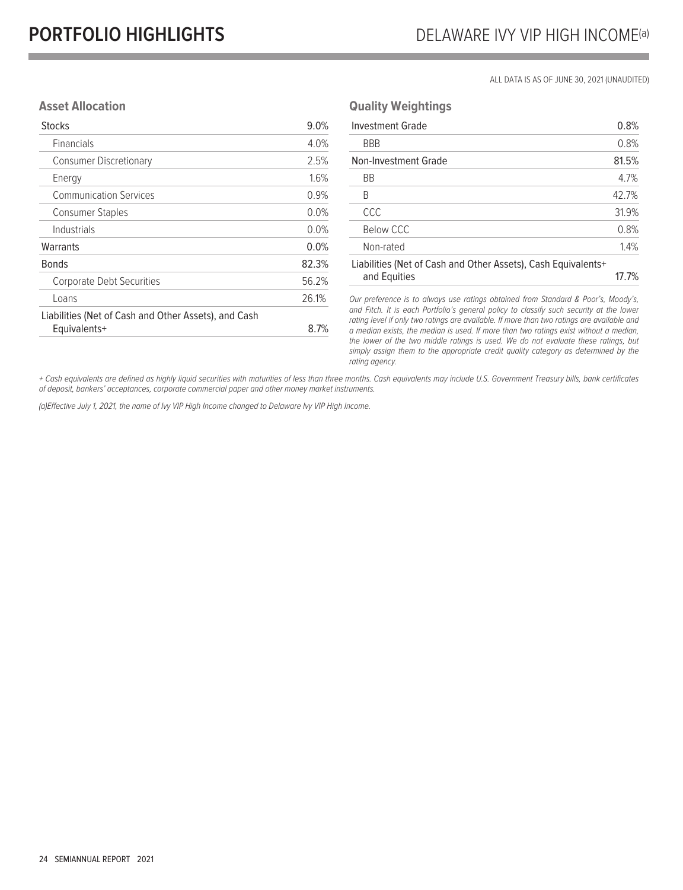#### **Asset Allocation**

| <b>Stocks</b>                                        | 9.0%  |
|------------------------------------------------------|-------|
| <b>Financials</b>                                    | 4.0%  |
| <b>Consumer Discretionary</b>                        | 2.5%  |
| Energy                                               | 1.6%  |
| <b>Communication Services</b>                        | 0.9%  |
| <b>Consumer Staples</b>                              | 0.0%  |
| Industrials                                          | 0.0%  |
| Warrants                                             | 0.0%  |
| <b>Bonds</b>                                         | 82.3% |
| Corporate Debt Securities                            | 56.2% |
| Loans                                                | 26.1% |
| Liabilities (Net of Cash and Other Assets), and Cash |       |
| Equivalents+                                         | 8.7%  |
|                                                      |       |

#### **Quality Weightings**

| Investment Grade                                              | 0.8%  |
|---------------------------------------------------------------|-------|
| <b>BBB</b>                                                    | 0.8%  |
| <b>Non-Investment Grade</b>                                   | 81.5% |
| <b>BB</b>                                                     | 47%   |
| B                                                             | 42.7% |
| CCC                                                           | 31.9% |
| Below CCC                                                     | 0.8%  |
| Non-rated                                                     | 1.4%  |
| Liabilities (Net of Cash and Other Assets), Cash Equivalents+ |       |
| and Equities                                                  | 17.7% |

Our preference is to always use ratings obtained from Standard & Poor's, Moody's, and Fitch. It is each Portfolio's general policy to classify such security at the lower rating level if only two ratings are available. If more than two ratings are available and a median exists, the median is used. If more than two ratings exist without a median, the lower of the two middle ratings is used. We do not evaluate these ratings, but simply assign them to the appropriate credit quality category as determined by the rating agency.

+ Cash equivalents are defined as highly liquid securities with maturities of less than three months. Cash equivalents may include U.S. Government Treasury bills, bank certificates of deposit, bankers' acceptances, corporate commercial paper and other money market instruments.

(a)Effective July 1, 2021, the name of Ivy VIP High Income changed to Delaware Ivy VIP High Income.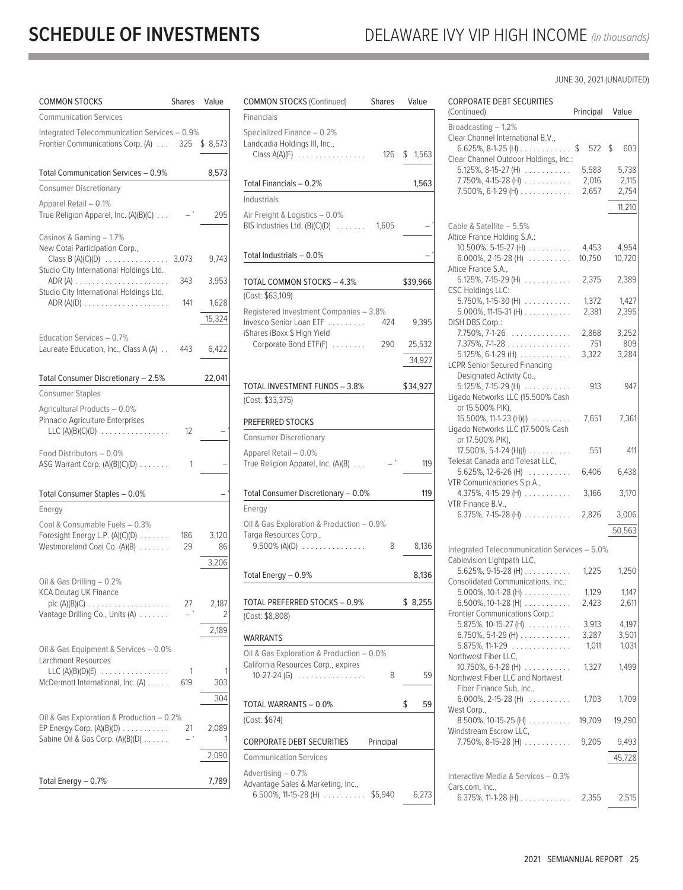# **SCHEDULE OF INVESTMENTS** DELAWARE IVY VIP HIGH INCOME (in thousands)

| <b>COMMON STOCKS</b>                                                                                           | <b>Shares</b> | Value          |
|----------------------------------------------------------------------------------------------------------------|---------------|----------------|
| <b>Communication Services</b>                                                                                  |               |                |
| Integrated Telecommunication Services - 0.9%<br>Frontier Communications Corp. (A)                              | 325           | \$8,573        |
| Total Communication Services - 0.9%                                                                            |               | 8,573          |
| <b>Consumer Discretionary</b>                                                                                  |               |                |
| Apparel Retail - 0.1%<br>True Religion Apparel, Inc. $(A)(B)(C) \ldots$                                        |               | 295            |
| Casinos & Gaming - 1.7%<br>New Cotai Participation Corp.,<br>Class B $(A)(C)(D)$                               | 3,073         | 9,743          |
| Studio City International Holdings Ltd.<br>ADR (A)<br>1.1.1.1                                                  | 343           | 3,953          |
| Studio City International Holdings Ltd.                                                                        | 141           | 1,628          |
|                                                                                                                |               | 15,324         |
| Education Services - 0.7%<br>Laureate Education, Inc., Class A (A)                                             | 443           | 6,422          |
| Total Consumer Discretionary - 2.5%                                                                            |               | 22,041         |
| <b>Consumer Staples</b>                                                                                        |               |                |
| Agricultural Products - 0.0%<br>Pinnacle Agriculture Enterprises<br>$LLC (A)(B)(C)(D) \dots \dots \dots \dots$ | 12            |                |
| Food Distributors - 0.0%<br>ASG Warrant Corp. $(A)(B)(C)(D)$                                                   | 1             |                |
| Total Consumer Staples - 0.0%                                                                                  |               |                |
| Energy                                                                                                         |               |                |
| Coal & Consumable Fuels - 0.3%<br>Foresight Energy L.P. (A)(C)(D)<br>Westmoreland Coal Co. (A)(B)              | 186<br>29     | 3,120<br>86    |
| Oil & Gas Drilling - 0.2%<br>KCA Deutag UK Finance                                                             | 27            | 3,206<br>2,187 |
| Vantage Drilling Co., Units (A)                                                                                |               | 2<br>2,189     |
| Oil & Gas Equipment & Services - 0.0%<br>Larchmont Resources                                                   |               |                |
| LLC $(A)(B)(D)(E)$<br>$\ldots$<br>McDermott International, Inc. (A)                                            | 1<br>619      | 1<br>303       |
|                                                                                                                |               | 304            |
| Oil & Gas Exploration & Production - 0.2%<br>EP Energy Corp. $(A)(B)(D)$<br>Sabine Oil & Gas Corp. (A)(B)(D)   | 21<br>- '     | 2,089<br>1     |
|                                                                                                                |               | 2,090          |
| Total Energy - 0.7%                                                                                            |               | 7,789          |

| <b>COMMON STOCKS (Continued)</b>                                  | <b>Shares</b> | Value    |       |
|-------------------------------------------------------------------|---------------|----------|-------|
| Financials                                                        |               |          |       |
| Specialized Finance - 0.2%                                        |               |          |       |
| Landcadia Holdings III, Inc.,                                     |               |          |       |
| $Class A(A)(F) \dots \dots \dots \dots \dots \dots$               | 126           | \$       | 1,563 |
|                                                                   |               |          |       |
| Total Financials - 0.2%                                           |               |          | 1,563 |
| Industrials                                                       |               |          |       |
| Air Freight & Logistics - 0.0%                                    |               |          |       |
| BIS Industries Ltd. (B)(C)(D) 1,605                               |               |          |       |
|                                                                   |               |          |       |
| Total Industrials - 0.0%                                          |               |          |       |
|                                                                   |               |          |       |
| TOTAL COMMON STOCKS - 4.3%                                        |               | \$39,966 |       |
| (Cost: \$63,109)                                                  |               |          |       |
|                                                                   |               |          |       |
| Registered Investment Companies - 3.8%<br>Invesco Senior Loan ETF |               |          |       |
| iShares iBoxx \$ High Yield                                       | 424           |          | 9,395 |
| Corporate Bond ETF(F)                                             | 290           | 25,532   |       |
|                                                                   |               | 34.927   |       |
|                                                                   |               |          |       |
| TOTAL INVESTMENT FUNDS - 3.8%                                     |               | \$34,927 |       |
| (Cost: \$33,375)                                                  |               |          |       |
|                                                                   |               |          |       |
| PREFERRED STOCKS                                                  |               |          |       |
| <b>Consumer Discretionary</b>                                     |               |          |       |
| Apparel Retail - 0.0%                                             |               |          |       |
| True Religion Apparel, Inc. (A)(B)                                |               |          | 119   |
|                                                                   |               |          |       |
| Total Consumer Discretionary - 0.0%                               |               |          | 119   |
| Energy                                                            |               |          |       |
| Oil & Gas Exploration & Production - 0.9%                         |               |          |       |
| Targa Resources Corp.,                                            |               |          |       |
| $9.500\%$ (A)(D)                                                  | 8             |          | 8,136 |
|                                                                   |               |          |       |
| Total Energy - 0.9%                                               |               |          | 8,136 |
|                                                                   |               |          |       |
| TOTAL PREFERRED STOCKS - 0.9%                                     |               | \$8,255  |       |
| (Cost: \$8,808)                                                   |               |          |       |
| WARRANTS                                                          |               |          |       |
| Oil & Gas Exploration & Production - 0.0%                         |               |          |       |
| California Resources Corp., expires                               |               |          |       |
| 10-27-24 (G) $\ldots \ldots \ldots \ldots$                        | 8             |          | 59    |
|                                                                   |               |          |       |
| TOTAL WARRANTS - 0.0%                                             |               | \$       | 59    |
| (Cost: \$674)                                                     |               |          |       |
|                                                                   |               |          |       |
| <b>CORPORATE DEBT SECURITIES</b>                                  | Principal     |          |       |
| <b>Communication Services</b>                                     |               |          |       |
| Advertising $-0.7%$                                               |               |          |       |
| Advantage Sales & Marketing, Inc.,                                |               |          |       |
| 6.500%, 11-15-28 (H) $\ldots \ldots$                              | \$5,940       |          | 6,273 |

| (Continued)                                     | Principal | Value     |
|-------------------------------------------------|-----------|-----------|
| Broadcasting - 1.2%                             |           |           |
| Clear Channel International B.V.,               |           |           |
| 6.625%, 8-1-25 (H) $\ldots \ldots \ldots$ \$    | 572       | \$<br>603 |
| Clear Channel Outdoor Holdings, Inc.:           |           |           |
| $5.125\%$ , 8-15-27 (H) $\ldots \ldots \ldots$  | 5,583     | 5,738     |
| 7.750%, 4-15-28 (H) $\ldots \ldots \ldots$      | 2,016     | 2,115     |
| $7.500\%$ , 6-1-29 (H)                          | 2,657     | 2,754     |
|                                                 |           |           |
|                                                 |           | 11,210    |
| Cable & Satellite - 5.5%                        |           |           |
| Altice France Holding S.A.:                     |           |           |
| 10.500%, 5-15-27 (H) $\ldots$                   | 4,453     | 4,954     |
| $6.000\%$ , 2-15-28 (H)                         | 10,750    | 10,720    |
| Altice France S.A.,                             |           |           |
| $5.125\%$ , 7-15-29 (H) $\ldots \ldots \ldots$  | 2,375     | 2,389     |
| <b>CSC Holdings LLC:</b>                        |           |           |
| $5.750\%$ , 1-15-30 (H) $\ldots \ldots \ldots$  | 1,372     | 1,427     |
| $5.000\%$ , 11-15-31 (H)                        | 2,381     | 2,395     |
| DISH DBS Corp.:                                 |           |           |
| $7.750\%$ , $7-1-26$                            | 2,868     | 3,252     |
| $7.375\%$ , 7-1-28                              | 751       | 809       |
|                                                 |           |           |
| 5.125%, 6-1-29 (H) $\ldots$                     | 3,322     | 3,284     |
| <b>LCPR Senior Secured Financing</b>            |           |           |
| Designated Activity Co.,                        |           |           |
| $5.125\%$ , 7-15-29 (H) $\ldots \ldots \ldots$  | 913       | 947       |
| Ligado Networks LLC (15.500% Cash               |           |           |
| or 15.500% PIK),                                |           |           |
| $15.500\%$ , 11-1-23 (H)(I)                     | 7,651     | 7,361     |
| Ligado Networks LLC (17.500% Cash               |           |           |
| or 17.500% PIK),                                |           |           |
| 17.500%, 5-1-24 $(H)(I)$                        | 551       | 411       |
| Telesat Canada and Telesat LLC,                 |           |           |
| $5.625\%$ , 12-6-26 (H) $\ldots \ldots \ldots$  | 6,406     | 6,438     |
| VTR Comunicaciones S.p.A.,                      |           |           |
|                                                 |           |           |
| 4.375%, 4-15-29 (H) $\ldots \ldots \ldots$      | 3,166     | 3,170     |
| VTR Finance B.V.,                               |           |           |
| 6.375%, 7-15-28 (H) $\ldots \ldots \ldots$      | 2,826     | 3,006     |
|                                                 |           | 50,563    |
| Integrated Telecommunication Services - 5.0%    |           |           |
| Cablevision Lightpath LLC,                      |           |           |
| $5.625\%$ , 9-15-28 (H)                         | 1,225     | 1,250     |
| Consolidated Communications, Inc.:              |           |           |
| $5.000\%$ , 10-1-28 (H) $\ldots \ldots \ldots$  | 1,129     | 1,147     |
| 6.500%, 10-1-28 (H) $\ldots$                    | 2,423     | 2,611     |
|                                                 |           |           |
| Frontier Communications Corp.:                  |           |           |
| $5.875\%$ , 10-15-27 (H) $\ldots \ldots \ldots$ | 3,913     | 4,197     |
| 6.750%, 5-1-29 (H) $\ldots \ldots \ldots$       | 3,287     | 3,501     |
| $5.875\%$ , 11-1-29 $\dots\dots\dots\dots\dots$ | 1,011     | 1,031     |
| Northwest Fiber LLC,                            |           |           |
| $10.750\%$ , 6-1-28 (H) $\ldots \ldots \ldots$  | 1,327     | 1,499     |
| Northwest Fiber LLC and Nortwest                |           |           |
| Fiber Finance Sub, Inc.,                        |           |           |
| 6.000%, 2-15-28 (H) $\ldots \ldots \ldots$      | 1,703     | 1,709     |
| West Corp.,                                     |           |           |
| $8.500\%$ , 10-15-25 (H) $\ldots \ldots \ldots$ | 19,709    | 19,290    |
|                                                 |           |           |
| Windstream Escrow LLC,                          |           |           |
| $7.750\%$ , 8-15-28 (H)                         | 9,205     | 9,493     |
|                                                 |           | 45,728    |
|                                                 |           |           |
| Interactive Media & Services - 0.3%             |           |           |
| Cars.com, Inc.,                                 |           |           |
| 6.375%, 11-1-28 (H) $\ldots \ldots \ldots$      | 2,355     | 2,515     |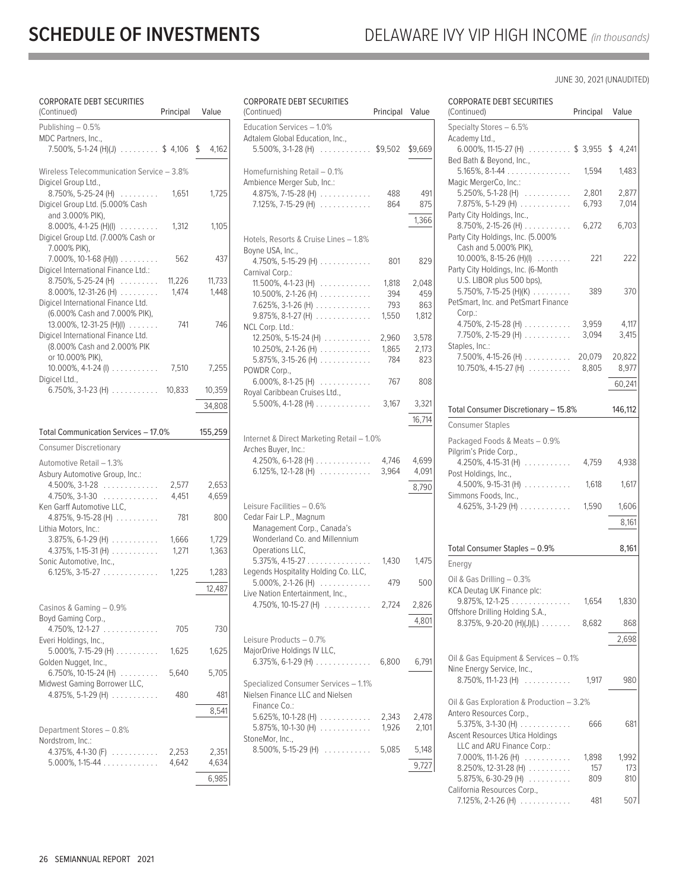| <b>CORPORATE DEBT SECURITIES</b><br>(Continued)                                                                                                    | Principal       | Value            |
|----------------------------------------------------------------------------------------------------------------------------------------------------|-----------------|------------------|
| Publishing $-0.5%$<br>MDC Partners, Inc.,<br>7.500%, 5-1-24 (H)(J) $\ldots \ldots$ \$4,106                                                         |                 | \$<br>4,162      |
| Wireless Telecommunication Service - 3.8%<br>Digicel Group Ltd.,<br>$8.750\%$ , 5-25-24 (H) $\ldots \ldots$                                        | 1,651           | 1,725            |
| Digicel Group Ltd. (5.000% Cash<br>and 3.000% PIK),<br>$8.000\%$ , 4-1-25 (H)(I)<br>Digicel Group Ltd. (7.000% Cash or                             | 1,312           | 1,105            |
| 7.000% PIK),<br>$7.000\%$ , 10-1-68 (H)(I) $\ldots \ldots \ldots$<br>Digicel International Finance Ltd.:                                           | 562             | 437              |
| $8.750\%$ , 5-25-24 (H) $\ldots \ldots$<br>$8.000\%$ , 12-31-26 (H) $\ldots \ldots$<br>Digicel International Finance Ltd.                          | 11,226<br>1,474 | 11,733<br>1,448  |
| (6.000% Cash and 7.000% PIK),<br>13.000%, 12-31-25 $(H)(I)$<br>Digicel International Finance Ltd.<br>(8.000% Cash and 2.000% PIK                   | 741             | 746              |
| or 10.000% PIK),<br>$10.000\%$ , 4-1-24 (l)<br>Digicel Ltd.,                                                                                       | 7,510           | 7,255            |
| $6.750\%$ , 3-1-23 (H) $\ldots$                                                                                                                    | 10,833          | 10,359<br>34,808 |
| Total Communication Services - 17.0%                                                                                                               |                 | 155,259          |
| <b>Consumer Discretionary</b>                                                                                                                      |                 |                  |
| Automotive Retail - 1.3%<br>Asbury Automotive Group, Inc.:<br>$4.500\%$ , 3-1-28<br>$4.750\%$ , $3-1-30$                                           | 2,577<br>4,451  | 2,653<br>4,659   |
| Ken Garff Automotive LLC,<br>4.875%, 9-15-28 (H) $\ldots$                                                                                          | 781             | 800              |
| Lithia Motors, Inc.:<br>$3.875\%$ , 6-1-29 (H) $\ldots \ldots \ldots$<br>$4.375\%$ , 1-15-31 (H) $\ldots \ldots \ldots$<br>Sonic Automotive, Inc., | 1,666<br>1,271  | 1,729<br>1,363   |
| 6.125%, 3-15-27                                                                                                                                    | 1,225           | 1,283<br>12,487  |
| Casinos & Gaming - 0.9%                                                                                                                            |                 |                  |
| Boyd Gaming Corp.,<br>$4.750\%$ , 12-1-27                                                                                                          | 705             | 730              |
| Everi Holdings, Inc.,<br>$5.000\%$ , 7-15-29 (H) $\ldots \ldots \ldots$<br>Golden Nugget, Inc.,                                                    | 1,625           | 1,625            |
| 6.750%, 10-15-24 (H) $\ldots \ldots$<br>Midwest Gaming Borrower LLC,                                                                               | 5,640           | 5,705            |
| $4.875\%$ , 5-1-29 (H) $\ldots \ldots \ldots$                                                                                                      | 480             | 481              |
| Department Stores - 0.8%                                                                                                                           |                 | 8,541            |
| Nordstrom, Inc.:<br>4.375%, 4-1-30 $(F)$<br>$5.000\%$ , 1-15-44                                                                                    | 2,253<br>4,642  | 2,351<br>4,634   |
|                                                                                                                                                    |                 | 6,985            |

| <b>CORPORATE DEBT SECURITIES</b><br>(Continued)                                                               | Principal | Value        |
|---------------------------------------------------------------------------------------------------------------|-----------|--------------|
| Education Services - 1.0%<br>Adtalem Global Education, Inc.,<br>$5.500\%$ , 3-1-28 (H) $\ldots \ldots \ldots$ | \$9,502   | \$9,669      |
| Homefurnishing Retail - 0.1%                                                                                  |           |              |
| Ambience Merger Sub, Inc.:<br>4.875%, 7-15-28 (H)                                                             | 488       | 491          |
| $7.125\%$ , $7-15-29$ (H) $\ldots \ldots \ldots$                                                              | 864       | 875<br>1,366 |
| Hotels, Resorts & Cruise Lines - 1.8%                                                                         |           |              |
| Boyne USA, Inc.,<br>4.750%, 5-15-29 (H)                                                                       | 801       | 829          |
| Carnival Corp.:<br>11.500%, 4-1-23 (H) $\ldots$                                                               | 1,818     | 2,048        |
| $10.500\%$ , 2-1-26 (H) $\ldots \ldots \ldots$                                                                | 394       | 459          |
| $7.625\%$ , 3-1-26 (H) $\ldots \ldots \ldots \ldots$                                                          | 793       | 863          |
| $9.875\%$ , $8-1-27$ (H)<br>NCL Corp. Ltd.:                                                                   | 1,550     | 1,812        |
| $12.250\%$ , 5-15-24 (H)                                                                                      | 2,960     | 3,578        |
| $10.250\%$ , 2-1-26 (H) $\ldots \ldots \ldots$                                                                | 1,865     | 2,173        |
| 5.875%, 3-15-26 (H) $\ldots \ldots \ldots$<br>POWDR Corp.,                                                    | 784       | 823          |
| 6.000%, 8-1-25 (H) $\ldots$<br>Royal Caribbean Cruises Ltd.,                                                  | 767       | 808          |
| 5.500%, 4-1-28 (H) $\dots$                                                                                    | 3,167     | 3,321        |
|                                                                                                               |           | 16,714       |
| Internet & Direct Marketing Retail - 1.0%<br>Arches Buyer, Inc.:                                              |           |              |
| 4.250%, 6-1-28 (H) $\dots\dots\dots\dots$                                                                     | 4,746     | 4,699        |
| 6.125%, 12-1-28 (H) $\ldots \ldots \ldots$                                                                    | 3,964     | 4,091        |
|                                                                                                               |           | 8,790        |
| Leisure Facilities - 0.6%                                                                                     |           |              |
| Cedar Fair L.P., Magnum<br>Management Corp., Canada's                                                         |           |              |
| Wonderland Co. and Millennium<br>Operations LLC,                                                              |           |              |
| $5.375\%$ , 4-15-27<br>Legends Hospitality Holding Co. LLC,                                                   | 1,430     | 1,475        |
| 5.000%, 2-1-26 (H) $\ldots$<br>Live Nation Entertainment, Inc.,                                               | 479       | 500          |
| 4.750%, 10-15-27 (H) $\ldots$                                                                                 | 2,724     | 2,826        |
|                                                                                                               |           | 4,801        |
|                                                                                                               |           |              |
| Leisure Products - 0.7%<br>MajorDrive Holdings IV LLC,                                                        |           |              |
| $6.375\%$ , $6-1-29$ (H) $\ldots \ldots \ldots$                                                               | 6,800     | 6.791        |
| Specialized Consumer Services - 1.1%<br>Nielsen Finance LLC and Nielsen<br>Finance Co.:                       |           |              |
| $5.625\%$ , 10-1-28 (H) $\ldots \ldots \ldots$                                                                | 2,343     | 2,478        |
| $5.875\%$ , 10-1-30 (H) $\ldots \ldots \ldots$<br>StoneMor, Inc.,                                             | 1,926     | 2,101        |
| $8.500\%$ , 5-15-29 (H)                                                                                       | 5,085     | 5,148        |
|                                                                                                               |           | 9,727        |

| <b>CORPORATE DEBT SECURITIES</b><br>(Continued)                              | Principal       | Value           |
|------------------------------------------------------------------------------|-----------------|-----------------|
| Specialty Stores - 6.5%                                                      |                 |                 |
| Academy Ltd.,                                                                |                 |                 |
| 6.000%, 11-15-27 (H) $\ldots \ldots$ \$ 3,955                                |                 | \$<br>4,241     |
| Bed Bath & Beyond, Inc.,                                                     |                 |                 |
| $5.165\%$ , 8-1-44<br>Magic MergerCo, Inc.:                                  | 1,594           | 1,483           |
| $5.250\%$ , 5-1-28 (H) $\ldots \ldots \ldots$                                | 2,801           | 2,877           |
| $7.875\%$ , 5-1-29 (H)                                                       | 6,793           | 7,014           |
| Party City Holdings, Inc.,                                                   |                 |                 |
| $8.750\%$ , 2-15-26 (H)                                                      | 6,272           | 6,703           |
| Party City Holdings, Inc. (5.000%                                            |                 |                 |
| Cash and 5.000% PIK),                                                        |                 |                 |
| 10.000%, 8-15-26 $(H)(I)$                                                    | 221             | 222             |
| Party City Holdings, Inc. (6-Month<br>U.S. LIBOR plus 500 bps),              |                 |                 |
| $5.750\%$ , 7-15-25 (H)(K)                                                   | 389             | 370             |
| PetSmart, Inc. and PetSmart Finance                                          |                 |                 |
| Corp.:                                                                       |                 |                 |
| 4.750%, 2-15-28 (H)                                                          | 3,959           | 4,117           |
| $7.750\%$ , 2-15-29 (H)                                                      | 3,094           | 3,415           |
| Staples, Inc.:                                                               |                 |                 |
| $7.500\%$ , 4-15-26 (H)<br>10.750%, 4-15-27 (H) $\ldots$                     | 20,079<br>8,805 | 20,822<br>8,977 |
|                                                                              |                 |                 |
|                                                                              |                 | 60,241          |
| Total Consumer Discretionary - 15.8%                                         |                 | 146,112         |
|                                                                              |                 |                 |
| <b>Consumer Staples</b>                                                      |                 |                 |
| Packaged Foods & Meats - 0.9%                                                |                 |                 |
| Pilgrim's Pride Corp.,<br>$4.250\%$ , $4-15-31$ (H) $\ldots \ldots \ldots$   | 4,759           | 4,938           |
| Post Holdings, Inc.,                                                         |                 |                 |
| $4.500\%$ , 9-15-31 (H) $\ldots \ldots \ldots$                               | 1,618           | 1,617           |
| Simmons Foods, Inc.,                                                         |                 |                 |
| $4.625\%$ , 3-1-29 (H)                                                       | 1,590           | 1,606           |
|                                                                              |                 | 8,161           |
|                                                                              |                 |                 |
| Total Consumer Staples - 0.9%                                                |                 | 8,161           |
| Energy                                                                       |                 |                 |
| Oil & Gas Drilling - 0.3%                                                    |                 |                 |
| KCA Deutag UK Finance plc:                                                   |                 |                 |
| $9.875\%$ , 12-1-25<br>Offshore Drilling Holding S.A.,                       | 1,654           | 1,830           |
| $8.375\%$ , 9-20-20 (H)(J)(L)                                                | 8,682           | 868             |
|                                                                              |                 |                 |
|                                                                              |                 | 2,698           |
| Oil & Gas Equipment & Services - 0.1%                                        |                 |                 |
| Nine Energy Service, Inc.,                                                   |                 |                 |
| 8.750%, 11-1-23 (H)<br>.                                                     | 1,917           | 980             |
| Oil & Gas Exploration & Production - 3.2%                                    |                 |                 |
| Antero Resources Corp.,                                                      |                 |                 |
| $5.375\%$ , 3-1-30 (H) $\ldots \ldots \ldots$                                | 666             | 681             |
| Ascent Resources Utica Holdings                                              |                 |                 |
| LLC and ARU Finance Corp.:                                                   |                 |                 |
| $7.000\%$ , 11-1-26 (H) $\ldots \ldots \ldots$                               | 1,898           | 1,992           |
| $8.250\%$ , 12-31-28 (H) $\ldots \ldots \ldots$                              | 157             | 173             |
| $5.875\%$ , 6-30-29 (H) $\ldots \ldots \ldots$                               | 809             | 810             |
| California Resources Corp.,<br>$7.125\%$ , 2-1-26 (H) $\ldots \ldots \ldots$ | 481             | 507             |
|                                                                              |                 |                 |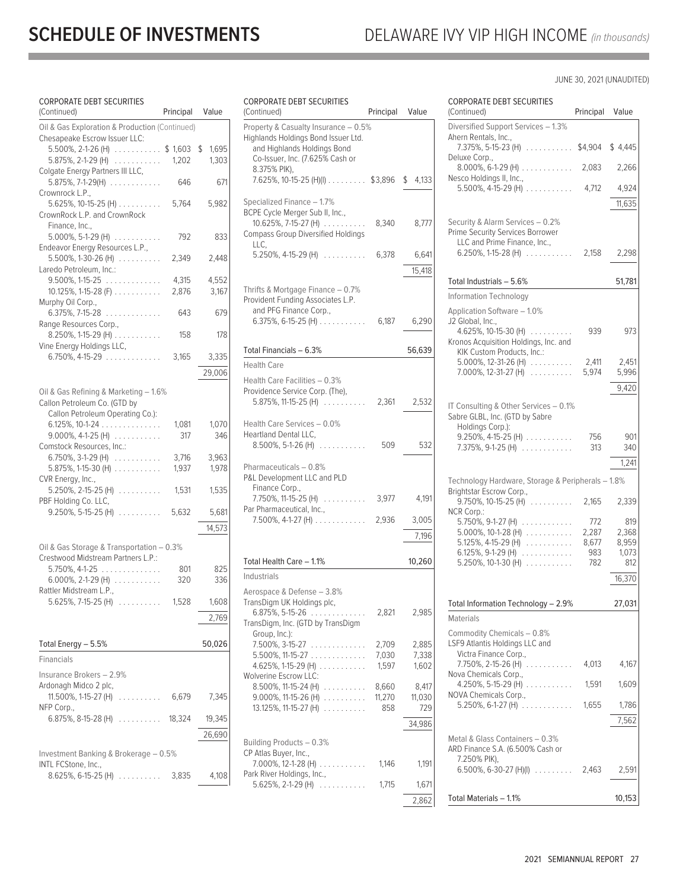CORPORATE DEBT SECURITIES

| <b>CORPORATE DEBT SECURITIES</b>                                                    |              |                |
|-------------------------------------------------------------------------------------|--------------|----------------|
| (Continued)                                                                         | Principal    | Value          |
| Oil & Gas Exploration & Production (Continued)                                      |              |                |
| Chesapeake Escrow Issuer LLC:<br>5.500%, 2-1-26 (H) $\ldots \ldots \ldots$ \$ 1,603 |              | \$<br>1,695    |
| 5.875%, 2-1-29 (H) $\ldots$                                                         | 1,202        | 1,303          |
| Colgate Energy Partners III LLC,                                                    |              |                |
| $5.875\%$ , 7-1-29(H)                                                               | 646          | 671            |
| Crownrock L.P.,                                                                     |              |                |
| $5.625\%$ , 10-15-25 (H)<br>CrownRock L.P. and CrownRock                            | 5,764        | 5,982          |
| Finance, Inc.,                                                                      |              |                |
| $5.000\%$ , 5-1-29 (H)                                                              | 792          | 833            |
| Endeavor Energy Resources L.P.,                                                     |              |                |
| $5.500\%$ , 1-30-26 (H) $\dots\dots\dots$                                           | 2,349        | 2,448          |
| Laredo Petroleum, Inc.:<br>$9.500\%$ , 1-15-25                                      | 4,315        |                |
| 10.125%, 1-15-28 $(F)$                                                              | 2,876        | 4,552<br>3,167 |
| Murphy Oil Corp.,                                                                   |              |                |
| $6.375\%$ , 7-15-28                                                                 | 643          | 679            |
| Range Resources Corp.,                                                              |              |                |
| $8.250\%$ , 1-15-29 (H)                                                             | 158          | 178            |
| Vine Energy Holdings LLC,<br>$6.750\%$ , 4-15-29                                    | 3,165        | 3,335          |
|                                                                                     |              |                |
|                                                                                     |              | 29,006         |
| Oil & Gas Refining & Marketing - 1.6%                                               |              |                |
| Callon Petroleum Co. (GTD by                                                        |              |                |
| Callon Petroleum Operating Co.):                                                    |              |                |
| $6.125\%$ , 10-1-24<br>$9.000\%$ , 4-1-25 (H)                                       | 1,081<br>317 | 1,070<br>346   |
| Comstock Resources, Inc.:                                                           |              |                |
| 6.750%, 3-1-29 (H) $\ldots$                                                         | 3,716        | 3,963          |
| 5.875%, 1-15-30 (H) $\ldots \ldots \ldots$                                          | 1,937        | 1,978          |
| CVR Energy, Inc.,                                                                   |              |                |
| $5.250\%$ , 2-15-25 (H) $\ldots \ldots \ldots$<br>PBF Holding Co. LLC,              | 1,531        | 1,535          |
| $9.250\%$ , 5-15-25 (H)                                                             | 5,632        | 5,681          |
|                                                                                     |              |                |
|                                                                                     |              | 14,573         |
| Oil & Gas Storage & Transportation - 0.3%                                           |              |                |
| Crestwood Midstream Partners L.P.:                                                  |              |                |
| $5.750\%$ , 4-1-25<br>6.000%, 2-1-29 (H) $\ldots \ldots \ldots$                     | 801<br>320   | 825<br>336     |
| Rattler Midstream L.P.,                                                             |              |                |
| $5.625\%$ , 7-15-25 (H) $\ldots \ldots$                                             | 1,528        | 1,608          |
|                                                                                     |              | 2,769          |
|                                                                                     |              |                |
| Total Energy - 5.5%                                                                 |              | 50,026         |
| <b>Financials</b>                                                                   |              |                |
|                                                                                     |              |                |
| Insurance Brokers - 2.9%<br>Ardonagh Midco 2 plc,                                   |              |                |
| 11.500%, 1-15-27 (H) $\ldots \ldots \ldots$                                         | 6,679        | 7,345          |
| NFP Corp.,                                                                          |              |                |
| 6.875%, 8-15-28 (H) $\ldots \ldots$                                                 | 18,324       | 19.345         |
|                                                                                     |              | 26,690         |
|                                                                                     |              |                |
| Investment Banking & Brokerage - 0.5%                                               |              |                |
| INTL FCStone, Inc.,<br>$8.625\%$ , 6-15-25 (H) $\ldots \ldots \ldots$               | 3,835        | 4,108          |
|                                                                                     |              |                |

| (Continued)                                                             | Principal | Value       |
|-------------------------------------------------------------------------|-----------|-------------|
| Property & Casualty Insurance - 0.5%                                    |           |             |
| Highlands Holdings Bond Issuer Ltd.                                     |           |             |
| and Highlands Holdings Bond                                             |           |             |
| Co-Issuer, Inc. (7.625% Cash or                                         |           |             |
| 8.375% PIK),<br>7.625%, 10-15-25 (H)(I) $\ldots \ldots$ \$3,896         |           | \$<br>4,133 |
|                                                                         |           |             |
| Specialized Finance - 1.7%                                              |           |             |
| BCPE Cycle Merger Sub II, Inc.,                                         |           |             |
| $10.625\%$ , 7-15-27 (H) $\ldots \ldots \ldots$                         | 8,340     | 8,777       |
| Compass Group Diversified Holdings                                      |           |             |
| LLC.                                                                    |           |             |
| $5.250\%$ , 4-15-29 (H) $\ldots \ldots \ldots$                          | 6,378     | 6,641       |
|                                                                         |           | 15,418      |
| Thrifts & Mortgage Finance - 0.7%                                       |           |             |
| Provident Funding Associates L.P.                                       |           |             |
| and PFG Finance Corp.,                                                  |           |             |
| $6.375\%$ , $6-15-25$ (H)                                               | 6,187     | 6,290       |
|                                                                         |           |             |
| Total Financials - 6.3%                                                 |           | 56,639      |
| <b>Health Care</b>                                                      |           |             |
| Health Care Facilities - 0.3%                                           |           |             |
| Providence Service Corp. (The),                                         |           |             |
| $5.875\%$ , 11-15-25 (H) $\ldots \ldots \ldots$                         | 2,361     | 2,532       |
|                                                                         |           |             |
| Health Care Services - 0.0%                                             |           |             |
| Heartland Dental LLC,                                                   |           |             |
| 8.500%, 5-1-26 (H)<br>.                                                 | 509       | 532         |
| Pharmaceuticals - 0.8%                                                  |           |             |
| P&L Development LLC and PLD                                             |           |             |
| Finance Corp.,                                                          |           |             |
| $7.750\%$ , 11-15-25 (H) $\ldots \ldots \ldots$                         | 3,977     | 4,191       |
| Par Pharmaceutical, Inc.,                                               |           |             |
| 7.500%, 4-1-27 (H)                                                      | 2,936     | 3,005       |
|                                                                         |           | 7,196       |
|                                                                         |           |             |
| Total Health Care - 1.1%                                                |           | 10,260      |
| Industrials                                                             |           |             |
|                                                                         |           |             |
| Aerospace & Defense - 3.8%<br>TransDigm UK Holdings plc,                |           |             |
| $6.875\%$ , 5-15-26                                                     | 2,821     | 2,985       |
| TransDigm, Inc. (GTD by TransDigm                                       |           |             |
| Group, Inc.):                                                           |           |             |
| 7.500%, 3-15-27<br>.                                                    | 2,709     | 2,885       |
| $5.500\%$ , 11-15-27                                                    | 7,030     | 7,338       |
| $4.625\%$ , 1-15-29 (H) $\ldots \ldots \ldots$<br>Wolverine Escrow LLC: | 1,597     | 1,602       |
| $8.500\%$ , 11-15-24 (H)                                                | 8,660     | 8,417       |
| $9.000\%$ , 11-15-26 (H)                                                | 11,270    | 11,030      |
| 13.125%, 11-15-27 (H)<br>1.1.1.1.1.1.1.1.1                              | 858       | 729         |
|                                                                         |           | 34,986      |
|                                                                         |           |             |
| Building Products - 0.3%                                                |           |             |
| CP Atlas Buyer, Inc.,                                                   |           |             |
| 7.000%, 12-1-28 (H)                                                     | 1,146     | 1,191       |
| Park River Holdings, Inc.,<br>5.625%, 2-1-29 (H)<br>1.1.1.1.1.1.1.1.1   | 1,715     | 1,671       |
|                                                                         |           |             |
|                                                                         |           | 2,862       |

| <b>CORPORATE DEBT SECURITIES</b><br>(Continued)                                                                                 | Principal      | Value          |
|---------------------------------------------------------------------------------------------------------------------------------|----------------|----------------|
| Diversified Support Services - 1.3%                                                                                             |                |                |
| Ahern Rentals, Inc.,<br>7.375%, 5-15-23 (H) $\ldots \ldots \ldots$<br>Deluxe Corp.,                                             | \$4,904        | \$4,445        |
| $8.000\%$ , 6-1-29 (H) $\ldots \ldots \ldots$<br>Nesco Holdings II, Inc.,                                                       | 2,083          | 2,266          |
| $5.500\%$ , 4-15-29 (H)                                                                                                         | 4,712          | 4,924          |
|                                                                                                                                 |                | 11,635         |
| Security & Alarm Services - 0.2%<br>Prime Security Services Borrower<br>LLC and Prime Finance, Inc.,<br>$6.250\%$ , 1-15-28 (H) | 2,158          | 2,298          |
| Total Industrials - 5.6%                                                                                                        |                | 51,781         |
| Information Technology                                                                                                          |                |                |
| Application Software - 1.0%<br>J2 Global, Inc.,<br>$4.625\%$ , 10-15-30 (H)                                                     | 939            | 973            |
| Kronos Acquisition Holdings, Inc. and<br>KIK Custom Products, Inc.:                                                             |                |                |
| $5.000\%$ , 12-31-26 (H) $\ldots \ldots \ldots$<br>$7.000\%$ , 12-31-27 (H)                                                     | 2,411<br>5,974 | 2,451<br>5,996 |
|                                                                                                                                 |                | 9,420          |
| IT Consulting & Other Services - 0.1%<br>Sabre GLBL, Inc. (GTD by Sabre<br>Holdings Corp.):                                     |                |                |
| $9.250\%$ , 4-15-25 (H)<br>$7.375\%$ , 9-1-25 (H) $\ldots \ldots \ldots$                                                        | 756<br>313     | 901<br>340     |
|                                                                                                                                 |                | 1,241          |
| Technology Hardware, Storage & Peripherals - 1.8%                                                                               |                |                |
| Brightstar Escrow Corp.,<br>$9.750\%$ , 10-15-25 (H) $\ldots \ldots \ldots$<br>NCR Corp.:                                       | 2,165          | 2,339          |
| $5.750\%$ , 9-1-27 (H)                                                                                                          | 772            | 819            |
| $5.000\%$ , 10-1-28 (H) $\ldots \ldots \ldots$<br>5.125%, 4-15-29 (H) $\ldots$                                                  | 2,287<br>8,677 | 2,368<br>8,959 |
| 6.125%, 9-1-29 (H) $\ldots \ldots \ldots$                                                                                       | 983            | 1,073          |
| $5.250\%$ , 10-1-30 (H) $\ldots \ldots \ldots$                                                                                  | 782            | 812            |
|                                                                                                                                 |                | 16,370         |
| Total Information Technology - 2.9%                                                                                             |                | 27,031         |
| Materials                                                                                                                       |                |                |
| Commodity Chemicals - 0.8%<br>LSF9 Atlantis Holdings LLC and<br>Victra Finance Corp.,                                           |                |                |
| 7.750%, 2-15-26 (H)<br>.<br>Nova Chemicals Corp.,                                                                               | 4,013          | 4,167          |
| 4.250%, 5-15-29 (H)<br>.                                                                                                        | 1,591          | 1,609          |
| NOVA Chemicals Corp.,<br>$5.250\%$ , 6-1-27 (H)                                                                                 | 1,655          | 1,786          |
|                                                                                                                                 |                | 7,562          |
| Metal & Glass Containers - 0.3%<br>ARD Finance S.A. (6.500% Cash or<br>7.250% PIK),                                             |                |                |
| $6.500\%$ , 6-30-27 (H)(I)<br>.                                                                                                 | 2,463          | 2,591          |
| Total Materials - 1.1%                                                                                                          |                | 10,153         |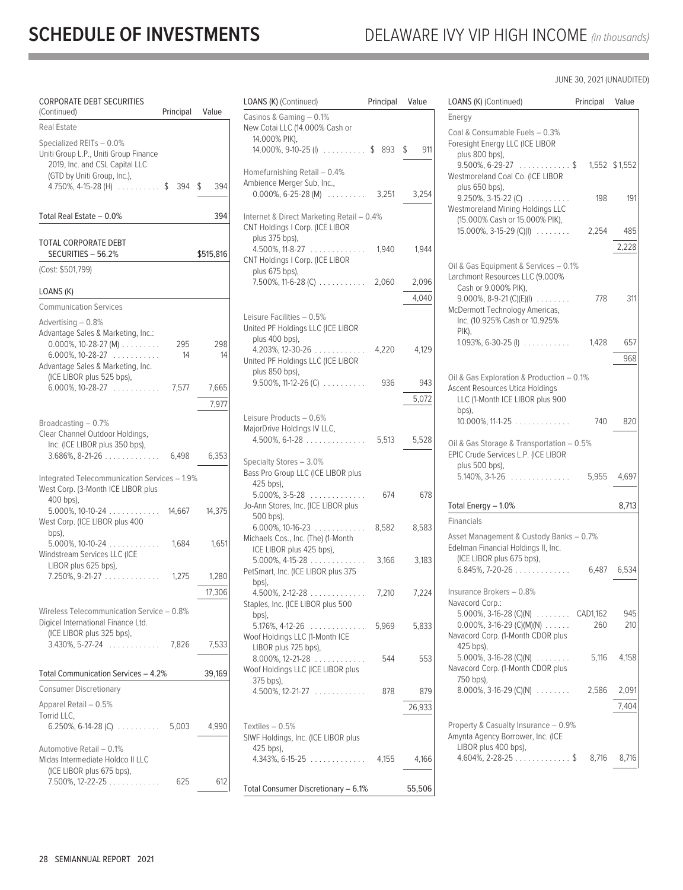# **SCHEDULE OF INVESTMENTS** DELAWARE IVY VIP HIGH INCOME (in thousands)

| <b>CORPORATE DEBT SECURITIES</b><br>(Continued)                                                                                                                                  | Principal | Value     |
|----------------------------------------------------------------------------------------------------------------------------------------------------------------------------------|-----------|-----------|
| <b>Real Estate</b>                                                                                                                                                               |           |           |
| Specialized REITs - 0.0%<br>Uniti Group L.P., Uniti Group Finance<br>2019, Inc. and CSL Capital LLC<br>(GTD by Uniti Group, Inc.),<br>4.750%, 4-15-28 (H) $\ldots \ldots$ \$ 394 |           | \$<br>394 |
| Total Real Estate – 0.0%                                                                                                                                                         |           | 394       |
| TOTAL CORPORATE DEBT<br>SECURITIES - 56.2%                                                                                                                                       |           | \$515,816 |
| (Cost: \$501,799)                                                                                                                                                                |           |           |
| LOANS (K)                                                                                                                                                                        |           |           |
| <b>Communication Services</b>                                                                                                                                                    |           |           |
| Advertising - 0.8%<br>Advantage Sales & Marketing, Inc.:<br>$0.000\%$ , 10-28-27 (M)<br>$6.000\%$ , 10-28-27<br>Advantage Sales & Marketing, Inc.<br>(ICE LIBOR plus 525 bps),   | 295<br>14 | 298<br>14 |
| $6.000\%$ , 10-28-27                                                                                                                                                             | 7,577     | 7,665     |
|                                                                                                                                                                                  |           | 7,977     |
| Broadcasting $-0.7%$<br>Clear Channel Outdoor Holdings,<br>Inc. (ICE LIBOR plus 350 bps),<br>$3.686\%$ , $8-21-26$                                                               | 6,498     | 6,353     |
| Integrated Telecommunication Services - 1.9%<br>West Corp. (3-Month ICE LIBOR plus<br>400 bps),                                                                                  |           |           |
| $5.000\%$ , 10-10-24<br>West Corp. (ICE LIBOR plus 400                                                                                                                           | 14,667    | 14,375    |
| bps).<br>$5.000\%$ , 10-10-24<br>Windstream Services LLC (ICE                                                                                                                    | 1,684     | 1,651     |
| LIBOR plus 625 bps),<br>7.250%, 9-21-27                                                                                                                                          | 1,275     | 1,280     |
|                                                                                                                                                                                  |           | 17,306    |
| Wireless Telecommunication Service — 0.8%<br>Digicel International Finance Ltd.<br>(ICE LIBOR plus 325 bps),                                                                     |           |           |
| $3.430\%$ , 5-27-24 7,826                                                                                                                                                        |           | 7,533     |
| Total Communication Services - 4.2%                                                                                                                                              |           | 39,169    |
| <b>Consumer Discretionary</b>                                                                                                                                                    |           |           |
| Apparel Retail - 0.5%<br>Torrid LLC,<br>6.250%, 6-14-28 (C) $\ldots \ldots \ldots$ 5,003                                                                                         |           | 4,990     |
| Automotive Retail - 0.1%<br>Midas Intermediate Holdco II LLC<br>(ICE LIBOR plus 675 bps),                                                                                        |           |           |
| $7.500\%$ , 12-22-25<br>.                                                                                                                                                        | 625       | 612       |

| LOANS (K) (Continued)                                                                                                              | Principal      | Value          |
|------------------------------------------------------------------------------------------------------------------------------------|----------------|----------------|
| Casinos & Gaming - 0.1%<br>New Cotai LLC (14.000% Cash or<br>14.000% PIK),<br>$14.000\%$ , 9-10-25 (I) $\ldots \ldots \quad $$ 893 |                | \$<br>911      |
|                                                                                                                                    |                |                |
| Homefurnishing Retail - 0.4%<br>Ambience Merger Sub, Inc.,<br>$0.000\%$ , 6-25-28 (M) $\ldots \ldots$                              | 3,251          | 3,254          |
| Internet & Direct Marketing Retail - 0.4%<br>CNT Holdings I Corp. (ICE LIBOR<br>plus 375 bps),                                     |                |                |
| $4.500\%$ , 11-8-27<br>CNT Holdings I Corp. (ICE LIBOR<br>plus 675 bps),                                                           | 1,940          | 1,944          |
|                                                                                                                                    |                | 2,096<br>4,040 |
| Leisure Facilities - 0.5%<br>United PF Holdings LLC (ICE LIBOR<br>plus 400 bps).                                                   |                |                |
| $4.203\%$ , 12-30-26<br>United PF Holdings LLC (ICE LIBOR<br>plus 850 bps),                                                        | 4,220          | 4.129          |
| $9.500\%$ , 11-12-26 (C) $\ldots \ldots \ldots$                                                                                    | 936            | 943<br>5,072   |
| Leisure Products - 0.6%<br>MajorDrive Holdings IV LLC,<br>$4.500\%$ , 6-1-28                                                       | 5,513          | 5,528          |
| Specialty Stores - 3.0%<br>Bass Pro Group LLC (ICE LIBOR plus                                                                      |                |                |
| 425 bps),<br>5.000%, 3-5-28<br>.<br>Jo-Ann Stores, Inc. (ICE LIBOR plus                                                            | 674            | 678            |
| 500 bps),<br>$6.000\%$ , 10-16-23<br>Michaels Cos., Inc. (The) (1-Month<br>ICE LIBOR plus 425 bps),                                | 8,582          | 8,583          |
| $5.000\%$ , 4-15-28<br>PetSmart, Inc. (ICE LIBOR plus 375<br>bps).                                                                 | 3,166          | 3,183          |
| $4.500\%$ , 2-12-28<br>Staples, Inc. (ICE LIBOR plus 500                                                                           | 7,210          | 7,224          |
| bps),<br>$5.176\%$ , 4-12-26 $\dots$<br>Woof Holdings LLC (1-Month ICE                                                             | 5,969          | 5,833          |
| LIBOR plus 725 bps),<br>$8.000\%$ , 12-21-28<br>Woof Holdings LLC (ICE LIBOR plus                                                  | 544            | 553            |
| 375 bps),<br>$4.500\%$ , 12-21-27                                                                                                  | 878            | 879<br>26,933  |
| Textiles $-0.5%$<br>SIWF Holdings, Inc. (ICE LIBOR plus                                                                            |                |                |
| 425 bps),<br>$4.343\%$ , 6-15-25 $\dots$                                                                                           | $\ldots$ 4,155 | 4,166          |
| Total Consumer Discretionary - 6.1%                                                                                                |                | 55,506         |

| LOANS (K) (Continued)                                                                                                                              | Principal       | Value          |
|----------------------------------------------------------------------------------------------------------------------------------------------------|-----------------|----------------|
| Energy                                                                                                                                             |                 |                |
| Coal & Consumable Fuels - 0.3%<br>Foresight Energy LLC (ICE LIBOR<br>plus 800 bps),<br>9.500%, 6-29-27<br>. \$<br>Westmoreland Coal Co. (ICE LIBOR |                 | 1,552 \$1,552  |
| plus 650 bps),<br>$9.250\%$ , 3-15-22 (C) $\ldots \ldots \ldots$<br>Westmoreland Mining Holdings LLC                                               | 198             | 191            |
| (15.000% Cash or 15.000% PIK),<br>$15.000\%$ , 3-15-29 (C)(I)                                                                                      | 2,254           | 485<br>2,228   |
| Oil & Gas Equipment & Services - 0.1%<br>Larchmont Resources LLC (9.000%<br>Cash or 9.000% PIK),                                                   |                 |                |
| $9.000\%$ , 8-9-21 (C)(E)(I)<br>McDermott Technology Americas,<br>Inc. (10.925% Cash or 10.925%<br>PIK).                                           | 778             | 311            |
| $1.093\%$ , 6-30-25 (l) $\ldots \ldots \ldots$                                                                                                     | 1.428           | 657<br>968     |
| Oil & Gas Exploration & Production - 0.1%<br>Ascent Resources Utica Holdings<br>LLC (1-Month ICE LIBOR plus 900<br>bps),                           |                 |                |
| 10.000%, 11-1-25.                                                                                                                                  | 740             | 820            |
| Oil & Gas Storage & Transportation - 0.5%<br>EPIC Crude Services L.P. (ICE LIBOR<br>plus 500 bps),                                                 |                 |                |
| 5.140%, 3-1-26<br>a dia ara-dia ara                                                                                                                | 5,955           | 4,697          |
| Total Energy - 1.0%                                                                                                                                |                 | 8,713          |
| <b>Financials</b>                                                                                                                                  |                 |                |
| Asset Management & Custody Banks - 0.7%<br>Edelman Financial Holdings II, Inc.<br>(ICE LIBOR plus 675 bps),                                        |                 |                |
| $6.845\%$ , 7-20-26                                                                                                                                | 6,487           | 6,534          |
| Insurance Brokers - 0.8%<br>Navacord Corp.:                                                                                                        |                 |                |
| 5.000%, 3-16-28 (C)(N) $\ldots \ldots$<br>$0.000\%$ , 3-16-29 (C)(M)(N) $\ldots \ldots$<br>Navacord Corp. (1-Month CDOR plus                       | CAD1,162<br>260 | 945<br>210     |
| 425 bps),<br>5.000%, 3-16-28 (C)(N) $\ldots$<br>Navacord Corp. (1-Month CDOR plus                                                                  | 5,116           | 4,158          |
| 750 bps),<br>$8.000\%$ , 3-16-29 (C)(N)                                                                                                            | 2,586           | 2,091<br>7,404 |
| Property & Casualty Insurance - 0.9%<br>Amynta Agency Borrower, Inc. (ICE                                                                          |                 |                |
| LIBOR plus 400 bps),<br>$4.604\%$ , 2-28-25 \$                                                                                                     | 8,716           | 8,716          |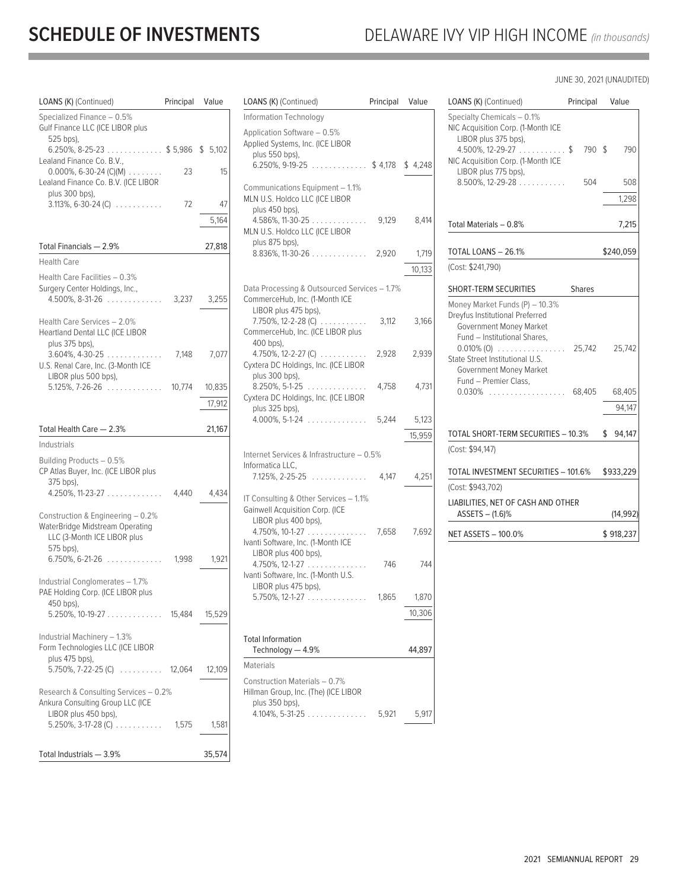# **SCHEDULE OF INVESTMENTS** DELAWARE IVY VIP HIGH INCOME (in thousands)

| LOANS (K) (Continued)                                                                               | Principal | Value             |
|-----------------------------------------------------------------------------------------------------|-----------|-------------------|
| Specialized Finance - 0.5%<br>Gulf Finance LLC (ICE LIBOR plus<br>525 bps),                         |           |                   |
| $6.250\%$ , $8-25-23$<br>Lealand Finance Co. B.V.,                                                  |           | $$5,986$ \$ 5,102 |
| $0.000\%$ , 6-30-24 (C)(M) $\ldots \ldots$<br>Lealand Finance Co. B.V. (ICE LIBOR<br>plus 300 bps), | 23        | 15                |
| $3.113\%$ , 6-30-24 (C) $\ldots$                                                                    | 72        | 47                |
|                                                                                                     |           | 5,164             |
| Total Financials — 2.9%                                                                             |           | 27,818            |
| <b>Health Care</b>                                                                                  |           |                   |
| Health Care Facilities - 0.3%<br>Surgery Center Holdings, Inc.,<br>$4.500\%$ , $8-31-26$            | 3,237     | 3,255             |
| Health Care Services - 2.0%<br>Heartland Dental LLC (ICE LIBOR<br>plus 375 bps),                    |           |                   |
| $3.604\%$ , 4-30-25<br>U.S. Renal Care, Inc. (3-Month ICE                                           | 7,148     | 7,077             |
| LIBOR plus 500 bps),<br>$5.125\%, 7-26-26 \dots$<br>$\ldots$                                        | 10,774    | 10,835            |
|                                                                                                     |           | 17,912            |
| Total Health Care - 2.3%                                                                            |           | 21,167            |
| Industrials                                                                                         |           |                   |
| Building Products - 0.5%<br>CP Atlas Buyer, Inc. (ICE LIBOR plus<br>375 bps),                       |           |                   |
| $4.250\%$ , 11-23-27 $\ldots$                                                                       | 4,440     | 4,434             |
| Construction & Engineering - 0.2%<br>WaterBridge Midstream Operating<br>LLC (3-Month ICE LIBOR plus |           |                   |
| 575 bps),<br>6.750%, 6-21-26<br>.                                                                   | 1,998     | 1,921             |
| Industrial Conglomerates - 1.7%<br>PAE Holding Corp. (ICE LIBOR plus<br>450 bps),                   |           |                   |
| $5.250\%$ , 10-19-27                                                                                | 15,484    | 15,529            |
| Industrial Machinery - 1.3%<br>Form Technologies LLC (ICE LIBOR<br>plus 475 bps),                   |           |                   |
| 5.750%, 7-22-25 (C)<br>.                                                                            | 12,064    | 12,109            |
| Research & Consulting Services - 0.2%<br>Ankura Consulting Group LLC (ICE<br>LIBOR plus 450 bps),   |           |                   |
| $5.250\%$ , 3-17-28 (C)                                                                             | 1,575     | 1,581             |

Total Industrials — 3.9% 35,574

| LOANS (K) (Continued)                                                                                        | Principal | Value           |
|--------------------------------------------------------------------------------------------------------------|-----------|-----------------|
| Information Technology                                                                                       |           |                 |
| Application Software - 0.5%<br>Applied Systems, Inc. (ICE LIBOR<br>plus 550 bps),<br>6.250%, 9-19-25 $\dots$ | \$4,178   | \$4,248         |
| Communications Equipment - 1.1%<br>MLN U.S. Holdco LLC (ICE LIBOR<br>plus 450 bps),                          |           |                 |
| $4.586\%$ , 11-30-25<br>MLN U.S. Holdco LLC (ICE LIBOR                                                       | 9,129     | 8,414           |
| plus 875 bps),<br>$8.836\%$ , 11-30-26                                                                       | 2,920     | 1,719<br>10,133 |
|                                                                                                              |           |                 |
| Data Processing & Outsourced Services - 1.7%<br>CommerceHub, Inc. (1-Month ICE<br>LIBOR plus 475 bps),       |           |                 |
| $7.750\%$ , 12-2-28 (C) $\ldots \ldots \ldots$<br>CommerceHub, Inc. (ICE LIBOR plus<br>400 bps),             | 3,112     | 3,166           |
| 4.750%, 12-2-27 (C) $\ldots \ldots \ldots$<br>Cyxtera DC Holdings, Inc. (ICE LIBOR                           | 2,928     | 2,939           |
| plus 300 bps).<br>8.250%, 5-1-25<br>.<br>Cyxtera DC Holdings, Inc. (ICE LIBOR                                | 4,758     | 4,731           |
| plus 325 bps).<br>$4.000\%$ , 5-1-24                                                                         | 5,244     | 5,123<br>15,959 |
|                                                                                                              |           |                 |
| Internet Services & Infrastructure - 0.5%                                                                    |           |                 |
| Informatica LLC,<br>$7.125\%$ , 2-25-25 $\dots\dots\dots$                                                    | 4,147     | 4,251           |
| IT Consulting & Other Services - 1.1%<br>Gainwell Acquisition Corp. (ICE                                     |           |                 |
| LIBOR plus 400 bps),<br>$4.750\%$ , 10-1-27<br>Ivanti Software, Inc. (1-Month ICE                            | 7,658     | 7,692           |
| LIBOR plus 400 bps),<br>$4.750\%$ , 12-1-27<br>Ivanti Software, Inc. (1-Month U.S.                           | 746       | 744             |
| LIBOR plus 475 bps),<br>$5.750\%$ , 12-1-27                                                                  | 1,865     | 1,870           |
|                                                                                                              |           | 10,306          |
| <b>Total Information</b><br>Technology - 4.9%                                                                |           | 44,897          |
| Materials                                                                                                    |           |                 |
| Construction Materials - 0.7%<br>Hillman Group, Inc. (The) (ICE LIBOR<br>plus 350 bps),                      |           |                 |
| $4.104\%$ , 5-31-25                                                                                          | 5,921     | 5,917           |

|                                      | Value                     |
|--------------------------------------|---------------------------|
|                                      |                           |
|                                      | 790                       |
| 504                                  | 508                       |
|                                      | 1,298                     |
|                                      | 7,215                     |
|                                      | \$240,059                 |
|                                      |                           |
| <b>Shares</b>                        |                           |
| 25,742                               | 25.742                    |
| 68.405                               | 68.405                    |
|                                      | 94,147                    |
| TOTAL SHORT-TERM SECURITIES - 10.3%  | \$<br>94,147              |
|                                      |                           |
| TOTAL INVESTMENT SECURITIES - 101.6% | \$933,229                 |
|                                      |                           |
| LIABILITIES, NET OF CASH AND OTHER   | (14, 992)                 |
|                                      | \$918,237                 |
|                                      | Principal<br>\$<br>790 \$ |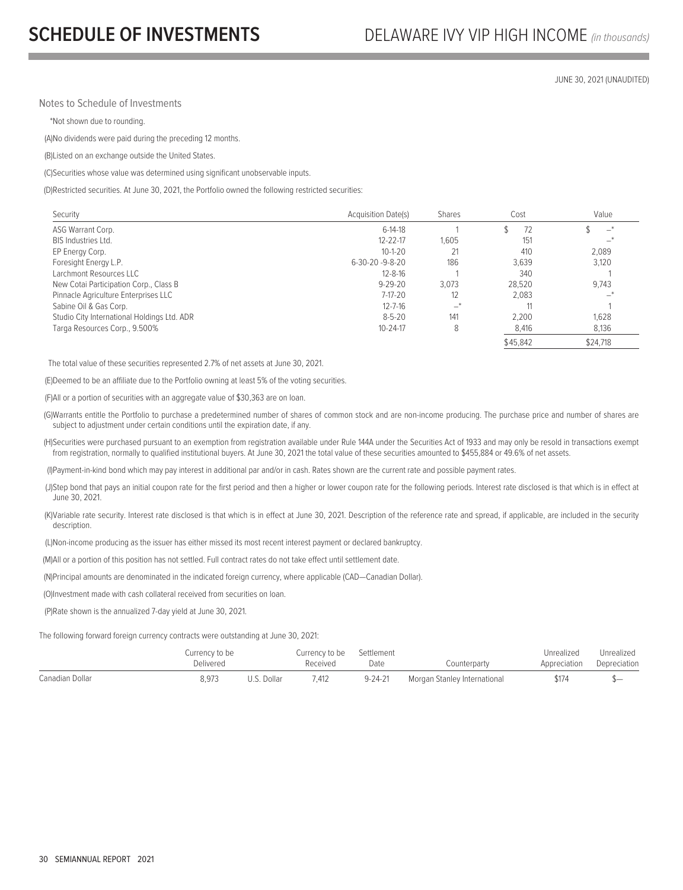Notes to Schedule of Investments

\*Not shown due to rounding.

(A)No dividends were paid during the preceding 12 months.

(B)Listed on an exchange outside the United States.

(C)Securities whose value was determined using significant unobservable inputs.

(D)Restricted securities. At June 30, 2021, the Portfolio owned the following restricted securities:

| Security                                    | <b>Acquisition Date(s)</b> | <b>Shares</b> | Cost     | Value    |
|---------------------------------------------|----------------------------|---------------|----------|----------|
| ASG Warrant Corp.                           | $6 - 14 - 18$              |               | 72       | $-^*$    |
| BIS Industries Ltd.                         | $12 - 22 - 17$             | 1,605         | 151      |          |
| EP Energy Corp.                             | $10-1-20$                  | 21            | 410      | 2,089    |
| Foresight Energy L.P.                       | $6 - 30 - 20 - 9 - 8 - 20$ | 186           | 3.639    | 3.120    |
| Larchmont Resources LLC                     | $12 - 8 - 16$              |               | 340      |          |
| New Cotai Participation Corp., Class B      | $9 - 29 - 20$              | 3.073         | 28.520   | 9.743    |
| Pinnacle Agriculture Enterprises LLC        | $7-17-20$                  | 12            | 2,083    | -        |
| Sabine Oil & Gas Corp.                      | $12 - 7 - 16$              | $-$ *         | 11       |          |
| Studio City International Holdings Ltd. ADR | $8 - 5 - 20$               | 141           | 2.200    | 1,628    |
| Targa Resources Corp., 9.500%               | $10 - 24 - 17$             | 8             | 8,416    | 8,136    |
|                                             |                            |               | \$45,842 | \$24,718 |

The total value of these securities represented 2.7% of net assets at June 30, 2021.

(E)Deemed to be an affiliate due to the Portfolio owning at least 5% of the voting securities.

(F)All or a portion of securities with an aggregate value of \$30,363 are on loan.

(G)Warrants entitle the Portfolio to purchase a predetermined number of shares of common stock and are non-income producing. The purchase price and number of shares are subject to adjustment under certain conditions until the expiration date, if any.

(H)Securities were purchased pursuant to an exemption from registration available under Rule 144A under the Securities Act of 1933 and may only be resold in transactions exempt from registration, normally to qualified institutional buyers. At June 30, 2021 the total value of these securities amounted to \$455,884 or 49.6% of net assets.

(I)Payment-in-kind bond which may pay interest in additional par and/or in cash. Rates shown are the current rate and possible payment rates.

(J)Step bond that pays an initial coupon rate for the first period and then a higher or lower coupon rate for the following periods. Interest rate disclosed is that which is in effect at June 30, 2021.

(K)Variable rate security. Interest rate disclosed is that which is in effect at June 30, 2021. Description of the reference rate and spread, if applicable, are included in the security description.

(L)Non-income producing as the issuer has either missed its most recent interest payment or declared bankruptcy.

(M)All or a portion of this position has not settled. Full contract rates do not take effect until settlement date.

(N)Principal amounts are denominated in the indicated foreign currency, where applicable (CAD—Canadian Dollar).

(O)Investment made with cash collateral received from securities on loan.

(P)Rate shown is the annualized 7-day yield at June 30, 2021.

The following forward foreign currency contracts were outstanding at June 30, 2021:

|                 | Currency to be<br>Delivered |             | Currency to be<br>Received | Settlement<br>Date | Counterparty                 | Unrealized<br>Appreciation | Unrealized<br>Depreciation |
|-----------------|-----------------------------|-------------|----------------------------|--------------------|------------------------------|----------------------------|----------------------------|
| Canadian Dollar | 8.973                       | U.S. Dollar | 1,412                      | $9 - 24 - 21$      | Morgan Stanley International | \$174                      |                            |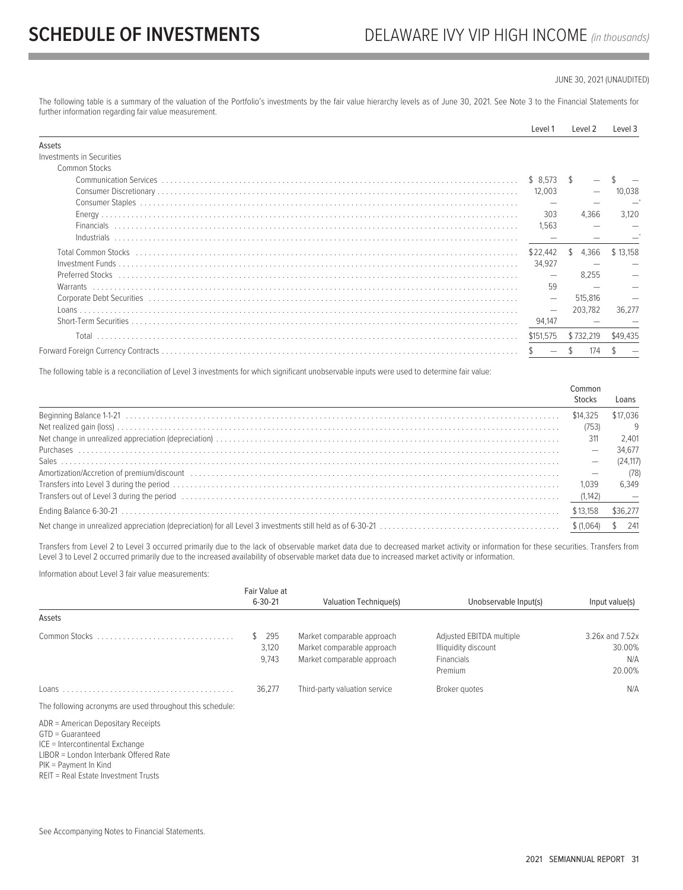## **SCHEDULE OF INVESTMENTS** DELAWARE IVY VIP HIGH INCOME (in thousands)

#### JUNE 30, 2021 (UNAUDITED)

The following table is a summary of the valuation of the Portfolio's investments by the fair value hierarchy levels as of June 30, 2021. See Note 3 to the Financial Statements for further information regarding fair value measurement.

|                               | Level 1                         | Level 2     | Level 3  |
|-------------------------------|---------------------------------|-------------|----------|
| Assets                        |                                 |             |          |
| Investments in Securities     |                                 |             |          |
| <b>Common Stocks</b>          |                                 |             |          |
| <b>Communication Services</b> | \$8.573                         | \$.         |          |
|                               | 12.003                          |             | 10.038   |
|                               |                                 |             |          |
|                               | 303                             | 4,366       | 3.120    |
| Financials                    | 1,563                           |             |          |
|                               |                                 |             |          |
|                               | \$22,442                        | 4,366<br>S. | \$13,158 |
|                               | 34,927                          |             |          |
| <b>Preferred Stocks</b>       |                                 | 8.255       |          |
| Warrants                      | 59                              |             |          |
|                               | $\overline{\phantom{m}}$        | 515,816     |          |
|                               | $\hspace{0.1mm}-\hspace{0.1mm}$ | 203,782     | 36,277   |
|                               | 94,147                          |             |          |
| Total                         | \$151,575                       | \$732.219   | \$49,435 |
|                               |                                 |             |          |

The following table is a reconciliation of Level 3 investments for which significant unobservable inputs were used to determine fair value:

|                                                                                                                                                                                                                                | Common<br><b>Stocks</b> | Loans    |
|--------------------------------------------------------------------------------------------------------------------------------------------------------------------------------------------------------------------------------|-------------------------|----------|
|                                                                                                                                                                                                                                | \$14.325                | \$17,036 |
|                                                                                                                                                                                                                                | (753)                   | 9        |
|                                                                                                                                                                                                                                | 311                     | 2.401    |
|                                                                                                                                                                                                                                |                         | 34.677   |
|                                                                                                                                                                                                                                |                         | (24.117) |
|                                                                                                                                                                                                                                |                         | (78)     |
|                                                                                                                                                                                                                                | 1.039                   | 6.349    |
| Transfers out of Level 3 during the period entertainment contained and contained and contained and contained and contained and contained and contained and contained and contained and contained and contained and contained a | (1, 142)                |          |
|                                                                                                                                                                                                                                | \$13,158                | \$36,277 |
|                                                                                                                                                                                                                                | \$ (1.064)              | 241      |

Transfers from Level 2 to Level 3 occurred primarily due to the lack of observable market data due to decreased market activity or information for these securities. Transfers from Level 3 to Level 2 occurred primarily due to the increased availability of observable market data due to increased market activity or information.

Information about Level 3 fair value measurements:

|                                                           | Fair Value at<br>6-30-21 | <b>Valuation Technique(s)</b>                                                          | Unobservable Input(s)                                                     | Input value(s)                             |
|-----------------------------------------------------------|--------------------------|----------------------------------------------------------------------------------------|---------------------------------------------------------------------------|--------------------------------------------|
| Assets                                                    |                          |                                                                                        |                                                                           |                                            |
| Common Stocks                                             | \$ 295<br>3,120<br>9,743 | Market comparable approach<br>Market comparable approach<br>Market comparable approach | Adjusted EBITDA multiple<br>Illiquidity discount<br>Financials<br>Premium | 3.26x and 7.52x<br>30.00%<br>N/A<br>20.00% |
|                                                           | 36,277                   | Third-party valuation service                                                          | Broker quotes                                                             | N/A                                        |
| The following acronyms are used throughout this schedule: |                          |                                                                                        |                                                                           |                                            |
| ADR = American Depositary Receipts<br>GTD = Guaranteed    |                          |                                                                                        |                                                                           |                                            |

ICE = Intercontinental Exchange

LIBOR = London Interbank Offered Rate

PIK = Payment In Kind

REIT = Real Estate Investment Trusts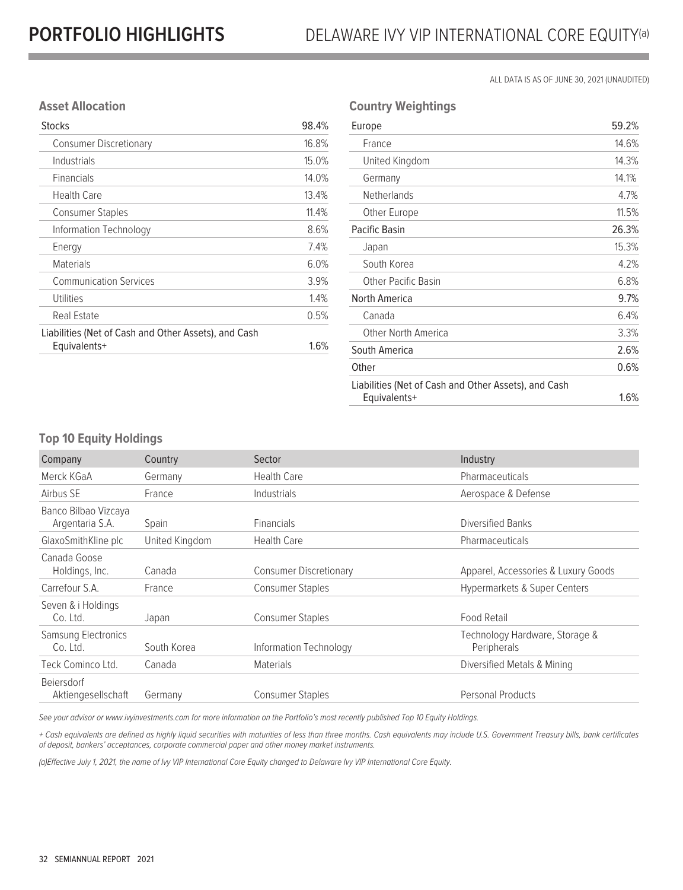#### **Asset Allocation**

| <b>Stocks</b>                                                        | 98.4% |
|----------------------------------------------------------------------|-------|
| <b>Consumer Discretionary</b>                                        | 16.8% |
| Industrials                                                          | 15.0% |
| <b>Financials</b>                                                    | 14.0% |
| <b>Health Care</b>                                                   | 13.4% |
| <b>Consumer Staples</b>                                              | 11.4% |
| Information Technology                                               | 8.6%  |
| Energy                                                               | 7.4%  |
| Materials                                                            | 6.0%  |
| <b>Communication Services</b>                                        | 3.9%  |
| Utilities                                                            | 1.4%  |
| Real Estate                                                          | 0.5%  |
| Liabilities (Net of Cash and Other Assets), and Cash<br>Equivalents+ | 1.6%  |

#### **Country Weightings**

| Europe                                               | 59.2% |
|------------------------------------------------------|-------|
| France                                               | 14.6% |
| United Kingdom                                       | 14.3% |
| Germany                                              | 14.1% |
| <b>Netherlands</b>                                   | 4.7%  |
| Other Europe                                         | 11.5% |
| Pacific Basin                                        | 26.3% |
| Japan                                                | 15.3% |
| South Korea                                          | 4.2%  |
| Other Pacific Basin                                  | 6.8%  |
| North America                                        | 9.7%  |
| Canada                                               | 6.4%  |
| Other North America                                  | 3.3%  |
| South America                                        | 2.6%  |
| Other                                                | 0.6%  |
| Liabilities (Net of Cash and Other Assets), and Cash |       |
| Equivalents+                                         | 1.6%  |

#### **Top 10 Equity Holdings**

| Company                                 | Country        | Sector                        | Industry                                      |  |
|-----------------------------------------|----------------|-------------------------------|-----------------------------------------------|--|
| Merck KGaA                              | Germany        | <b>Health Care</b>            | <b>Pharmaceuticals</b>                        |  |
| Airbus SE                               | France         | <b>Industrials</b>            | Aerospace & Defense                           |  |
| Banco Bilbao Vizcaya<br>Argentaria S.A. | Spain          | <b>Financials</b>             | Diversified Banks                             |  |
| GlaxoSmithKline plc                     | United Kingdom | <b>Health Care</b>            | <b>Pharmaceuticals</b>                        |  |
| Canada Goose<br>Holdings, Inc.          | Canada         | <b>Consumer Discretionary</b> | Apparel, Accessories & Luxury Goods           |  |
| Carrefour S.A.                          | France         | <b>Consumer Staples</b>       | Hypermarkets & Super Centers                  |  |
| Seven & i Holdings<br>Co. Ltd.          | Japan          | <b>Consumer Staples</b>       | <b>Food Retail</b>                            |  |
| Samsung Electronics<br>Co. Ltd.         | South Korea    | Information Technology        | Technology Hardware, Storage &<br>Peripherals |  |
| Teck Cominco Ltd.                       | Canada         | <b>Materials</b>              | Diversified Metals & Mining                   |  |
| <b>Bejersdorf</b><br>Aktiengesellschaft | Germany        | <b>Consumer Staples</b>       | <b>Personal Products</b>                      |  |

See your advisor or www.ivyinvestments.com for more information on the Portfolio's most recently published Top 10 Equity Holdings.

+ Cash equivalents are defined as highly liquid securities with maturities of less than three months. Cash equivalents may include U.S. Government Treasury bills, bank certificates of deposit, bankers' acceptances, corporate commercial paper and other money market instruments.

(a)Effective July 1, 2021, the name of Ivy VIP International Core Equity changed to Delaware Ivy VIP International Core Equity.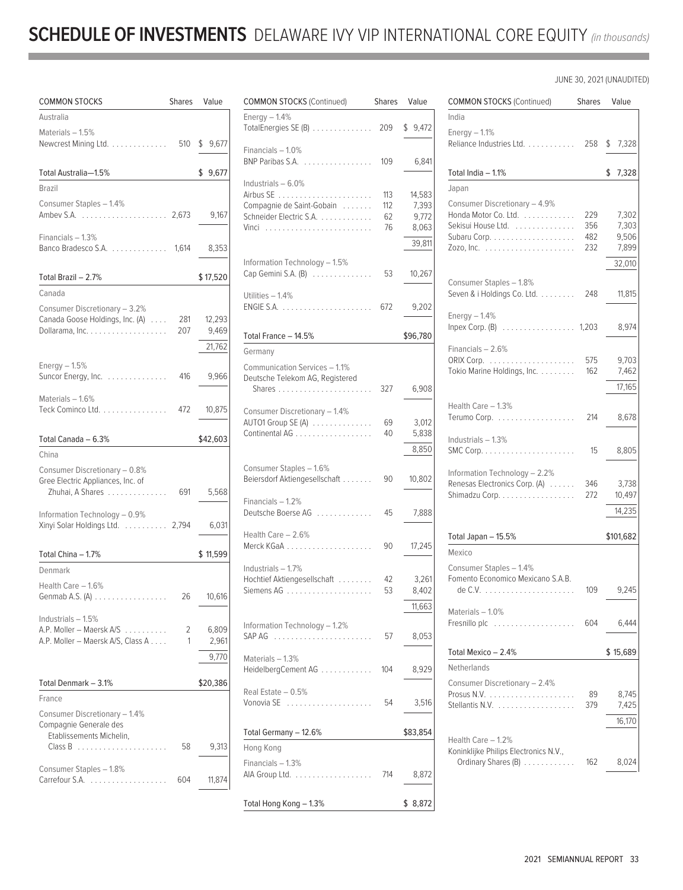| <b>COMMON STOCKS</b>                                                                   | <b>Shares</b> | Value                     |
|----------------------------------------------------------------------------------------|---------------|---------------------------|
| Australia                                                                              |               |                           |
| Materials - 1.5%<br>Newcrest Mining Ltd.                                               | 510           | \$<br>9,677               |
| Total Australia—1.5%                                                                   |               | \$<br>9,677               |
| <b>Brazil</b>                                                                          |               |                           |
| Consumer Staples - 1.4%<br>Ambey S.A.                                                  | 2,673         | 9,167                     |
| Financials - 1.3%<br>Banco Bradesco S.A.                                               | 1,614         | 8,353                     |
| Total Brazil - 2.7%                                                                    |               | \$17,520                  |
| Canada                                                                                 |               |                           |
| Consumer Discretionary - 3.2%<br>Canada Goose Holdings, Inc. (A)<br>Dollarama, Inc.    | 281<br>207    | 12,293<br>9,469<br>21,762 |
| Energy $-1.5%$<br>Suncor Energy, Inc.                                                  | 416           | 9,966                     |
| Materials - 1.6%<br>Teck Cominco Ltd.                                                  | 472           | 10,875                    |
| Total Canada - 6.3%                                                                    |               | \$42,603                  |
| China                                                                                  |               |                           |
| Consumer Discretionary - 0.8%<br>Gree Electric Appliances, Inc. of<br>Zhuhai, A Shares | 691           | 5,568                     |
| Information Technology - 0.9%<br>Xinyi Solar Holdings Ltd.                             | 2,794         | 6,031                     |
| Total China - 1.7%                                                                     |               | \$11,599                  |
| Denmark                                                                                |               |                           |
| Health Care - 1.6%<br>Genmab A.S. (A).                                                 | 26            | 10,616                    |
| Industrials - 1.5%<br>A.P. Moller - Maersk A/S<br>A.P. Moller - Maersk A/S, Class A    | 2<br>1        | 6,809<br>2,961<br>9,770   |
| Total Denmark - 3.1%                                                                   |               | \$20,386                  |
| France                                                                                 |               |                           |
| Consumer Discretionary - 1.4%<br>Compagnie Generale des<br>Etablissements Michelin,    |               |                           |
| $Class B$                                                                              | 58            | 9,313                     |
| Consumer Staples - 1.8%                                                                | 604           | 11,874                    |

| <b>COMMON STOCKS (Continued)</b>      | <b>Shares</b> | Value       |
|---------------------------------------|---------------|-------------|
| Energy $-1.4%$                        |               |             |
| TotalEnergies SE (B)                  | 209           | \$<br>9,472 |
| Financials - 1.0%                     |               |             |
| <b>BNP Paribas S.A.</b><br>.          | 109           | 6,841       |
| Industrials - 6.0%                    |               |             |
|                                       | 113           | 14,583      |
| Compagnie de Saint-Gobain             | 112           | 7,393       |
| Schneider Electric S.A.               | 62            | 9,772       |
| Vinci                                 | 76            | 8,063       |
|                                       |               |             |
|                                       |               | 39,811      |
| Information Technology - 1.5%         |               |             |
| Cap Gemini S.A. (B)                   | 53            | 10,267      |
|                                       |               |             |
| Utilities - 1.4%                      |               |             |
|                                       | 672           | 9,202       |
|                                       |               |             |
| Total France - 14.5%                  |               | \$96,780    |
| Germany                               |               |             |
| Communication Services - 1.1%         |               |             |
| Deutsche Telekom AG, Registered       |               |             |
|                                       | 327           | 6,908       |
|                                       |               |             |
| Consumer Discretionary - 1.4%         |               |             |
| AUTO1 Group SE (A)                    | 69            | 3,012       |
| Continental AG                        | 40            | 5,838       |
|                                       |               | 8,850       |
|                                       |               |             |
| Consumer Staples - 1.6%               |               |             |
| Beiersdorf Aktiengesellschaft         | 90            | 10,802      |
| Financials - 1.2%                     |               |             |
| Deutsche Boerse AG                    | 45            | 7,888       |
|                                       |               |             |
| Health Care - 2.6%                    |               |             |
| Merck KGaA                            | 90            | 17,245      |
|                                       |               |             |
| Industrials - 1.7%                    |               |             |
| Hochtief Aktiengesellschaft           | 42            | 3,261       |
| Siemens AG<br>a a a a a a a a a a a a | 53            | 8,402       |
|                                       |               | 11,663      |
|                                       |               |             |
| Information Technology - 1.2%         |               |             |
| $SAPAG$<br>.                          | 57            | 8,053       |
| Materials - 1.3%                      |               |             |
| HeidelbergCement AG                   | 104           | 8,929       |
|                                       |               |             |
| Real Estate $-0.5%$                   |               |             |
| Vonovia SE                            | 54            | 3,516       |
|                                       |               |             |
| Total Germany - 12.6%                 |               | \$83,854    |
| Hong Kong                             |               |             |
| Financials - 1.3%                     |               |             |
|                                       | 714           |             |
| AIA Group Ltd.                        |               | 8,872       |
|                                       |               |             |
| Total Hong Kong - 1.3%                |               | \$<br>8,872 |

| <b>COMMON STOCKS (Continued)</b>                                                   | <b>Shares</b>     | Value                     |
|------------------------------------------------------------------------------------|-------------------|---------------------------|
| India                                                                              |                   |                           |
| Energy $-1.1%$<br>Reliance Industries Ltd.                                         | 258               | \$<br>7,328               |
| Total India - 1.1%                                                                 |                   | \$<br>7,328               |
| Japan                                                                              |                   |                           |
| Consumer Discretionary - 4.9%<br>Honda Motor Co. Ltd.<br>Sekisui House Ltd.        | 229<br>356<br>482 | 7,302<br>7,303<br>9,506   |
|                                                                                    | 232               | 7,899<br>32,010           |
| Consumer Staples - 1.8%<br>Seven & i Holdings Co. Ltd.                             | 248               | 11,815                    |
| Energy $-1.4%$<br>Inpex Corp. (B)<br>.                                             | 1,203             | 8,974                     |
| Financials - 2.6%<br>ORIX Corp.<br>.<br>Tokio Marine Holdings, Inc.                | 575<br>162        | 9,703<br>7,462<br>17,165  |
| Health Care - 1.3%<br>Terumo Corp.<br>a a a a a a a a                              | 214               | 8,678                     |
| Industrials - 1.3%<br>SMC Corp. $\dots \dots \dots \dots \dots \dots \dots \dots$  | 15                | 8,805                     |
| Information Technology - 2.2%<br>Renesas Electronics Corp. (A)<br>Shimadzu Corp.   | 346<br>272        | 3,738<br>10,497<br>14,235 |
| Total Japan - 15.5%                                                                |                   | \$101,682                 |
| Mexico                                                                             |                   |                           |
| Consumer Staples - 1.4%<br>Fomento Economico Mexicano S.A.B.<br>de C.V.            | 109               | 9,245                     |
| Materials - 1.0%<br>Fresnillo plc                                                  | 604               | 6,444                     |
| Total Mexico - 2.4%                                                                |                   | \$15,689                  |
| Netherlands                                                                        |                   |                           |
| Consumer Discretionary - 2.4%<br>Stellantis N.V.                                   | 89<br>379         | 8,745<br>7,425<br>16,170  |
| Health Care - 1.2%<br>Koninklijke Philips Electronics N.V.,<br>Ordinary Shares (B) | 162               | 8,02                      |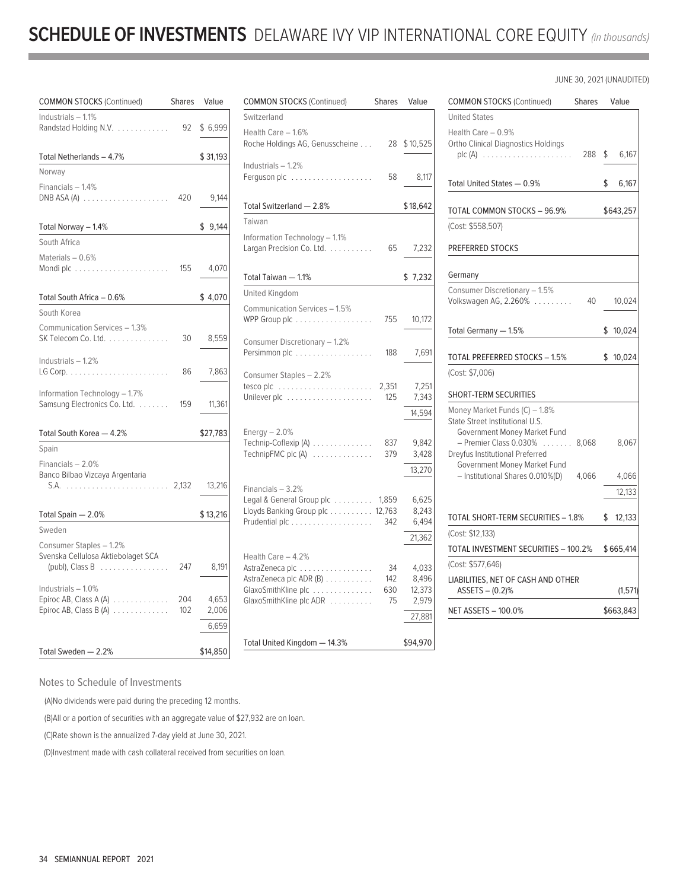| <b>COMMON STOCKS (Continued)</b>                                                          | <b>Shares</b> | Value                   |
|-------------------------------------------------------------------------------------------|---------------|-------------------------|
| Industrials - 1.1%<br>Randstad Holding N.V.                                               | 92            | \$ 6,999                |
| Total Netherlands - 4.7%                                                                  |               | \$31,193                |
| Norway                                                                                    |               |                         |
| Financials-1.4%<br>$DNB ASA (A) \ldots \ldots \ldots \ldots \ldots$                       | 420           | 9,144                   |
| Total Norway - 1.4%                                                                       |               | \$<br>9,144             |
| South Africa                                                                              |               |                         |
| Materials - 0.6%<br>Mondi plc                                                             | 155           | 4,070                   |
| Total South Africa - 0.6%                                                                 |               | \$4,070                 |
| South Korea                                                                               |               |                         |
| Communication Services - 1.3%<br>SK Telecom Co. Ltd.                                      | 30            | 8,559                   |
| Industrials - 1.2%<br>$LG$ Corp. $\ldots \ldots$ .                                        | 86            | 7,863                   |
| Information Technology - 1.7%<br>Samsung Electronics Co. Ltd.                             | 159           | 11,361                  |
| Total South Korea - 4.2%                                                                  |               | \$27,783                |
| Spain                                                                                     |               |                         |
| Financials - 2.0%<br>Banco Bilbao Vizcaya Argentaria<br>$S.A.$<br>.                       | 2,132         | 13,216                  |
| Total Spain - 2.0%                                                                        |               | \$13,216                |
| Sweden                                                                                    |               |                         |
| Consumer Staples - 1.2%<br>Svenska Cellulosa Aktiebolaget SCA<br>(publ), Class B $\ldots$ | 247           | 8,191                   |
| Industrials - 1.0%<br>Epiroc AB, Class A $(A)$<br>Epiroc AB, Class B $(A)$                | 204<br>102    | 4,653<br>2,006<br>6,659 |
| Total Sweden - 2.2%                                                                       |               | \$14,850                |

| <b>COMMON STOCKS (Continued)</b>                                                                                   | <b>Shares</b>          | Value                                       |
|--------------------------------------------------------------------------------------------------------------------|------------------------|---------------------------------------------|
| Switzerland                                                                                                        |                        |                                             |
| Health Care - 1.6%<br>Roche Holdings AG, Genusscheine                                                              | 28                     | \$10,525                                    |
| Industrials - 1.2%<br>Ferguson plc<br>.                                                                            | 58                     | 8,117                                       |
| Total Switzerland - 2.8%                                                                                           |                        | \$18,642                                    |
| Taiwan                                                                                                             |                        |                                             |
| Information Technology - 1.1%<br>Largan Precision Co. Ltd.                                                         | 65                     | 7,232                                       |
| Total Taiwan - 1.1%                                                                                                |                        | \$7,232                                     |
| United Kingdom                                                                                                     |                        |                                             |
| Communication Services - 1.5%<br>WPP Group plc $\dots\dots\dots\dots\dots\dots\dots$                               | 755                    | 10,172                                      |
| Consumer Discretionary - 1.2%<br>Persimmon plc                                                                     | 188                    | 7,691                                       |
| Consumer Staples - 2.2%                                                                                            | 2,351<br>125           | 7,251<br>7,343<br>14,594                    |
| Energy $-2.0%$<br>Technip-Coflexip $(A)$<br>TechnipFMC plc $(A)$                                                   | 837<br>379             | 9,842<br>3,428                              |
| Financials - 3.2%<br>Legal & General Group plc<br>Lloyds Banking Group plc 12,763                                  | 1,859<br>342           | 13,270<br>6,625<br>8,243<br>6,494<br>21,362 |
| Health Care - 4.2%<br>AstraZeneca plc<br>AstraZeneca plc ADR (B)<br>GlaxoSmithKline plc<br>GlaxoSmithKline plc ADR | 34<br>142<br>630<br>75 | 4,033<br>8,496<br>12,373<br>2,979<br>27,881 |
| Total United Kingdom - 14.3%                                                                                       |                        | \$94,970                                    |

| <b>COMMON STOCKS (Continued)</b>                                                                                                                                               | <b>Shares</b> | Value        |
|--------------------------------------------------------------------------------------------------------------------------------------------------------------------------------|---------------|--------------|
| <b>United States</b>                                                                                                                                                           |               |              |
| Health Care - 0.9%<br>Ortho Clinical Diagnostics Holdings<br>$p$ IC (A) $\ldots \ldots \ldots$                                                                                 | 288           | \$<br>6,167  |
| Total United States - 0.9%                                                                                                                                                     |               | \$<br>6,167  |
| TOTAL COMMON STOCKS - 96.9%                                                                                                                                                    |               | \$643,257    |
| (Cost: \$558,507)                                                                                                                                                              |               |              |
| <b>PREFERRED STOCKS</b>                                                                                                                                                        |               |              |
| Germany                                                                                                                                                                        |               |              |
| Consumer Discretionary - 1.5%<br>Volkswagen AG, 2.260%                                                                                                                         | 40            | 10,024       |
| Total Germany - 1.5%                                                                                                                                                           |               | \$<br>10,024 |
| TOTAL PREFERRED STOCKS - 1.5%                                                                                                                                                  |               | \$<br>10,024 |
| (Cost: \$7,006)                                                                                                                                                                |               |              |
| SHORT-TERM SECURITIES                                                                                                                                                          |               |              |
| Money Market Funds (C) - 1.8%<br>State Street Institutional U.S.<br>Government Money Market Fund<br>- Premier Class 0.030%<br>a a a a a a a<br>Dreyfus Institutional Preferred | 8,068         | 8,067        |
| Government Money Market Fund<br>- Institutional Shares 0.010%(D)                                                                                                               | 4,066         | 4,066        |
|                                                                                                                                                                                |               | 12,133       |
| TOTAL SHORT-TERM SECURITIES - 1.8%                                                                                                                                             |               | \$<br>12,133 |
| (Cost: \$12,133)                                                                                                                                                               |               |              |
| TOTAL INVESTMENT SECURITIES - 100.2%                                                                                                                                           |               | \$665,414    |
| (Cost: \$577,646)                                                                                                                                                              |               |              |
| LIABILITIES, NET OF CASH AND OTHER<br>$ASSETS - (0.2)\%$                                                                                                                       |               | (1, 571)     |
| <b>NET ASSETS - 100.0%</b>                                                                                                                                                     |               | \$663,843    |

Notes to Schedule of Investments

(A)No dividends were paid during the preceding 12 months.

(B)All or a portion of securities with an aggregate value of \$27,932 are on loan.

(C)Rate shown is the annualized 7-day yield at June 30, 2021.

(D)Investment made with cash collateral received from securities on loan.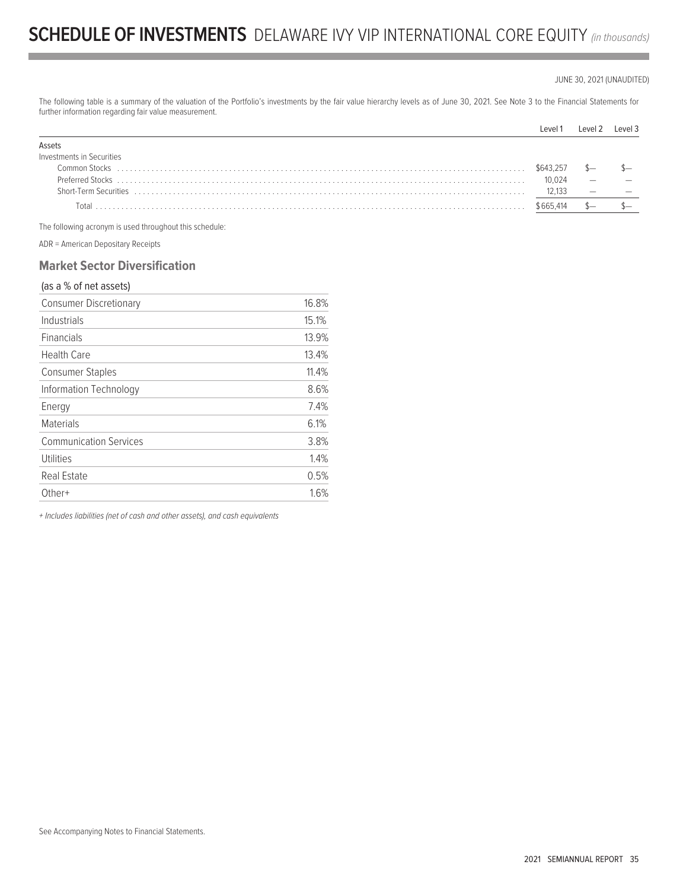The following table is a summary of the valuation of the Portfolio's investments by the fair value hierarchy levels as of June 30, 2021. See Note 3 to the Financial Statements for further information regarding fair value measurement.

|                           | Level 1   | l evel 2 | E level |
|---------------------------|-----------|----------|---------|
| Assets                    |           |          |         |
| Investments in Securities |           |          |         |
| Common Stocks             | \$643.257 |          |         |
| <b>Preferred Stocks</b>   | 10.024    |          |         |
|                           | 12.133    |          |         |
|                           |           |          |         |

The following acronym is used throughout this schedule:

ADR = American Depositary Receipts

### **Market Sector Diversification**

#### (as a % of net assets)

| <b>Consumer Discretionary</b> | 16.8% |
|-------------------------------|-------|
| Industrials                   | 15.1% |
| <b>Financials</b>             | 13.9% |
| <b>Health Care</b>            | 13.4% |
| <b>Consumer Staples</b>       | 11.4% |
| Information Technology        | 8.6%  |
| Energy                        | 7.4%  |
| <b>Materials</b>              | 6.1%  |
| <b>Communication Services</b> | 3.8%  |
| Utilities                     | 1.4%  |
| Real Estate                   | 0.5%  |
| Other+                        | 1.6%  |

+ Includes liabilities (net of cash and other assets), and cash equivalents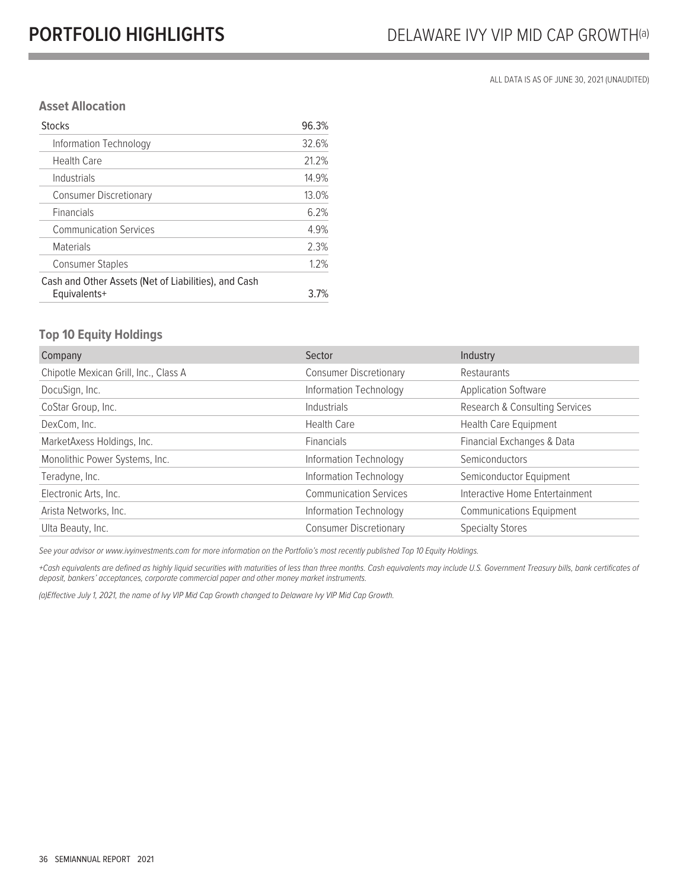#### **Asset Allocation**

| <b>Stocks</b>                                        | 96.3% |
|------------------------------------------------------|-------|
| Information Technology                               | 32.6% |
| <b>Health Care</b>                                   | 21.2% |
| Industrials                                          | 14.9% |
| Consumer Discretionary                               | 13.0% |
| <b>Financials</b>                                    | 6.2%  |
| <b>Communication Services</b>                        | 4.9%  |
| <b>Materials</b>                                     | 2.3%  |
| <b>Consumer Staples</b>                              | 12%   |
| Cash and Other Assets (Net of Liabilities), and Cash |       |
| Equivalents+                                         | 3.7%  |

### **Top 10 Equity Holdings**

| Company                               | Sector                        | Industry                        |
|---------------------------------------|-------------------------------|---------------------------------|
| Chipotle Mexican Grill, Inc., Class A | <b>Consumer Discretionary</b> | Restaurants                     |
| DocuSign, Inc.                        | Information Technology        | <b>Application Software</b>     |
| CoStar Group, Inc.                    | <b>Industrials</b>            | Research & Consulting Services  |
| DexCom, Inc.                          | <b>Health Care</b>            | Health Care Equipment           |
| MarketAxess Holdings, Inc.            | <b>Financials</b>             | Financial Exchanges & Data      |
| Monolithic Power Systems, Inc.        | Information Technology        | Semiconductors                  |
| Teradyne, Inc.                        | Information Technology        | Semiconductor Equipment         |
| Electronic Arts, Inc.                 | <b>Communication Services</b> | Interactive Home Entertainment  |
| Arista Networks, Inc.                 | Information Technology        | <b>Communications Equipment</b> |
| Ulta Beauty, Inc.                     | <b>Consumer Discretionary</b> | <b>Specialty Stores</b>         |

See your advisor or www.ivyinvestments.com for more information on the Portfolio's most recently published Top 10 Equity Holdings.

+Cash equivalents are defined as highly liquid securities with maturities of less than three months. Cash equivalents may include U.S. Government Treasury bills, bank certificates of deposit, bankers' acceptances, corporate commercial paper and other money market instruments.

(a)Effective July 1, 2021, the name of Ivy VIP Mid Cap Growth changed to Delaware Ivy VIP Mid Cap Growth.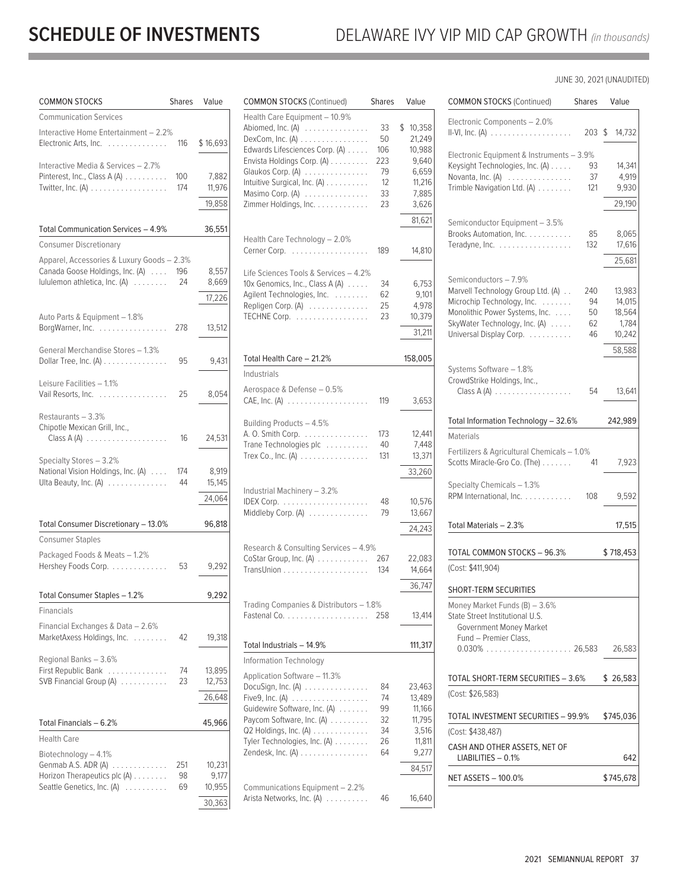# **SCHEDULE OF INVESTMENTS** DELAWARE IVY VIP MID CAP GROWTH (in thousands)

| <b>COMMON STOCKS</b>                                                                                           | <b>Shares</b>   | Value                               |
|----------------------------------------------------------------------------------------------------------------|-----------------|-------------------------------------|
| <b>Communication Services</b>                                                                                  |                 |                                     |
| Interactive Home Entertainment - 2.2%<br>Electronic Arts, Inc.                                                 | 116             | \$16,693                            |
| Interactive Media & Services - 2.7%<br>Pinterest, Inc., Class A (A)<br>Twitter, Inc. $(A)$                     | 100<br>174      | 7,882<br>11,976<br>19,858           |
| Total Communication Services - 4.9%                                                                            |                 | 36,551                              |
| <b>Consumer Discretionary</b>                                                                                  |                 |                                     |
| Apparel, Accessories & Luxury Goods - 2.3%<br>Canada Goose Holdings, Inc. (A)<br>lululemon athletica, Inc. (A) | 196<br>24       | 8,557<br>8,669                      |
|                                                                                                                |                 | 17,226                              |
| Auto Parts & Equipment - 1.8%<br>BorgWarner, Inc.                                                              | 278             | 13,512                              |
| General Merchandise Stores - 1.3%<br>Dollar Tree, Inc. (A) $\dots\dots\dots\dots\dots$                         | 95              | 9,431                               |
| Leisure Facilities - 1.1%<br>Vail Resorts, Inc.                                                                | 25              | 8,054                               |
| Restaurants - 3.3%<br>Chipotle Mexican Grill, Inc.,<br>$Class A (A) \ldots \ldots \ldots \ldots \ldots$        | 16              | 24,531                              |
| Specialty Stores - 3.2%<br>National Vision Holdings, Inc. (A)<br>Ulta Beauty, Inc. $(A)$                       | 174<br>44       | 8,919<br>15,145                     |
|                                                                                                                |                 | 24,064                              |
| Total Consumer Discretionary - 13.0%                                                                           |                 | 96,818                              |
| <b>Consumer Staples</b>                                                                                        |                 |                                     |
| Packaged Foods & Meats - 1.2%<br>Hershey Foods Corp.                                                           | 53              | 9,292                               |
| Total Consumer Staples - 1.2%                                                                                  |                 | 9,292                               |
| Financials                                                                                                     |                 |                                     |
| Financial Exchanges & Data - 2.6%<br>MarketAxess Holdings, Inc.                                                | 42              | 19,318                              |
| Regional Banks - 3.6%<br>First Republic Bank<br>SVB Financial Group $(A)$                                      | 74<br>23        | 13,895<br>12,753<br>26,648          |
| Total Financials - 6.2%                                                                                        |                 | 45,966                              |
| <b>Health Care</b>                                                                                             |                 |                                     |
| Biotechnology - 4.1%<br>Genmab A.S. ADR (A)<br>Horizon Therapeutics plc $(A)$<br>Seattle Genetics, Inc. (A)    | 251<br>98<br>69 | 10,231<br>9,177<br>10,955<br>30,363 |

| <b>COMMON STOCKS (Continued)</b>                     | <b>Shares</b> | Value        |
|------------------------------------------------------|---------------|--------------|
| Health Care Equipment - 10.9%                        |               |              |
| Abiomed, Inc. $(A)$                                  | 33            | \$<br>10,358 |
| DexCom, Inc. $(A)$                                   | 50            | 21,249       |
| Edwards Lifesciences Corp. (A)                       | 106           | 10,988       |
| Envista Holdings Corp. (A)                           |               |              |
|                                                      | 223           | 9,640        |
| Glaukos Corp. (A)                                    | 79            | 6,659        |
| Intuitive Surgical, Inc. (A)                         | 12            | 11.216       |
| Masimo Corp. (A)                                     | 33            | 7,885        |
| Zimmer Holdings, Inc.                                | 23            | 3,626        |
|                                                      |               | 81,621       |
|                                                      |               |              |
| Health Care Technology - 2.0%                        |               |              |
| Cerner Corp.<br>.                                    | 189           | 14,810       |
|                                                      |               |              |
| Life Sciences Tools & Services - 4.2%                |               |              |
| 10x Genomics, Inc., Class A (A)                      | 34            | 6,753        |
| Agilent Technologies, Inc.                           | 62            | 9,101        |
|                                                      |               |              |
| Repligen Corp. (A)                                   | 25            | 4,978        |
| TECHNE Corp.                                         | 23            | 10,379       |
|                                                      |               | 31,211       |
|                                                      |               |              |
| Total Health Care - 21.2%                            |               |              |
|                                                      |               | 158,005      |
| Industrials                                          |               |              |
| Aerospace & Defense - 0.5%                           |               |              |
|                                                      | 119           | 3,653        |
|                                                      |               |              |
| Building Products - 4.5%                             |               |              |
|                                                      |               | 12,441       |
| A. O. Smith Corp.                                    | 173           |              |
| Trane Technologies plc                               | 40            | 7,448        |
| Trex Co., Inc. $(A)$                                 | 131           | 13,371       |
|                                                      |               | 33,260       |
|                                                      |               |              |
| Industrial Machinery - 3.2%                          |               |              |
|                                                      | 48            | 10,576       |
| Middleby Corp. (A)                                   | 79            | 13,667       |
|                                                      |               |              |
|                                                      |               | 24,243       |
| Research & Consulting Services - 4.9%                |               |              |
|                                                      |               |              |
| CoStar Group, Inc. (A)                               | 267           | 22,083       |
|                                                      | 134           | 14,664       |
|                                                      |               | 36,747       |
|                                                      |               |              |
| Trading Companies & Distributors - 1.8%              |               |              |
| Fastenal Co.                                         | 258           | 13,414       |
|                                                      |               |              |
|                                                      |               |              |
| Total Industrials - 14.9%                            |               | 111,317      |
| Information Technology                               |               |              |
|                                                      |               |              |
| Application Software - 11.3%                         |               |              |
| DocuSign, Inc. (A) $\dots\dots\dots\dots\dots$       | 84            | 23,463       |
| Five9, Inc. (A) $\ldots \ldots \ldots \ldots \ldots$ | 74            | 13,489       |
| Guidewire Software, Inc. (A)                         | 99            | 11,166       |
| Paycom Software, Inc. (A)                            | 32            | 11,795       |
|                                                      |               |              |
| $Q2$ Holdings, Inc. (A)                              | 34            | 3,516        |
| Tyler Technologies, Inc. (A)                         | 26            | 11,811       |
| Zendesk, Inc. $(A)$                                  | 64            | 9,277        |
|                                                      |               | 84,517       |
|                                                      |               |              |
| Communications Equipment - 2.2%                      |               |              |
| Arista Networks, Inc. (A)                            | 46            | 16,640       |
|                                                      |               |              |

#### JUNE 30, 2021 (UNAUDITED)

| <b>COMMON STOCKS (Continued)</b>                         | <b>Shares</b> | Value        |
|----------------------------------------------------------|---------------|--------------|
| Electronic Components - 2.0%<br>$II-VI, Inc. (A)$        | 203           | 14,732<br>\$ |
| Electronic Equipment & Instruments - 3.9%                |               |              |
| Keysight Technologies, Inc. (A)                          | 93            | 14,341       |
| Novanta, Inc. (A)                                        | 37            | 4,919        |
| Trimble Navigation Ltd. (A)                              | 121           | 9,930        |
|                                                          |               | 29,190       |
| Semiconductor Equipment - 3.5%                           |               |              |
| Brooks Automation, Inc.                                  | 85            | 8,065        |
| Teradyne, Inc.                                           | 132           | 17,616       |
|                                                          |               |              |
|                                                          |               | 25,681       |
| Semiconductors - 7.9%                                    |               |              |
| Marvell Technology Group Ltd. (A)                        | 240           | 13,983       |
| Microchip Technology, Inc.                               | 94            | 14,015       |
| Monolithic Power Systems, Inc.                           | 50            | 18,564       |
| SkyWater Technology, Inc. (A)                            | 62            | 1,784        |
| Universal Display Corp.                                  | 46            | 10,242       |
|                                                          |               | 58,588       |
| Systems Software - 1.8%                                  |               |              |
| CrowdStrike Holdings, Inc.,                              |               |              |
| $Class A (A) \ldots \ldots \ldots$                       | 54            | 13,641       |
| Total Information Technology - 32.6%<br><b>Materials</b> |               | 242,989      |
| Fertilizers & Agricultural Chemicals - 1.0%              |               |              |
| Scotts Miracle-Gro Co. (The)                             | 41            | 7,923        |
| Specialty Chemicals - 1.3%                               |               |              |
| RPM International, Inc.                                  | 108           | 9,592        |
| Total Materials - 2.3%                                   |               | 17,515       |
|                                                          |               |              |
| TOTAL COMMON STOCKS - 96.3%                              |               | \$718,453    |
| (Cost: \$411,904)                                        |               |              |
| SHORT-TERM SECURITIES                                    |               |              |
| Money Market Funds (B) - 3.6%                            |               |              |
| State Street Institutional U.S.                          |               |              |
| Government Money Market                                  |               |              |
| Fund - Premier Class,                                    |               |              |
| $0.030\%$<br>. 26,583                                    |               | 26,583       |
| TOTAL SHORT-TERM SECURITIES - 3.6%                       |               | \$26,583     |
| (Cost: \$26,583)                                         |               |              |
| TOTAL INVESTMENT SECURITIES - 99.9%                      |               | \$745,036    |
| (Cost: \$438,487)                                        |               |              |
|                                                          |               |              |
| CASH AND OTHER ASSETS, NET OF<br>LIABILITIES – 0.1%      |               | 642          |
| <b>NET ASSETS - 100.0%</b>                               |               | \$745,678    |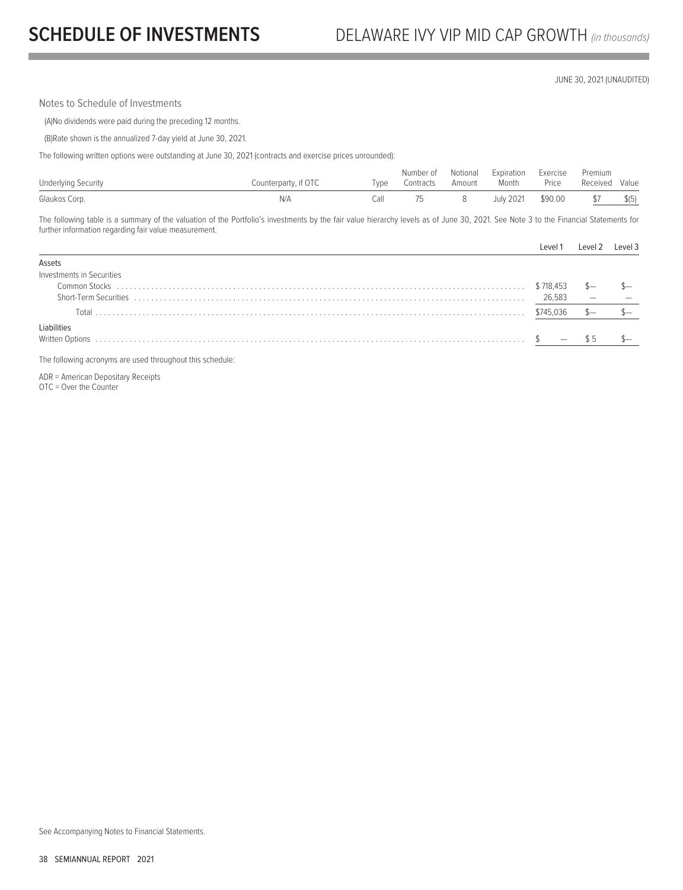Notes to Schedule of Investments

(A)No dividends were paid during the preceding 12 months.

(B)Rate shown is the annualized 7-day yield at June 30, 2021.

The following written options were outstanding at June 30, 2021 (contracts and exercise prices unrounded):

| <b>Underlying Security</b> | Counterparty, if OTC | lype | Contracts | Amount | Number of Notional Expiration Exercise<br>Month | Price | Premium<br>Received Value |            |
|----------------------------|----------------------|------|-----------|--------|-------------------------------------------------|-------|---------------------------|------------|
| Glaukos Corp.              | N/A                  | Call |           |        | July 2021 \$90.00                               |       |                           | $$^{(5)}$$ |

The following table is a summary of the valuation of the Portfolio's investments by the fair value hierarchy levels as of June 30, 2021. See Note 3 to the Financial Statements for further information regarding fair value measurement.

|                           | Level     | PVAL | $P$ layel |
|---------------------------|-----------|------|-----------|
| Assets                    |           |      |           |
| Investments in Securities |           |      |           |
|                           | \$718,453 |      |           |
|                           | 26,583    |      |           |
| Total                     | 5745.036  |      |           |
| Liabilities               |           |      |           |
| Written Options           |           |      |           |
|                           |           |      |           |

The following acronyms are used throughout this schedule:

ADR = American Depositary Receipts OTC = Over the Counter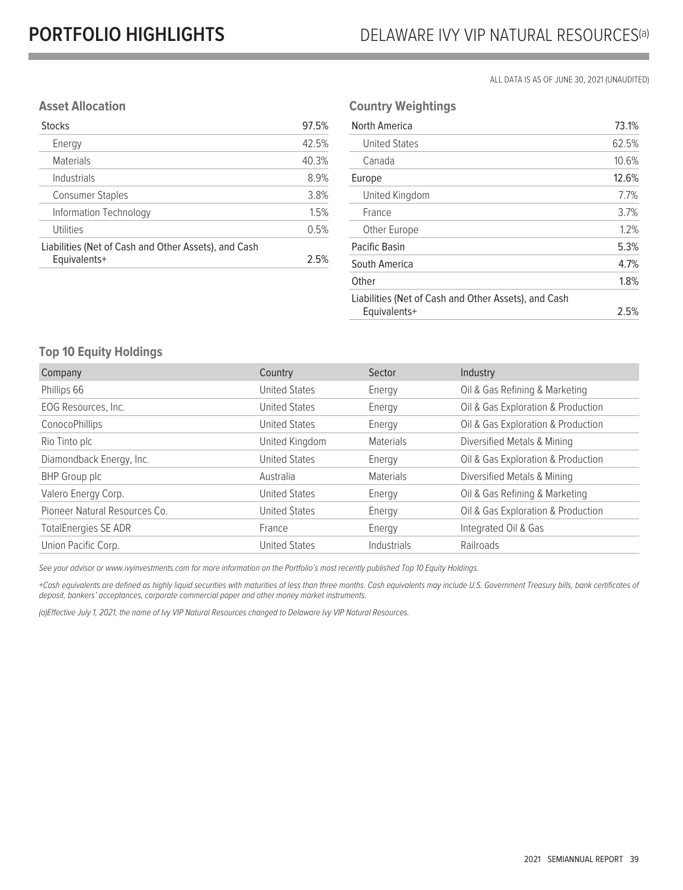ALL DATA IS AS OF JUNE 30, 2021 (UNAUDITED)

# **Asset Allocation**

| <b>Stocks</b>                                                        | 97.5% |
|----------------------------------------------------------------------|-------|
| Energy                                                               | 42.5% |
| <b>Materials</b>                                                     | 40.3% |
| Industrials                                                          | 8.9%  |
| <b>Consumer Staples</b>                                              | 3.8%  |
| Information Technology                                               | 1.5%  |
| Utilities                                                            | 0.5%  |
| Liabilities (Net of Cash and Other Assets), and Cash<br>Equivalents+ | 2.5%  |
|                                                                      |       |

# **Country Weightings**

| North America                                        | 73.1% |
|------------------------------------------------------|-------|
| <b>United States</b>                                 | 62.5% |
| Canada                                               | 10.6% |
| Europe                                               | 12.6% |
| United Kingdom                                       | 7.7%  |
| France                                               | 3.7%  |
| Other Europe                                         | 1.2%  |
| Pacific Basin                                        | 5.3%  |
| South America                                        | 4.7%  |
| Other                                                | 1.8%  |
| Liabilities (Net of Cash and Other Assets), and Cash |       |
| Equivalents+                                         | 2.5%  |

# **Top 10 Equity Holdings**

| Company                       | Country              | Sector           | Industry                           |
|-------------------------------|----------------------|------------------|------------------------------------|
| Phillips 66                   | <b>United States</b> | Energy           | Oil & Gas Refining & Marketing     |
| EOG Resources, Inc.           | <b>United States</b> | Energy           | Oil & Gas Exploration & Production |
| ConocoPhillips                | <b>United States</b> | Energy           | Oil & Gas Exploration & Production |
| Rio Tinto plc                 | United Kingdom       | <b>Materials</b> | Diversified Metals & Mining        |
| Diamondback Energy, Inc.      | <b>United States</b> | Energy           | Oil & Gas Exploration & Production |
| BHP Group plc                 | Australia            | <b>Materials</b> | Diversified Metals & Mining        |
| Valero Energy Corp.           | <b>United States</b> | Energy           | Oil & Gas Refining & Marketing     |
| Pioneer Natural Resources Co. | <b>United States</b> | Energy           | Oil & Gas Exploration & Production |
| TotalEnergies SE ADR          | France               | Energy           | Integrated Oil & Gas               |
| Union Pacific Corp.           | <b>United States</b> | Industrials      | Railroads                          |

See your advisor or www.ivyinvestments.com for more information on the Portfolio's most recently published Top 10 Equity Holdings.

+Cash equivalents are defined as highly liquid securities with maturities of less than three months. Cash equivalents may include U.S. Government Treasury bills, bank certificates of deposit, bankers' acceptances, corporate commercial paper and other money market instruments.

(a)Effective July 1, 2021, the name of Ivy VIP Natural Resources changed to Delaware Ivy VIP Natural Resources.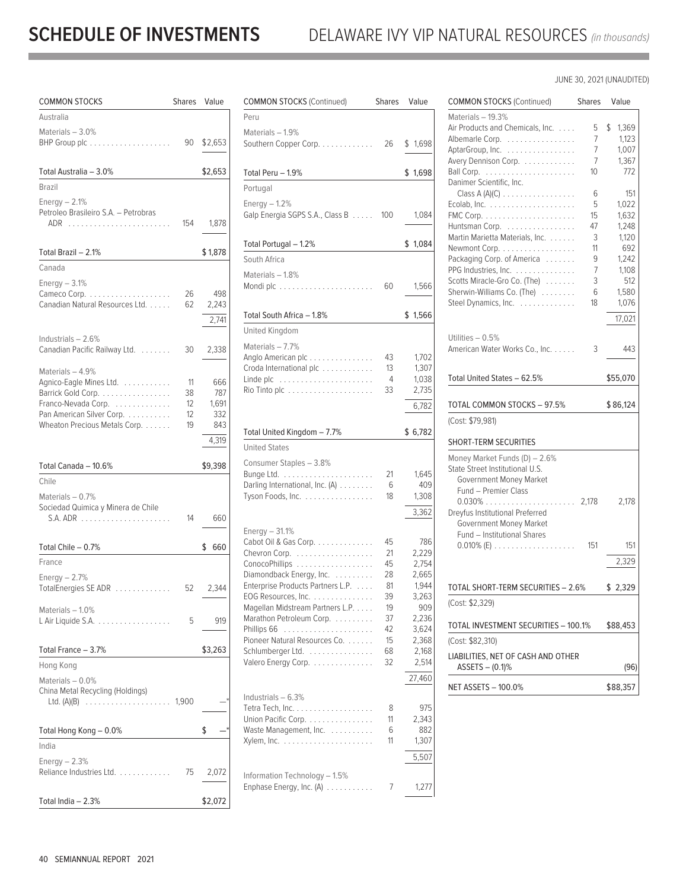# **SCHEDULE OF INVESTMENTS** DELAWARE IVY VIP NATURAL RESOURCES (in thousands)

| <b>COMMON STOCKS</b>                                                                                                                                   | <b>Shares</b>              | Value                                      |
|--------------------------------------------------------------------------------------------------------------------------------------------------------|----------------------------|--------------------------------------------|
| Australia                                                                                                                                              |                            |                                            |
| Materials - 3.0%<br>BHP Group plc $\ldots$ .<br>$\ldots$ .                                                                                             | 90                         | \$2,653                                    |
| Total Australia - 3.0%                                                                                                                                 |                            | \$2,653                                    |
| Brazil                                                                                                                                                 |                            |                                            |
| Energy $-2.1%$<br>Petroleo Brasileiro S.A. - Petrobras                                                                                                 |                            |                                            |
| ADR<br>.                                                                                                                                               | 154                        | 1,878                                      |
| Total Brazil - 2.1%                                                                                                                                    |                            | \$1,878                                    |
| Canada                                                                                                                                                 |                            |                                            |
| Energy $-3.1%$<br>Canadian Natural Resources Ltd.                                                                                                      | 26<br>62                   | 498<br>2,243                               |
|                                                                                                                                                        |                            | 2,741                                      |
| Industrials - 2.6%<br>Canadian Pacific Railway Ltd.                                                                                                    | 30                         | 2,338                                      |
| Materials - 4.9%<br>Agnico-Eagle Mines Ltd.<br>Barrick Gold Corp.<br>Franco-Nevada Corp.<br>Pan American Silver Corp.<br>Wheaton Precious Metals Corp. | 11<br>38<br>12<br>12<br>19 | 666<br>787<br>1.691<br>332<br>843<br>4,319 |
|                                                                                                                                                        |                            |                                            |
| Total Canada - 10.6%                                                                                                                                   |                            | \$9,398                                    |
| Chile                                                                                                                                                  |                            |                                            |
| Materials - 0.7%<br>Sociedad Quimica y Minera de Chile<br>$S.A.$ ADR $\ldots \ldots \ldots \ldots$                                                     | 14                         | 660                                        |
| Total Chile $-0.7%$                                                                                                                                    |                            | \$<br>660                                  |
| France                                                                                                                                                 |                            |                                            |
| Energy $-2.7%$<br>TotalEnergies SE ADR                                                                                                                 | 52                         | 2,344                                      |
| Materials - 1.0%<br>L Air Liquide S.A. .<br>.                                                                                                          | 5                          | 919                                        |
| Total France - 3.7%                                                                                                                                    |                            | \$3,263                                    |
| Hong Kong                                                                                                                                              |                            |                                            |
| Materials $-0.0%$<br>China Metal Recycling (Holdings)                                                                                                  | 1,900                      |                                            |
|                                                                                                                                                        |                            |                                            |
| Total Hong Kong - 0.0%<br>India                                                                                                                        |                            | \$                                         |
| Energy $-2.3%$<br>Reliance Industries Ltd.                                                                                                             | 75                         | 2,072                                      |

| <b>COMMON STOCKS (Continued)</b>                                                                                                                                                                                                                                                                                     | <b>Shares</b>                                                        | Value                                                                                                          |
|----------------------------------------------------------------------------------------------------------------------------------------------------------------------------------------------------------------------------------------------------------------------------------------------------------------------|----------------------------------------------------------------------|----------------------------------------------------------------------------------------------------------------|
| Peru                                                                                                                                                                                                                                                                                                                 |                                                                      |                                                                                                                |
| Materials - 1.9%<br>Southern Copper Corp.                                                                                                                                                                                                                                                                            | 26                                                                   | \$<br>1,698                                                                                                    |
| Total Peru - 1.9%                                                                                                                                                                                                                                                                                                    |                                                                      | \$<br>1,698                                                                                                    |
| Portugal                                                                                                                                                                                                                                                                                                             |                                                                      |                                                                                                                |
| Energy $-1.2%$<br>Galp Energia SGPS S.A., Class B                                                                                                                                                                                                                                                                    | 100                                                                  | 1,084                                                                                                          |
| Total Portugal - 1.2%                                                                                                                                                                                                                                                                                                |                                                                      | \$<br>1,084                                                                                                    |
| South Africa                                                                                                                                                                                                                                                                                                         |                                                                      |                                                                                                                |
| Materials - 1.8%<br>Mondi plc                                                                                                                                                                                                                                                                                        | 60                                                                   | 1,566                                                                                                          |
| Total South Africa - 1.8%                                                                                                                                                                                                                                                                                            |                                                                      | 1,566<br>\$                                                                                                    |
| United Kingdom                                                                                                                                                                                                                                                                                                       |                                                                      |                                                                                                                |
| Materials - 7.7%<br>Anglo American plc<br>Croda International plc                                                                                                                                                                                                                                                    | 43<br>13<br>4<br>33                                                  | 1,702<br>1,307<br>1,038<br>2,735<br>6,782                                                                      |
| Total United Kingdom - 7.7%                                                                                                                                                                                                                                                                                          |                                                                      | \$ 6,782                                                                                                       |
| <b>United States</b>                                                                                                                                                                                                                                                                                                 |                                                                      |                                                                                                                |
| Consumer Staples - 3.8%<br>Darling International, Inc. (A) $\dots\dots$<br>Tyson Foods, Inc.                                                                                                                                                                                                                         | 21<br>6<br>18                                                        | 1,645<br>409<br>1,308<br>3,362                                                                                 |
| Energy - 31.1%<br>Cabot Oil & Gas Corp.<br>Chevron Corp.<br>ConocoPhillips<br>Diamondback Energy, Inc.<br>Enterprise Products Partners L.P.<br>EOG Resources, Inc.<br>Magellan Midstream Partners L.P.<br>.<br>Marathon Petroleum Corp.<br>Pioneer Natural Resources Co.<br>Schlumberger Ltd.<br>Valero Energy Corp. | 45<br>21<br>45<br>28<br>81<br>39<br>19<br>37<br>42<br>15<br>68<br>32 | 786<br>2,229<br>2,754<br>2,665<br>1,944<br>3,263<br>909<br>2,236<br>3,624<br>2,368<br>2,168<br>2,514<br>27,460 |
| Industrials $-6.3%$<br>Tetra Tech, Inc.<br>Union Pacific Corp.<br>Waste Management, Inc.<br>Information Technology - 1.5%                                                                                                                                                                                            | 8<br>11<br>6<br>11                                                   | 975<br>2,343<br>882<br>1,307<br>5,507                                                                          |
| Enphase Energy, Inc. (A)                                                                                                                                                                                                                                                                                             | 7                                                                    | 1,277                                                                                                          |

#### JUNE 30, 2021 (UNAUDITED)

| <b>COMMON STOCKS (Continued)</b>                                                                                                                                                                                                                                    | <b>Shares</b>                                                        | Value                                                                                               |
|---------------------------------------------------------------------------------------------------------------------------------------------------------------------------------------------------------------------------------------------------------------------|----------------------------------------------------------------------|-----------------------------------------------------------------------------------------------------|
| Materials - 19.3%<br>Air Products and Chemicals, Inc.<br>Albemarle Corp.<br>AptarGroup, Inc.<br>Avery Dennison Corp.                                                                                                                                                | 5<br>7<br>7<br>$\overline{7}$<br>10                                  | \$<br>1,369<br>1,123<br>1,007<br>1,367<br>772                                                       |
| Danimer Scientific, Inc.<br>Class A $(A)(C)$<br>Huntsman Corp.<br>.<br>Martin Marietta Materials, Inc.<br>Newmont Corp.<br>Packaging Corp. of America<br>PPG Industries, Inc.<br>Scotts Miracle-Gro Co. (The)<br>Sherwin-Williams Co. (The)<br>Steel Dynamics, Inc. | 6<br>5<br>15<br>47<br>3<br>11<br>9<br>$\overline{7}$<br>3<br>6<br>18 | 151<br>1,022<br>1,632<br>1,248<br>1,120<br>692<br>1,242<br>1,108<br>512<br>1,580<br>1,076<br>17,021 |
| Utilities $-0.5%$<br>American Water Works Co., Inc.                                                                                                                                                                                                                 | 3                                                                    | 443                                                                                                 |
| Total United States - 62.5%                                                                                                                                                                                                                                         |                                                                      | \$55,070                                                                                            |
| TOTAL COMMON STOCKS - 97.5%                                                                                                                                                                                                                                         |                                                                      | \$86,124                                                                                            |
| (Cost: \$79,981)                                                                                                                                                                                                                                                    |                                                                      |                                                                                                     |
| SHORT-TERM SECURITIES<br>Money Market Funds (D) $-2.6%$<br>State Street Institutional U.S.<br>Government Money Market<br>Fund - Premier Class<br>Dreyfus Institutional Preferred<br>Government Money Market<br>Fund - Institutional Shares<br>0.010% (E)            | 2,178<br>151                                                         | 2,178<br>151<br>2,329                                                                               |
| TOTAL SHORT-TERM SECURITIES - 2.6%                                                                                                                                                                                                                                  |                                                                      | \$<br>2,329                                                                                         |
| (Cost: \$2,329)                                                                                                                                                                                                                                                     |                                                                      |                                                                                                     |
| TOTAL INVESTMENT SECURITIES - 100.1%                                                                                                                                                                                                                                |                                                                      | \$88,453                                                                                            |
| (Cost: \$82,310)<br>LIABILITIES, NET OF CASH AND OTHER<br>$ASSETS - (0.1)\%$                                                                                                                                                                                        |                                                                      | (96)                                                                                                |
| <b>NET ASSETS - 100.0%</b>                                                                                                                                                                                                                                          |                                                                      | \$88,357                                                                                            |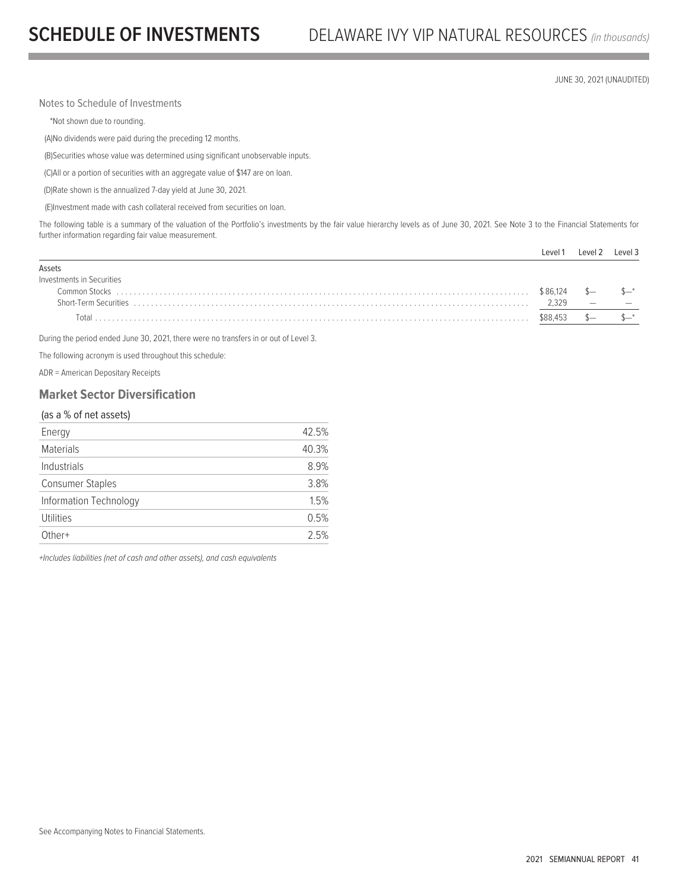Notes to Schedule of Investments

\*Not shown due to rounding.

(A)No dividends were paid during the preceding 12 months.

(B)Securities whose value was determined using significant unobservable inputs.

(C)All or a portion of securities with an aggregate value of \$147 are on loan.

(D)Rate shown is the annualized 7-day yield at June 30, 2021.

(E)Investment made with cash collateral received from securities on loan.

The following table is a summary of the valuation of the Portfolio's investments by the fair value hierarchy levels as of June 30, 2021. See Note 3 to the Financial Statements for further information regarding fair value measurement.

|                                  | Level 1  | Level 2 | Level 3              |
|----------------------------------|----------|---------|----------------------|
| Assets                           |          |         |                      |
| <b>Investments in Securities</b> |          |         |                      |
|                                  | \$86,124 |         | $\mathbf{S}_{n-1}^*$ |
|                                  | 2.329    |         |                      |
| Total                            | \$88.453 |         |                      |
|                                  |          |         |                      |

During the period ended June 30, 2021, there were no transfers in or out of Level 3.

The following acronym is used throughout this schedule:

ADR = American Depositary Receipts

## **Market Sector Diversification**

#### (as a % of net assets)

| Energy                  | 42.5% |
|-------------------------|-------|
| <b>Materials</b>        | 40.3% |
| Industrials             | 8.9%  |
| <b>Consumer Staples</b> | 3.8%  |
| Information Technology  | 1.5%  |
| Utilities               | 0.5%  |
| Other+                  | 2.5%  |

+Includes liabilities (net of cash and other assets), and cash equivalents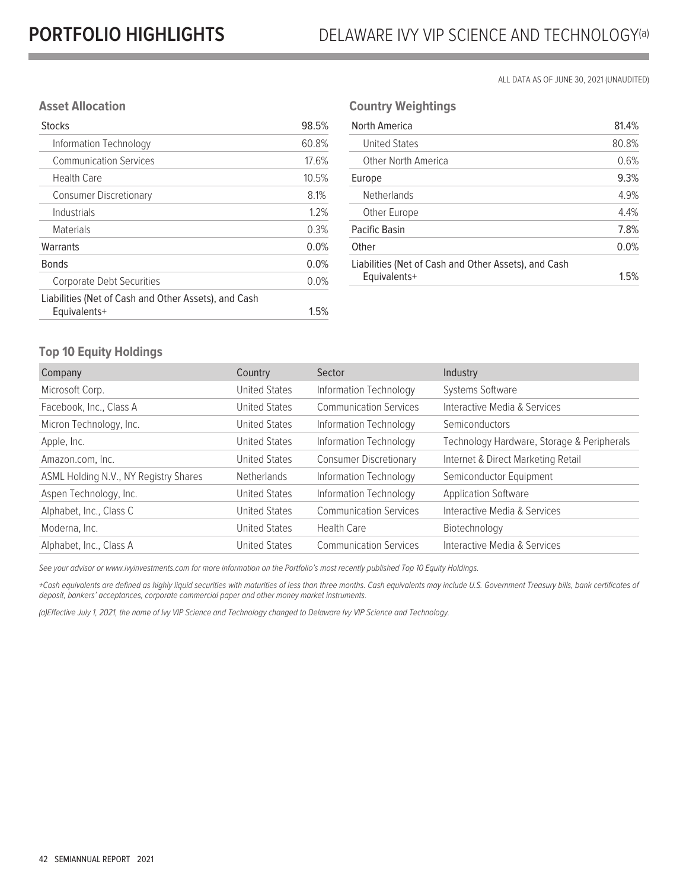ALL DATA AS OF JUNE 30, 2021 (UNAUDITED)

# **Asset Allocation**

| <b>Stocks</b>                                        | 98.5% |
|------------------------------------------------------|-------|
| Information Technology                               | 60.8% |
| <b>Communication Services</b>                        | 17.6% |
| <b>Health Care</b>                                   | 10.5% |
| <b>Consumer Discretionary</b>                        | 8.1%  |
| Industrials                                          | 1.2%  |
| <b>Materials</b>                                     | 0.3%  |
| Warrants                                             | 0.0%  |
| <b>Bonds</b>                                         | 0.0%  |
| <b>Corporate Debt Securities</b>                     | 0.0%  |
| Liabilities (Net of Cash and Other Assets), and Cash |       |
| Equivalents+                                         | 1.5%  |

# **Country Weightings**

| North America                                        | 81.4% |
|------------------------------------------------------|-------|
| <b>United States</b>                                 | 80.8% |
| Other North America                                  | 0.6%  |
| Europe                                               | 9.3%  |
| <b>Netherlands</b>                                   | 4.9%  |
| Other Europe                                         | 44%   |
| Pacific Basin                                        | 7.8%  |
| Other                                                | 0.0%  |
| Liabilities (Net of Cash and Other Assets), and Cash |       |
| Equivalents+                                         | 1.5%  |

# **Top 10 Equity Holdings**

| Company                               | Country              | Sector                        | Industry                                   |
|---------------------------------------|----------------------|-------------------------------|--------------------------------------------|
| Microsoft Corp.                       | <b>United States</b> | Information Technology        | Systems Software                           |
| Facebook, Inc., Class A               | <b>United States</b> | <b>Communication Services</b> | Interactive Media & Services               |
| Micron Technology, Inc.               | <b>United States</b> | Information Technology        | Semiconductors                             |
| Apple, Inc.                           | <b>United States</b> | Information Technology        | Technology Hardware, Storage & Peripherals |
| Amazon.com, Inc.                      | <b>United States</b> | <b>Consumer Discretionary</b> | Internet & Direct Marketing Retail         |
| ASML Holding N.V., NY Registry Shares | <b>Netherlands</b>   | Information Technology        | Semiconductor Equipment                    |
| Aspen Technology, Inc.                | United States        | Information Technology        | <b>Application Software</b>                |
| Alphabet, Inc., Class C               | <b>United States</b> | <b>Communication Services</b> | Interactive Media & Services               |
| Moderna, Inc.                         | <b>United States</b> | <b>Health Care</b>            | Biotechnology                              |
| Alphabet, Inc., Class A               | United States        | <b>Communication Services</b> | Interactive Media & Services               |

See your advisor or www.ivyinvestments.com for more information on the Portfolio's most recently published Top 10 Equity Holdings.

+Cash equivalents are defined as highly liquid securities with maturities of less than three months. Cash equivalents may include U.S. Government Treasury bills, bank certificates of deposit, bankers' acceptances, corporate commercial paper and other money market instruments.

(a)Effective July 1, 2021, the name of Ivy VIP Science and Technology changed to Delaware Ivy VIP Science and Technology.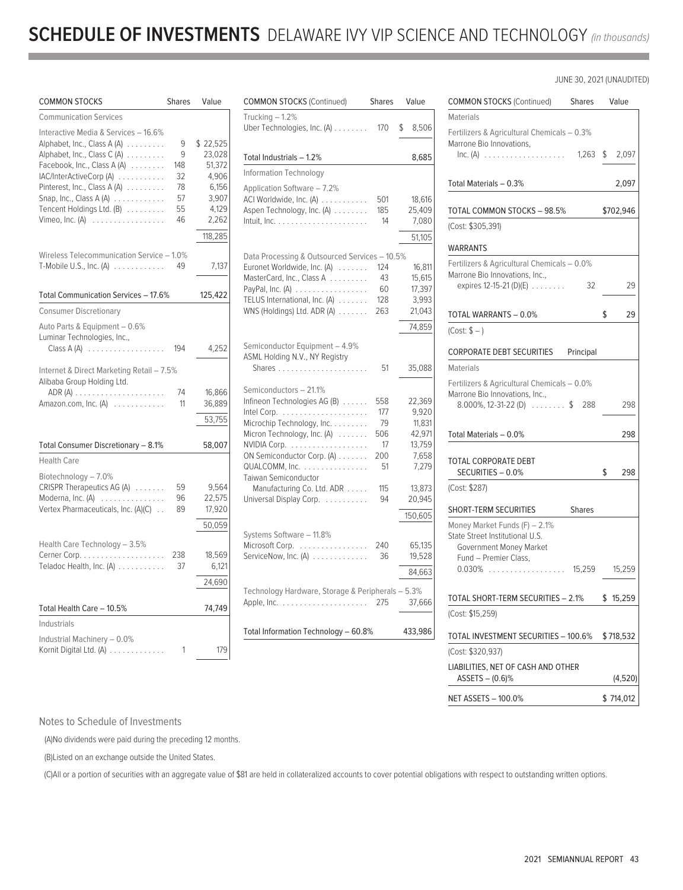| <b>COMMON STOCKS</b>                                                                                                                                                                                                                                                          | <b>Shares</b>                               | Value                                                                                |
|-------------------------------------------------------------------------------------------------------------------------------------------------------------------------------------------------------------------------------------------------------------------------------|---------------------------------------------|--------------------------------------------------------------------------------------|
| <b>Communication Services</b>                                                                                                                                                                                                                                                 |                                             |                                                                                      |
| Interactive Media & Services - 16.6%<br>Alphabet, Inc., Class A (A)<br>Alphabet, Inc., Class C $(A)$<br>Facebook, Inc., Class A (A)<br>IAC/InterActiveCorp (A)<br>Pinterest, Inc., Class A (A)<br>Snap, Inc., Class A $(A)$<br>Tencent Holdings Ltd. (B)<br>Vimeo, Inc. $(A)$ | 9<br>9<br>148<br>32<br>78<br>57<br>55<br>46 | \$22,525<br>23,028<br>51,372<br>4,906<br>6,156<br>3,907<br>4,129<br>2,262<br>118,285 |
| Wireless Telecommunication Service - 1.0%<br>T-Mobile U.S., Inc. $(A)$                                                                                                                                                                                                        | 49                                          | 7,137                                                                                |
| Total Communication Services - 17.6%                                                                                                                                                                                                                                          |                                             | 125,422                                                                              |
| <b>Consumer Discretionary</b>                                                                                                                                                                                                                                                 |                                             |                                                                                      |
| Auto Parts & Equipment - 0.6%<br>Luminar Technologies, Inc.,<br>Class A $(A)$                                                                                                                                                                                                 | 194                                         | 4,252                                                                                |
| Internet & Direct Marketing Retail - 7.5%                                                                                                                                                                                                                                     |                                             |                                                                                      |
| Alibaba Group Holding Ltd.<br>Amazon.com, Inc. $(A)$                                                                                                                                                                                                                          | 74<br>11                                    | 16,866<br>36,889                                                                     |
|                                                                                                                                                                                                                                                                               |                                             | 53,755                                                                               |
| Total Consumer Discretionary - 8.1%                                                                                                                                                                                                                                           |                                             | 58,007                                                                               |
| <b>Health Care</b>                                                                                                                                                                                                                                                            |                                             |                                                                                      |
| Biotechnology - 7.0%<br>CRISPR Therapeutics AG (A)<br>Moderna, Inc. $(A)$<br>Vertex Pharmaceuticals, Inc. (A)(C)                                                                                                                                                              | 59<br>96<br>89                              | 9,564<br>22,575<br>17,920<br>50,059                                                  |
| Health Care Technology - 3.5%                                                                                                                                                                                                                                                 |                                             |                                                                                      |
| Teladoc Health, Inc. $(A)$                                                                                                                                                                                                                                                    | 238<br>37                                   | 18,569<br>6,121                                                                      |
|                                                                                                                                                                                                                                                                               |                                             | 24,690                                                                               |
| Total Health Care - 10.5%                                                                                                                                                                                                                                                     |                                             | 74,749                                                                               |
| Industrials                                                                                                                                                                                                                                                                   |                                             |                                                                                      |
| Industrial Machinery - 0.0%<br>Kornit Digital Ltd. (A)                                                                                                                                                                                                                        | 1                                           | 179                                                                                  |

| <b>COMMON STOCKS (Continued)</b>                                                                                                                                                    | <b>Shares</b>                              | Value                                                           |
|-------------------------------------------------------------------------------------------------------------------------------------------------------------------------------------|--------------------------------------------|-----------------------------------------------------------------|
| Trucking $-1.2%$<br>Uber Technologies, Inc. (A)                                                                                                                                     | 170                                        | 8,506<br>\$                                                     |
| Total Industrials - 1.2%                                                                                                                                                            |                                            | 8,685                                                           |
| Information Technology                                                                                                                                                              |                                            |                                                                 |
| Application Software - 7.2%<br>ACI Worldwide, Inc. $(A)$<br>Aspen Technology, Inc. (A)                                                                                              | 501<br>185<br>14                           | 18,616<br>25,409<br>7,080<br>51,105                             |
| Data Processing & Outsourced Services - 10.5%                                                                                                                                       |                                            |                                                                 |
| Euronet Worldwide, Inc. (A)<br>MasterCard, Inc., Class A<br>PayPal, Inc. $(A)$<br>TELUS International, Inc. (A)<br>WNS (Holdings) Ltd. ADR $(A)$                                    | 124<br>43<br>60<br>128<br>263              | 16,811<br>15,615<br>17,397<br>3,993<br>21,043<br>74,859         |
| Semiconductor Equipment - 4.9%<br>ASML Holding N.V., NY Registry<br>Shares                                                                                                          | 51                                         | 35,088                                                          |
| Semiconductors - 21.1%<br>Infineon Technologies AG (B)<br>Microchip Technology, Inc.<br>Micron Technology, Inc. (A)<br>NVIDIA Corp.<br>ON Semiconductor Corp. (A)<br>QUALCOMM, Inc. | 558<br>177<br>79<br>506<br>17<br>200<br>51 | 22,369<br>9,920<br>11,831<br>42,971<br>13,759<br>7,658<br>7,279 |
| Taiwan Semiconductor<br>Manufacturing Co. Ltd. ADR<br>Universal Display Corp.                                                                                                       | 115<br>94                                  | 13,873<br>20,945<br>150,605                                     |
| Systems Software - 11.8%<br>Microsoft Corp.<br>ServiceNow, Inc. (A)                                                                                                                 | 240<br>36                                  | 65,135<br>19,528<br>84,663                                      |
| Technology Hardware, Storage & Peripherals - 5.3%<br>Apple, Inc. $\ldots \ldots \ldots \ldots \ldots$<br>$\ddot{\phantom{0}}$                                                       | 275                                        | 37,666                                                          |
| Total Information Technology - 60.8%                                                                                                                                                |                                            | 433,986                                                         |

| <b>Materials</b>                                                              |               |             |
|-------------------------------------------------------------------------------|---------------|-------------|
| Fertilizers & Agricultural Chemicals - 0.3%<br>Marrone Bio Innovations,       |               |             |
| $Inc. (A) \ldots \ldots \ldots \ldots$                                        | 1,263         | \$<br>2,097 |
| Total Materials - 0.3%                                                        |               | 2,097       |
| TOTAL COMMON STOCKS - 98.5%                                                   |               | \$702,946   |
| (Cost: \$305,391)                                                             |               |             |
| WARRANTS                                                                      |               |             |
| Fertilizers & Agricultural Chemicals - 0.0%                                   |               |             |
| Marrone Bio Innovations, Inc.,<br>expires 12-15-21 (D)(E)                     | 32            | 29          |
|                                                                               |               |             |
| TOTAL WARRANTS - 0.0%                                                         |               | \$<br>29    |
| $(Cost: $ - )$                                                                |               |             |
| <b>CORPORATE DEBT SECURITIES</b>                                              | Principal     |             |
| Materials                                                                     |               |             |
| Fertilizers & Agricultural Chemicals - 0.0%<br>Marrone Bio Innovations, Inc., |               |             |
| $8.000\%$ , 12-31-22 (D) \$ 288                                               |               | 298         |
| Total Materials - 0.0%                                                        |               | 298         |
|                                                                               |               |             |
| TOTAL CORPORATE DEBT<br>SECURITIES - 0.0%                                     |               | \$<br>298   |
| (Cost: \$287)                                                                 |               |             |
| SHORT-TERM SECURITIES                                                         | <b>Shares</b> |             |
| Money Market Funds $(F) - 2.1\%$                                              |               |             |
| State Street Institutional U.S.                                               |               |             |
| Government Money Market<br>Fund - Premier Class,                              |               |             |
| $0.030\%$                                                                     | 15,259        | 15,259      |
| TOTAL SHORT-TERM SECURITIES - 2.1%                                            |               | \$15,259    |
|                                                                               |               |             |
| (Cost: \$15,259)                                                              |               |             |
| TOTAL INVESTMENT SECURITIES - 100.6%                                          |               | \$718,532   |
| (Cost: \$320,937)                                                             |               |             |
| LIABILITIES, NET OF CASH AND OTHER<br>$ASSETS - (0.6)\%$                      |               | (4,520      |
| <b>NET ASSETS - 100.0%</b>                                                    |               | \$714,012   |

Notes to Schedule of Investments

(A)No dividends were paid during the preceding 12 months.

(B)Listed on an exchange outside the United States.

(C)All or a portion of securities with an aggregate value of \$81 are held in collateralized accounts to cover potential obligations with respect to outstanding written options.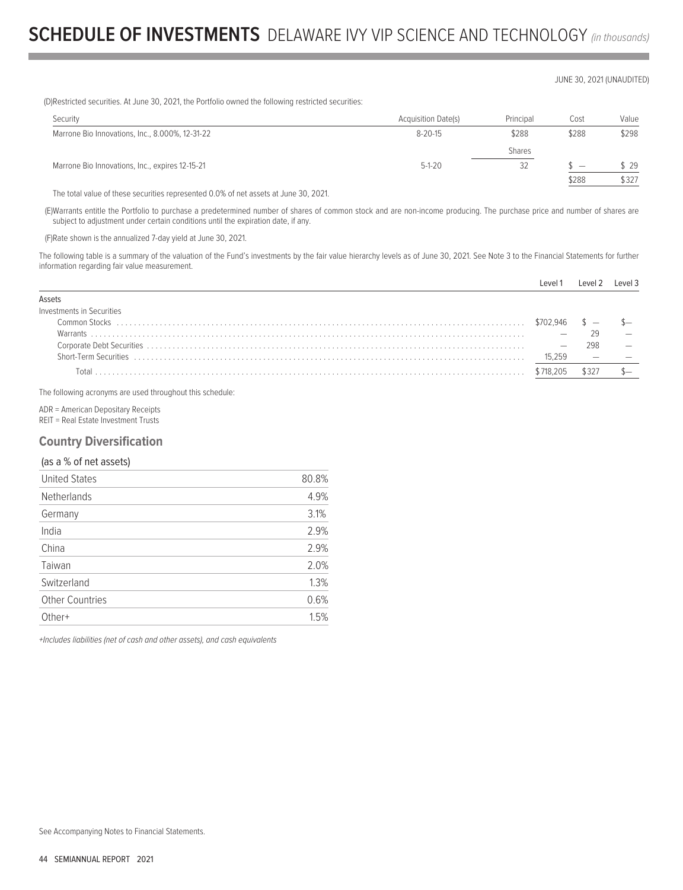(D)Restricted securities. At June 30, 2021, the Portfolio owned the following restricted securities:

| Security                                        | Acquisition Date(s) | Principal     | Cost                     | Value |
|-------------------------------------------------|---------------------|---------------|--------------------------|-------|
| Marrone Bio Innovations, Inc., 8.000%, 12-31-22 | $8 - 20 - 15$       | \$288         | \$288                    | \$298 |
|                                                 |                     | <b>Shares</b> |                          |       |
| Marrone Bio Innovations, Inc., expires 12-15-21 | $5 - 1 - 20$        | 32            | $\overline{\phantom{a}}$ | \$ 29 |
|                                                 |                     |               | \$288                    | \$327 |

The total value of these securities represented 0.0% of net assets at June 30, 2021.

(E)Warrants entitle the Portfolio to purchase a predetermined number of shares of common stock and are non-income producing. The purchase price and number of shares are subject to adjustment under certain conditions until the expiration date, if any.

(F)Rate shown is the annualized 7-day yield at June 30, 2021.

The following table is a summary of the valuation of the Fund's investments by the fair value hierarchy levels as of June 30, 2021. See Note 3 to the Financial Statements for further information regarding fair value measurement.

|                           | evel     |     | $P$ lavel |
|---------------------------|----------|-----|-----------|
| Assets                    |          |     |           |
| Investments in Securities |          |     |           |
|                           |          |     |           |
|                           |          |     |           |
|                           |          | 298 |           |
|                           | 15.259   |     |           |
| Total                     | 3718 205 |     |           |
|                           |          |     |           |

The following acronyms are used throughout this schedule:

ADR = American Depositary Receipts REIT = Real Estate Investment Trusts

### **Country Diversification**

#### (as a % of net assets)

| <b>United States</b>   | 80.8% |
|------------------------|-------|
| <b>Netherlands</b>     | 4.9%  |
| Germany                | 3.1%  |
| India                  | 2.9%  |
| China                  | 2.9%  |
| Taiwan                 | 2.0%  |
| Switzerland            | 1.3%  |
| <b>Other Countries</b> | 0.6%  |
| Other+                 | 1.5%  |

+Includes liabilities (net of cash and other assets), and cash equivalents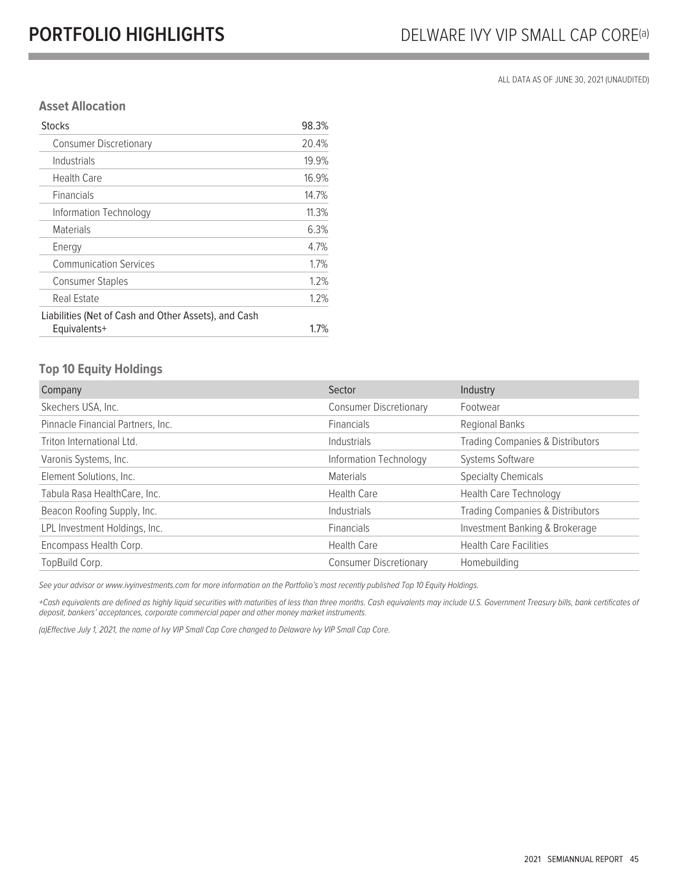ALL DATA AS OF JUNE 30, 2021 (UNAUDITED)

# **Asset Allocation**

| <b>Stocks</b>                                                        | 98.3% |
|----------------------------------------------------------------------|-------|
| Consumer Discretionary                                               | 20.4% |
| Industrials                                                          | 19.9% |
| Health Care                                                          | 16.9% |
| <b>Financials</b>                                                    | 14.7% |
| Information Technology                                               | 11.3% |
| <b>Materials</b>                                                     | 6.3%  |
| Energy                                                               | 4.7%  |
| <b>Communication Services</b>                                        | 1.7%  |
| <b>Consumer Staples</b>                                              | 1.2%  |
| Real Estate                                                          | 1.2%  |
| Liabilities (Net of Cash and Other Assets), and Cash<br>Equivalents+ | 1.7%  |

## **Top 10 Equity Holdings**

| Company                           | Sector                        | Industry                                    |
|-----------------------------------|-------------------------------|---------------------------------------------|
| Skechers USA, Inc.                | <b>Consumer Discretionary</b> | Footwear                                    |
| Pinnacle Financial Partners, Inc. | <b>Financials</b>             | Regional Banks                              |
| Triton International Ltd.         | Industrials                   | <b>Trading Companies &amp; Distributors</b> |
| Varonis Systems, Inc.             | Information Technology        | Systems Software                            |
| Element Solutions, Inc.           | <b>Materials</b>              | <b>Specialty Chemicals</b>                  |
| Tabula Rasa HealthCare, Inc.      | Health Care                   | Health Care Technology                      |
| Beacon Roofing Supply, Inc.       | Industrials                   | <b>Trading Companies &amp; Distributors</b> |
| LPL Investment Holdings, Inc.     | <b>Financials</b>             | Investment Banking & Brokerage              |
| Encompass Health Corp.            | Health Care                   | <b>Health Care Facilities</b>               |
| TopBuild Corp.                    | <b>Consumer Discretionary</b> | Homebuilding                                |

See your advisor or www.ivyinvestments.com for more information on the Portfolio's most recently published Top 10 Equity Holdings.

+Cash equivalents are defined as highly liquid securities with maturities of less than three months. Cash equivalents may include U.S. Government Treasury bills, bank certificates of deposit, bankers' acceptances, corporate commercial paper and other money market instruments.

(a)Effective July 1, 2021, the name of Ivy VIP Small Cap Core changed to Delaware Ivy VIP Small Cap Core.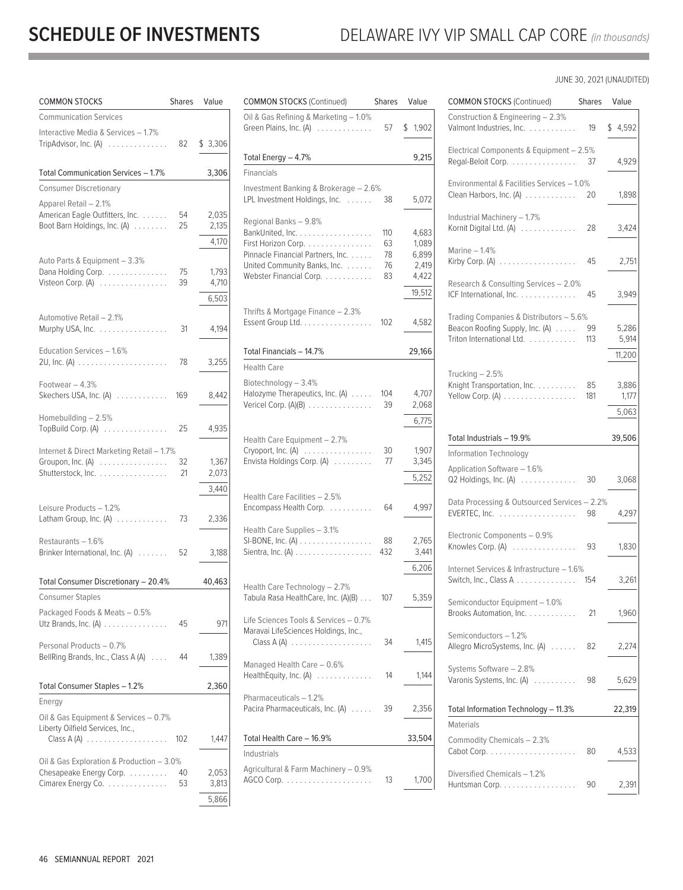# **SCHEDULE OF INVESTMENTS** DELAWARE IVY VIP SMALL CAP CORE (in thousands)

| <b>COMMON STOCKS</b>                                                                                   | Shares   | Value                   |
|--------------------------------------------------------------------------------------------------------|----------|-------------------------|
| <b>Communication Services</b>                                                                          |          |                         |
| Interactive Media & Services - 1.7%<br>TripAdvisor, Inc. $(A)$                                         | 82       | \$ 3,306                |
| Total Communication Services - 1.7%                                                                    |          | 3,306                   |
| <b>Consumer Discretionary</b>                                                                          |          |                         |
| Apparel Retail - 2.1%<br>American Eagle Outfitters, Inc.<br>Boot Barn Holdings, Inc. (A)               | 54<br>25 | 2,035<br>2,135          |
|                                                                                                        |          | 4.170                   |
| Auto Parts & Equipment - 3.3%<br>Dana Holding Corp.<br>Visteon Corp. (A) $\ldots \ldots \ldots \ldots$ | 75<br>39 | 1,793<br>4,710<br>6,503 |
|                                                                                                        |          |                         |
| Automotive Retail - 2.1%<br>Murphy USA, Inc.                                                           | 31       | 4,194                   |
| Education Services - 1.6%                                                                              | 78       | 3,255                   |
| Footwear-4.3%<br>Skechers USA, Inc. $(A)$                                                              | 169      | 8,442                   |
| Homebuilding $-2.5%$<br>TopBuild Corp. $(A)$                                                           | 25       | 4,935                   |
| Internet & Direct Marketing Retail - 1.7%<br>Groupon, Inc. $(A)$<br>Shutterstock, Inc.                 | 32<br>21 | 1,367<br>2,073          |
|                                                                                                        |          | 3,440                   |
| Leisure Products - 1.2%<br>Latham Group, Inc. $(A)$                                                    | 73       | 2,336                   |
| Restaurants - 1.6%<br>Brinker International, Inc. (A)                                                  | 52       | 3,188                   |
| Total Consumer Discretionary - 20.4%                                                                   |          | 40,463                  |
| <b>Consumer Staples</b>                                                                                |          |                         |
| Packaged Foods & Meats - 0.5%<br>Utz Brands, Inc. $(A)$                                                | 45       | 971                     |
| Personal Products - 0.7%<br>BellRing Brands, Inc., Class A (A)                                         | 44       | 1,389                   |
| Total Consumer Staples - 1.2%                                                                          |          | 2,360                   |
| Energy                                                                                                 |          |                         |
| Oil & Gas Equipment & Services - 0.7%<br>Liberty Oilfield Services, Inc.,<br>Class A (A)               | 102      | 1,447                   |
| Oil & Gas Exploration & Production - 3.0%<br>Chesapeake Energy Corp.<br>Cimarex Energy Co.             | 40<br>53 | 2,053<br>3,813          |
|                                                                                                        |          | 5,866                   |

| <b>COMMON STOCKS (Continued)</b>                                                                                                                                 | <b>Shares</b>               | Value                                               |
|------------------------------------------------------------------------------------------------------------------------------------------------------------------|-----------------------------|-----------------------------------------------------|
| Oil & Gas Refining & Marketing - 1.0%<br>Green Plains, Inc. (A)                                                                                                  | 57                          | \$<br>1,902                                         |
| Total Energy - 4.7%                                                                                                                                              |                             | 9,215                                               |
| Financials                                                                                                                                                       |                             |                                                     |
| Investment Banking & Brokerage - 2.6%<br>LPL Investment Holdings, Inc.                                                                                           | 38                          | 5,072                                               |
| Regional Banks - 9.8%<br>BankUnited, Inc.<br>First Horizon Corp.<br>Pinnacle Financial Partners, Inc.<br>United Community Banks, Inc.<br>Webster Financial Corp. | 110<br>63<br>78<br>76<br>83 | 4,683<br>1,089<br>6,899<br>2,419<br>4,422<br>19,512 |
| Thrifts & Mortgage Finance - 2.3%<br>Essent Group Ltd.                                                                                                           | 102                         | 4,582                                               |
| Total Financials - 14.7%                                                                                                                                         |                             | 29,166                                              |
| <b>Health Care</b>                                                                                                                                               |                             |                                                     |
| Biotechnology - 3.4%<br>Halozyme Therapeutics, Inc. (A)<br>Vericel Corp. $(A)(B)$                                                                                | 104<br>39                   | 4,707<br>2,068<br>6,775                             |
| Health Care Equipment - 2.7%<br>Cryoport, Inc. $(A)$<br>Envista Holdings Corp. (A)                                                                               | 30<br>77                    | 1,907<br>3,345<br>5,252                             |
| Health Care Facilities - 2.5%<br>Encompass Health Corp.                                                                                                          | 64                          | 4,997                                               |
| Health Care Supplies - 3.1%<br>SI-BONE, Inc. $(A)$<br>Sientra, Inc. $(A)$                                                                                        | 88<br>432                   | 2,765<br>3,441<br>6,206                             |
| Health Care Technology - 2.7%<br>Tabula Rasa HealthCare, Inc. (A)(B)                                                                                             | 107                         | 5,359                                               |
| Life Sciences Tools & Services - 0.7%<br>Maravai LifeSciences Holdings, Inc.,<br>$Class A (A) \ldots \ldots \ldots$<br>.                                         | 34                          | 1,415                                               |
| Managed Health Care - 0.6%<br>HealthEquity, Inc. (A)                                                                                                             | 14                          | 1.144                                               |
| Pharmaceuticals - 1.2%<br>Pacira Pharmaceuticals, Inc. (A)                                                                                                       | 39                          | 2,356                                               |
| Total Health Care - 16.9%                                                                                                                                        |                             | 33,504                                              |
| Industrials                                                                                                                                                      |                             |                                                     |
| Agricultural & Farm Machinery - 0.9%<br>$AGCO$ Corp. $\ldots \ldots \ldots \ldots$                                                                               | 13                          | 1,700                                               |

#### JUNE 30, 2021 (UNAUDITED)

| <b>COMMON STOCKS (Continued)</b>                                                                        | <b>Shares</b> | Value                    |
|---------------------------------------------------------------------------------------------------------|---------------|--------------------------|
| Construction & Engineering - 2.3%<br>Valmont Industries, Inc.                                           | 19            | \$<br>4,592              |
| Electrical Components & Equipment - 2.5%<br>Regal-Beloit Corp.                                          | 37            | 4,929                    |
| Environmental & Facilities Services - 1.0%<br>Clean Harbors, Inc. (A)                                   | 20            | 1,898                    |
| Industrial Machinery - 1.7%<br>Kornit Digital Ltd. (A)                                                  | 28            | 3,424                    |
| Marine $-1.4%$<br>Kirby Corp. (A)<br>.                                                                  | 45            | 2,751                    |
| Research & Consulting Services - 2.0%<br>ICF International, Inc.                                        | 45            | 3,949                    |
| Trading Companies & Distributors - 5.6%<br>Beacon Roofing Supply, Inc. (A)<br>Triton International Ltd. | 99<br>113     | 5,286<br>5,914<br>11,200 |
| Trucking $-2.5%$<br>Knight Transportation, Inc.<br>Yellow Corp. $(A)$                                   | 85<br>181     | 3,886<br>1,177<br>5,063  |
| Total Industrials - 19.9%                                                                               |               | 39,506                   |
| Information Technology                                                                                  |               |                          |
| Application Software - 1.6%<br>$Q2$ Holdings, Inc. $(A)$                                                | 30            | 3,068                    |
| Data Processing & Outsourced Services - 2.2%<br>EVERTEC, Inc. $\dots\dots\dots\dots\dots\dots\dots$     | 98            | 4,297                    |
| Electronic Components - 0.9%<br>Knowles Corp. $(A)$                                                     | 93            | 1,830                    |
| Internet Services & Infrastructure - 1.6%<br>Switch, Inc., Class A                                      | 154           | 3,261                    |
| Semiconductor Equipment - 1.0%<br>Brooks Automation, Inc.                                               | 21            | 1,960                    |
| Semiconductors - 1.2%<br>Allegro MicroSystems, Inc. (A)                                                 | 82            | 2,274                    |
| Systems Software - 2.8%<br>Varonis Systems, Inc. (A)                                                    | 98            | 5,629                    |
| Total Information Technology - 11.3%                                                                    |               | 22,319                   |
| <b>Materials</b>                                                                                        |               |                          |
| Commodity Chemicals - 2.3%<br>Cabot Corp.                                                               | 80            | 4,533                    |
| Diversified Chemicals - 1.2%<br>Huntsman Corp.                                                          | 90            | 2,391                    |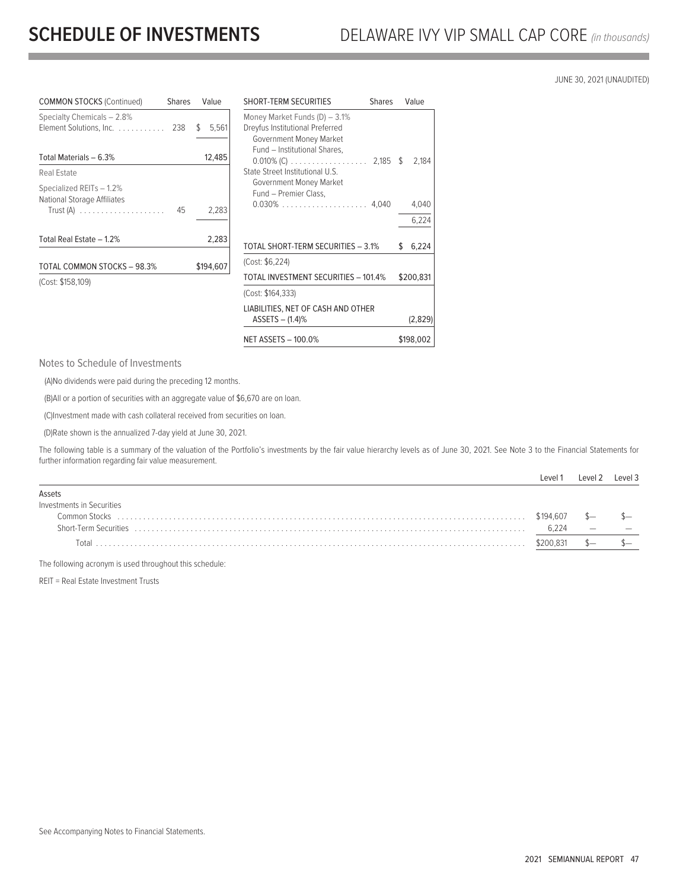| <b>COMMON STOCKS (Continued)</b>                                                                         | <b>Shares</b> | Value       |
|----------------------------------------------------------------------------------------------------------|---------------|-------------|
| Specialty Chemicals - 2.8%<br>Element Solutions, Inc.                                                    | 238           | \$<br>5.561 |
| Total Materials - 6.3%                                                                                   |               | 12,485      |
| Real Estate                                                                                              |               |             |
| Specialized REITs - 1.2%<br>National Storage Affiliates<br>$Trust(A) \ldots \ldots \ldots \ldots \ldots$ | 45            | 2.283       |
| Total Real Estate - 1.2%                                                                                 |               | 2,283       |
| TOTAL COMMON STOCKS - 98.3%                                                                              |               | \$194,607   |
| (Cost: \$158,109)                                                                                        |               |             |

| <b>SHORT-TERM SECURITIES</b>                                                                                                                                                                                         | <b>Shares</b> | Value          |
|----------------------------------------------------------------------------------------------------------------------------------------------------------------------------------------------------------------------|---------------|----------------|
| Money Market Funds (D) - 3.1%<br>Dreyfus Institutional Preferred<br>Government Money Market<br>Fund - Institutional Shares,<br>$0.010\%$ (C) $\ldots \ldots \ldots \ldots \ldots$<br>State Street Institutional U.S. | $2,185$ \$    | 2,184          |
| Government Money Market<br>Fund - Premier Class,<br>$0.030\%$                                                                                                                                                        | 4.040         | 4,040<br>6,224 |
| TOTAL SHORT-TERM SECURITIES – 3.1%                                                                                                                                                                                   |               | \$<br>6,224    |
| (Cost: \$6,224)                                                                                                                                                                                                      |               |                |
| TOTAL INVESTMENT SECURITIES - 101.4%                                                                                                                                                                                 |               | \$200,831      |
| (Cost: \$164,333)                                                                                                                                                                                                    |               |                |
| LIABILITIES, NET OF CASH AND OTHER<br>$ASSETS - (1.4)$ %                                                                                                                                                             |               | (2,829)        |
| <b>NET ASSETS - 100.0%</b>                                                                                                                                                                                           |               | \$198,002      |

Notes to Schedule of Investments

(A)No dividends were paid during the preceding 12 months.

(B)All or a portion of securities with an aggregate value of \$6,670 are on loan.

(C)Investment made with cash collateral received from securities on loan.

(D)Rate shown is the annualized 7-day yield at June 30, 2021.

The following table is a summary of the valuation of the Portfolio's investments by the fair value hierarchy levels as of June 30, 2021. See Note 3 to the Financial Statements for further information regarding fair value measurement.

|                                  | Level 1   | l evel 2 | Level 3 |
|----------------------------------|-----------|----------|---------|
| Assets                           |           |          |         |
| <b>Investments in Securities</b> |           |          |         |
| Common Stocks                    | \$194,607 |          |         |
|                                  | 6.224     |          |         |
| Total                            | \$200.831 |          |         |

The following acronym is used throughout this schedule:

REIT = Real Estate Investment Trusts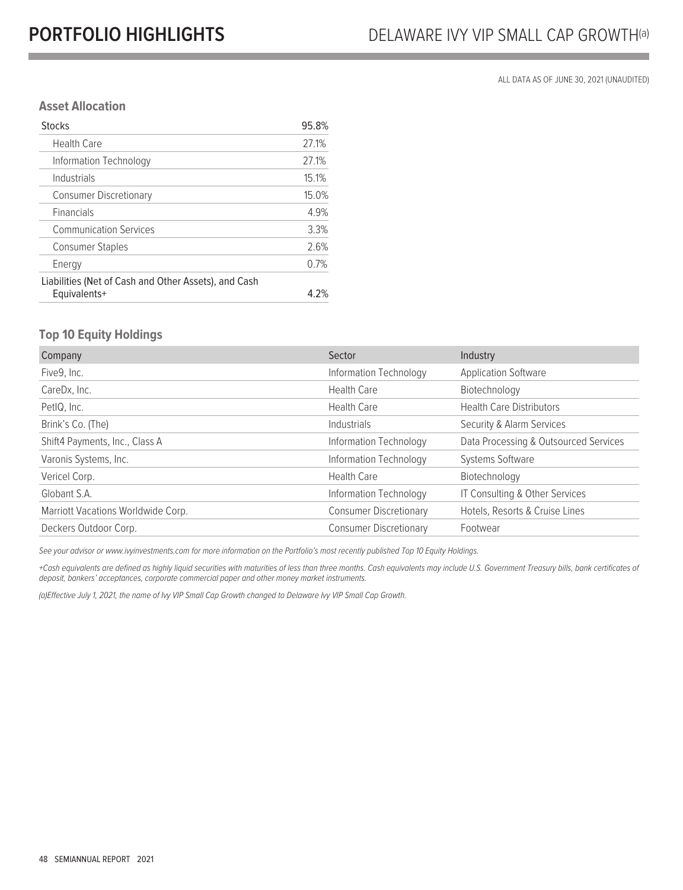ALL DATA AS OF JUNE 30, 2021 (UNAUDITED)

## **Asset Allocation**

| <b>Stocks</b>                                        | 95.8% |
|------------------------------------------------------|-------|
| <b>Health Care</b>                                   | 27.1% |
| Information Technology                               | 27.1% |
| Industrials                                          | 15.1% |
| <b>Consumer Discretionary</b>                        | 15.0% |
| <b>Financials</b>                                    | 4.9%  |
| <b>Communication Services</b>                        | 3.3%  |
| <b>Consumer Staples</b>                              | 2.6%  |
| Energy                                               | 0.7%  |
| Liabilities (Net of Cash and Other Assets), and Cash |       |
| Equivalents+                                         | 4.2%  |

# **Top 10 Equity Holdings**

| Company                            | Sector                        | Industry                              |
|------------------------------------|-------------------------------|---------------------------------------|
| Five9, Inc.                        | Information Technology        | <b>Application Software</b>           |
| CareDx, Inc.                       | <b>Health Care</b>            | Biotechnology                         |
| PetIQ, Inc.                        | Health Care                   | <b>Health Care Distributors</b>       |
| Brink's Co. (The)                  | Industrials                   | Security & Alarm Services             |
| Shift4 Payments, Inc., Class A     | Information Technology        | Data Processing & Outsourced Services |
| Varonis Systems, Inc.              | Information Technology        | Systems Software                      |
| Vericel Corp.                      | Health Care                   | Biotechnology                         |
| Globant S.A.                       | Information Technology        | IT Consulting & Other Services        |
| Marriott Vacations Worldwide Corp. | <b>Consumer Discretionary</b> | Hotels, Resorts & Cruise Lines        |
| Deckers Outdoor Corp.              | <b>Consumer Discretionary</b> | Footwear                              |

See your advisor or www.ivyinvestments.com for more information on the Portfolio's most recently published Top 10 Equity Holdings.

+Cash equivalents are defined as highly liquid securities with maturities of less than three months. Cash equivalents may include U.S. Government Treasury bills, bank certificates of deposit, bankers' acceptances, corporate commercial paper and other money market instruments.

(a)Effective July 1, 2021, the name of Ivy VIP Small Cap Growth changed to Delaware Ivy VIP Small Cap Growth.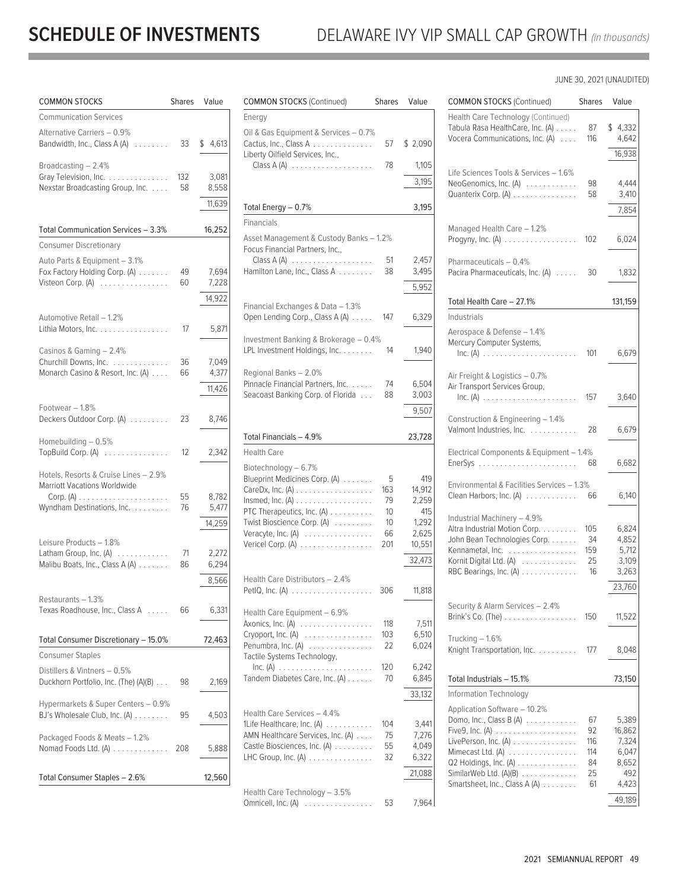| <b>COMMON STOCKS</b>                                                                                | <b>Shares</b> | Value                    |
|-----------------------------------------------------------------------------------------------------|---------------|--------------------------|
| <b>Communication Services</b>                                                                       |               |                          |
| Alternative Carriers - 0.9%<br>Bandwidth, Inc., Class A (A)                                         | 33            | \$<br>4,613              |
| Broadcasting $-2.4%$<br>Gray Television, Inc.<br>Nexstar Broadcasting Group, Inc.                   | 132<br>58     | 3,081<br>8,558<br>11,639 |
| Total Communication Services - 3.3%                                                                 |               | 16,252                   |
| <b>Consumer Discretionary</b>                                                                       |               |                          |
| Auto Parts & Equipment - 3.1%<br>Fox Factory Holding Corp. (A)<br>Visteon Corp. (A)                 | 49<br>60      | 7,694<br>7,228<br>14,922 |
| Automotive Retail - 1.2%<br>Lithia Motors, Inc.                                                     | 17            | 5,871                    |
| Casinos & Gaming - 2.4%<br>Churchill Downs, Inc.<br>1.1.1.1<br>Monarch Casino & Resort, Inc. (A)    | 36<br>66      | 7,049<br>4,377<br>11,426 |
| Footwear-1.8%<br>Deckers Outdoor Corp. (A)                                                          | 23            | 8.746                    |
| Homebuilding $-0.5%$<br>TopBuild Corp. (A)                                                          | 12            | 2,342                    |
| Hotels, Resorts & Cruise Lines - 2.9%<br>Marriott Vacations Worldwide<br>Wyndham Destinations, Inc. | 55<br>76      | 8,782<br>5,477<br>14,259 |
| Leisure Products - 1.8%<br>Latham Group, Inc. $(A)$<br>Malibu Boats, Inc., Class A (A)              | 71<br>86      | 2,272<br>6,294<br>8,566  |
| Restaurants - 1.3%<br>Texas Roadhouse, Inc., Class A                                                | 66            | 6,331                    |
| Total Consumer Discretionary - 15.0%                                                                |               | 72,463                   |
| <b>Consumer Staples</b>                                                                             |               |                          |
| Distillers & Vintners - 0.5%<br>Duckhorn Portfolio, Inc. (The) (A)(B)                               | 98            | 2,169                    |
| Hypermarkets & Super Centers - 0.9%<br>BJ's Wholesale Club, Inc. (A)                                | 95            | 4,503                    |
| Packaged Foods & Meats - 1.2%<br>Nomad Foods Ltd. (A)                                               | 208           | 5,888                    |
| Total Consumer Staples - 2.6%                                                                       |               | 12,560                   |

| <b>COMMON STOCKS (Continued)</b>                            | <b>Shares</b>    | Value   |
|-------------------------------------------------------------|------------------|---------|
| Energy                                                      |                  |         |
| Oil & Gas Equipment & Services - 0.7%                       |                  |         |
| Cactus, Inc., Class A                                       | 57               | \$2,090 |
|                                                             |                  |         |
| Liberty Oilfield Services, Inc.,                            |                  |         |
|                                                             | 78               | 1,105   |
|                                                             |                  | 3,195   |
|                                                             |                  |         |
| Total Energy - 0.7%                                         |                  | 3,195   |
|                                                             |                  |         |
| Financials                                                  |                  |         |
| Asset Management & Custody Banks - 1.2%                     |                  |         |
| Focus Financial Partners, Inc.,                             |                  |         |
|                                                             | 51               | 2,457   |
| Hamilton Lane, Inc., Class A                                | 38               | 3,495   |
|                                                             |                  |         |
|                                                             |                  | 5,952   |
| Financial Exchanges & Data - 1.3%                           |                  |         |
| Open Lending Corp., Class A (A)                             | 147              | 6,329   |
|                                                             |                  |         |
| Investment Banking & Brokerage - 0.4%                       |                  |         |
| LPL Investment Holdings, Inc.                               | 14               | 1,940   |
|                                                             |                  |         |
|                                                             |                  |         |
| Regional Banks - 2.0%                                       |                  |         |
| Pinnacle Financial Partners, Inc.                           | 74               | 6,504   |
| Seacoast Banking Corp. of Florida                           | 88               | 3,003   |
|                                                             |                  | 9,507   |
|                                                             |                  |         |
| Total Financials - 4.9%                                     |                  | 23,728  |
|                                                             |                  |         |
| <b>Health Care</b>                                          |                  |         |
| Biotechnology - 6.7%                                        |                  |         |
| Blueprint Medicines Corp. (A)                               | 5                | 419     |
|                                                             | 163              | 14,912  |
| CareDx, Inc. (A)                                            |                  |         |
| $Insmed, Inc. (A)$                                          | 79               | 2,259   |
| PTC Therapeutics, Inc. (A)                                  | 10               | 415     |
| Twist Bioscience Corp. (A)                                  | 10 <sup>10</sup> | 1,292   |
| Veracyte, Inc. $(A)$                                        | 66               | 2,625   |
| Vericel Corp. (A)                                           | 201              | 10,551  |
|                                                             |                  |         |
|                                                             |                  | 32,473  |
| Health Care Distributors - 2.4%                             |                  |         |
| PetIQ, Inc. $(A)$                                           | 306              | 11,818  |
|                                                             |                  |         |
| Health Care Equipment - 6.9%                                |                  |         |
| Axonics, Inc. $(A)$                                         | 118              | 7,511   |
|                                                             |                  |         |
| Cryoport, Inc. $(A)$                                        | 103              | 6,510   |
| Penumbra, Inc. (A)                                          | 22               | 6,024   |
| Tactile Systems Technology,                                 |                  |         |
| $Inc. (A) \ldots \ldots \ldots \ldots \ldots \ldots \ldots$ | 120              | 6,242   |
| Tandem Diabetes Care, Inc. (A)                              | 70               | 6,845   |
|                                                             |                  | 33,132  |
|                                                             |                  |         |
| Health Care Services - 4.4%                                 |                  |         |
| 1Life Healthcare, Inc. (A)                                  | 104              | 3,441   |
|                                                             |                  |         |
| AMN Healthcare Services, Inc. (A)                           | 75               | 7,276   |
| Castle Biosciences, Inc. (A)                                | 55               | 4,049   |
| LHC Group, Inc. (A) $\ldots \ldots \ldots \ldots$           | 32               | 6,322   |
|                                                             |                  | 21,088  |
|                                                             |                  |         |
| Health Care Technology - 3.5%                               |                  |         |
| Omnicell, Inc. (A)                                          | 53               | 7,964   |

٠

| <b>COMMON STOCKS (Continued)</b>                                                                                                                                                                                                                        | <b>Shares</b>                            | Value                                                                |
|---------------------------------------------------------------------------------------------------------------------------------------------------------------------------------------------------------------------------------------------------------|------------------------------------------|----------------------------------------------------------------------|
| Health Care Technology (Continued)<br>Tabula Rasa HealthCare, Inc. (A)<br>Vocera Communications, Inc. (A)                                                                                                                                               | 87<br>116                                | \$4,332<br>4,642                                                     |
| Life Sciences Tools & Services - 1.6%<br>NeoGenomics, Inc. (A)<br>Quanterix Corp. (A)                                                                                                                                                                   | 98<br>58                                 | 16,938<br>4,444<br>3,410<br>7,854                                    |
| Managed Health Care - 1.2%<br>Progyny, Inc. $(A)$                                                                                                                                                                                                       | 102                                      | 6,024                                                                |
| Pharmaceuticals - 0.4%<br>Pacira Pharmaceuticals, Inc. (A)                                                                                                                                                                                              | 30                                       | 1,832                                                                |
| Total Health Care - 27.1%                                                                                                                                                                                                                               |                                          | 131,159                                                              |
| Industrials                                                                                                                                                                                                                                             |                                          |                                                                      |
| Aerospace & Defense - 1.4%<br>Mercury Computer Systems,<br>Inc. (A)                                                                                                                                                                                     | 101                                      | 6,679                                                                |
| Air Freight & Logistics - 0.7%<br>Air Transport Services Group,<br>$Inc. (A)$                                                                                                                                                                           | 157                                      | 3,640                                                                |
| Construction & Engineering - 1.4%<br>Valmont Industries, Inc.                                                                                                                                                                                           | 28                                       | 6,679                                                                |
| Electrical Components & Equipment - 1.4%<br>EnerSys                                                                                                                                                                                                     | 68                                       | 6,682                                                                |
| Environmental & Facilities Services - 1.3%<br>Clean Harbors, Inc. (A)                                                                                                                                                                                   | 66                                       | 6,140                                                                |
| Industrial Machinery - 4.9%<br>Altra Industrial Motion Corp.<br>John Bean Technologies Corp.<br>Kennametal, Inc.<br>Kornit Digital Ltd. (A)<br>RBC Bearings, Inc. (A)                                                                                   | 105<br>34<br>159<br>25<br>16             | 6,824<br>4,852<br>5,712<br>3,109<br>3,263<br>23,760                  |
| Security & Alarm Services - 2.4%<br>Brink's Co. (The)                                                                                                                                                                                                   | 150                                      | 11,522                                                               |
| Trucking $-1.6%$<br>Knight Transportation, Inc.                                                                                                                                                                                                         | 177                                      | 8,048                                                                |
| Total Industrials - 15.1%                                                                                                                                                                                                                               |                                          | 73,150                                                               |
| Information Technology                                                                                                                                                                                                                                  |                                          |                                                                      |
| Application Software - 10.2%<br>Domo, Inc., Class B $(A)$<br>Five9, Inc. (A) $\dots\dots\dots\dots\dots\dots\dots$<br>LivePerson, Inc. $(A)$<br>Mimecast Ltd. (A)<br>Q2 Holdings, Inc. (A)<br>SimilarWeb Ltd. (A)(B)<br>Smartsheet, Inc., Class A $(A)$ | 67<br>92<br>116<br>114<br>84<br>25<br>61 | 5,389<br>16,862<br>7,324<br>6,047<br>8,652<br>492<br>4,423<br>49,189 |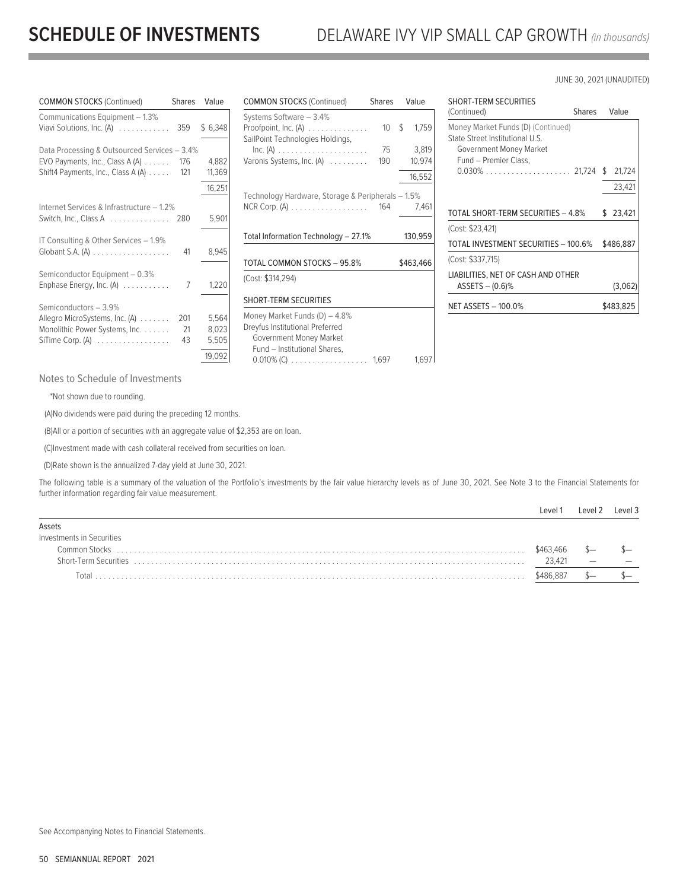|  | JUNE 30, 2021 (UNAUDITED) |  |
|--|---------------------------|--|

| <b>COMMON STOCKS (Continued)</b>                                                                                                | <b>Shares</b>   | Value                             |
|---------------------------------------------------------------------------------------------------------------------------------|-----------------|-----------------------------------|
| Communications Equipment - 1.3%<br>Viavi Solutions, Inc. (A)                                                                    | 359             | \$6,348                           |
| Data Processing & Outsourced Services - 3.4%<br>EVO Payments, Inc., Class A (A) $\dots$ .<br>Shift4 Payments, Inc., Class A (A) | 176<br>121      | 4,882<br>11,369<br>16,251         |
| Internet Services & Infrastructure - 1.2%<br>Switch, Inc., Class A $\ldots$                                                     | 280             | 5,901                             |
| IT Consulting & Other Services - 1.9%<br>Globant S.A. (A)                                                                       | 41              | 8,945                             |
| Semiconductor Equipment - 0.3%<br>Enphase Energy, Inc. (A) $\ldots \ldots \ldots$                                               | 7               | 1,220                             |
| Semiconductors - 3.9%<br>Allegro MicroSystems, Inc. (A)<br>Monolithic Power Systems, Inc.<br>SiTime Corp. $(A)$                 | 201<br>21<br>43 | 5,564<br>8,023<br>5,505<br>19,092 |

| <b>COMMON STOCKS (Continued)</b>                                                                                                                                                  | <b>Shares</b>   | Value           |
|-----------------------------------------------------------------------------------------------------------------------------------------------------------------------------------|-----------------|-----------------|
| Systems Software - 3.4%<br>Proofpoint, Inc. $(A)$<br>SailPoint Technologies Holdings,                                                                                             | 10 <sup>1</sup> | \$<br>1,759     |
| Varonis Systems, Inc. (A)                                                                                                                                                         | 75<br>190       | 3,819<br>10,974 |
|                                                                                                                                                                                   |                 | 16,552          |
| Technology Hardware, Storage & Peripherals - 1.5%                                                                                                                                 | 164             | 7,461           |
| Total Information Technology - 27.1%                                                                                                                                              |                 | 130,959         |
| TOTAL COMMON STOCKS - 95.8%                                                                                                                                                       |                 | \$463,466       |
| (Cost: \$314,294)                                                                                                                                                                 |                 |                 |
| SHORT-TERM SECURITIES                                                                                                                                                             |                 |                 |
| Money Market Funds (D) - 4.8%<br>Dreyfus Institutional Preferred<br>Government Money Market<br>Fund - Institutional Shares,<br>$0.010\%$ (C) $\ldots \ldots \ldots \ldots \ldots$ | 1,697           | 1,697           |

| <b>SHORT-TERM SECURITIES</b><br>(Continued)<br>Shares                                                                               |    | Value              |
|-------------------------------------------------------------------------------------------------------------------------------------|----|--------------------|
| Money Market Funds (D) (Continued)<br>State Street Institutional U.S.<br>Government Money Market<br>Fund - Premier Class,<br>21,724 |    | \$21,724<br>23,421 |
| TOTAL SHORT-TERM SECURITIES - 4.8%                                                                                                  | \$ | 23,421             |
| (Cost: \$23,421)                                                                                                                    |    |                    |
| TOTAL INVESTMENT SECURITIES - 100.6%                                                                                                |    | \$486,887          |
| (Cost: \$337,715)                                                                                                                   |    |                    |
| LIABILITIES, NET OF CASH AND OTHER<br>$ASSETS - (0.6)$ %                                                                            |    | (3,062)            |
| <b>NET ASSETS - 100.0%</b>                                                                                                          |    | \$483,825          |

Notes to Schedule of Investments

\*Not shown due to rounding.

(A)No dividends were paid during the preceding 12 months.

(B)All or a portion of securities with an aggregate value of \$2,353 are on loan.

(C)Investment made with cash collateral received from securities on loan.

(D)Rate shown is the annualized 7-day yield at June 30, 2021.

The following table is a summary of the valuation of the Portfolio's investments by the fair value hierarchy levels as of June 30, 2021. See Note 3 to the Financial Statements for further information regarding fair value measurement.

|                              | Level     | PVAL | evel 3 |
|------------------------------|-----------|------|--------|
| Assets                       |           |      |        |
| Investments in Securities    |           |      |        |
| Common Stocks                | \$463,466 | $S-$ |        |
| <b>Short-Term Securities</b> | 23,421    |      |        |
| Total                        | \$486,887 |      |        |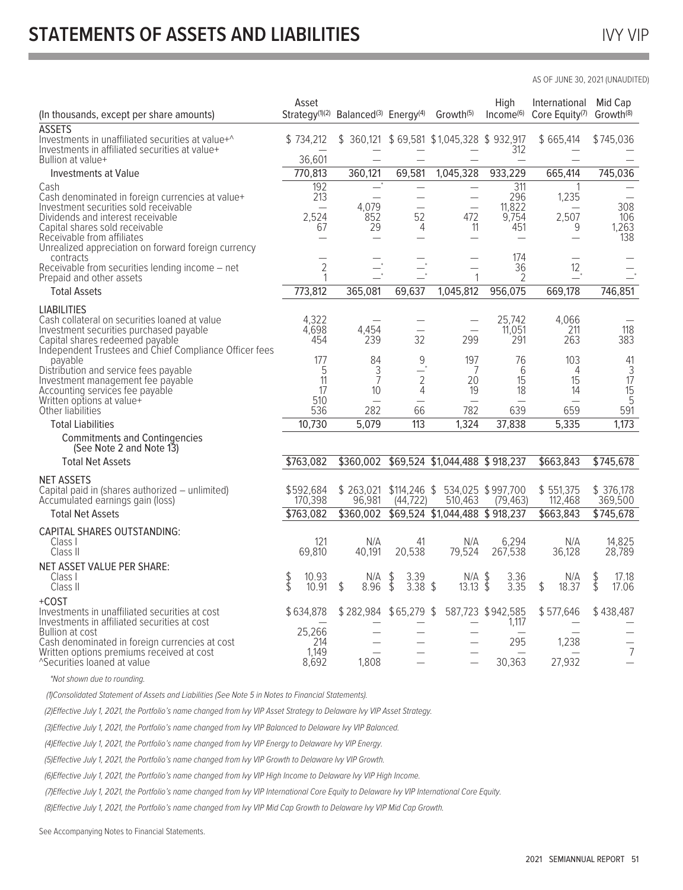| (In thousands, except per share amounts)                                                                                                                                                                                                                                    | Asset<br>Strategy <sup>(1)(2)</sup> Balanced <sup>(3)</sup> Energy <sup>(4)</sup> Growth <sup>(5)</sup> |                                  |                                             |                                                                             | High<br>Income <sup>(6)</sup>               | International<br>Core Equity <sup>(7)</sup>     | Mid Cap<br>Growth <sup>(8)</sup>        |
|-----------------------------------------------------------------------------------------------------------------------------------------------------------------------------------------------------------------------------------------------------------------------------|---------------------------------------------------------------------------------------------------------|----------------------------------|---------------------------------------------|-----------------------------------------------------------------------------|---------------------------------------------|-------------------------------------------------|-----------------------------------------|
| <b>ASSETS</b>                                                                                                                                                                                                                                                               |                                                                                                         |                                  |                                             |                                                                             |                                             |                                                 |                                         |
| Investments in unaffiliated securities at value+^<br>Investments in affiliated securities at value+                                                                                                                                                                         | \$734,212                                                                                               |                                  |                                             | \$360,121 \$69,581 \$1,045,328 \$932,917                                    | 312                                         | \$665,414                                       | \$745,036                               |
| Bullion at value+                                                                                                                                                                                                                                                           | 36,601                                                                                                  |                                  |                                             |                                                                             |                                             |                                                 |                                         |
| Investments at Value                                                                                                                                                                                                                                                        | 770,813                                                                                                 | 360,121                          | 69,581                                      | 1,045,328                                                                   | 933,229                                     | 665,414                                         | 745,036                                 |
| Cash<br>Cash denominated in foreign currencies at value+<br>Investment securities sold receivable<br>Dividends and interest receivable<br>Capital shares sold receivable<br>Receivable from affiliates<br>Unrealized appreciation on forward foreign currency               | 192<br>213<br>2,524<br>67                                                                               | 4.079<br>852<br>29               | 52<br>4                                     | 472<br>11                                                                   | 311<br>296<br>11,822<br>9,754<br>451        | 1,235<br>2,507<br>9<br>$\overline{\phantom{0}}$ | 308<br>106<br>1,263<br>$\overline{138}$ |
| contracts<br>Receivable from securities lending income - net                                                                                                                                                                                                                | $\overline{2}$                                                                                          |                                  |                                             | 1                                                                           | 174<br>36                                   | 12                                              |                                         |
| Prepaid and other assets<br><b>Total Assets</b>                                                                                                                                                                                                                             | 773,812                                                                                                 | 365,081                          | 69,637                                      | 1,045,812                                                                   | 2<br>956,075                                | 669,178                                         | 746,851                                 |
|                                                                                                                                                                                                                                                                             |                                                                                                         |                                  |                                             |                                                                             |                                             |                                                 |                                         |
| <b>LIABILITIES</b><br>Cash collateral on securities loaned at value<br>Investment securities purchased payable<br>Capital shares redeemed payable<br>Independent Trustees and Chief Compliance Officer fees                                                                 | 4.322<br>4.698<br>454                                                                                   | 4,454<br>239                     | 32                                          | 299                                                                         | 25.742<br>11,051<br>291                     | 4.066<br>211<br>263                             | 118<br>383                              |
| payable<br>Distribution and service fees payable<br>Investment management fee payable<br>Accounting services fee payable<br>Written options at value+<br>Other liabilities                                                                                                  | 177<br>5<br>11<br>17<br>510<br>536                                                                      | 84<br>$\frac{3}{7}$<br>10<br>282 | 9<br>$\overline{2}$<br>$\overline{4}$<br>66 | 197<br>7<br>20<br>19<br>$\overline{\phantom{0}}$<br>782                     | 76<br>6<br>15<br>18<br>and a<br>639         | 103<br>4<br>15<br>14<br>659                     | 41<br>$\frac{3}{17}$<br>15<br>5<br>591  |
| <b>Total Liabilities</b>                                                                                                                                                                                                                                                    | 10,730                                                                                                  | 5,079                            | 113                                         | 1,324                                                                       | 37,838                                      | 5,335                                           | 1,173                                   |
| <b>Commitments and Contingencies</b><br>(See Note 2 and Note 13)                                                                                                                                                                                                            |                                                                                                         |                                  |                                             |                                                                             |                                             |                                                 |                                         |
| <b>Total Net Assets</b>                                                                                                                                                                                                                                                     | \$763,082                                                                                               |                                  |                                             | \$360,002 \$69,524 \$1,044,488 \$918,237                                    |                                             | \$663.843                                       | \$745,678                               |
| <b>NET ASSETS</b><br>Capital paid in (shares authorized – unlimited)<br>Accumulated earnings gain (loss)<br><b>Total Net Assets</b>                                                                                                                                         | \$592.684<br>170,398<br>\$763,082                                                                       | \$263,021<br>96,981<br>\$360,002 | (44, 722)                                   | \$114,246 \$ 534,025 \$997,700<br>510,463<br>\$69,524 \$1,044,488 \$918,237 | (79, 463)                                   | \$551,375<br>112,468<br>\$663,843               | \$ 376,178<br>369,500<br>\$745,678      |
| CAPITAL SHARES OUTSTANDING:<br>Class I<br>Class II                                                                                                                                                                                                                          | 121<br>69.810                                                                                           | N/A<br>40.191                    | 41<br>20.538                                | N/A<br>79.524                                                               | 6,294<br>267.538                            | N/A<br>36,128                                   | 14,825<br>28.789                        |
| NET ASSET VALUE PER SHARE:<br>Class I<br>Class II                                                                                                                                                                                                                           | \$<br>\$<br>10.93<br>10.91                                                                              | N/A<br>\$<br>8.96                | 3.39<br>\$<br>$3.38$ \$                     | N/A<br>13.13                                                                | $\frac{6}{3}$<br>3.36<br>3.35               | N/A<br>\$<br>18.37                              | $\frac{1}{2}$<br>17.18<br>17.06         |
| +COST<br>Investments in unaffiliated securities at cost<br>Investments in affiliated securities at cost<br><b>Bullion at cost</b><br>Cash denominated in foreign currencies at cost<br>Written options premiums received at cost<br><sup>^</sup> Securities loaned at value | \$634,878<br>25,266<br>214<br>1.149<br>8,692                                                            | \$282,984<br>1,808               | $$65,279$ \$                                | $\overline{\phantom{0}}$                                                    | 587,723 \$942,585<br>1,117<br>295<br>30,363 | \$577,646<br>1,238<br>27,932                    | \$438,487<br>$\overline{7}$             |

AS OF JUNE 30, 2021 (UNAUDITED)

\*Not shown due to rounding.

(1)Consolidated Statement of Assets and Liabilities (See Note 5 in Notes to Financial Statements).

(2)Effective July 1, 2021, the Portfolio's name changed from Ivy VIP Asset Strategy to Delaware Ivy VIP Asset Strategy.

(3)Effective July 1, 2021, the Portfolio's name changed from Ivy VIP Balanced to Delaware Ivy VIP Balanced.

(4)Effective July 1, 2021, the Portfolio's name changed from Ivy VIP Energy to Delaware Ivy VIP Energy.

(5)Effective July 1, 2021, the Portfolio's name changed from Ivy VIP Growth to Delaware Ivy VIP Growth.

(6)Effective July 1, 2021, the Portfolio's name changed from Ivy VIP High Income to Delaware Ivy VIP High Income.

(7)Effective July 1, 2021, the Portfolio's name changed from Ivy VIP International Core Equity to Delaware Ivy VIP International Core Equity.

(8)Effective July 1, 2021, the Portfolio's name changed from Ivy VIP Mid Cap Growth to Delaware Ivy VIP Mid Cap Growth.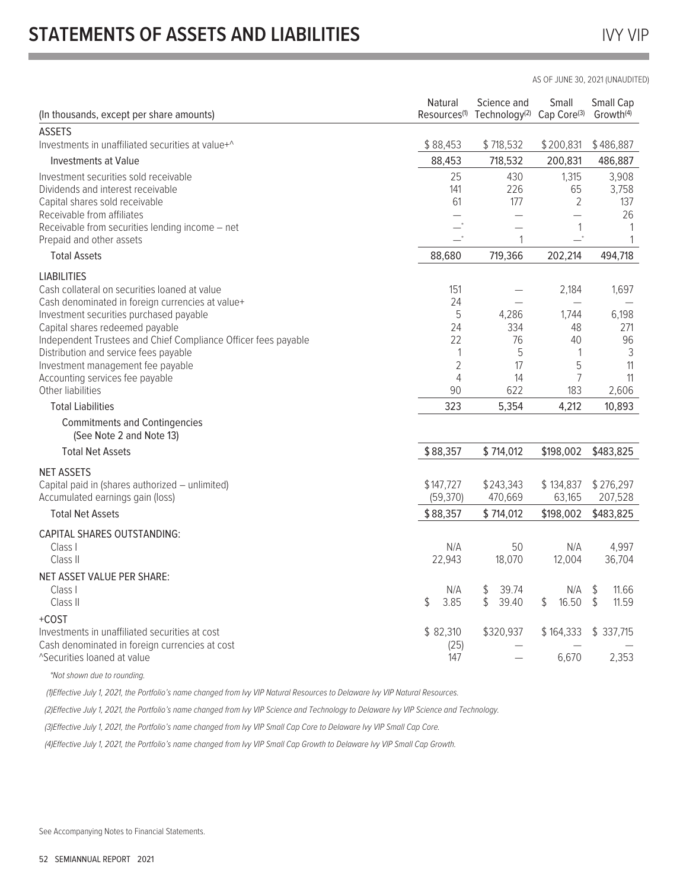# **STATEMENTS OF ASSETS AND LIABILITIES** IVY VIP

AS OF JUNE 30, 2021 (UNAUDITED)

| (In thousands, except per share amounts)                                                          | Natural              | Science and<br>Resources <sup>(1)</sup> Technology <sup>(2)</sup> Cap Core <sup>(3)</sup> | Small        | Small Cap<br>Growth <sup>(4)</sup> |
|---------------------------------------------------------------------------------------------------|----------------------|-------------------------------------------------------------------------------------------|--------------|------------------------------------|
| <b>ASSETS</b>                                                                                     |                      |                                                                                           |              |                                    |
| Investments in unaffiliated securities at value+^                                                 | \$88,453             | \$718,532                                                                                 | \$200,831    | \$486,887                          |
| Investments at Value                                                                              | 88,453               | 718,532                                                                                   | 200,831      | 486,887                            |
| Investment securities sold receivable                                                             | 25                   | 430                                                                                       | 1,315        | 3,908                              |
| Dividends and interest receivable                                                                 | 141                  | 226                                                                                       | 65           | 3,758                              |
| Capital shares sold receivable                                                                    | 61                   | 177                                                                                       | 2            | 137                                |
| Receivable from affiliates                                                                        |                      | $\overline{\phantom{0}}$                                                                  | $\equiv$     | 26                                 |
| Receivable from securities lending income - net<br>Prepaid and other assets                       |                      | $\overline{\phantom{0}}$<br>1                                                             | 1<br>$-^{*}$ | 1<br>1                             |
| <b>Total Assets</b>                                                                               | 88,680               | 719,366                                                                                   | 202,214      | 494,718                            |
|                                                                                                   |                      |                                                                                           |              |                                    |
| <b>LIABILITIES</b>                                                                                |                      |                                                                                           |              |                                    |
| Cash collateral on securities loaned at value<br>Cash denominated in foreign currencies at value+ | 151<br>24            |                                                                                           | 2,184        | 1,697                              |
| Investment securities purchased payable                                                           | 5                    | 4,286                                                                                     | 1.744        | 6,198                              |
| Capital shares redeemed payable                                                                   | 24                   | 334                                                                                       | 48           | 271                                |
| Independent Trustees and Chief Compliance Officer fees payable                                    | 22                   | 76                                                                                        | 40           | 96                                 |
| Distribution and service fees payable                                                             | $\mathbf{1}$         | 5                                                                                         | $\mathbf{1}$ | 3                                  |
| Investment management fee payable                                                                 | $\overline{2}$       | 17                                                                                        | 5            | 11                                 |
| Accounting services fee payable<br>Other liabilities                                              | $\overline{4}$<br>90 | 14<br>622                                                                                 | 7<br>183     | 11<br>2,606                        |
| <b>Total Liabilities</b>                                                                          | 323                  | 5,354                                                                                     | 4,212        | 10,893                             |
|                                                                                                   |                      |                                                                                           |              |                                    |
| <b>Commitments and Contingencies</b><br>(See Note 2 and Note 13)                                  |                      |                                                                                           |              |                                    |
| <b>Total Net Assets</b>                                                                           | \$88,357             | \$714,012                                                                                 | \$198,002    | \$483,825                          |
| <b>NET ASSETS</b>                                                                                 |                      |                                                                                           |              |                                    |
| Capital paid in (shares authorized - unlimited)                                                   | \$147,727            | \$243,343                                                                                 | \$134,837    | \$276,297                          |
| Accumulated earnings gain (loss)                                                                  | (59, 370)            | 470,669                                                                                   | 63,165       | 207,528                            |
| <b>Total Net Assets</b>                                                                           | \$88,357             | \$714,012                                                                                 | \$198,002    | \$483,825                          |
| <b>CAPITAL SHARES OUTSTANDING:</b>                                                                |                      |                                                                                           |              |                                    |
| Class I                                                                                           | N/A                  | 50                                                                                        | N/A          | 4,997                              |
| Class II                                                                                          | 22,943               | 18,070                                                                                    | 12,004       | 36,704                             |
| NET ASSET VALUE PER SHARE:                                                                        |                      |                                                                                           |              |                                    |
| Class I                                                                                           | N/A                  | \$<br>39.74                                                                               | N/A          | \$<br>11.66                        |
| Class II                                                                                          | \$<br>3.85           | \$<br>39.40                                                                               | \$<br>16.50  | \$<br>11.59                        |
| +COST                                                                                             |                      |                                                                                           |              |                                    |
| Investments in unaffiliated securities at cost                                                    | \$82,310             | \$320,937                                                                                 | \$164,333    | \$337,715                          |
| Cash denominated in foreign currencies at cost<br>^Securities loaned at value                     | (25)<br>147          |                                                                                           |              | 2,353                              |
|                                                                                                   |                      |                                                                                           | 6,670        |                                    |
| *Not shown due to rounding.                                                                       |                      |                                                                                           |              |                                    |

(1)Effective July 1, 2021, the Portfolio's name changed from Ivy VIP Natural Resources to Delaware Ivy VIP Natural Resources.

(2)Effective July 1, 2021, the Portfolio's name changed from Ivy VIP Science and Technology to Delaware Ivy VIP Science and Technology.

(3)Effective July 1, 2021, the Portfolio's name changed from Ivy VIP Small Cap Core to Delaware Ivy VIP Small Cap Core.

(4)Effective July 1, 2021, the Portfolio's name changed from Ivy VIP Small Cap Growth to Delaware Ivy VIP Small Cap Growth.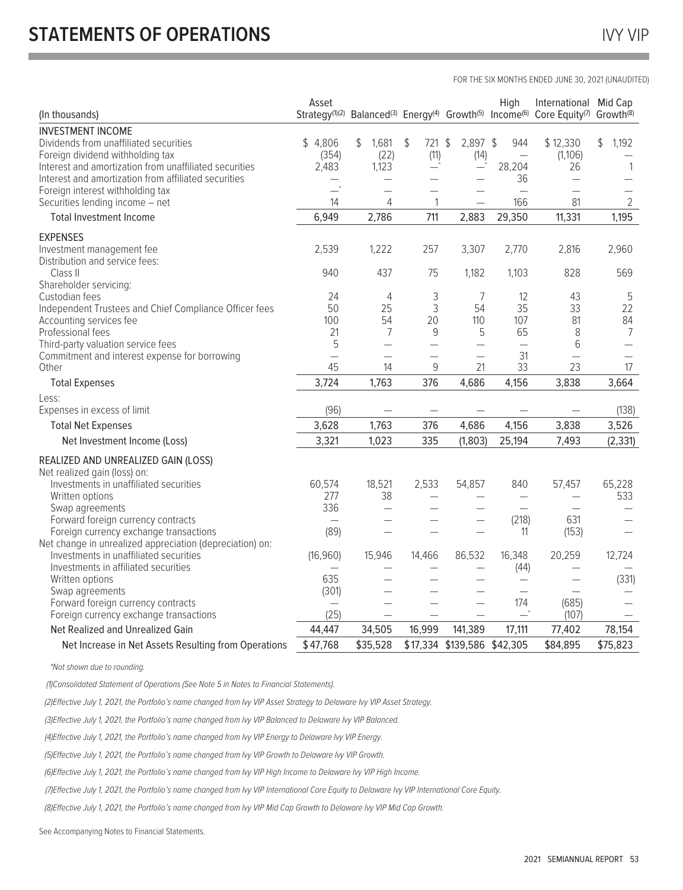FOR THE SIX MONTHS ENDED JUNE 30, 2021 (UNAUDITED)

| (In thousands)                                                                             | Asset                    |          |                          |                          |                                                      | High                     | International Mid Cap<br>Strategy <sup>(1)(2)</sup> Balanced <sup>(3)</sup> Energy <sup>(4)</sup> Growth <sup>(5)</sup> Income <sup>(6)</sup> Core Equity <sup>(7)</sup> Growth <sup>(8)</sup> |                          |
|--------------------------------------------------------------------------------------------|--------------------------|----------|--------------------------|--------------------------|------------------------------------------------------|--------------------------|------------------------------------------------------------------------------------------------------------------------------------------------------------------------------------------------|--------------------------|
| <b>INVESTMENT INCOME</b>                                                                   |                          |          |                          |                          |                                                      |                          |                                                                                                                                                                                                |                          |
| Dividends from unaffiliated securities                                                     | \$4,806                  | \$       | 1,681                    | \$<br>721                | \$<br>2,897 \$                                       | 944                      | \$12,330                                                                                                                                                                                       | \$<br>1,192              |
| Foreign dividend withholding tax<br>Interest and amortization from unaffiliated securities | (354)<br>2,483           |          | (22)<br>1,123            | (11)<br>—'               | (14)                                                 | 28,204                   | (1,106)<br>26                                                                                                                                                                                  | $\mathbf{1}$             |
| Interest and amortization from affiliated securities                                       |                          |          | $\overline{\phantom{0}}$ |                          |                                                      | 36                       |                                                                                                                                                                                                | $\overline{\phantom{0}}$ |
| Foreign interest withholding tax                                                           |                          |          | $\equiv$                 | $\overline{\phantom{0}}$ |                                                      | $\equiv$                 | $\equiv$                                                                                                                                                                                       |                          |
| Securities lending income - net                                                            | 14                       |          | 4                        | 1                        |                                                      | 166                      | 81                                                                                                                                                                                             | $\overline{2}$           |
| <b>Total Investment Income</b>                                                             | 6,949                    |          | 2,786                    | 711                      | 2,883                                                | 29,350                   | 11,331                                                                                                                                                                                         | 1,195                    |
| <b>EXPENSES</b>                                                                            |                          |          |                          |                          |                                                      |                          |                                                                                                                                                                                                |                          |
| Investment management fee                                                                  | 2,539                    |          | 1,222                    | 257                      | 3,307                                                | 2,770                    | 2,816                                                                                                                                                                                          | 2,960                    |
| Distribution and service fees:                                                             |                          |          |                          |                          |                                                      |                          |                                                                                                                                                                                                |                          |
| Class II                                                                                   | 940                      |          | 437                      | 75                       | 1,182                                                | 1,103                    | 828                                                                                                                                                                                            | 569                      |
| Shareholder servicing:<br>Custodian fees                                                   | 24                       |          | 4                        | 3                        | $\overline{7}$                                       | 12                       | 43                                                                                                                                                                                             | 5                        |
| Independent Trustees and Chief Compliance Officer fees                                     | 50                       |          | 25                       | 3                        | 54                                                   | 35                       | 33                                                                                                                                                                                             | 22                       |
| Accounting services fee                                                                    | 100                      |          | 54                       | 20                       | 110                                                  | 107                      | 81                                                                                                                                                                                             | 84                       |
| Professional fees                                                                          | 21                       |          | 7                        | 9                        | 5                                                    | 65                       | 8                                                                                                                                                                                              | 7                        |
| Third-party valuation service fees                                                         | 5                        |          |                          | $\overline{\phantom{0}}$ | $\equiv$                                             | $\overline{\phantom{0}}$ | 6                                                                                                                                                                                              |                          |
| Commitment and interest expense for borrowing                                              | $\overline{\phantom{0}}$ |          | $\qquad \qquad$          | $\overline{\phantom{0}}$ | $\equiv$                                             | 31                       | $\overline{\phantom{0}}$                                                                                                                                                                       |                          |
| Other                                                                                      | 45                       |          | 14                       | 9                        | 21                                                   | 33                       | 23                                                                                                                                                                                             | 17                       |
| <b>Total Expenses</b>                                                                      | 3,724                    |          | 1,763                    | 376                      | 4,686                                                | 4,156                    | 3,838                                                                                                                                                                                          | 3,664                    |
| Less:                                                                                      |                          |          |                          |                          |                                                      |                          |                                                                                                                                                                                                |                          |
| Expenses in excess of limit                                                                | (96)                     |          |                          |                          |                                                      |                          |                                                                                                                                                                                                | (138)                    |
| <b>Total Net Expenses</b>                                                                  | 3,628                    |          | 1,763                    | 376                      | 4,686                                                | 4,156                    | 3,838                                                                                                                                                                                          | 3,526                    |
| Net Investment Income (Loss)                                                               | 3,321                    |          | 1,023                    | 335                      | (1, 803)                                             | 25,194                   | 7,493                                                                                                                                                                                          | (2, 331)                 |
| REALIZED AND UNREALIZED GAIN (LOSS)                                                        |                          |          |                          |                          |                                                      |                          |                                                                                                                                                                                                |                          |
| Net realized gain (loss) on:                                                               |                          |          |                          |                          |                                                      |                          |                                                                                                                                                                                                |                          |
| Investments in unaffiliated securities                                                     | 60,574                   |          | 18,521                   | 2,533                    | 54,857                                               | 840                      | 57,457                                                                                                                                                                                         | 65,228                   |
| Written options                                                                            | 277                      |          | 38                       |                          |                                                      |                          |                                                                                                                                                                                                | 533                      |
| Swap agreements                                                                            | 336                      |          | $\equiv$                 |                          |                                                      |                          | 631                                                                                                                                                                                            |                          |
| Forward foreign currency contracts<br>Foreign currency exchange transactions               | (89)                     |          | $\overline{\phantom{0}}$ |                          | $\overline{\phantom{0}}$<br>$\overline{\phantom{0}}$ | (218)                    |                                                                                                                                                                                                |                          |
| Net change in unrealized appreciation (depreciation) on:                                   |                          |          | $\overline{\phantom{0}}$ |                          |                                                      | 11                       | (153)                                                                                                                                                                                          |                          |
| Investments in unaffiliated securities                                                     | (16, 960)                | 15,946   |                          | 14,466                   | 86,532                                               | 16,348                   | 20,259                                                                                                                                                                                         | 12,724                   |
| Investments in affiliated securities                                                       |                          |          |                          |                          |                                                      | (44)                     |                                                                                                                                                                                                |                          |
| Written options                                                                            | 635                      |          |                          |                          |                                                      | $\qquad \qquad -$        |                                                                                                                                                                                                | (331)                    |
| Swap agreements                                                                            | (301)                    |          |                          |                          |                                                      |                          |                                                                                                                                                                                                |                          |
| Forward foreign currency contracts                                                         |                          |          |                          |                          |                                                      | 174                      | (685)                                                                                                                                                                                          |                          |
| Foreign currency exchange transactions                                                     | (25)                     |          |                          |                          | $\overline{\phantom{0}}$                             | $-$                      | (107)                                                                                                                                                                                          |                          |
| Net Realized and Unrealized Gain                                                           | 44,447                   | 34,505   |                          | 16,999                   | 141,389                                              | 17,111                   | 77,402                                                                                                                                                                                         | 78,154                   |
| Net Increase in Net Assets Resulting from Operations                                       | \$47,768                 | \$35,528 |                          |                          | \$17,334 \$139,586 \$42,305                          |                          | \$84,895                                                                                                                                                                                       | \$75,823                 |

\*Not shown due to rounding.

(1)Consolidated Statement of Operations (See Note 5 in Notes to Financial Statements).

(2)Effective July 1, 2021, the Portfolio's name changed from Ivy VIP Asset Strategy to Delaware Ivy VIP Asset Strategy.

(3)Effective July 1, 2021, the Portfolio's name changed from Ivy VIP Balanced to Delaware Ivy VIP Balanced.

(4)Effective July 1, 2021, the Portfolio's name changed from Ivy VIP Energy to Delaware Ivy VIP Energy.

(5)Effective July 1, 2021, the Portfolio's name changed from Ivy VIP Growth to Delaware Ivy VIP Growth.

(6)Effective July 1, 2021, the Portfolio's name changed from Ivy VIP High Income to Delaware Ivy VIP High Income.

(7)Effective July 1, 2021, the Portfolio's name changed from Ivy VIP International Core Equity to Delaware Ivy VIP International Core Equity.

(8)Effective July 1, 2021, the Portfolio's name changed from Ivy VIP Mid Cap Growth to Delaware Ivy VIP Mid Cap Growth.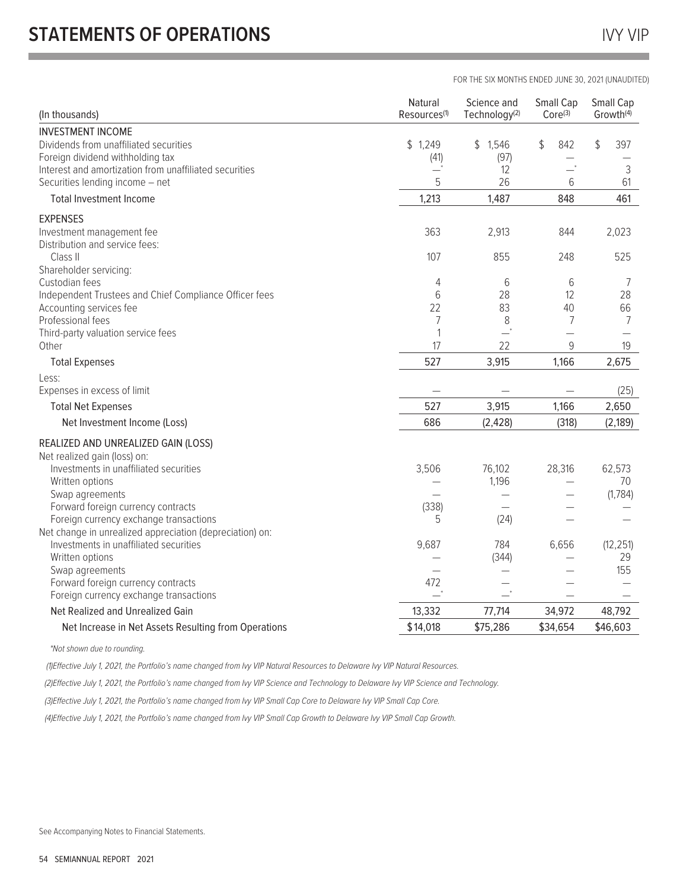| (In thousands)                                           | Natural<br>Resources <sup>(1)</sup> | Science and<br>Technology <sup>(2)</sup> | Small Cap<br>$Core^{(3)}$ | Small Cap<br>Growth <sup>(4)</sup> |
|----------------------------------------------------------|-------------------------------------|------------------------------------------|---------------------------|------------------------------------|
| <b>INVESTMENT INCOME</b>                                 |                                     |                                          |                           |                                    |
| Dividends from unaffiliated securities                   | \$1,249                             | \$1,546                                  | \$<br>842                 | \$<br>397                          |
| Foreign dividend withholding tax                         | (41)                                | (97)                                     |                           |                                    |
| Interest and amortization from unaffiliated securities   | Ξ,                                  | 12                                       |                           | 3                                  |
| Securities lending income - net                          | 5                                   | 26                                       | 6                         | 61                                 |
| <b>Total Investment Income</b>                           | 1,213                               | 1,487                                    | 848                       | 461                                |
| <b>EXPENSES</b>                                          |                                     |                                          |                           |                                    |
| Investment management fee                                | 363                                 | 2,913                                    | 844                       | 2,023                              |
| Distribution and service fees:                           |                                     |                                          |                           |                                    |
| Class II                                                 | 107                                 | 855                                      | 248                       | 525                                |
| Shareholder servicing:                                   |                                     |                                          |                           |                                    |
| Custodian fees                                           | 4                                   | 6                                        | 6                         | 7                                  |
| Independent Trustees and Chief Compliance Officer fees   | 6                                   | 28                                       | 12                        | 28                                 |
| Accounting services fee                                  | 22                                  | 83                                       | 40                        | 66                                 |
| Professional fees                                        | 7                                   | 8                                        | 7                         | 7                                  |
| Third-party valuation service fees                       | $\mathbf 1$                         |                                          |                           |                                    |
| Other                                                    | 17                                  | 22                                       | 9                         | 19                                 |
| <b>Total Expenses</b>                                    | 527                                 | 3,915                                    | 1,166                     | 2,675                              |
| Less:                                                    |                                     |                                          |                           |                                    |
| Expenses in excess of limit                              |                                     |                                          |                           | (25)                               |
| <b>Total Net Expenses</b>                                | 527                                 | 3,915                                    | 1,166                     | 2,650                              |
| Net Investment Income (Loss)                             | 686                                 | (2, 428)                                 | (318)                     | (2, 189)                           |
| REALIZED AND UNREALIZED GAIN (LOSS)                      |                                     |                                          |                           |                                    |
| Net realized gain (loss) on:                             |                                     |                                          |                           |                                    |
| Investments in unaffiliated securities                   | 3,506                               | 76,102                                   | 28,316                    | 62,573                             |
| Written options                                          |                                     | 1,196                                    |                           | 70                                 |
| Swap agreements                                          |                                     |                                          |                           | (1,784)                            |
| Forward foreign currency contracts                       | (338)                               |                                          |                           |                                    |
| Foreign currency exchange transactions                   | 5                                   | (24)                                     |                           |                                    |
| Net change in unrealized appreciation (depreciation) on: |                                     |                                          |                           |                                    |
| Investments in unaffiliated securities                   | 9,687                               | 784                                      | 6,656                     | (12, 251)                          |
| Written options                                          |                                     | (344)                                    |                           | 29                                 |
| Swap agreements                                          |                                     |                                          |                           | 155                                |
| Forward foreign currency contracts                       | 472<br>$\equiv^*$                   |                                          |                           |                                    |
| Foreign currency exchange transactions                   |                                     |                                          |                           |                                    |
| Net Realized and Unrealized Gain                         | 13,332                              | 77,714                                   | 34,972                    | 48,792                             |
| Net Increase in Net Assets Resulting from Operations     | \$14,018                            | \$75,286                                 | \$34,654                  | \$46,603                           |

FOR THE SIX MONTHS ENDED JUNE 30, 2021 (UNAUDITED)

\*Not shown due to rounding.

(1)Effective July 1, 2021, the Portfolio's name changed from Ivy VIP Natural Resources to Delaware Ivy VIP Natural Resources.

(2)Effective July 1, 2021, the Portfolio's name changed from Ivy VIP Science and Technology to Delaware Ivy VIP Science and Technology.

(3)Effective July 1, 2021, the Portfolio's name changed from Ivy VIP Small Cap Core to Delaware Ivy VIP Small Cap Core.

(4)Effective July 1, 2021, the Portfolio's name changed from Ivy VIP Small Cap Growth to Delaware Ivy VIP Small Cap Growth.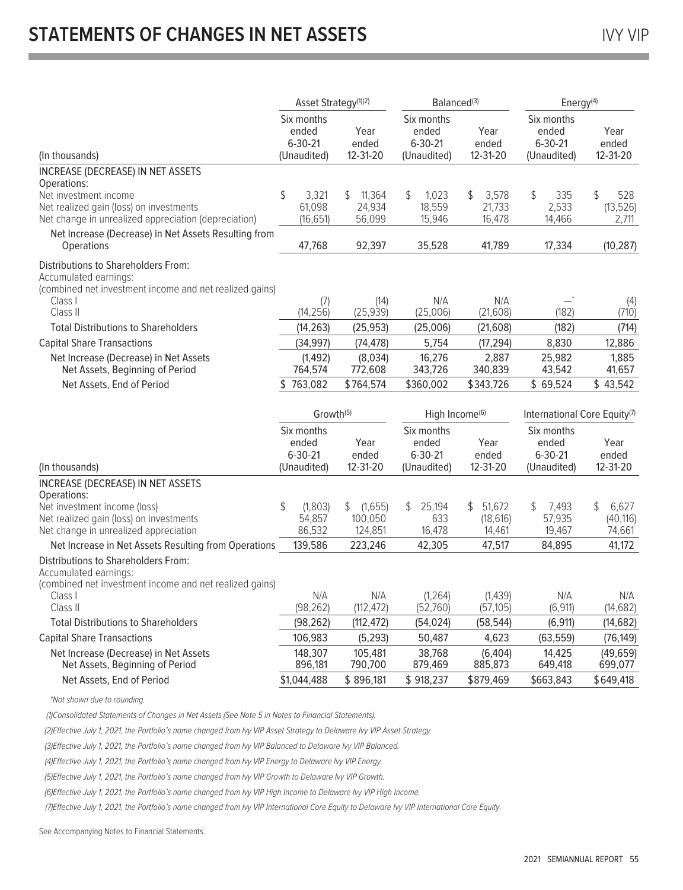|                                                                                                                                                | Asset Strategy <sup>(1)(2)</sup>                                                |                                   | Balanced <sup>(3)</sup>                                |                                     | Energy <sup>(4)</sup>                               |                                    |
|------------------------------------------------------------------------------------------------------------------------------------------------|---------------------------------------------------------------------------------|-----------------------------------|--------------------------------------------------------|-------------------------------------|-----------------------------------------------------|------------------------------------|
| (In thousands)                                                                                                                                 | Six months<br>ended<br>$6 - 30 - 21$<br>(Unaudited)                             | Year<br>ended<br>12-31-20         | Six months<br>ended<br>$6 - 30 - 21$<br>(Unaudited)    | Year<br>ended<br>12-31-20           | Six months<br>ended<br>$6 - 30 - 21$<br>(Unaudited) | Year<br>ended<br>12-31-20          |
| INCREASE (DECREASE) IN NET ASSETS                                                                                                              |                                                                                 |                                   |                                                        |                                     |                                                     |                                    |
| Operations:<br>Net investment income<br>Net realized gain (loss) on investments<br>Net change in unrealized appreciation (depreciation)        | \$<br>3,321<br>61,098<br>(16, 651)                                              | \$<br>11,364<br>24,934<br>56,099  | \$<br>1,023<br>18,559<br>15,946                        | \$<br>3,578<br>21,733<br>16,478     | \$<br>335<br>2,533<br>14,466                        | \$<br>528<br>(13, 526)<br>2,711    |
| Net Increase (Decrease) in Net Assets Resulting from<br>Operations                                                                             | 47,768                                                                          | 92,397                            | 35,528                                                 | 41,789                              | 17,334                                              | (10, 287)                          |
| Distributions to Shareholders From:<br>Accumulated earnings:<br>(combined net investment income and net realized gains)<br>Class I<br>Class II | $\left( \frac{\ }{\ }$<br>(14, 256)                                             | (14)<br>(25, 939)                 | N/A<br>(25,006)                                        | N/A<br>(21, 608)                    | (182)                                               | (4)<br>(710)                       |
| <b>Total Distributions to Shareholders</b>                                                                                                     | (14, 263)                                                                       | (25, 953)                         | (25,006)                                               | (21, 608)                           | (182)                                               | (714)                              |
| <b>Capital Share Transactions</b>                                                                                                              | (34, 997)                                                                       | (74, 478)                         | 5,754                                                  | (17, 294)                           | 8,830                                               | 12,886                             |
| Net Increase (Decrease) in Net Assets<br>Net Assets, Beginning of Period                                                                       | (1, 492)<br>764,574                                                             | (8,034)<br>772,608                | 16,276<br>343,726                                      | 2,887<br>340,839                    | 25,982<br>43,542                                    | 1,885<br>41,657                    |
| Net Assets, End of Period                                                                                                                      | 763,082                                                                         | \$764,574                         | \$360,002                                              | \$343,726                           | \$69,524                                            | \$43,542                           |
|                                                                                                                                                | Growth <sup>(5)</sup><br>High Income <sup>(6)</sup><br>Six months<br>Six months |                                   | International Core Equity <sup>(7)</sup><br>Six months |                                     |                                                     |                                    |
| (In thousands)                                                                                                                                 | ended<br>$6 - 30 - 21$<br>(Unaudited)                                           | Year<br>ended<br>12-31-20         | ended<br>$6 - 30 - 21$<br>(Unaudited)                  | Year<br>ended<br>12-31-20           | ended<br>$6 - 30 - 21$<br>(Unaudited)               | Year<br>ended<br>12-31-20          |
| INCREASE (DECREASE) IN NET ASSETS                                                                                                              |                                                                                 |                                   |                                                        |                                     |                                                     |                                    |
| Operations:<br>Net investment income (loss)<br>Net realized gain (loss) on investments<br>Net change in unrealized appreciation                | \$<br>(1,803)<br>54,857<br>86,532                                               | $$$ (1,655)<br>100,050<br>124,851 | \$<br>25,194<br>633<br>16,478                          | \$<br>51,672<br>(18, 616)<br>14,461 | \$<br>7,493<br>57,935<br>19,467                     | \$<br>6,627<br>(40, 116)<br>74,661 |
| Net Increase in Net Assets Resulting from Operations                                                                                           | 139,586                                                                         | 223,246                           | 42,305                                                 | 47,517                              | 84,895                                              | 41,172                             |
| Distributions to Shareholders From:<br>Accumulated earnings:<br>(combined net investment income and net realized gains)<br>Class I             | N/A                                                                             | N/A                               | (1, 264)                                               | (1,439)                             | N/A                                                 | N/A                                |
| Class II                                                                                                                                       | (98, 262)                                                                       | (112, 472)                        | (52,760)                                               | (57, 105)                           | (6, 911)                                            | (14, 682)                          |
| <b>Total Distributions to Shareholders</b>                                                                                                     | (98, 262)                                                                       | (112, 472)                        | (54, 024)                                              | (58, 544)                           | (6, 911)                                            | (14, 682)                          |
| <b>Capital Share Transactions</b>                                                                                                              | 106,983                                                                         | (5, 293)                          | 50,487                                                 | 4,623                               | (63, 559)                                           | (76, 149)                          |
| Net Increase (Decrease) in Net Assets<br>Net Assets, Beginning of Period                                                                       | 148,307<br>896,181                                                              | 105,481<br>790,700                | 38,768<br>879,469                                      | (6, 404)<br>885,873                 | 14,425<br>649,418                                   | (49, 659)<br>699,077               |
| Net Assets, End of Period                                                                                                                      | \$1,044,488                                                                     | \$896,181                         | \$918,237                                              | \$879,469                           | \$663,843                                           | \$649,418                          |
|                                                                                                                                                |                                                                                 |                                   |                                                        |                                     |                                                     |                                    |

\*Not shown due to rounding.

(1)Consolidated Statements of Changes in Net Assets (See Note 5 in Notes to Financial Statements).

(2)Effective July 1, 2021, the Portfolio's name changed from Ivy VIP Asset Strategy to Delaware Ivy VIP Asset Strategy.

(3)Effective July 1, 2021, the Portfolio's name changed from Ivy VIP Balanced to Delaware Ivy VIP Balanced.

(4)Effective July 1, 2021, the Portfolio's name changed from Ivy VIP Energy to Delaware Ivy VIP Energy.

(5)Effective July 1, 2021, the Portfolio's name changed from Ivy VIP Growth to Delaware Ivy VIP Growth.

(6)Effective July 1, 2021, the Portfolio's name changed from Ivy VIP High Income to Delaware Ivy VIP High Income.

(7)Effective July 1, 2021, the Portfolio's name changed from Ivy VIP International Core Equity to Delaware Ivy VIP International Core Equity.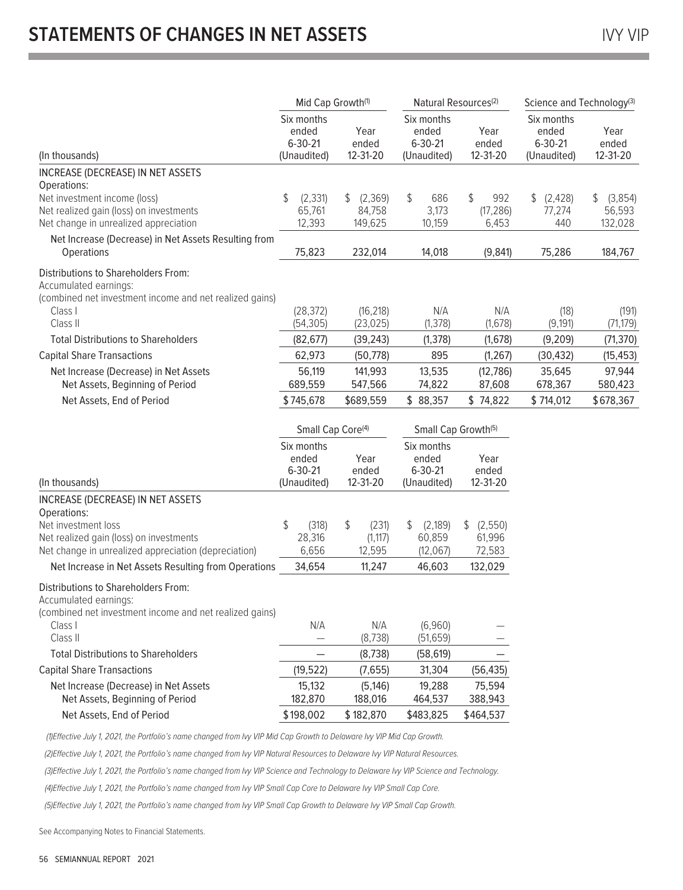|                                                                                                                                                                                               | Mid Cap Growth <sup>(1)</sup>                       |                                             | Natural Resources <sup>(2)</sup>                    |                                              | Science and Technology <sup>(3)</sup>               |                                    |
|-----------------------------------------------------------------------------------------------------------------------------------------------------------------------------------------------|-----------------------------------------------------|---------------------------------------------|-----------------------------------------------------|----------------------------------------------|-----------------------------------------------------|------------------------------------|
| (In thousands)                                                                                                                                                                                | Six months<br>ended<br>$6 - 30 - 21$<br>(Unaudited) | Year<br>ended<br>12-31-20                   | Six months<br>ended<br>$6 - 30 - 21$<br>(Unaudited) | Year<br>ended<br>12-31-20                    | Six months<br>ended<br>$6 - 30 - 21$<br>(Unaudited) | Year<br>ended<br>12-31-20          |
| INCREASE (DECREASE) IN NET ASSETS                                                                                                                                                             |                                                     |                                             |                                                     |                                              |                                                     |                                    |
| Operations:<br>Net investment income (loss)<br>Net realized gain (loss) on investments<br>Net change in unrealized appreciation                                                               | (2, 331)<br>\$<br>65,761<br>12,393                  | \$<br>(2, 369)<br>84,758<br>149,625         | \$<br>686<br>3,173<br>10,159                        | \$<br>992<br>(17, 286)<br>6,453              | (2, 428)<br>\$<br>77,274<br>440                     | (3,854)<br>\$<br>56,593<br>132,028 |
| Net Increase (Decrease) in Net Assets Resulting from<br>Operations                                                                                                                            | 75,823                                              | 232,014                                     | 14,018                                              | (9, 841)                                     | 75,286                                              | 184,767                            |
| Distributions to Shareholders From:<br>Accumulated earnings:<br>(combined net investment income and net realized gains)                                                                       |                                                     |                                             |                                                     |                                              |                                                     |                                    |
| Class I                                                                                                                                                                                       | (28, 372)                                           | (16, 218)                                   | N/A                                                 | N/A                                          | (18)                                                | (191)                              |
| Class II<br><b>Total Distributions to Shareholders</b>                                                                                                                                        | (54, 305)<br>(82, 677)                              | (23, 025)<br>(39, 243)                      | (1, 378)<br>(1, 378)                                | (1,678)                                      | (9, 191)<br>(9, 209)                                | (71, 179)<br>(71, 370)             |
| <b>Capital Share Transactions</b>                                                                                                                                                             | 62,973                                              | (50, 778)                                   | 895                                                 | (1,678)<br>(1, 267)                          | (30, 432)                                           | (15, 453)                          |
| Net Increase (Decrease) in Net Assets<br>Net Assets, Beginning of Period                                                                                                                      | 56,119<br>689,559                                   | 141,993<br>547,566                          | 13,535<br>74,822                                    | (12,786)<br>87,608                           | 35,645<br>678,367                                   | 97,944<br>580,423                  |
| Net Assets, End of Period                                                                                                                                                                     | \$745,678                                           | \$689,559                                   | \$88,357                                            | \$74,822                                     | \$714,012                                           | \$678,367                          |
|                                                                                                                                                                                               | Small Cap Core <sup>(4)</sup>                       |                                             |                                                     | Small Cap Growth <sup>(5)</sup>              |                                                     |                                    |
| (In thousands)                                                                                                                                                                                | Six months<br>ended<br>$6 - 30 - 21$<br>(Unaudited) | Year<br>ended<br>12-31-20                   | Six months<br>ended<br>$6 - 30 - 21$<br>(Unaudited) | Year<br>ended<br>12-31-20                    |                                                     |                                    |
| INCREASE (DECREASE) IN NET ASSETS                                                                                                                                                             |                                                     |                                             |                                                     |                                              |                                                     |                                    |
| Operations:<br>Net investment loss<br>Net realized gain (loss) on investments<br>Net change in unrealized appreciation (depreciation)<br>Net Increase in Net Assets Resulting from Operations | \$<br>(318)<br>28,316<br>6,656<br>34,654            | \$<br>(231)<br>(1, 117)<br>12,595<br>11,247 | (2, 189)<br>\$<br>60,859<br>(12,067)<br>46,603      | \$<br>(2,550)<br>61,996<br>72,583<br>132,029 |                                                     |                                    |
|                                                                                                                                                                                               |                                                     |                                             |                                                     |                                              |                                                     |                                    |
| Distributions to Shareholders From:<br>Accumulated earnings:<br>(combined net investment income and net realized gains)<br>Class I<br>Class II                                                | N/A<br>—                                            | N/A<br>(8, 738)                             | (6,960)<br>(51, 659)                                |                                              |                                                     |                                    |
| <b>Total Distributions to Shareholders</b>                                                                                                                                                    |                                                     | (8,738)                                     | (58, 619)                                           |                                              |                                                     |                                    |
| <b>Capital Share Transactions</b>                                                                                                                                                             | (19, 522)                                           | (7,655)                                     | 31,304                                              | (56, 435)                                    |                                                     |                                    |
| Net Increase (Decrease) in Net Assets<br>Net Assets, Beginning of Period                                                                                                                      | 15,132<br>182,870                                   | (5, 146)<br>188,016                         | 19,288<br>464,537                                   | 75,594<br>388,943                            |                                                     |                                    |
| Net Assets, End of Period                                                                                                                                                                     | \$198,002                                           | \$182,870                                   | \$483,825                                           | \$464,537                                    |                                                     |                                    |

(2)Effective July 1, 2021, the Portfolio's name changed from Ivy VIP Natural Resources to Delaware Ivy VIP Natural Resources.

(3)Effective July 1, 2021, the Portfolio's name changed from Ivy VIP Science and Technology to Delaware Ivy VIP Science and Technology.

(4)Effective July 1, 2021, the Portfolio's name changed from Ivy VIP Small Cap Core to Delaware Ivy VIP Small Cap Core.

(5)Effective July 1, 2021, the Portfolio's name changed from Ivy VIP Small Cap Growth to Delaware Ivy VIP Small Cap Growth.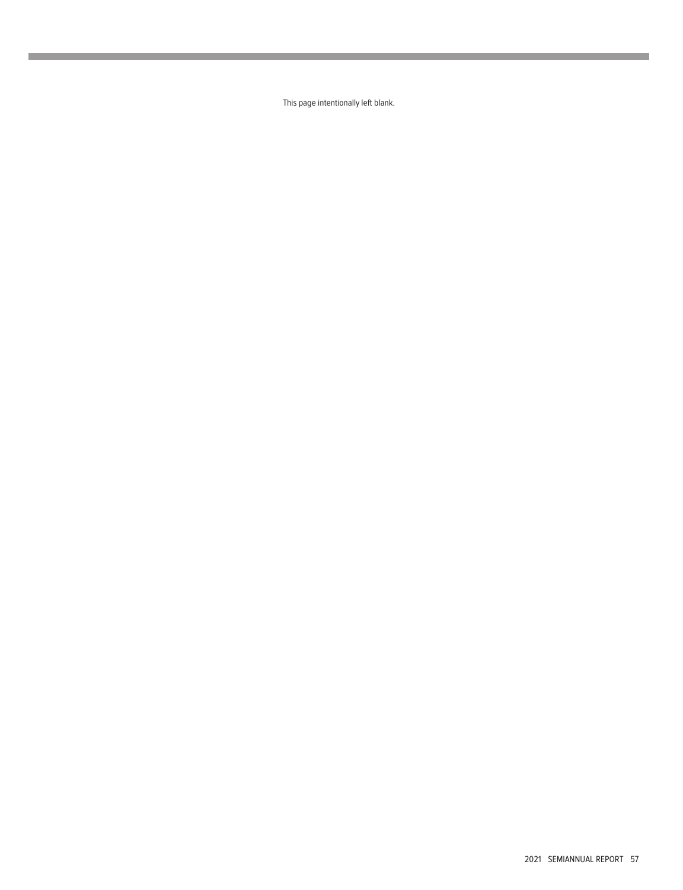This page intentionally left blank.

**Contract Contract Contract Contract**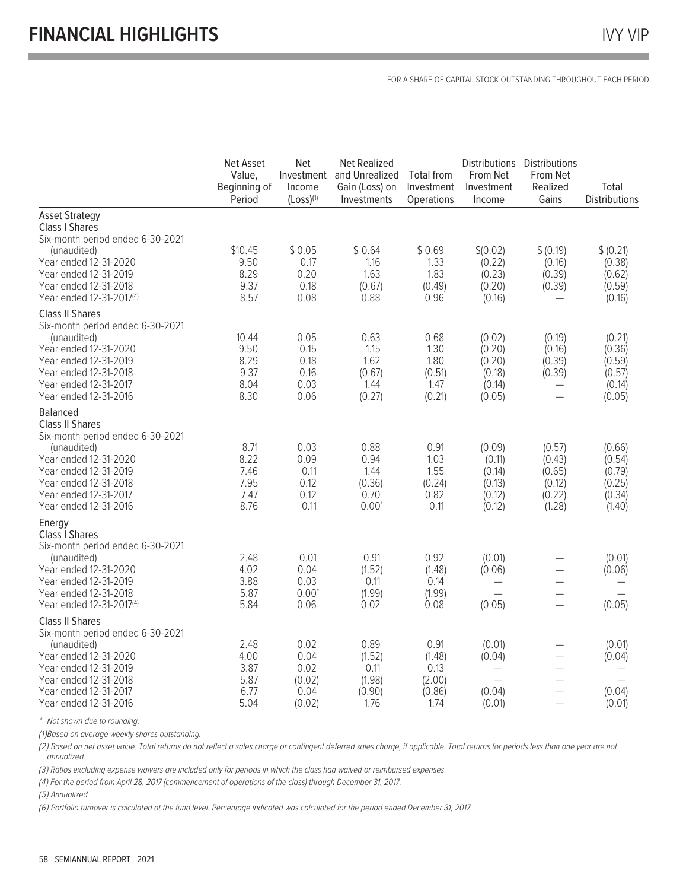FOR A SHARE OF CAPITAL STOCK OUTSTANDING THROUGHOUT EACH PERIOD

|                                                                                                                                                                                                                           | Net Asset<br>Value,<br>Beginning of<br>Period | <b>Net</b><br>Income<br>$(Loss)^{(1)}$           | <b>Net Realized</b><br>Investment and Unrealized<br>Gain (Loss) on<br>Investments | Total from<br>Investment<br>Operations             | From Net<br>Investment<br>Income                         | Distributions Distributions<br>From Net<br>Realized<br>Gains                     | Total<br>Distributions                                   |
|---------------------------------------------------------------------------------------------------------------------------------------------------------------------------------------------------------------------------|-----------------------------------------------|--------------------------------------------------|-----------------------------------------------------------------------------------|----------------------------------------------------|----------------------------------------------------------|----------------------------------------------------------------------------------|----------------------------------------------------------|
| <b>Asset Strategy</b><br>Class I Shares<br>Six-month period ended 6-30-2021<br>(unaudited)<br>Year ended 12-31-2020<br>Year ended 12-31-2019<br>Year ended 12-31-2018<br>Year ended 12-31-2017 <sup>(4)</sup>             | \$10.45<br>9.50<br>8.29<br>9.37<br>8.57       | \$0.05<br>0.17<br>0.20<br>0.18<br>0.08           | \$0.64<br>1.16<br>1.63<br>(0.67)<br>0.88                                          | \$0.69<br>1.33<br>1.83<br>(0.49)<br>0.96           | \$(0.02)<br>(0.22)<br>(0.23)<br>(0.20)<br>(0.16)         | \$ (0.19)<br>(0.16)<br>(0.39)<br>(0.39)                                          | \$ (0.21)<br>(0.38)<br>(0.62)<br>(0.59)<br>(0.16)        |
| <b>Class II Shares</b><br>Six-month period ended 6-30-2021<br>(unaudited)<br>Year ended 12-31-2020<br>Year ended 12-31-2019<br>Year ended 12-31-2018<br>Year ended 12-31-2017<br>Year ended 12-31-2016                    | 10.44<br>9.50<br>8.29<br>9.37<br>8.04<br>8.30 | 0.05<br>0.15<br>0.18<br>0.16<br>0.03<br>0.06     | 0.63<br>1.15<br>1.62<br>(0.67)<br>1.44<br>(0.27)                                  | 0.68<br>1.30<br>1.80<br>(0.51)<br>1.47<br>(0.21)   | (0.02)<br>(0.20)<br>(0.20)<br>(0.18)<br>(0.14)<br>(0.05) | (0.19)<br>(0.16)<br>(0.39)<br>(0.39)<br>$\qquad \qquad -$<br>$\equiv$            | (0.21)<br>(0.36)<br>(0.59)<br>(0.57)<br>(0.14)<br>(0.05) |
| <b>Balanced</b><br><b>Class II Shares</b><br>Six-month period ended 6-30-2021<br>(unaudited)<br>Year ended 12-31-2020<br>Year ended 12-31-2019<br>Year ended 12-31-2018<br>Year ended 12-31-2017<br>Year ended 12-31-2016 | 8.71<br>8.22<br>7.46<br>7.95<br>7.47<br>8.76  | 0.03<br>0.09<br>0.11<br>0.12<br>0.12<br>0.11     | 0.88<br>0.94<br>1.44<br>(0.36)<br>0.70<br>$0.00*$                                 | 0.91<br>1.03<br>1.55<br>(0.24)<br>0.82<br>0.11     | (0.09)<br>(0.11)<br>(0.14)<br>(0.13)<br>(0.12)<br>(0.12) | (0.57)<br>(0.43)<br>(0.65)<br>(0.12)<br>(0.22)<br>(1.28)                         | (0.66)<br>(0.54)<br>(0.79)<br>(0.25)<br>(0.34)<br>(1.40) |
| Energy<br><b>Class I Shares</b><br>Six-month period ended 6-30-2021<br>(unaudited)<br>Year ended 12-31-2020<br>Year ended 12-31-2019<br>Year ended 12-31-2018<br>Year ended 12-31-2017(4)                                 | 2.48<br>4.02<br>3.88<br>5.87<br>5.84          | 0.01<br>0.04<br>0.03<br>$0.00*$<br>0.06          | 0.91<br>(1.52)<br>0.11<br>(1.99)<br>0.02                                          | 0.92<br>(1.48)<br>0.14<br>(1.99)<br>0.08           | (0.01)<br>(0.06)<br>(0.05)                               | $\qquad \qquad -$<br>$\overline{\phantom{0}}$<br>$\overline{\phantom{0}}$        | (0.01)<br>(0.06)<br>(0.05)                               |
| <b>Class II Shares</b><br>Six-month period ended 6-30-2021<br>(unaudited)<br>Year ended 12-31-2020<br>Year ended 12-31-2019<br>Year ended 12-31-2018<br>Year ended 12-31-2017<br>Year ended 12-31-2016                    | 2.48<br>4.00<br>3.87<br>5.87<br>6.77<br>5.04  | 0.02<br>0.04<br>0.02<br>(0.02)<br>0.04<br>(0.02) | 0.89<br>(1.52)<br>0.11<br>(1.98)<br>(0.90)<br>1.76                                | 0.91<br>(1.48)<br>0.13<br>(2.00)<br>(0.86)<br>1.74 | (0.01)<br>(0.04)<br>(0.04)<br>(0.01)                     | $\overline{\phantom{0}}$<br>$\overline{\phantom{0}}$<br>$\overline{\phantom{0}}$ | (0.01)<br>(0.04)<br>(0.04)<br>(0.01)                     |

\* Not shown due to rounding.

(1)Based on average weekly shares outstanding.

(2) Based on net asset value. Total returns do not reflect a sales charge or contingent deferred sales charge, if applicable. Total returns for periods less than one year are not annualized.

(3) Ratios excluding expense waivers are included only for periods in which the class had waived or reimbursed expenses.

(4) For the period from April 28, 2017 (commencement of operations of the class) through December 31, 2017.

(5) Annualized.

(6) Portfolio turnover is calculated at the fund level. Percentage indicated was calculated for the period ended December 31, 2017.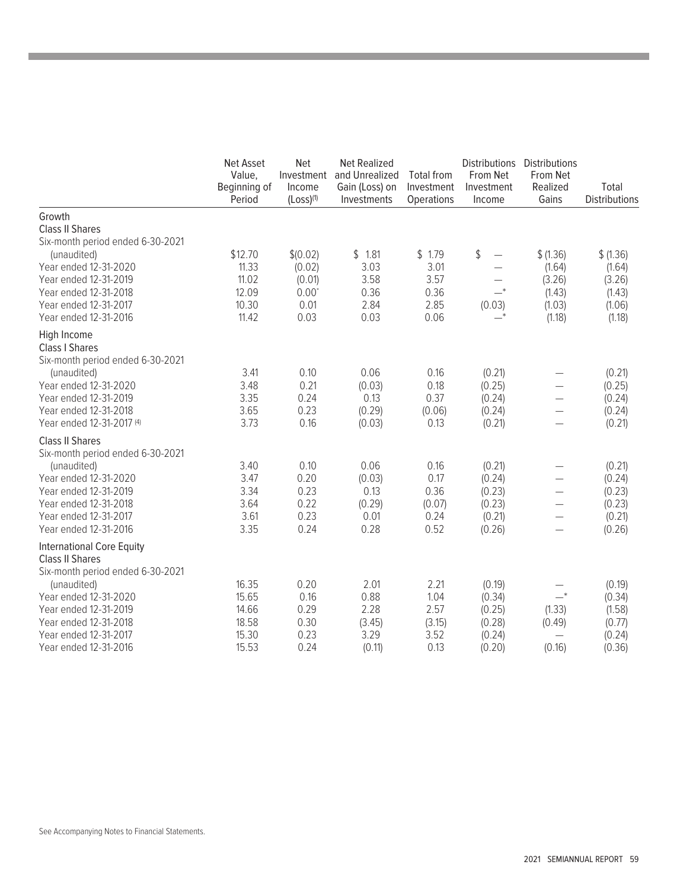|                                                                                                                                                                                                                                     | Net Asset<br>Value,<br>Beginning of<br>Period        | <b>Net</b><br>Investment<br>Income<br>$(Loss)^{(1)}$    | <b>Net Realized</b><br>and Unrealized<br>Gain (Loss) on<br>Investments | Total from<br>Investment<br>Operations         | Distributions<br>From Net<br>Investment<br>Income        | Distributions<br>From Net<br>Realized<br>Gains                                                                                | Total<br><b>Distributions</b>                               |
|-------------------------------------------------------------------------------------------------------------------------------------------------------------------------------------------------------------------------------------|------------------------------------------------------|---------------------------------------------------------|------------------------------------------------------------------------|------------------------------------------------|----------------------------------------------------------|-------------------------------------------------------------------------------------------------------------------------------|-------------------------------------------------------------|
| Growth<br><b>Class II Shares</b>                                                                                                                                                                                                    |                                                      |                                                         |                                                                        |                                                |                                                          |                                                                                                                               |                                                             |
| Six-month period ended 6-30-2021<br>(unaudited)<br>Year ended 12-31-2020<br>Year ended 12-31-2019<br>Year ended 12-31-2018<br>Year ended 12-31-2017<br>Year ended 12-31-2016                                                        | \$12.70<br>11.33<br>11.02<br>12.09<br>10.30<br>11.42 | \$(0.02)<br>(0.02)<br>(0.01)<br>$0.00*$<br>0.01<br>0.03 | \$<br>1.81<br>3.03<br>3.58<br>0.36<br>2.84<br>0.03                     | \$1.79<br>3.01<br>3.57<br>0.36<br>2.85<br>0.06 | \$<br>$\overline{\phantom{0}}$<br>$-*$<br>(0.03)         | \$ (1.36)<br>(1.64)<br>(3.26)<br>(1.43)<br>(1.03)<br>(1.18)                                                                   | \$ (1.36)<br>(1.64)<br>(3.26)<br>(1.43)<br>(1.06)<br>(1.18) |
| High Income<br><b>Class I Shares</b><br>Six-month period ended 6-30-2021<br>(unaudited)<br>Year ended 12-31-2020<br>Year ended 12-31-2019<br>Year ended 12-31-2018<br>Year ended 12-31-2017 (4)                                     | 3.41<br>3.48<br>3.35<br>3.65<br>3.73                 | 0.10<br>0.21<br>0.24<br>0.23<br>0.16                    | 0.06<br>(0.03)<br>0.13<br>(0.29)<br>(0.03)                             | 0.16<br>0.18<br>0.37<br>(0.06)<br>0.13         | (0.21)<br>(0.25)<br>(0.24)<br>(0.24)<br>(0.21)           | —<br>$\overline{\phantom{0}}$<br>$\overline{\phantom{0}}$<br>$\overline{\phantom{0}}$                                         | (0.21)<br>(0.25)<br>(0.24)<br>(0.24)<br>(0.21)              |
| <b>Class II Shares</b><br>Six-month period ended 6-30-2021<br>(unaudited)<br>Year ended 12-31-2020<br>Year ended 12-31-2019<br>Year ended 12-31-2018<br>Year ended 12-31-2017<br>Year ended 12-31-2016                              | 3.40<br>3.47<br>3.34<br>3.64<br>3.61<br>3.35         | 0.10<br>0.20<br>0.23<br>0.22<br>0.23<br>0.24            | 0.06<br>(0.03)<br>0.13<br>(0.29)<br>0.01<br>0.28                       | 0.16<br>0.17<br>0.36<br>(0.07)<br>0.24<br>0.52 | (0.21)<br>(0.24)<br>(0.23)<br>(0.23)<br>(0.21)<br>(0.26) | $\overline{\phantom{0}}$<br>—<br>$\overline{\phantom{0}}$<br>$\overline{\phantom{0}}$<br>$\equiv$<br>$\overline{\phantom{0}}$ | (0.21)<br>(0.24)<br>(0.23)<br>(0.23)<br>(0.21)<br>(0.26)    |
| <b>International Core Equity</b><br>Class II Shares<br>Six-month period ended 6-30-2021<br>(unaudited)<br>Year ended 12-31-2020<br>Year ended 12-31-2019<br>Year ended 12-31-2018<br>Year ended 12-31-2017<br>Year ended 12-31-2016 | 16.35<br>15.65<br>14.66<br>18.58<br>15.30<br>15.53   | 0.20<br>0.16<br>0.29<br>0.30<br>0.23<br>0.24            | 2.01<br>0.88<br>2.28<br>(3.45)<br>3.29<br>(0.11)                       | 2.21<br>1.04<br>2.57<br>(3.15)<br>3.52<br>0.13 | (0.19)<br>(0.34)<br>(0.25)<br>(0.28)<br>(0.24)<br>(0.20) | $-$ *<br>(1.33)<br>(0.49)<br>$\overbrace{\phantom{12322111}}$<br>(0.16)                                                       | (0.19)<br>(0.34)<br>(1.58)<br>(0.77)<br>(0.24)<br>(0.36)    |

and the state of the state of the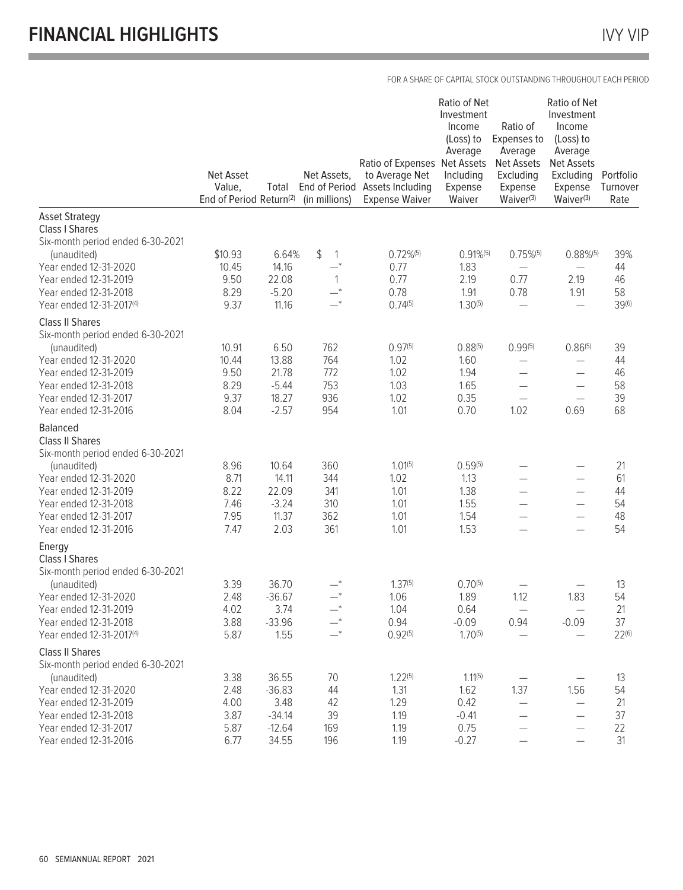FOR A SHARE OF CAPITAL STOCK OUTSTANDING THROUGHOUT EACH PERIOD

|                                                                                              | Net Asset<br>Value,<br>End of Period Return <sup>(2)</sup> | Total             | Net Assets,<br>(in millions) | Ratio of Expenses<br>to Average Net<br>End of Period Assets Including<br><b>Expense Waiver</b> | Ratio of Net<br>Investment<br>Income<br>(Loss) to<br>Average<br><b>Net Assets</b><br>Including<br>Expense<br>Waiver | Ratio of<br>Expenses to<br>Average<br><b>Net Assets</b><br>Excluding<br>Expense<br>Waiver <sup>(3)</sup> | Ratio of Net<br>Investment<br>Income<br>(Loss) to<br>Average<br><b>Net Assets</b><br>Excluding Portfolio<br>Expense<br>Waiver $(3)$ | Turnover<br>Rate |
|----------------------------------------------------------------------------------------------|------------------------------------------------------------|-------------------|------------------------------|------------------------------------------------------------------------------------------------|---------------------------------------------------------------------------------------------------------------------|----------------------------------------------------------------------------------------------------------|-------------------------------------------------------------------------------------------------------------------------------------|------------------|
| <b>Asset Strategy</b>                                                                        |                                                            |                   |                              |                                                                                                |                                                                                                                     |                                                                                                          |                                                                                                                                     |                  |
| <b>Class I Shares</b><br>Six-month period ended 6-30-2021                                    |                                                            |                   |                              |                                                                                                |                                                                                                                     |                                                                                                          |                                                                                                                                     |                  |
| (unaudited)                                                                                  | \$10.93                                                    | 6.64%             | \$<br>1                      | $0.72\%$ <sup>(5)</sup>                                                                        | $0.91\%$ <sup>(5)</sup>                                                                                             | $0.75\%$ <sup>(5)</sup>                                                                                  | $0.88\%/5$                                                                                                                          | 39%              |
| Year ended 12-31-2020                                                                        | 10.45                                                      | 14.16             |                              | 0.77                                                                                           | 1.83                                                                                                                | $\qquad \qquad -$                                                                                        |                                                                                                                                     | 44               |
| Year ended 12-31-2019                                                                        | 9.50                                                       | 22.08             | 1                            | 0.77                                                                                           | 2.19                                                                                                                | 0.77                                                                                                     | 2.19                                                                                                                                | 46               |
| Year ended 12-31-2018<br>Year ended 12-31-2017 <sup>(4)</sup>                                | 8.29<br>9.37                                               | $-5.20$<br>11.16  | $-$ *                        | 0.78<br>0.74(5)                                                                                | 1.91<br>$1.30^{(5)}$                                                                                                | 0.78                                                                                                     | 1.91                                                                                                                                | 58<br>39(6)      |
| <b>Class II Shares</b>                                                                       |                                                            |                   |                              |                                                                                                |                                                                                                                     |                                                                                                          |                                                                                                                                     |                  |
| Six-month period ended 6-30-2021                                                             |                                                            |                   |                              |                                                                                                |                                                                                                                     |                                                                                                          |                                                                                                                                     |                  |
| (unaudited)                                                                                  | 10.91                                                      | 6.50              | 762                          | $0.97^{(5)}$                                                                                   | 0.88(5)                                                                                                             | $0.99^{(5)}$                                                                                             | 0.86(5)                                                                                                                             | 39               |
| Year ended 12-31-2020                                                                        | 10.44                                                      | 13.88             | 764                          | 1.02                                                                                           | 1.60                                                                                                                | $\overline{\phantom{0}}$                                                                                 |                                                                                                                                     | 44               |
| Year ended 12-31-2019                                                                        | 9.50                                                       | 21.78             | 772                          | 1.02                                                                                           | 1.94                                                                                                                | $\overline{\phantom{0}}$                                                                                 | $\overline{\phantom{0}}$                                                                                                            | 46               |
| Year ended 12-31-2018<br>Year ended 12-31-2017                                               | 8.29<br>9.37                                               | $-5.44$<br>18.27  | 753<br>936                   | 1.03<br>1.02                                                                                   | 1.65<br>0.35                                                                                                        |                                                                                                          |                                                                                                                                     | 58<br>39         |
| Year ended 12-31-2016                                                                        | 8.04                                                       | $-2.57$           | 954                          | 1.01                                                                                           | 0.70                                                                                                                | 1.02                                                                                                     | 0.69                                                                                                                                | 68               |
| <b>Balanced</b><br><b>Class II Shares</b><br>Six-month period ended 6-30-2021<br>(unaudited) | 8.96                                                       | 10.64             | 360                          | 1.01(5)                                                                                        | 0.59(5)                                                                                                             |                                                                                                          | $\overline{\phantom{0}}$                                                                                                            | 21               |
| Year ended 12-31-2020                                                                        | 8.71                                                       | 14.11             | 344                          | 1.02                                                                                           | 1.13                                                                                                                |                                                                                                          | $\overline{\phantom{0}}$                                                                                                            | 61               |
| Year ended 12-31-2019                                                                        | 8.22                                                       | 22.09             | 341                          | 1.01                                                                                           | 1.38                                                                                                                |                                                                                                          | $\overline{\phantom{0}}$                                                                                                            | 44               |
| Year ended 12-31-2018                                                                        | 7.46                                                       | $-3.24$           | 310                          | 1.01                                                                                           | 1.55                                                                                                                |                                                                                                          |                                                                                                                                     | 54               |
| Year ended 12-31-2017<br>Year ended 12-31-2016                                               | 7.95<br>7.47                                               | 11.37<br>2.03     | 362<br>361                   | 1.01<br>1.01                                                                                   | 1.54<br>1.53                                                                                                        |                                                                                                          | $\overline{\phantom{0}}$                                                                                                            | 48<br>54         |
| Energy<br><b>Class I Shares</b><br>Six-month period ended 6-30-2021                          |                                                            |                   |                              |                                                                                                |                                                                                                                     |                                                                                                          |                                                                                                                                     |                  |
| (unaudited)                                                                                  | 3.39                                                       | 36.70             |                              | $1.37^{(5)}$                                                                                   | $0.70^{(5)}$                                                                                                        |                                                                                                          |                                                                                                                                     | 13               |
| Year ended 12-31-2020                                                                        | 2.48                                                       | $-36.67$          | $\overline{\phantom{0}}^*$   | 1.06                                                                                           | 1.89                                                                                                                | 1.12                                                                                                     | 1.83                                                                                                                                | 54               |
| Year ended 12-31-2019                                                                        | 4.02                                                       | 3.74              | $-^\ast$                     | 1.04                                                                                           | 0.64                                                                                                                | $\overline{\phantom{0}}$                                                                                 | $\overline{\phantom{0}}$                                                                                                            | 21               |
| Year ended 12-31-2018<br>Year ended 12-31-2017 <sup>(4)</sup>                                | 3.88                                                       | $-33.96$          | $-^\ast$                     | 0.94<br>0.92(5)                                                                                | $-0.09$<br>$1.70^{(5)}$                                                                                             | 0.94                                                                                                     | $-0.09$                                                                                                                             | 37               |
|                                                                                              | 5.87                                                       | 1.55              |                              |                                                                                                |                                                                                                                     |                                                                                                          |                                                                                                                                     | 22(6)            |
| <b>Class II Shares</b><br>Six-month period ended 6-30-2021                                   |                                                            |                   |                              |                                                                                                |                                                                                                                     |                                                                                                          |                                                                                                                                     |                  |
| (unaudited)                                                                                  | 3.38                                                       | 36.55             | 70                           | $1.22^{(5)}$                                                                                   | $1.11^{(5)}$                                                                                                        |                                                                                                          | $\overline{\phantom{0}}$                                                                                                            | 13               |
| Year ended 12-31-2020                                                                        | 2.48                                                       | $-36.83$          | 44                           | 1.31                                                                                           | 1.62                                                                                                                | 1.37                                                                                                     | 1.56                                                                                                                                | 54               |
| Year ended 12-31-2019                                                                        | 4.00                                                       | 3.48              | 42                           | 1.29                                                                                           | 0.42                                                                                                                |                                                                                                          | $\overline{\phantom{0}}$                                                                                                            | 21               |
| Year ended 12-31-2018<br>Year ended 12-31-2017                                               | 3.87<br>5.87                                               | $-34.14$          | 39<br>169                    | 1.19<br>1.19                                                                                   | $-0.41$<br>0.75                                                                                                     |                                                                                                          | $\overline{\phantom{0}}$                                                                                                            | 37<br>22         |
| Year ended 12-31-2016                                                                        | 6.77                                                       | $-12.64$<br>34.55 | 196                          | 1.19                                                                                           | $-0.27$                                                                                                             |                                                                                                          | $\overline{\phantom{0}}$                                                                                                            | 31               |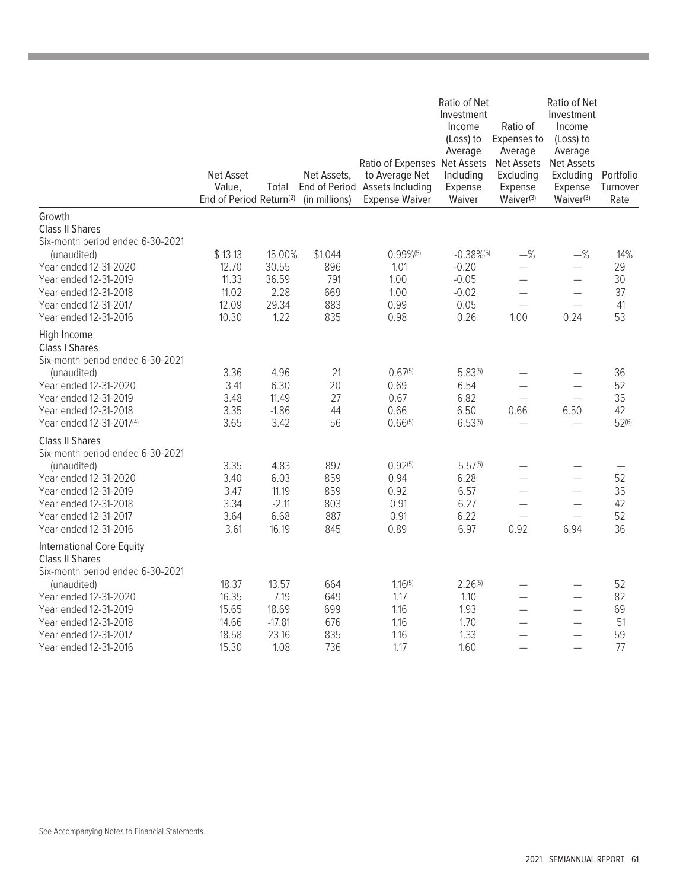|                                                                                                                                                                              | Net Asset<br>Value,<br>End of Period Return <sup>(2)</sup> | Total                                               | Net Assets.<br>End of Period<br>(in millions) | Ratio of Expenses Net Assets<br>to Average Net<br>Assets Including<br><b>Expense Waiver</b> | Ratio of Net<br>Investment<br>Income<br>(Loss) to<br>Average<br>Including<br>Expense<br>Waiver | Ratio of<br>Expenses to<br>Average<br><b>Net Assets</b><br>Excluding<br>Expense<br>$W$ aiver $(3)$ | Ratio of Net<br>Investment<br>Income<br>(Loss) to<br>Average<br><b>Net Assets</b><br>Excluding<br>Expense<br>$W$ aiver $(3)$ | Portfolio<br>Turnover<br>Rate     |
|------------------------------------------------------------------------------------------------------------------------------------------------------------------------------|------------------------------------------------------------|-----------------------------------------------------|-----------------------------------------------|---------------------------------------------------------------------------------------------|------------------------------------------------------------------------------------------------|----------------------------------------------------------------------------------------------------|------------------------------------------------------------------------------------------------------------------------------|-----------------------------------|
| Growth<br><b>Class II Shares</b><br>Six-month period ended 6-30-2021                                                                                                         |                                                            |                                                     |                                               |                                                                                             |                                                                                                |                                                                                                    |                                                                                                                              |                                   |
| (unaudited)<br>Year ended 12-31-2020<br>Year ended 12-31-2019<br>Year ended 12-31-2018<br>Year ended 12-31-2017<br>Year ended 12-31-2016                                     | \$13.13<br>12.70<br>11.33<br>11.02<br>12.09<br>10.30       | 15.00%<br>30.55<br>36.59<br>2.28<br>29.34<br>1.22   | \$1,044<br>896<br>791<br>669<br>883<br>835    | $0.99\%/5$<br>1.01<br>1.00<br>1.00<br>0.99<br>0.98                                          | $-0.38\%$ <sup>(5)</sup><br>$-0.20$<br>$-0.05$<br>$-0.02$<br>0.05<br>0.26                      | $-\%$<br>$\qquad \qquad -$<br>$\qquad \qquad$<br>$\frac{1}{2}$<br>$\frac{1}{2}$<br>1.00            | $-$ %<br>$\overline{\phantom{0}}$<br>$\overline{\phantom{0}}$<br>0.24                                                        | 14%<br>29<br>30<br>37<br>41<br>53 |
| High Income<br>Class I Shares                                                                                                                                                |                                                            |                                                     |                                               |                                                                                             |                                                                                                |                                                                                                    |                                                                                                                              |                                   |
| Six-month period ended 6-30-2021<br>(unaudited)<br>Year ended 12-31-2020<br>Year ended 12-31-2019<br>Year ended 12-31-2018<br>Year ended 12-31-2017 <sup>(4)</sup>           | 3.36<br>3.41<br>3.48<br>3.35<br>3.65                       | 4.96<br>6.30<br>11.49<br>$-1.86$<br>3.42            | 21<br>20<br>27<br>44<br>56                    | 0.67(5)<br>0.69<br>0.67<br>0.66<br>0.66(5)                                                  | 5.83(5)<br>6.54<br>6.82<br>6.50<br>$6.53^{(5)}$                                                | $\overline{\phantom{0}}$<br>0.66                                                                   | $\overline{\phantom{0}}$<br>6.50                                                                                             | 36<br>52<br>35<br>42<br>52(6)     |
| <b>Class II Shares</b><br>Six-month period ended 6-30-2021                                                                                                                   |                                                            |                                                     |                                               |                                                                                             |                                                                                                |                                                                                                    |                                                                                                                              |                                   |
| (unaudited)<br>Year ended 12-31-2020<br>Year ended 12-31-2019<br>Year ended 12-31-2018<br>Year ended 12-31-2017<br>Year ended 12-31-2016                                     | 3.35<br>3.40<br>3.47<br>3.34<br>3.64<br>3.61               | 4.83<br>6.03<br>11.19<br>$-2.11$<br>6.68<br>16.19   | 897<br>859<br>859<br>803<br>887<br>845        | 0.92(5)<br>0.94<br>0.92<br>0.91<br>0.91<br>0.89                                             | 5.57(5)<br>6.28<br>6.57<br>6.27<br>6.22<br>6.97                                                | $\overline{\phantom{a}}$<br>$\frac{1}{2}$<br>$\qquad \qquad -$<br>0.92                             | $\overline{\phantom{0}}$<br>$\overline{\phantom{0}}$<br>$\overline{\phantom{0}}$<br>6.94                                     | 52<br>35<br>42<br>52<br>36        |
| <b>International Core Equity</b><br><b>Class II Shares</b>                                                                                                                   |                                                            |                                                     |                                               |                                                                                             |                                                                                                |                                                                                                    |                                                                                                                              |                                   |
| Six-month period ended 6-30-2021<br>(unaudited)<br>Year ended 12-31-2020<br>Year ended 12-31-2019<br>Year ended 12-31-2018<br>Year ended 12-31-2017<br>Year ended 12-31-2016 | 18.37<br>16.35<br>15.65<br>14.66<br>18.58<br>15.30         | 13.57<br>7.19<br>18.69<br>$-17.81$<br>23.16<br>1.08 | 664<br>649<br>699<br>676<br>835<br>736        | $1.16^{(5)}$<br>1.17<br>1.16<br>1.16<br>1.16<br>1.17                                        | $2.26^{(5)}$<br>1.10<br>1.93<br>1.70<br>1.33<br>1.60                                           | $\overline{\phantom{0}}$<br>$\overline{\phantom{0}}$<br>$\frac{1}{2}$                              | ÷,<br>$\equiv$<br>$\equiv$                                                                                                   | 52<br>82<br>69<br>51<br>59<br>77  |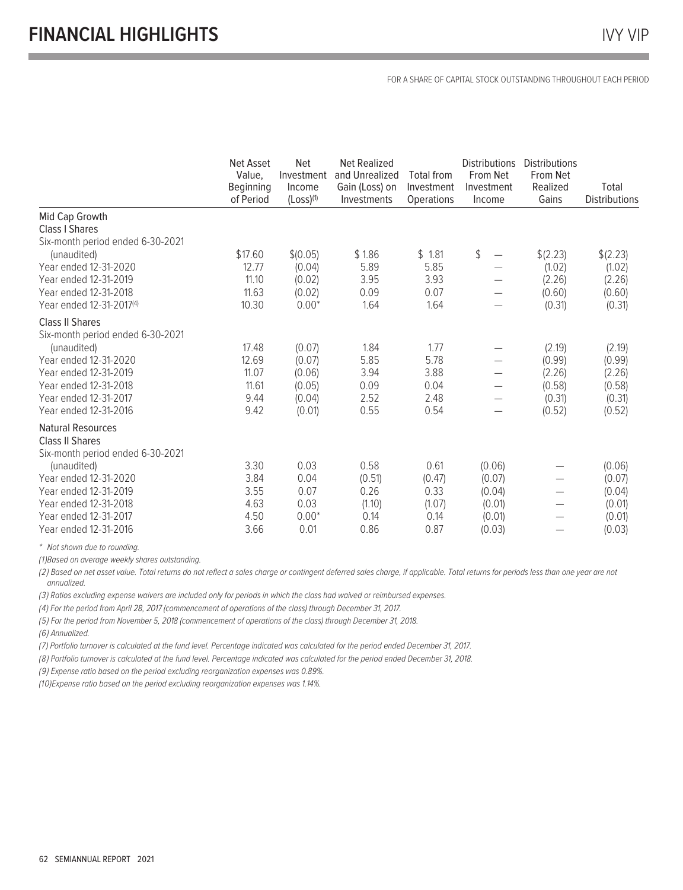#### FOR A SHARE OF CAPITAL STOCK OUTSTANDING THROUGHOUT EACH PERIOD

|                                      | Net Asset<br>Value,<br>Beginning<br>of Period | <b>Net</b><br>Investment<br>Income<br>$(Loss)^{(1)}$ | <b>Net Realized</b><br>and Unrealized<br>Gain (Loss) on<br>Investments | <b>Total from</b><br>Investment<br><b>Operations</b> | <b>Distributions</b><br>From Net<br>Investment<br>Income | <b>Distributions</b><br>From Net<br>Realized<br>Gains | Total<br>Distributions |
|--------------------------------------|-----------------------------------------------|------------------------------------------------------|------------------------------------------------------------------------|------------------------------------------------------|----------------------------------------------------------|-------------------------------------------------------|------------------------|
| Mid Cap Growth                       |                                               |                                                      |                                                                        |                                                      |                                                          |                                                       |                        |
| <b>Class I Shares</b>                |                                               |                                                      |                                                                        |                                                      |                                                          |                                                       |                        |
| Six-month period ended 6-30-2021     |                                               |                                                      |                                                                        |                                                      |                                                          |                                                       |                        |
| (unaudited)                          | \$17.60                                       | \$(0.05)                                             | \$1.86                                                                 | \$1.81                                               | \$<br>$\overline{\phantom{m}}$                           | \$(2.23)                                              | (2.23)                 |
| Year ended 12-31-2020                | 12.77                                         | (0.04)                                               | 5.89                                                                   | 5.85                                                 |                                                          | (1.02)                                                | (1.02)                 |
| Year ended 12-31-2019                | 11.10                                         | (0.02)                                               | 3.95                                                                   | 3.93                                                 |                                                          | (2.26)                                                | (2.26)                 |
| Year ended 12-31-2018                | 11.63                                         | (0.02)                                               | 0.09                                                                   | 0.07                                                 |                                                          | (0.60)                                                | (0.60)                 |
| Year ended 12-31-2017 <sup>(4)</sup> | 10.30                                         | $0.00*$                                              | 1.64                                                                   | 1.64                                                 |                                                          | (0.31)                                                | (0.31)                 |
| <b>Class II Shares</b>               |                                               |                                                      |                                                                        |                                                      |                                                          |                                                       |                        |
| Six-month period ended 6-30-2021     |                                               |                                                      |                                                                        |                                                      |                                                          |                                                       |                        |
| (unaudited)                          | 17.48                                         | (0.07)                                               | 1.84                                                                   | 1.77                                                 | $\overline{\phantom{0}}$                                 | (2.19)                                                | (2.19)                 |
| Year ended 12-31-2020                | 12.69                                         | (0.07)                                               | 5.85                                                                   | 5.78                                                 | $\overbrace{\phantom{12322111}}$                         | (0.99)                                                | (0.99)                 |
| Year ended 12-31-2019                | 11.07                                         | (0.06)                                               | 3.94                                                                   | 3.88                                                 | $\overline{\phantom{0}}$                                 | (2.26)                                                | (2.26)                 |
| Year ended 12-31-2018                | 11.61                                         | (0.05)                                               | 0.09                                                                   | 0.04                                                 | $\overbrace{\phantom{123221111}}$                        | (0.58)                                                | (0.58)                 |
| Year ended 12-31-2017                | 9.44                                          | (0.04)                                               | 2.52                                                                   | 2.48                                                 | $\overline{\phantom{0}}$                                 | (0.31)                                                | (0.31)                 |
| Year ended 12-31-2016                | 9.42                                          | (0.01)                                               | 0.55                                                                   | 0.54                                                 |                                                          | (0.52)                                                | (0.52)                 |
| <b>Natural Resources</b>             |                                               |                                                      |                                                                        |                                                      |                                                          |                                                       |                        |
| <b>Class II Shares</b>               |                                               |                                                      |                                                                        |                                                      |                                                          |                                                       |                        |
| Six-month period ended 6-30-2021     |                                               |                                                      |                                                                        |                                                      |                                                          |                                                       |                        |
| (unaudited)                          | 3.30                                          | 0.03                                                 | 0.58                                                                   | 0.61                                                 | (0.06)                                                   |                                                       | (0.06)                 |
| Year ended 12-31-2020                | 3.84                                          | 0.04                                                 | (0.51)                                                                 | (0.47)                                               | (0.07)                                                   |                                                       | (0.07)                 |
| Year ended 12-31-2019                | 3.55                                          | 0.07                                                 | 0.26                                                                   | 0.33                                                 | (0.04)                                                   | $\overline{\phantom{0}}$                              | (0.04)                 |
| Year ended 12-31-2018                | 4.63                                          | 0.03                                                 | (1.10)                                                                 | (1.07)                                               | (0.01)                                                   |                                                       | (0.01)                 |
| Year ended 12-31-2017                | 4.50                                          | $0.00*$                                              | 0.14                                                                   | 0.14                                                 | (0.01)                                                   |                                                       | (0.01)                 |
| Year ended 12-31-2016                | 3.66                                          | 0.01                                                 | 0.86                                                                   | 0.87                                                 | (0.03)                                                   | —                                                     | (0.03)                 |

\* Not shown due to rounding.

(1)Based on average weekly shares outstanding.

(2) Based on net asset value. Total returns do not reflect a sales charge or contingent deferred sales charge, if applicable. Total returns for periods less than one year are not annualized.

(3) Ratios excluding expense waivers are included only for periods in which the class had waived or reimbursed expenses.

(4) For the period from April 28, 2017 (commencement of operations of the class) through December 31, 2017.

(5) For the period from November 5, 2018 (commencement of operations of the class) through December 31, 2018.

(6) Annualized.

(7) Portfolio turnover is calculated at the fund level. Percentage indicated was calculated for the period ended December 31, 2017.

(8) Portfolio turnover is calculated at the fund level. Percentage indicated was calculated for the period ended December 31, 2018.

(9) Expense ratio based on the period excluding reorganization expenses was 0.89%.

(10)Expense ratio based on the period excluding reorganization expenses was 1.14%.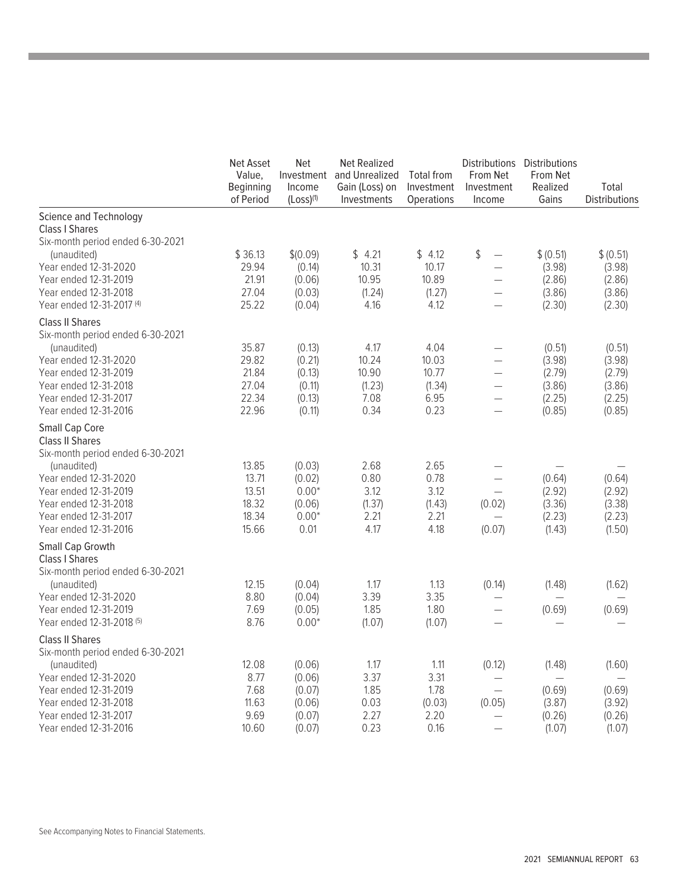|                                                 | Net Asset<br>Value,<br>Beginning<br>of Period | <b>Net</b><br>Income<br>$(Loss)^{(1)}$ | <b>Net Realized</b><br>Investment and Unrealized<br>Gain (Loss) on<br>Investments | Total from<br>Investment<br>Operations | From Net<br>Investment<br>Income                     | Distributions Distributions<br>From Net<br>Realized<br>Gains | Total<br>Distributions |
|-------------------------------------------------|-----------------------------------------------|----------------------------------------|-----------------------------------------------------------------------------------|----------------------------------------|------------------------------------------------------|--------------------------------------------------------------|------------------------|
| Science and Technology<br><b>Class I Shares</b> |                                               |                                        |                                                                                   |                                        |                                                      |                                                              |                        |
| Six-month period ended 6-30-2021<br>(unaudited) | \$36.13                                       | \$(0.09)                               | \$4.21                                                                            | \$4.12                                 | \$                                                   | \$ (0.51)                                                    | \$ (0.51)              |
| Year ended 12-31-2020                           | 29.94                                         | (0.14)                                 | 10.31                                                                             | 10.17                                  | $\equiv$                                             | (3.98)                                                       | (3.98)                 |
| Year ended 12-31-2019                           | 21.91                                         | (0.06)                                 | 10.95                                                                             | 10.89                                  | $\overline{\phantom{0}}$                             | (2.86)                                                       | (2.86)                 |
| Year ended 12-31-2018                           | 27.04                                         | (0.03)                                 | (1.24)                                                                            | (1.27)                                 | $\overline{\phantom{0}}$                             | (3.86)                                                       | (3.86)                 |
| Year ended 12-31-2017 (4)                       | 25.22                                         | (0.04)                                 | 4.16                                                                              | 4.12                                   | $\overline{\phantom{0}}$                             | (2.30)                                                       | (2.30)                 |
| <b>Class II Shares</b>                          |                                               |                                        |                                                                                   |                                        |                                                      |                                                              |                        |
| Six-month period ended 6-30-2021                |                                               |                                        |                                                                                   |                                        |                                                      |                                                              |                        |
| (unaudited)                                     | 35.87                                         | (0.13)                                 | 4.17                                                                              | 4.04                                   | $\overline{\phantom{0}}$                             | (0.51)                                                       | (0.51)                 |
| Year ended 12-31-2020                           | 29.82                                         | (0.21)                                 | 10.24                                                                             | 10.03                                  | $\equiv$                                             | (3.98)                                                       | (3.98)                 |
| Year ended 12-31-2019                           | 21.84                                         | (0.13)                                 | 10.90                                                                             | 10.77                                  | $\overline{\phantom{0}}$                             | (2.79)                                                       | (2.79)                 |
| Year ended 12-31-2018                           | 27.04                                         | (0.11)                                 | (1.23)                                                                            | (1.34)                                 | $\equiv$                                             | (3.86)                                                       | (3.86)                 |
| Year ended 12-31-2017<br>Year ended 12-31-2016  | 22.34<br>22.96                                | (0.13)<br>(0.11)                       | 7.08<br>0.34                                                                      | 6.95<br>0.23                           | $\overline{\phantom{0}}$<br>$\overline{\phantom{0}}$ | (2.25)<br>(0.85)                                             | (2.25)<br>(0.85)       |
| Small Cap Core                                  |                                               |                                        |                                                                                   |                                        |                                                      |                                                              |                        |
| <b>Class II Shares</b>                          |                                               |                                        |                                                                                   |                                        |                                                      |                                                              |                        |
| Six-month period ended 6-30-2021                |                                               |                                        |                                                                                   |                                        |                                                      |                                                              |                        |
| (unaudited)                                     | 13.85                                         | (0.03)                                 | 2.68                                                                              | 2.65                                   |                                                      |                                                              |                        |
| Year ended 12-31-2020                           | 13.71                                         | (0.02)                                 | 0.80                                                                              | 0.78                                   | $\equiv$                                             | (0.64)                                                       | (0.64)                 |
| Year ended 12-31-2019                           | 13.51                                         | $0.00*$                                | 3.12                                                                              | 3.12                                   |                                                      | (2.92)                                                       | (2.92)                 |
| Year ended 12-31-2018                           | 18.32                                         | (0.06)                                 | (1.37)                                                                            | (1.43)                                 | (0.02)                                               | (3.36)                                                       | (3.38)                 |
| Year ended 12-31-2017                           | 18.34                                         | $0.00*$                                | 2.21                                                                              | 2.21                                   | $\equiv$                                             | (2.23)                                                       | (2.23)                 |
| Year ended 12-31-2016                           | 15.66                                         | 0.01                                   | 4.17                                                                              | 4.18                                   | (0.07)                                               | (1.43)                                                       | (1.50)                 |
| Small Cap Growth<br><b>Class I Shares</b>       |                                               |                                        |                                                                                   |                                        |                                                      |                                                              |                        |
| Six-month period ended 6-30-2021                |                                               |                                        |                                                                                   |                                        |                                                      |                                                              |                        |
| (unaudited)                                     | 12.15                                         | (0.04)                                 | 1.17                                                                              | 1.13                                   | (0.14)                                               | (1.48)                                                       | (1.62)                 |
| Year ended 12-31-2020                           | 8.80                                          | (0.04)                                 | 3.39                                                                              | 3.35                                   |                                                      | $\overline{\phantom{0}}$                                     |                        |
| Year ended 12-31-2019                           | 7.69                                          | (0.05)                                 | 1.85                                                                              | 1.80                                   | $\overline{\phantom{0}}$                             | (0.69)                                                       | (0.69)                 |
| Year ended 12-31-2018 (5)                       | 8.76                                          | $0.00*$                                | (1.07)                                                                            | (1.07)                                 | $\overline{\phantom{0}}$                             |                                                              |                        |
| <b>Class II Shares</b>                          |                                               |                                        |                                                                                   |                                        |                                                      |                                                              |                        |
| Six-month period ended 6-30-2021                |                                               |                                        |                                                                                   |                                        |                                                      |                                                              |                        |
| (unaudited)                                     | 12.08                                         | (0.06)                                 | 1.17                                                                              | 1.11                                   | (0.12)                                               | (1.48)                                                       | (1.60)                 |
| Year ended 12-31-2020                           | 8.77                                          | (0.06)                                 | 3.37                                                                              | 3.31                                   |                                                      |                                                              |                        |
| Year ended 12-31-2019                           | 7.68                                          | (0.07)                                 | 1.85                                                                              | 1.78                                   |                                                      | (0.69)                                                       | (0.69)                 |
| Year ended 12-31-2018                           | 11.63                                         | (0.06)                                 | 0.03                                                                              | (0.03)                                 | (0.05)                                               | (3.87)                                                       | (3.92)                 |
| Year ended 12-31-2017                           | 9.69                                          | (0.07)                                 | 2.27                                                                              | 2.20                                   | $\overline{\phantom{0}}$                             | (0.26)                                                       | (0.26)                 |
| Year ended 12-31-2016                           | 10.60                                         | (0.07)                                 | 0.23                                                                              | 0.16                                   |                                                      | (1.07)                                                       | (1.07)                 |

and the state of the state of the state of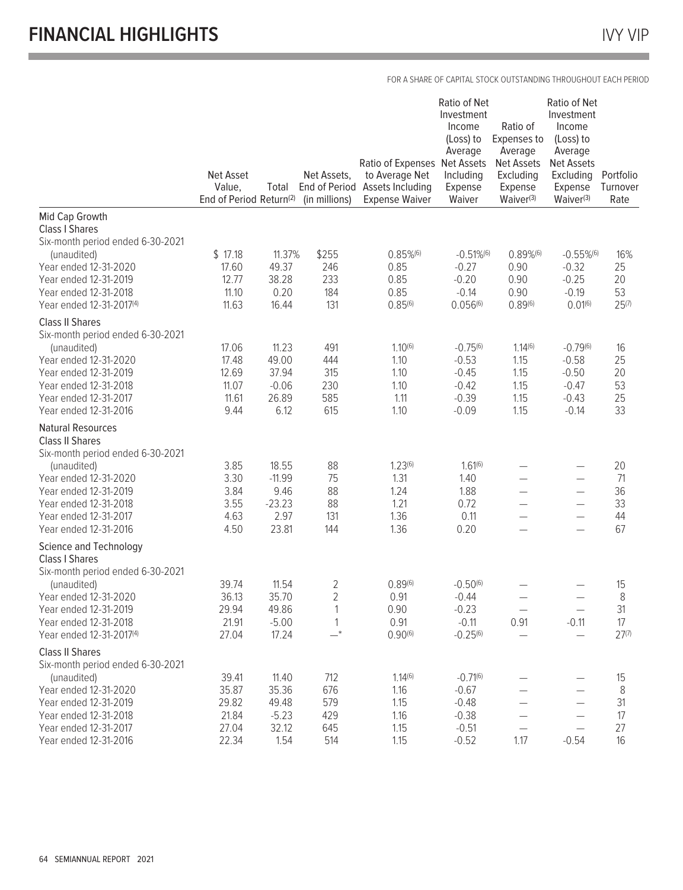m.

|                                                                                                                                                                                                        | Net Asset<br>Value,<br>End of Period Return <sup>(2)</sup> | Total                                                  | Net Assets,<br>(in millions)           | Ratio of Expenses<br>to Average Net<br>End of Period Assets Including<br><b>Expense Waiver</b> | Ratio of Net<br>Investment<br>Income<br>(Loss) to<br>Average<br><b>Net Assets</b><br>Including<br>Expense<br>Waiver | Ratio of<br>Expenses to<br>Average<br>Net Assets<br>Excluding<br>Expense<br>Waiver <sup>(3)</sup> | Ratio of Net<br>Investment<br>Income<br>(Loss) to<br>Average<br><b>Net Assets</b><br>Excluding<br>Expense<br>$W$ aiver $(3)$ | Portfolio<br>Turnover<br>Rate       |
|--------------------------------------------------------------------------------------------------------------------------------------------------------------------------------------------------------|------------------------------------------------------------|--------------------------------------------------------|----------------------------------------|------------------------------------------------------------------------------------------------|---------------------------------------------------------------------------------------------------------------------|---------------------------------------------------------------------------------------------------|------------------------------------------------------------------------------------------------------------------------------|-------------------------------------|
| Mid Cap Growth                                                                                                                                                                                         |                                                            |                                                        |                                        |                                                                                                |                                                                                                                     |                                                                                                   |                                                                                                                              |                                     |
| <b>Class I Shares</b><br>Six-month period ended 6-30-2021<br>(unaudited)<br>Year ended 12-31-2020<br>Year ended 12-31-2019<br>Year ended 12-31-2018<br>Year ended 12-31-2017 <sup>(4)</sup>            | \$17.18<br>17.60<br>12.77<br>11.10<br>11.63                | 11.37%<br>49.37<br>38.28<br>0.20<br>16.44              | \$255<br>246<br>233<br>184<br>131      | $0.85\%$ <sup>(6)</sup><br>0.85<br>0.85<br>0.85<br>$0.85^{(6)}$                                | $-0.51\%$ <sup>(6)</sup><br>$-0.27$<br>$-0.20$<br>$-0.14$<br>$0.056^{(6)}$                                          | $0.89\%$ <sup>(6)</sup><br>0.90<br>0.90<br>0.90<br>0.89(6)                                        | $-0.55\%$ <sup>(6)</sup><br>$-0.32$<br>$-0.25$<br>$-0.19$<br>$0.01^{(6)}$                                                    | 16%<br>25<br>20<br>53<br>$25^{(7)}$ |
| <b>Class II Shares</b><br>Six-month period ended 6-30-2021<br>(unaudited)<br>Year ended 12-31-2020<br>Year ended 12-31-2019<br>Year ended 12-31-2018<br>Year ended 12-31-2017<br>Year ended 12-31-2016 | 17.06<br>17.48<br>12.69<br>11.07<br>11.61<br>9.44          | 11.23<br>49.00<br>37.94<br>$-0.06$<br>26.89<br>6.12    | 491<br>444<br>315<br>230<br>585<br>615 | $1.10^{(6)}$<br>1.10<br>1.10<br>1.10<br>1.11<br>1.10                                           | $-0.75(6)$<br>$-0.53$<br>$-0.45$<br>$-0.42$<br>$-0.39$<br>$-0.09$                                                   | 1.14(6)<br>1.15<br>1.15<br>1.15<br>1.15<br>1.15                                                   | $-0.79(6)$<br>$-0.58$<br>$-0.50$<br>$-0.47$<br>$-0.43$<br>$-0.14$                                                            | 16<br>25<br>20<br>53<br>25<br>33    |
| <b>Natural Resources</b><br><b>Class II Shares</b><br>Six-month period ended 6-30-2021                                                                                                                 |                                                            |                                                        |                                        |                                                                                                |                                                                                                                     |                                                                                                   |                                                                                                                              |                                     |
| (unaudited)<br>Year ended 12-31-2020<br>Year ended 12-31-2019<br>Year ended 12-31-2018<br>Year ended 12-31-2017<br>Year ended 12-31-2016                                                               | 3.85<br>3.30<br>3.84<br>3.55<br>4.63<br>4.50               | 18.55<br>$-11.99$<br>9.46<br>$-23.23$<br>2.97<br>23.81 | 88<br>75<br>88<br>88<br>131<br>144     | 1.23(6)<br>1.31<br>1.24<br>1.21<br>1.36<br>1.36                                                | 1.61(6)<br>1.40<br>1.88<br>0.72<br>0.11<br>0.20                                                                     |                                                                                                   | $\overline{\phantom{0}}$                                                                                                     | 20<br>71<br>36<br>33<br>44<br>67    |
| Science and Technology<br><b>Class I Shares</b><br>Six-month period ended 6-30-2021<br>(unaudited)<br>Year ended 12-31-2020<br>Year ended 12-31-2019                                                   | 39.74<br>36.13<br>29.94                                    | 11.54<br>35.70<br>49.86                                | 2<br>$\overline{2}$<br>$\mathbf 1$     | 0.89(6)<br>0.91<br>0.90                                                                        | $-0.50^{(6)}$<br>$-0.44$<br>$-0.23$                                                                                 | —                                                                                                 | $\overline{\phantom{0}}$                                                                                                     | 15<br>8<br>31                       |
| Year ended 12-31-2018<br>Year ended 12-31-2017(4)                                                                                                                                                      | 21.91<br>27.04                                             | $-5.00$<br>17.24                                       | 1<br>$-^\ast$                          | 0.91<br>0.90(6)                                                                                | $-0.11$<br>$-0.25(6)$                                                                                               | 0.91                                                                                              | $-0.11$                                                                                                                      | 17<br>27(7)                         |
| <b>Class II Shares</b><br>Six-month period ended 6-30-2021<br>(unaudited)<br>Year ended 12-31-2020<br>Year ended 12-31-2019<br>Year ended 12-31-2018<br>Year ended 12-31-2017<br>Year ended 12-31-2016 | 39.41<br>35.87<br>29.82<br>21.84<br>27.04<br>22.34         | 11.40<br>35.36<br>49.48<br>$-5.23$<br>32.12<br>1.54    | 712<br>676<br>579<br>429<br>645<br>514 | 1.14(6)<br>1.16<br>1.15<br>1.16<br>1.15<br>1.15                                                | $-0.71^{(6)}$<br>$-0.67$<br>$-0.48$<br>$-0.38$<br>$-0.51$<br>$-0.52$                                                | 1.17                                                                                              | $\qquad \qquad \longleftarrow$<br>$\overline{\phantom{0}}$<br>$-0.54$                                                        | 15<br>8<br>31<br>17<br>27<br>16     |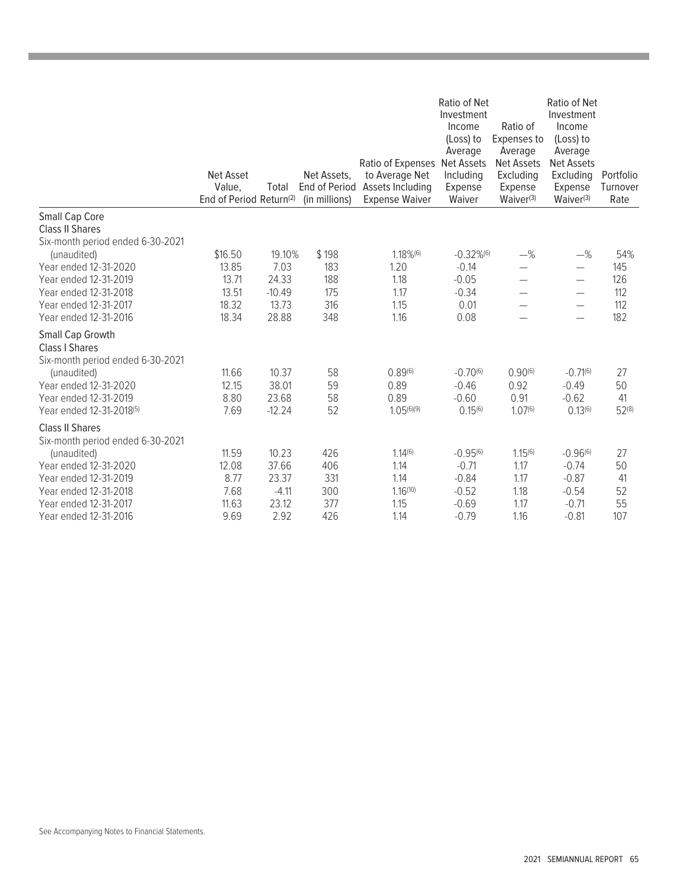|                                                 | Net Asset<br>Value,<br>End of Period Return <sup>(2)</sup> | Total             | Net Assets.<br>End of Period<br>(in millions) | Ratio of Expenses<br>to Average Net<br>Assets Including<br><b>Expense Waiver</b> | Ratio of Net<br>Investment<br>Income<br>(Loss) to<br>Average<br><b>Net Assets</b><br>Including<br>Expense<br>Waiver | Ratio of<br>Expenses to<br>Average<br>Net Assets<br>Excluding<br>Expense<br>Waiver <sup>(3)</sup> | Ratio of Net<br>Investment<br>Income<br>(Loss) to<br>Average<br><b>Net Assets</b><br>Excluding<br>Expense<br>Waiver <sup>(3)</sup> | Portfolio<br>Turnover<br>Rate |
|-------------------------------------------------|------------------------------------------------------------|-------------------|-----------------------------------------------|----------------------------------------------------------------------------------|---------------------------------------------------------------------------------------------------------------------|---------------------------------------------------------------------------------------------------|------------------------------------------------------------------------------------------------------------------------------------|-------------------------------|
| Small Cap Core                                  |                                                            |                   |                                               |                                                                                  |                                                                                                                     |                                                                                                   |                                                                                                                                    |                               |
| <b>Class II Shares</b>                          |                                                            |                   |                                               |                                                                                  |                                                                                                                     |                                                                                                   |                                                                                                                                    |                               |
| Six-month period ended 6-30-2021                |                                                            |                   |                                               |                                                                                  |                                                                                                                     |                                                                                                   |                                                                                                                                    |                               |
| (unaudited)                                     | \$16.50                                                    | 19.10%            | \$198                                         | 1.18%(6)                                                                         | $-0.32\%$ <sup>(6)</sup>                                                                                            | $-\%$                                                                                             | $-\%$                                                                                                                              | 54%                           |
| Year ended 12-31-2020                           | 13.85                                                      | 7.03              | 183                                           | 1.20                                                                             | $-0.14$                                                                                                             | $\overline{\phantom{0}}$                                                                          | $\overline{\phantom{0}}$                                                                                                           | 145                           |
| Year ended 12-31-2019                           | 13.71                                                      | 24.33             | 188                                           | 1.18                                                                             | $-0.05$                                                                                                             | $\overline{\phantom{0}}$                                                                          | $\overline{\phantom{0}}$                                                                                                           | 126                           |
| Year ended 12-31-2018<br>Year ended 12-31-2017  | 13.51<br>18.32                                             | $-10.49$<br>13.73 | 175<br>316                                    | 1.17<br>1.15                                                                     | $-0.34$<br>0.01                                                                                                     |                                                                                                   | $\overline{\phantom{0}}$                                                                                                           | 112<br>112                    |
| Year ended 12-31-2016                           | 18.34                                                      | 28.88             | 348                                           | 1.16                                                                             | 0.08                                                                                                                |                                                                                                   | $\overline{\phantom{0}}$<br>$\overline{\phantom{0}}$                                                                               | 182                           |
|                                                 |                                                            |                   |                                               |                                                                                  |                                                                                                                     |                                                                                                   |                                                                                                                                    |                               |
| Small Cap Growth                                |                                                            |                   |                                               |                                                                                  |                                                                                                                     |                                                                                                   |                                                                                                                                    |                               |
| <b>Class I Shares</b>                           |                                                            |                   |                                               |                                                                                  |                                                                                                                     |                                                                                                   |                                                                                                                                    |                               |
| Six-month period ended 6-30-2021<br>(unaudited) | 11.66                                                      | 10.37             | 58                                            | 0.89(6)                                                                          | $-0.70(6)$                                                                                                          | 0.90(6)                                                                                           | $-0.71(6)$                                                                                                                         | 27                            |
| Year ended 12-31-2020                           | 12.15                                                      | 38.01             | 59                                            | 0.89                                                                             | $-0.46$                                                                                                             | 0.92                                                                                              | $-0.49$                                                                                                                            | 50                            |
| Year ended 12-31-2019                           | 8.80                                                       | 23.68             | 58                                            | 0.89                                                                             | $-0.60$                                                                                                             | 0.91                                                                                              | $-0.62$                                                                                                                            | 41                            |
| Year ended 12-31-2018(5)                        | 7.69                                                       | $-12.24$          | 52                                            | 1.05(6)(9)                                                                       | 0.15(6)                                                                                                             | 1.07(6)                                                                                           | 0.13(6)                                                                                                                            | 52(8)                         |
|                                                 |                                                            |                   |                                               |                                                                                  |                                                                                                                     |                                                                                                   |                                                                                                                                    |                               |
| <b>Class II Shares</b>                          |                                                            |                   |                                               |                                                                                  |                                                                                                                     |                                                                                                   |                                                                                                                                    |                               |
| Six-month period ended 6-30-2021                |                                                            |                   |                                               | 1.14(6)                                                                          |                                                                                                                     |                                                                                                   |                                                                                                                                    |                               |
| (unaudited)<br>Year ended 12-31-2020            | 11.59<br>12.08                                             | 10.23<br>37.66    | 426<br>406                                    | 1.14                                                                             | $-0.95^{(6)}$<br>$-0.71$                                                                                            | 1.15(6)<br>1.17                                                                                   | $-0.96(6)$<br>$-0.74$                                                                                                              | 27<br>50                      |
| Year ended 12-31-2019                           | 8.77                                                       | 23.37             | 331                                           | 1.14                                                                             | $-0.84$                                                                                                             | 1.17                                                                                              | $-0.87$                                                                                                                            | 41                            |
| Year ended 12-31-2018                           | 7.68                                                       | $-4.11$           | 300                                           | 1.16(10)                                                                         | $-0.52$                                                                                                             | 1.18                                                                                              | $-0.54$                                                                                                                            | 52                            |
| Year ended 12-31-2017                           | 11.63                                                      | 23.12             | 377                                           | 1.15                                                                             | $-0.69$                                                                                                             | 1.17                                                                                              | $-0.71$                                                                                                                            | 55                            |
| Year ended 12-31-2016                           | 9.69                                                       | 2.92              | 426                                           | 1.14                                                                             | $-0.79$                                                                                                             | 1.16                                                                                              | $-0.81$                                                                                                                            | 107                           |
|                                                 |                                                            |                   |                                               |                                                                                  |                                                                                                                     |                                                                                                   |                                                                                                                                    |                               |

and the control of the control of the

۰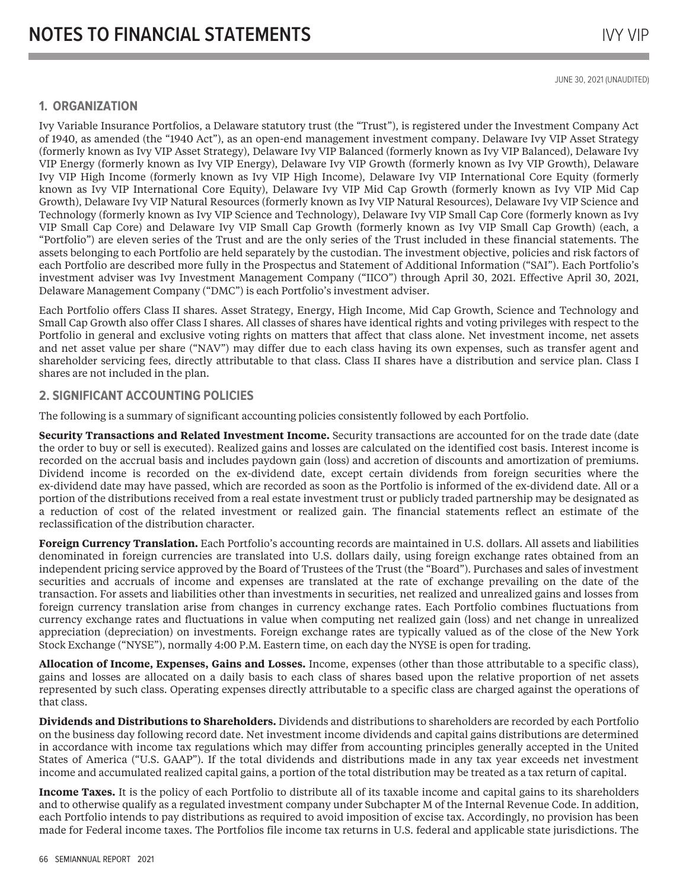### **1. ORGANIZATION**

Ivy Variable Insurance Portfolios, a Delaware statutory trust (the "Trust"), is registered under the Investment Company Act of 1940, as amended (the "1940 Act"), as an open-end management investment company. Delaware Ivy VIP Asset Strategy (formerly known as Ivy VIP Asset Strategy), Delaware Ivy VIP Balanced (formerly known as Ivy VIP Balanced), Delaware Ivy VIP Energy (formerly known as Ivy VIP Energy), Delaware Ivy VIP Growth (formerly known as Ivy VIP Growth), Delaware Ivy VIP High Income (formerly known as Ivy VIP High Income), Delaware Ivy VIP International Core Equity (formerly known as Ivy VIP International Core Equity), Delaware Ivy VIP Mid Cap Growth (formerly known as Ivy VIP Mid Cap Growth), Delaware Ivy VIP Natural Resources (formerly known as Ivy VIP Natural Resources), Delaware Ivy VIP Science and Technology (formerly known as Ivy VIP Science and Technology), Delaware Ivy VIP Small Cap Core (formerly known as Ivy VIP Small Cap Core) and Delaware Ivy VIP Small Cap Growth (formerly known as Ivy VIP Small Cap Growth) (each, a "Portfolio") are eleven series of the Trust and are the only series of the Trust included in these financial statements. The assets belonging to each Portfolio are held separately by the custodian. The investment objective, policies and risk factors of each Portfolio are described more fully in the Prospectus and Statement of Additional Information ("SAI"). Each Portfolio's investment adviser was Ivy Investment Management Company ("IICO") through April 30, 2021. Effective April 30, 2021, Delaware Management Company ("DMC") is each Portfolio's investment adviser.

Each Portfolio offers Class II shares. Asset Strategy, Energy, High Income, Mid Cap Growth, Science and Technology and Small Cap Growth also offer Class I shares. All classes of shares have identical rights and voting privileges with respect to the Portfolio in general and exclusive voting rights on matters that affect that class alone. Net investment income, net assets and net asset value per share ("NAV") may differ due to each class having its own expenses, such as transfer agent and shareholder servicing fees, directly attributable to that class. Class II shares have a distribution and service plan. Class I shares are not included in the plan.

### **2. SIGNIFICANT ACCOUNTING POLICIES**

The following is a summary of significant accounting policies consistently followed by each Portfolio.

**Security Transactions and Related Investment Income.** Security transactions are accounted for on the trade date (date the order to buy or sell is executed). Realized gains and losses are calculated on the identified cost basis. Interest income is recorded on the accrual basis and includes paydown gain (loss) and accretion of discounts and amortization of premiums. Dividend income is recorded on the ex-dividend date, except certain dividends from foreign securities where the ex-dividend date may have passed, which are recorded as soon as the Portfolio is informed of the ex-dividend date. All or a portion of the distributions received from a real estate investment trust or publicly traded partnership may be designated as a reduction of cost of the related investment or realized gain. The financial statements reflect an estimate of the reclassification of the distribution character.

**Foreign Currency Translation.** Each Portfolio's accounting records are maintained in U.S. dollars. All assets and liabilities denominated in foreign currencies are translated into U.S. dollars daily, using foreign exchange rates obtained from an independent pricing service approved by the Board of Trustees of the Trust (the "Board"). Purchases and sales of investment securities and accruals of income and expenses are translated at the rate of exchange prevailing on the date of the transaction. For assets and liabilities other than investments in securities, net realized and unrealized gains and losses from foreign currency translation arise from changes in currency exchange rates. Each Portfolio combines fluctuations from currency exchange rates and fluctuations in value when computing net realized gain (loss) and net change in unrealized appreciation (depreciation) on investments. Foreign exchange rates are typically valued as of the close of the New York Stock Exchange ("NYSE"), normally 4:00 P.M. Eastern time, on each day the NYSE is open for trading.

**Allocation of Income, Expenses, Gains and Losses.** Income, expenses (other than those attributable to a specific class), gains and losses are allocated on a daily basis to each class of shares based upon the relative proportion of net assets represented by such class. Operating expenses directly attributable to a specific class are charged against the operations of that class.

**Dividends and Distributions to Shareholders.** Dividends and distributions to shareholders are recorded by each Portfolio on the business day following record date. Net investment income dividends and capital gains distributions are determined in accordance with income tax regulations which may differ from accounting principles generally accepted in the United States of America ("U.S. GAAP"). If the total dividends and distributions made in any tax year exceeds net investment income and accumulated realized capital gains, a portion of the total distribution may be treated as a tax return of capital.

**Income Taxes.** It is the policy of each Portfolio to distribute all of its taxable income and capital gains to its shareholders and to otherwise qualify as a regulated investment company under Subchapter M of the Internal Revenue Code. In addition, each Portfolio intends to pay distributions as required to avoid imposition of excise tax. Accordingly, no provision has been made for Federal income taxes. The Portfolios file income tax returns in U.S. federal and applicable state jurisdictions. The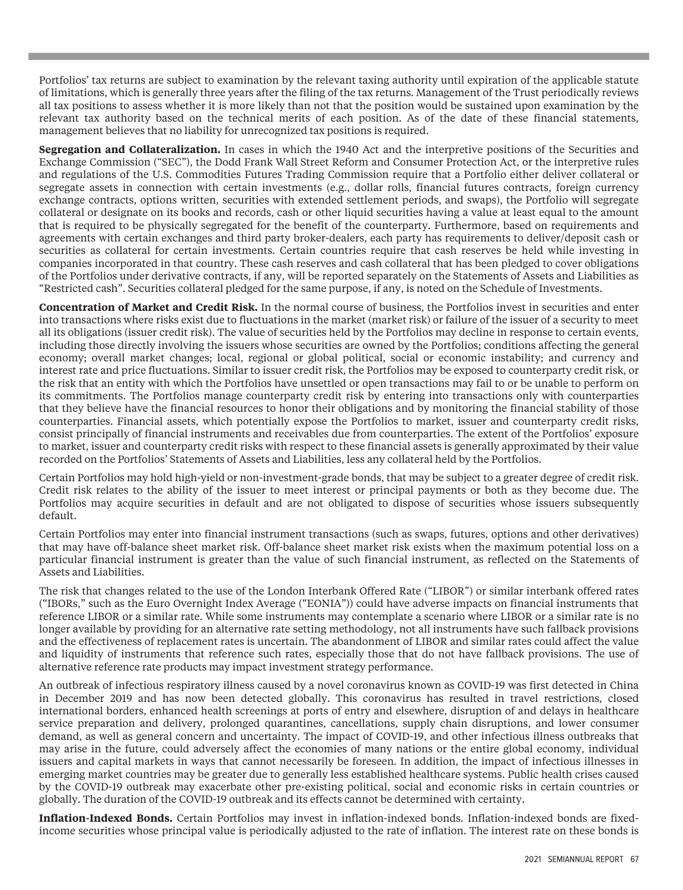Portfolios' tax returns are subject to examination by the relevant taxing authority until expiration of the applicable statute of limitations, which is generally three years after the filing of the tax returns. Management of the Trust periodically reviews all tax positions to assess whether it is more likely than not that the position would be sustained upon examination by the relevant tax authority based on the technical merits of each position. As of the date of these financial statements, management believes that no liability for unrecognized tax positions is required.

**Segregation and Collateralization.** In cases in which the 1940 Act and the interpretive positions of the Securities and Exchange Commission ("SEC"), the Dodd Frank Wall Street Reform and Consumer Protection Act, or the interpretive rules and regulations of the U.S. Commodities Futures Trading Commission require that a Portfolio either deliver collateral or segregate assets in connection with certain investments (e.g., dollar rolls, financial futures contracts, foreign currency exchange contracts, options written, securities with extended settlement periods, and swaps), the Portfolio will segregate collateral or designate on its books and records, cash or other liquid securities having a value at least equal to the amount that is required to be physically segregated for the benefit of the counterparty. Furthermore, based on requirements and agreements with certain exchanges and third party broker-dealers, each party has requirements to deliver/deposit cash or securities as collateral for certain investments. Certain countries require that cash reserves be held while investing in companies incorporated in that country. These cash reserves and cash collateral that has been pledged to cover obligations of the Portfolios under derivative contracts, if any, will be reported separately on the Statements of Assets and Liabilities as "Restricted cash". Securities collateral pledged for the same purpose, if any, is noted on the Schedule of Investments.

**Concentration of Market and Credit Risk.** In the normal course of business, the Portfolios invest in securities and enter into transactions where risks exist due to fluctuations in the market (market risk) or failure of the issuer of a security to meet all its obligations (issuer credit risk). The value of securities held by the Portfolios may decline in response to certain events, including those directly involving the issuers whose securities are owned by the Portfolios; conditions affecting the general economy; overall market changes; local, regional or global political, social or economic instability; and currency and interest rate and price fluctuations. Similar to issuer credit risk, the Portfolios may be exposed to counterparty credit risk, or the risk that an entity with which the Portfolios have unsettled or open transactions may fail to or be unable to perform on its commitments. The Portfolios manage counterparty credit risk by entering into transactions only with counterparties that they believe have the financial resources to honor their obligations and by monitoring the financial stability of those counterparties. Financial assets, which potentially expose the Portfolios to market, issuer and counterparty credit risks, consist principally of financial instruments and receivables due from counterparties. The extent of the Portfolios' exposure to market, issuer and counterparty credit risks with respect to these financial assets is generally approximated by their value recorded on the Portfolios' Statements of Assets and Liabilities, less any collateral held by the Portfolios.

Certain Portfolios may hold high-yield or non-investment-grade bonds, that may be subject to a greater degree of credit risk. Credit risk relates to the ability of the issuer to meet interest or principal payments or both as they become due. The Portfolios may acquire securities in default and are not obligated to dispose of securities whose issuers subsequently default.

Certain Portfolios may enter into financial instrument transactions (such as swaps, futures, options and other derivatives) that may have off-balance sheet market risk. Off-balance sheet market risk exists when the maximum potential loss on a particular financial instrument is greater than the value of such financial instrument, as reflected on the Statements of Assets and Liabilities.

The risk that changes related to the use of the London Interbank Offered Rate ("LIBOR") or similar interbank offered rates ("IBORs," such as the Euro Overnight Index Average ("EONIA")) could have adverse impacts on financial instruments that reference LIBOR or a similar rate. While some instruments may contemplate a scenario where LIBOR or a similar rate is no longer available by providing for an alternative rate setting methodology, not all instruments have such fallback provisions and the effectiveness of replacement rates is uncertain. The abandonment of LIBOR and similar rates could affect the value and liquidity of instruments that reference such rates, especially those that do not have fallback provisions. The use of alternative reference rate products may impact investment strategy performance.

An outbreak of infectious respiratory illness caused by a novel coronavirus known as COVID-19 was first detected in China in December 2019 and has now been detected globally. This coronavirus has resulted in travel restrictions, closed international borders, enhanced health screenings at ports of entry and elsewhere, disruption of and delays in healthcare service preparation and delivery, prolonged quarantines, cancellations, supply chain disruptions, and lower consumer demand, as well as general concern and uncertainty. The impact of COVID-19, and other infectious illness outbreaks that may arise in the future, could adversely affect the economies of many nations or the entire global economy, individual issuers and capital markets in ways that cannot necessarily be foreseen. In addition, the impact of infectious illnesses in emerging market countries may be greater due to generally less established healthcare systems. Public health crises caused by the COVID-19 outbreak may exacerbate other pre-existing political, social and economic risks in certain countries or globally. The duration of the COVID-19 outbreak and its effects cannot be determined with certainty.

**Inflation-Indexed Bonds.** Certain Portfolios may invest in inflation-indexed bonds. Inflation-indexed bonds are fixedincome securities whose principal value is periodically adjusted to the rate of inflation. The interest rate on these bonds is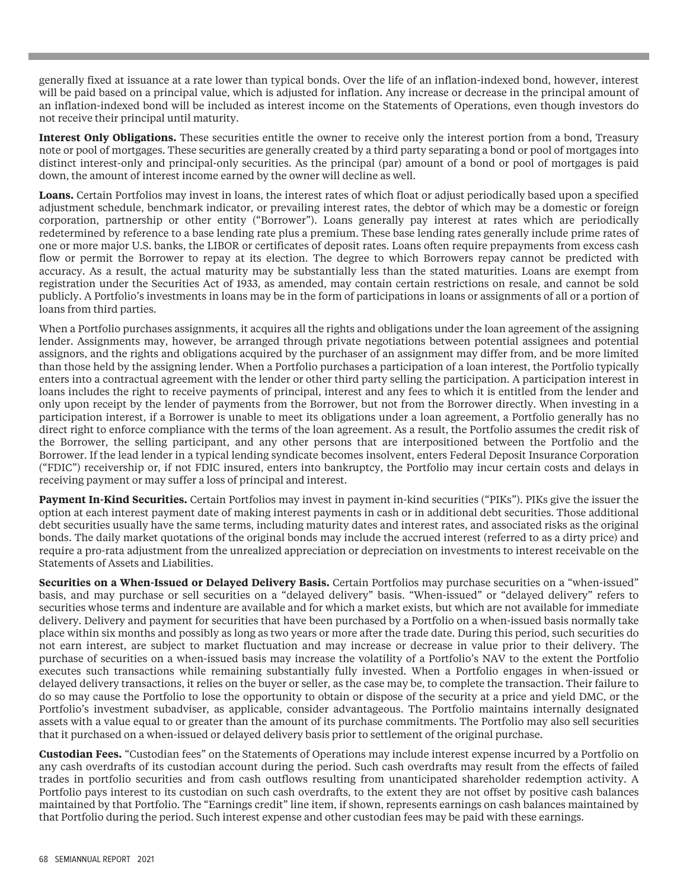generally fixed at issuance at a rate lower than typical bonds. Over the life of an inflation-indexed bond, however, interest will be paid based on a principal value, which is adjusted for inflation. Any increase or decrease in the principal amount of an inflation-indexed bond will be included as interest income on the Statements of Operations, even though investors do not receive their principal until maturity.

**Interest Only Obligations.** These securities entitle the owner to receive only the interest portion from a bond, Treasury note or pool of mortgages. These securities are generally created by a third party separating a bond or pool of mortgages into distinct interest-only and principal-only securities. As the principal (par) amount of a bond or pool of mortgages is paid down, the amount of interest income earned by the owner will decline as well.

**Loans.** Certain Portfolios may invest in loans, the interest rates of which float or adjust periodically based upon a specified adjustment schedule, benchmark indicator, or prevailing interest rates, the debtor of which may be a domestic or foreign corporation, partnership or other entity ("Borrower"). Loans generally pay interest at rates which are periodically redetermined by reference to a base lending rate plus a premium. These base lending rates generally include prime rates of one or more major U.S. banks, the LIBOR or certificates of deposit rates. Loans often require prepayments from excess cash flow or permit the Borrower to repay at its election. The degree to which Borrowers repay cannot be predicted with accuracy. As a result, the actual maturity may be substantially less than the stated maturities. Loans are exempt from registration under the Securities Act of 1933, as amended, may contain certain restrictions on resale, and cannot be sold publicly. A Portfolio's investments in loans may be in the form of participations in loans or assignments of all or a portion of loans from third parties.

When a Portfolio purchases assignments, it acquires all the rights and obligations under the loan agreement of the assigning lender. Assignments may, however, be arranged through private negotiations between potential assignees and potential assignors, and the rights and obligations acquired by the purchaser of an assignment may differ from, and be more limited than those held by the assigning lender. When a Portfolio purchases a participation of a loan interest, the Portfolio typically enters into a contractual agreement with the lender or other third party selling the participation. A participation interest in loans includes the right to receive payments of principal, interest and any fees to which it is entitled from the lender and only upon receipt by the lender of payments from the Borrower, but not from the Borrower directly. When investing in a participation interest, if a Borrower is unable to meet its obligations under a loan agreement, a Portfolio generally has no direct right to enforce compliance with the terms of the loan agreement. As a result, the Portfolio assumes the credit risk of the Borrower, the selling participant, and any other persons that are interpositioned between the Portfolio and the Borrower. If the lead lender in a typical lending syndicate becomes insolvent, enters Federal Deposit Insurance Corporation ("FDIC") receivership or, if not FDIC insured, enters into bankruptcy, the Portfolio may incur certain costs and delays in receiving payment or may suffer a loss of principal and interest.

**Payment In-Kind Securities.** Certain Portfolios may invest in payment in-kind securities ("PIKs"). PIKs give the issuer the option at each interest payment date of making interest payments in cash or in additional debt securities. Those additional debt securities usually have the same terms, including maturity dates and interest rates, and associated risks as the original bonds. The daily market quotations of the original bonds may include the accrued interest (referred to as a dirty price) and require a pro-rata adjustment from the unrealized appreciation or depreciation on investments to interest receivable on the Statements of Assets and Liabilities.

**Securities on a When-Issued or Delayed Delivery Basis.** Certain Portfolios may purchase securities on a "when-issued" basis, and may purchase or sell securities on a "delayed delivery" basis. "When-issued" or "delayed delivery" refers to securities whose terms and indenture are available and for which a market exists, but which are not available for immediate delivery. Delivery and payment for securities that have been purchased by a Portfolio on a when-issued basis normally take place within six months and possibly as long as two years or more after the trade date. During this period, such securities do not earn interest, are subject to market fluctuation and may increase or decrease in value prior to their delivery. The purchase of securities on a when-issued basis may increase the volatility of a Portfolio's NAV to the extent the Portfolio executes such transactions while remaining substantially fully invested. When a Portfolio engages in when-issued or delayed delivery transactions, it relies on the buyer or seller, as the case may be, to complete the transaction. Their failure to do so may cause the Portfolio to lose the opportunity to obtain or dispose of the security at a price and yield DMC, or the Portfolio's investment subadviser, as applicable, consider advantageous. The Portfolio maintains internally designated assets with a value equal to or greater than the amount of its purchase commitments. The Portfolio may also sell securities that it purchased on a when-issued or delayed delivery basis prior to settlement of the original purchase.

**Custodian Fees.** "Custodian fees" on the Statements of Operations may include interest expense incurred by a Portfolio on any cash overdrafts of its custodian account during the period. Such cash overdrafts may result from the effects of failed trades in portfolio securities and from cash outflows resulting from unanticipated shareholder redemption activity. A Portfolio pays interest to its custodian on such cash overdrafts, to the extent they are not offset by positive cash balances maintained by that Portfolio. The "Earnings credit" line item, if shown, represents earnings on cash balances maintained by that Portfolio during the period. Such interest expense and other custodian fees may be paid with these earnings.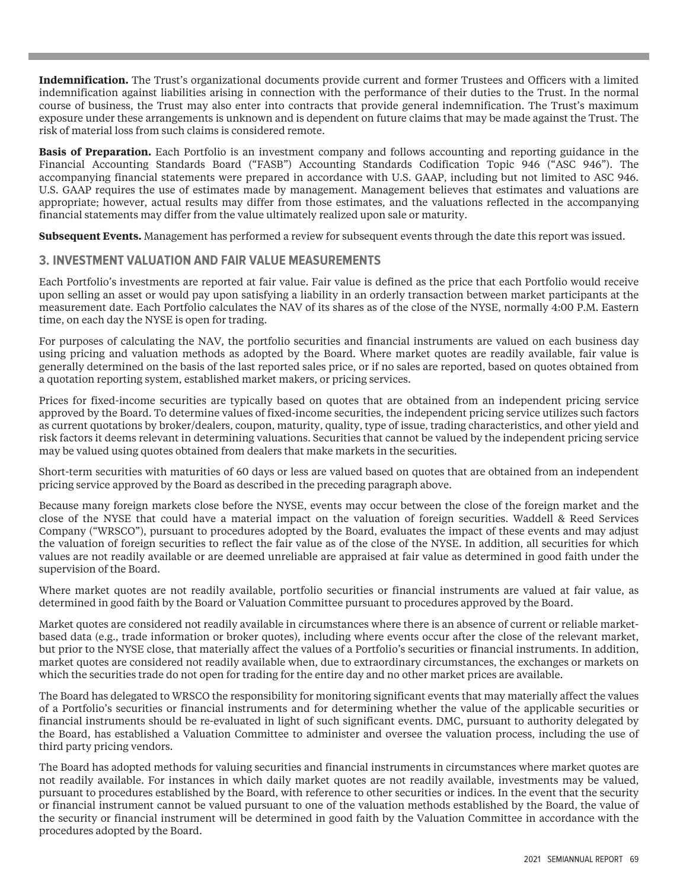**Indemnification.** The Trust's organizational documents provide current and former Trustees and Officers with a limited indemnification against liabilities arising in connection with the performance of their duties to the Trust. In the normal course of business, the Trust may also enter into contracts that provide general indemnification. The Trust's maximum exposure under these arrangements is unknown and is dependent on future claims that may be made against the Trust. The risk of material loss from such claims is considered remote.

**Basis of Preparation.** Each Portfolio is an investment company and follows accounting and reporting guidance in the Financial Accounting Standards Board ("FASB") Accounting Standards Codification Topic 946 ("ASC 946"). The accompanying financial statements were prepared in accordance with U.S. GAAP, including but not limited to ASC 946. U.S. GAAP requires the use of estimates made by management. Management believes that estimates and valuations are appropriate; however, actual results may differ from those estimates, and the valuations reflected in the accompanying financial statements may differ from the value ultimately realized upon sale or maturity.

**Subsequent Events.** Management has performed a review for subsequent events through the date this report was issued.

## **3. INVESTMENT VALUATION AND FAIR VALUE MEASUREMENTS**

Each Portfolio's investments are reported at fair value. Fair value is defined as the price that each Portfolio would receive upon selling an asset or would pay upon satisfying a liability in an orderly transaction between market participants at the measurement date. Each Portfolio calculates the NAV of its shares as of the close of the NYSE, normally 4:00 P.M. Eastern time, on each day the NYSE is open for trading.

For purposes of calculating the NAV, the portfolio securities and financial instruments are valued on each business day using pricing and valuation methods as adopted by the Board. Where market quotes are readily available, fair value is generally determined on the basis of the last reported sales price, or if no sales are reported, based on quotes obtained from a quotation reporting system, established market makers, or pricing services.

Prices for fixed-income securities are typically based on quotes that are obtained from an independent pricing service approved by the Board. To determine values of fixed-income securities, the independent pricing service utilizes such factors as current quotations by broker/dealers, coupon, maturity, quality, type of issue, trading characteristics, and other yield and risk factors it deems relevant in determining valuations. Securities that cannot be valued by the independent pricing service may be valued using quotes obtained from dealers that make markets in the securities.

Short-term securities with maturities of 60 days or less are valued based on quotes that are obtained from an independent pricing service approved by the Board as described in the preceding paragraph above.

Because many foreign markets close before the NYSE, events may occur between the close of the foreign market and the close of the NYSE that could have a material impact on the valuation of foreign securities. Waddell & Reed Services Company ("WRSCO"), pursuant to procedures adopted by the Board, evaluates the impact of these events and may adjust the valuation of foreign securities to reflect the fair value as of the close of the NYSE. In addition, all securities for which values are not readily available or are deemed unreliable are appraised at fair value as determined in good faith under the supervision of the Board.

Where market quotes are not readily available, portfolio securities or financial instruments are valued at fair value, as determined in good faith by the Board or Valuation Committee pursuant to procedures approved by the Board.

Market quotes are considered not readily available in circumstances where there is an absence of current or reliable marketbased data (e.g., trade information or broker quotes), including where events occur after the close of the relevant market, but prior to the NYSE close, that materially affect the values of a Portfolio's securities or financial instruments. In addition, market quotes are considered not readily available when, due to extraordinary circumstances, the exchanges or markets on which the securities trade do not open for trading for the entire day and no other market prices are available.

The Board has delegated to WRSCO the responsibility for monitoring significant events that may materially affect the values of a Portfolio's securities or financial instruments and for determining whether the value of the applicable securities or financial instruments should be re-evaluated in light of such significant events. DMC, pursuant to authority delegated by the Board, has established a Valuation Committee to administer and oversee the valuation process, including the use of third party pricing vendors.

The Board has adopted methods for valuing securities and financial instruments in circumstances where market quotes are not readily available. For instances in which daily market quotes are not readily available, investments may be valued, pursuant to procedures established by the Board, with reference to other securities or indices. In the event that the security or financial instrument cannot be valued pursuant to one of the valuation methods established by the Board, the value of the security or financial instrument will be determined in good faith by the Valuation Committee in accordance with the procedures adopted by the Board.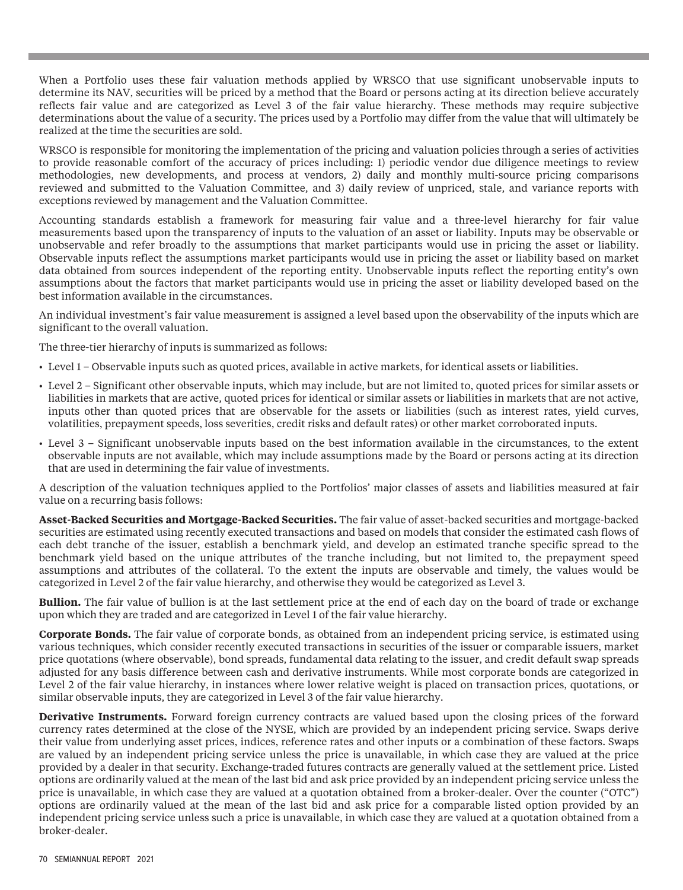When a Portfolio uses these fair valuation methods applied by WRSCO that use significant unobservable inputs to determine its NAV, securities will be priced by a method that the Board or persons acting at its direction believe accurately reflects fair value and are categorized as Level 3 of the fair value hierarchy. These methods may require subjective determinations about the value of a security. The prices used by a Portfolio may differ from the value that will ultimately be realized at the time the securities are sold.

WRSCO is responsible for monitoring the implementation of the pricing and valuation policies through a series of activities to provide reasonable comfort of the accuracy of prices including: 1) periodic vendor due diligence meetings to review methodologies, new developments, and process at vendors, 2) daily and monthly multi-source pricing comparisons reviewed and submitted to the Valuation Committee, and 3) daily review of unpriced, stale, and variance reports with exceptions reviewed by management and the Valuation Committee.

Accounting standards establish a framework for measuring fair value and a three-level hierarchy for fair value measurements based upon the transparency of inputs to the valuation of an asset or liability. Inputs may be observable or unobservable and refer broadly to the assumptions that market participants would use in pricing the asset or liability. Observable inputs reflect the assumptions market participants would use in pricing the asset or liability based on market data obtained from sources independent of the reporting entity. Unobservable inputs reflect the reporting entity's own assumptions about the factors that market participants would use in pricing the asset or liability developed based on the best information available in the circumstances.

An individual investment's fair value measurement is assigned a level based upon the observability of the inputs which are significant to the overall valuation.

The three-tier hierarchy of inputs is summarized as follows:

- Level 1 Observable inputs such as quoted prices, available in active markets, for identical assets or liabilities.
- Level 2 Significant other observable inputs, which may include, but are not limited to, quoted prices for similar assets or liabilities in markets that are active, quoted prices for identical or similar assets or liabilities in markets that are not active, inputs other than quoted prices that are observable for the assets or liabilities (such as interest rates, yield curves, volatilities, prepayment speeds, loss severities, credit risks and default rates) or other market corroborated inputs.
- Level 3 Significant unobservable inputs based on the best information available in the circumstances, to the extent observable inputs are not available, which may include assumptions made by the Board or persons acting at its direction that are used in determining the fair value of investments.

A description of the valuation techniques applied to the Portfolios' major classes of assets and liabilities measured at fair value on a recurring basis follows:

**Asset-Backed Securities and Mortgage-Backed Securities.** The fair value of asset-backed securities and mortgage-backed securities are estimated using recently executed transactions and based on models that consider the estimated cash flows of each debt tranche of the issuer, establish a benchmark yield, and develop an estimated tranche specific spread to the benchmark yield based on the unique attributes of the tranche including, but not limited to, the prepayment speed assumptions and attributes of the collateral. To the extent the inputs are observable and timely, the values would be categorized in Level 2 of the fair value hierarchy, and otherwise they would be categorized as Level 3.

**Bullion.** The fair value of bullion is at the last settlement price at the end of each day on the board of trade or exchange upon which they are traded and are categorized in Level 1 of the fair value hierarchy.

**Corporate Bonds.** The fair value of corporate bonds, as obtained from an independent pricing service, is estimated using various techniques, which consider recently executed transactions in securities of the issuer or comparable issuers, market price quotations (where observable), bond spreads, fundamental data relating to the issuer, and credit default swap spreads adjusted for any basis difference between cash and derivative instruments. While most corporate bonds are categorized in Level 2 of the fair value hierarchy, in instances where lower relative weight is placed on transaction prices, quotations, or similar observable inputs, they are categorized in Level 3 of the fair value hierarchy.

**Derivative Instruments.** Forward foreign currency contracts are valued based upon the closing prices of the forward currency rates determined at the close of the NYSE, which are provided by an independent pricing service. Swaps derive their value from underlying asset prices, indices, reference rates and other inputs or a combination of these factors. Swaps are valued by an independent pricing service unless the price is unavailable, in which case they are valued at the price provided by a dealer in that security. Exchange-traded futures contracts are generally valued at the settlement price. Listed options are ordinarily valued at the mean of the last bid and ask price provided by an independent pricing service unless the price is unavailable, in which case they are valued at a quotation obtained from a broker-dealer. Over the counter ("OTC") options are ordinarily valued at the mean of the last bid and ask price for a comparable listed option provided by an independent pricing service unless such a price is unavailable, in which case they are valued at a quotation obtained from a broker-dealer.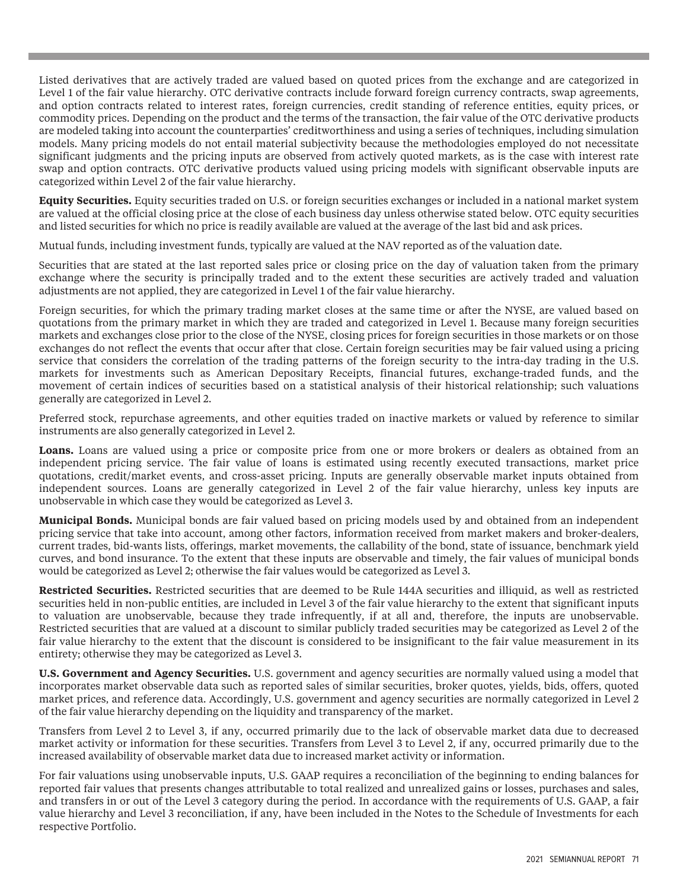Listed derivatives that are actively traded are valued based on quoted prices from the exchange and are categorized in Level 1 of the fair value hierarchy. OTC derivative contracts include forward foreign currency contracts, swap agreements, and option contracts related to interest rates, foreign currencies, credit standing of reference entities, equity prices, or commodity prices. Depending on the product and the terms of the transaction, the fair value of the OTC derivative products are modeled taking into account the counterparties' creditworthiness and using a series of techniques, including simulation models. Many pricing models do not entail material subjectivity because the methodologies employed do not necessitate significant judgments and the pricing inputs are observed from actively quoted markets, as is the case with interest rate swap and option contracts. OTC derivative products valued using pricing models with significant observable inputs are categorized within Level 2 of the fair value hierarchy.

**Equity Securities.** Equity securities traded on U.S. or foreign securities exchanges or included in a national market system are valued at the official closing price at the close of each business day unless otherwise stated below. OTC equity securities and listed securities for which no price is readily available are valued at the average of the last bid and ask prices.

Mutual funds, including investment funds, typically are valued at the NAV reported as of the valuation date.

Securities that are stated at the last reported sales price or closing price on the day of valuation taken from the primary exchange where the security is principally traded and to the extent these securities are actively traded and valuation adjustments are not applied, they are categorized in Level 1 of the fair value hierarchy.

Foreign securities, for which the primary trading market closes at the same time or after the NYSE, are valued based on quotations from the primary market in which they are traded and categorized in Level 1. Because many foreign securities markets and exchanges close prior to the close of the NYSE, closing prices for foreign securities in those markets or on those exchanges do not reflect the events that occur after that close. Certain foreign securities may be fair valued using a pricing service that considers the correlation of the trading patterns of the foreign security to the intra-day trading in the U.S. markets for investments such as American Depositary Receipts, financial futures, exchange-traded funds, and the movement of certain indices of securities based on a statistical analysis of their historical relationship; such valuations generally are categorized in Level 2.

Preferred stock, repurchase agreements, and other equities traded on inactive markets or valued by reference to similar instruments are also generally categorized in Level 2.

**Loans.** Loans are valued using a price or composite price from one or more brokers or dealers as obtained from an independent pricing service. The fair value of loans is estimated using recently executed transactions, market price quotations, credit/market events, and cross-asset pricing. Inputs are generally observable market inputs obtained from independent sources. Loans are generally categorized in Level 2 of the fair value hierarchy, unless key inputs are unobservable in which case they would be categorized as Level 3.

**Municipal Bonds.** Municipal bonds are fair valued based on pricing models used by and obtained from an independent pricing service that take into account, among other factors, information received from market makers and broker-dealers, current trades, bid-wants lists, offerings, market movements, the callability of the bond, state of issuance, benchmark yield curves, and bond insurance. To the extent that these inputs are observable and timely, the fair values of municipal bonds would be categorized as Level 2; otherwise the fair values would be categorized as Level 3.

**Restricted Securities.** Restricted securities that are deemed to be Rule 144A securities and illiquid, as well as restricted securities held in non-public entities, are included in Level 3 of the fair value hierarchy to the extent that significant inputs to valuation are unobservable, because they trade infrequently, if at all and, therefore, the inputs are unobservable. Restricted securities that are valued at a discount to similar publicly traded securities may be categorized as Level 2 of the fair value hierarchy to the extent that the discount is considered to be insignificant to the fair value measurement in its entirety; otherwise they may be categorized as Level 3.

**U.S. Government and Agency Securities.** U.S. government and agency securities are normally valued using a model that incorporates market observable data such as reported sales of similar securities, broker quotes, yields, bids, offers, quoted market prices, and reference data. Accordingly, U.S. government and agency securities are normally categorized in Level 2 of the fair value hierarchy depending on the liquidity and transparency of the market.

Transfers from Level 2 to Level 3, if any, occurred primarily due to the lack of observable market data due to decreased market activity or information for these securities. Transfers from Level 3 to Level 2, if any, occurred primarily due to the increased availability of observable market data due to increased market activity or information.

For fair valuations using unobservable inputs, U.S. GAAP requires a reconciliation of the beginning to ending balances for reported fair values that presents changes attributable to total realized and unrealized gains or losses, purchases and sales, and transfers in or out of the Level 3 category during the period. In accordance with the requirements of U.S. GAAP, a fair value hierarchy and Level 3 reconciliation, if any, have been included in the Notes to the Schedule of Investments for each respective Portfolio.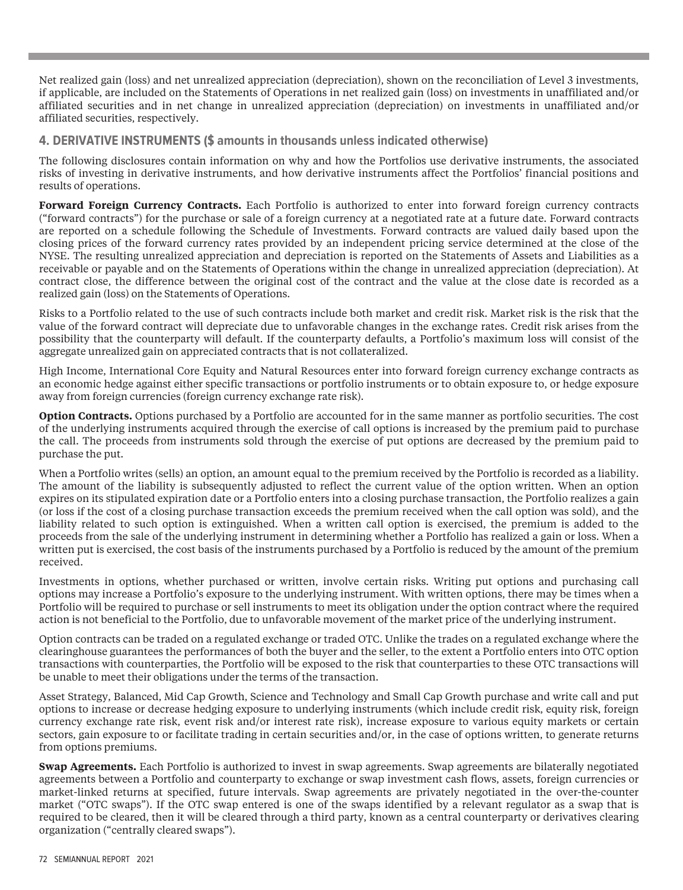Net realized gain (loss) and net unrealized appreciation (depreciation), shown on the reconciliation of Level 3 investments, if applicable, are included on the Statements of Operations in net realized gain (loss) on investments in unaffiliated and/or affiliated securities and in net change in unrealized appreciation (depreciation) on investments in unaffiliated and/or affiliated securities, respectively.

**4. DERIVATIVE INSTRUMENTS (\$ amounts in thousands unless indicated otherwise)**

The following disclosures contain information on why and how the Portfolios use derivative instruments, the associated risks of investing in derivative instruments, and how derivative instruments affect the Portfolios' financial positions and results of operations.

**Forward Foreign Currency Contracts.** Each Portfolio is authorized to enter into forward foreign currency contracts ("forward contracts") for the purchase or sale of a foreign currency at a negotiated rate at a future date. Forward contracts are reported on a schedule following the Schedule of Investments. Forward contracts are valued daily based upon the closing prices of the forward currency rates provided by an independent pricing service determined at the close of the NYSE. The resulting unrealized appreciation and depreciation is reported on the Statements of Assets and Liabilities as a receivable or payable and on the Statements of Operations within the change in unrealized appreciation (depreciation). At contract close, the difference between the original cost of the contract and the value at the close date is recorded as a realized gain (loss) on the Statements of Operations.

Risks to a Portfolio related to the use of such contracts include both market and credit risk. Market risk is the risk that the value of the forward contract will depreciate due to unfavorable changes in the exchange rates. Credit risk arises from the possibility that the counterparty will default. If the counterparty defaults, a Portfolio's maximum loss will consist of the aggregate unrealized gain on appreciated contracts that is not collateralized.

High Income, International Core Equity and Natural Resources enter into forward foreign currency exchange contracts as an economic hedge against either specific transactions or portfolio instruments or to obtain exposure to, or hedge exposure away from foreign currencies (foreign currency exchange rate risk).

**Option Contracts.** Options purchased by a Portfolio are accounted for in the same manner as portfolio securities. The cost of the underlying instruments acquired through the exercise of call options is increased by the premium paid to purchase the call. The proceeds from instruments sold through the exercise of put options are decreased by the premium paid to purchase the put.

When a Portfolio writes (sells) an option, an amount equal to the premium received by the Portfolio is recorded as a liability. The amount of the liability is subsequently adjusted to reflect the current value of the option written. When an option expires on its stipulated expiration date or a Portfolio enters into a closing purchase transaction, the Portfolio realizes a gain (or loss if the cost of a closing purchase transaction exceeds the premium received when the call option was sold), and the liability related to such option is extinguished. When a written call option is exercised, the premium is added to the proceeds from the sale of the underlying instrument in determining whether a Portfolio has realized a gain or loss. When a written put is exercised, the cost basis of the instruments purchased by a Portfolio is reduced by the amount of the premium received.

Investments in options, whether purchased or written, involve certain risks. Writing put options and purchasing call options may increase a Portfolio's exposure to the underlying instrument. With written options, there may be times when a Portfolio will be required to purchase or sell instruments to meet its obligation under the option contract where the required action is not beneficial to the Portfolio, due to unfavorable movement of the market price of the underlying instrument.

Option contracts can be traded on a regulated exchange or traded OTC. Unlike the trades on a regulated exchange where the clearinghouse guarantees the performances of both the buyer and the seller, to the extent a Portfolio enters into OTC option transactions with counterparties, the Portfolio will be exposed to the risk that counterparties to these OTC transactions will be unable to meet their obligations under the terms of the transaction.

Asset Strategy, Balanced, Mid Cap Growth, Science and Technology and Small Cap Growth purchase and write call and put options to increase or decrease hedging exposure to underlying instruments (which include credit risk, equity risk, foreign currency exchange rate risk, event risk and/or interest rate risk), increase exposure to various equity markets or certain sectors, gain exposure to or facilitate trading in certain securities and/or, in the case of options written, to generate returns from options premiums.

**Swap Agreements.** Each Portfolio is authorized to invest in swap agreements. Swap agreements are bilaterally negotiated agreements between a Portfolio and counterparty to exchange or swap investment cash flows, assets, foreign currencies or market-linked returns at specified, future intervals. Swap agreements are privately negotiated in the over-the-counter market ("OTC swaps"). If the OTC swap entered is one of the swaps identified by a relevant regulator as a swap that is required to be cleared, then it will be cleared through a third party, known as a central counterparty or derivatives clearing organization ("centrally cleared swaps").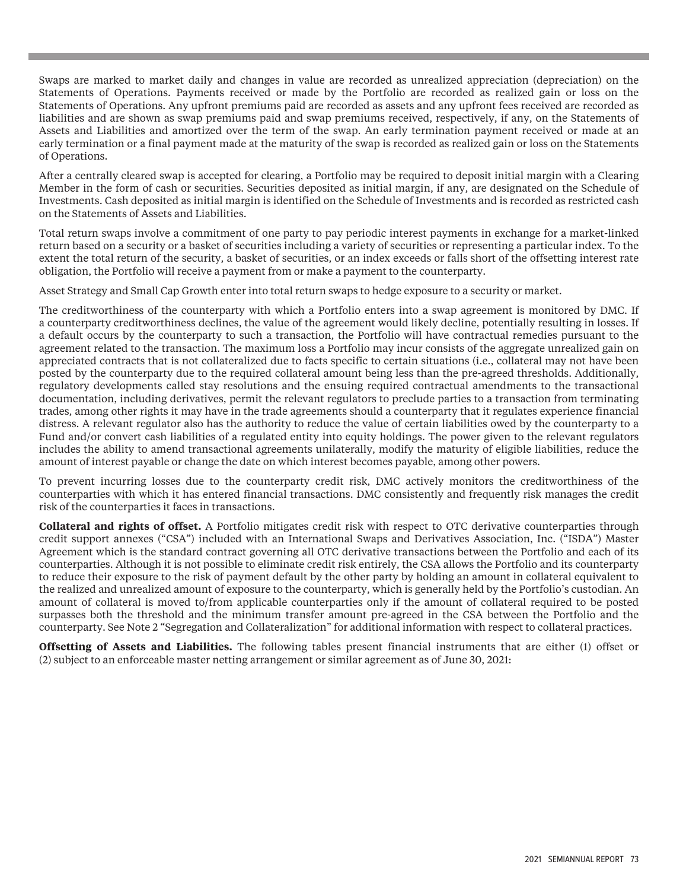Swaps are marked to market daily and changes in value are recorded as unrealized appreciation (depreciation) on the Statements of Operations. Payments received or made by the Portfolio are recorded as realized gain or loss on the Statements of Operations. Any upfront premiums paid are recorded as assets and any upfront fees received are recorded as liabilities and are shown as swap premiums paid and swap premiums received, respectively, if any, on the Statements of Assets and Liabilities and amortized over the term of the swap. An early termination payment received or made at an early termination or a final payment made at the maturity of the swap is recorded as realized gain or loss on the Statements of Operations.

After a centrally cleared swap is accepted for clearing, a Portfolio may be required to deposit initial margin with a Clearing Member in the form of cash or securities. Securities deposited as initial margin, if any, are designated on the Schedule of Investments. Cash deposited as initial margin is identified on the Schedule of Investments and is recorded as restricted cash on the Statements of Assets and Liabilities.

Total return swaps involve a commitment of one party to pay periodic interest payments in exchange for a market-linked return based on a security or a basket of securities including a variety of securities or representing a particular index. To the extent the total return of the security, a basket of securities, or an index exceeds or falls short of the offsetting interest rate obligation, the Portfolio will receive a payment from or make a payment to the counterparty.

Asset Strategy and Small Cap Growth enter into total return swaps to hedge exposure to a security or market.

The creditworthiness of the counterparty with which a Portfolio enters into a swap agreement is monitored by DMC. If a counterparty creditworthiness declines, the value of the agreement would likely decline, potentially resulting in losses. If a default occurs by the counterparty to such a transaction, the Portfolio will have contractual remedies pursuant to the agreement related to the transaction. The maximum loss a Portfolio may incur consists of the aggregate unrealized gain on appreciated contracts that is not collateralized due to facts specific to certain situations (i.e., collateral may not have been posted by the counterparty due to the required collateral amount being less than the pre-agreed thresholds. Additionally, regulatory developments called stay resolutions and the ensuing required contractual amendments to the transactional documentation, including derivatives, permit the relevant regulators to preclude parties to a transaction from terminating trades, among other rights it may have in the trade agreements should a counterparty that it regulates experience financial distress. A relevant regulator also has the authority to reduce the value of certain liabilities owed by the counterparty to a Fund and/or convert cash liabilities of a regulated entity into equity holdings. The power given to the relevant regulators includes the ability to amend transactional agreements unilaterally, modify the maturity of eligible liabilities, reduce the amount of interest payable or change the date on which interest becomes payable, among other powers.

To prevent incurring losses due to the counterparty credit risk, DMC actively monitors the creditworthiness of the counterparties with which it has entered financial transactions. DMC consistently and frequently risk manages the credit risk of the counterparties it faces in transactions.

**Collateral and rights of offset.** A Portfolio mitigates credit risk with respect to OTC derivative counterparties through credit support annexes ("CSA") included with an International Swaps and Derivatives Association, Inc. ("ISDA") Master Agreement which is the standard contract governing all OTC derivative transactions between the Portfolio and each of its counterparties. Although it is not possible to eliminate credit risk entirely, the CSA allows the Portfolio and its counterparty to reduce their exposure to the risk of payment default by the other party by holding an amount in collateral equivalent to the realized and unrealized amount of exposure to the counterparty, which is generally held by the Portfolio's custodian. An amount of collateral is moved to/from applicable counterparties only if the amount of collateral required to be posted surpasses both the threshold and the minimum transfer amount pre-agreed in the CSA between the Portfolio and the counterparty. See Note 2 "Segregation and Collateralization" for additional information with respect to collateral practices.

**Offsetting of Assets and Liabilities.** The following tables present financial instruments that are either (1) offset or (2) subject to an enforceable master netting arrangement or similar agreement as of June 30, 2021: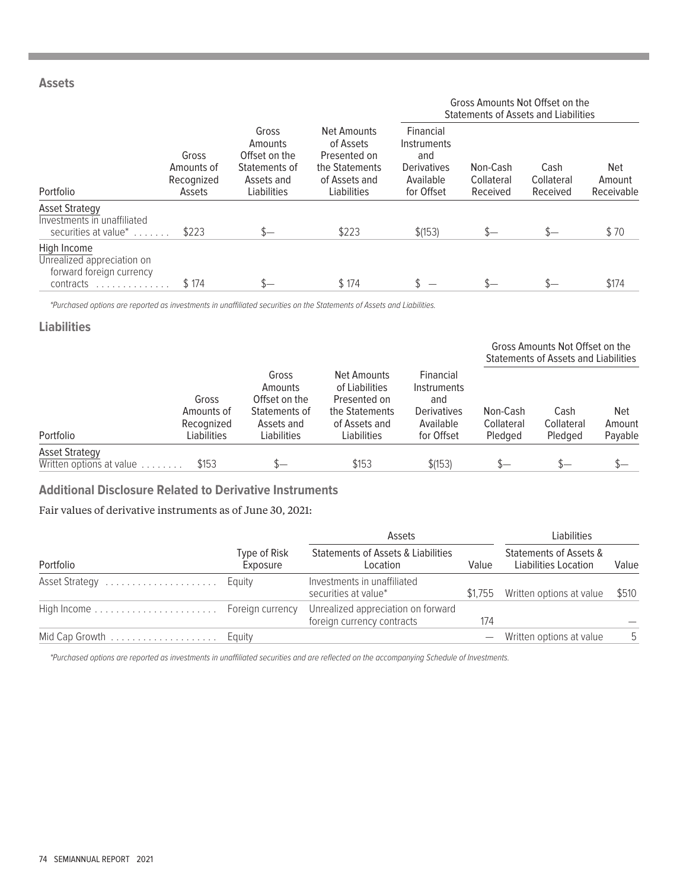#### **Assets**

#### Gross Amounts Not Offset on the Statements of Assets and Liabilities

|                                                                       |                                             |                                                                                 |                                                                                            | Sidienienis of Assets dhu Lidbiniles                                             |                                    |                                |                                    |  |  |
|-----------------------------------------------------------------------|---------------------------------------------|---------------------------------------------------------------------------------|--------------------------------------------------------------------------------------------|----------------------------------------------------------------------------------|------------------------------------|--------------------------------|------------------------------------|--|--|
| Portfolio                                                             | Gross<br>Amounts of<br>Recognized<br>Assets | Gross<br>Amounts<br>Offset on the<br>Statements of<br>Assets and<br>Liabilities | Net Amounts<br>of Assets<br>Presented on<br>the Statements<br>of Assets and<br>Liabilities | Financial<br>Instruments<br>and<br><b>Derivatives</b><br>Available<br>for Offset | Non-Cash<br>Collateral<br>Received | Cash<br>Collateral<br>Received | <b>Net</b><br>Amount<br>Receivable |  |  |
| <b>Asset Strategy</b><br>Investments in unaffiliated                  |                                             | $$-$                                                                            |                                                                                            |                                                                                  |                                    | $$-$                           |                                    |  |  |
| securities at value*                                                  | \$223                                       |                                                                                 | \$223                                                                                      | \$(153)                                                                          | \$—                                |                                | \$70                               |  |  |
| High Income<br>Unrealized appreciation on<br>forward foreign currency |                                             |                                                                                 |                                                                                            |                                                                                  |                                    |                                |                                    |  |  |
| contracts<br>.                                                        | \$174                                       |                                                                                 | \$174                                                                                      |                                                                                  | $S-$                               |                                | \$174                              |  |  |

\*Purchased options are reported as investments in unaffiliated securities on the Statements of Assets and Liabilities.

## **Liabilities**

|                                                   |                                                  |                                                                                 |                                                                                                 |                                                                                  | Gross Amounts Not Offset on the<br><b>Statements of Assets and Liabilities</b> |                               |                                 |  |
|---------------------------------------------------|--------------------------------------------------|---------------------------------------------------------------------------------|-------------------------------------------------------------------------------------------------|----------------------------------------------------------------------------------|--------------------------------------------------------------------------------|-------------------------------|---------------------------------|--|
| Portfolio                                         | Gross<br>Amounts of<br>Recognized<br>Liabilities | Gross<br>Amounts<br>Offset on the<br>Statements of<br>Assets and<br>Liabilities | Net Amounts<br>of Liabilities<br>Presented on<br>the Statements<br>of Assets and<br>Liabilities | Financial<br>Instruments<br>and<br><b>Derivatives</b><br>Available<br>for Offset | Non-Cash<br>Collateral<br>Pledged                                              | Cash<br>Collateral<br>Pledged | <b>Net</b><br>Amount<br>Payable |  |
| <b>Asset Strategy</b><br>Written options at value | \$153                                            | $S_{-}$                                                                         | \$153                                                                                           | \$(153)                                                                          | ≮—                                                                             | $S-$                          | \$—                             |  |

# **Additional Disclosure Related to Derivative Instruments**

## Fair values of derivative instruments as of June 30, 2021:

|                        |                          | Assets                                                           |         | Liabilities                                    |       |
|------------------------|--------------------------|------------------------------------------------------------------|---------|------------------------------------------------|-------|
| Portfolio              | Type of Risk<br>Exposure | <b>Statements of Assets &amp; Liabilities</b><br>Location        | Value   | Statements of Assets &<br>Liabilities Location | Value |
| Asset Strategy  Equity |                          | Investments in unaffiliated<br>securities at value*              | \$1.755 | Written options at value                       | \$510 |
|                        |                          | Unrealized appreciation on forward<br>foreign currency contracts | 174     |                                                |       |
|                        |                          |                                                                  |         | - Written options at value                     | 5     |

\*Purchased options are reported as investments in unaffiliated securities and are reflected on the accompanying Schedule of Investments.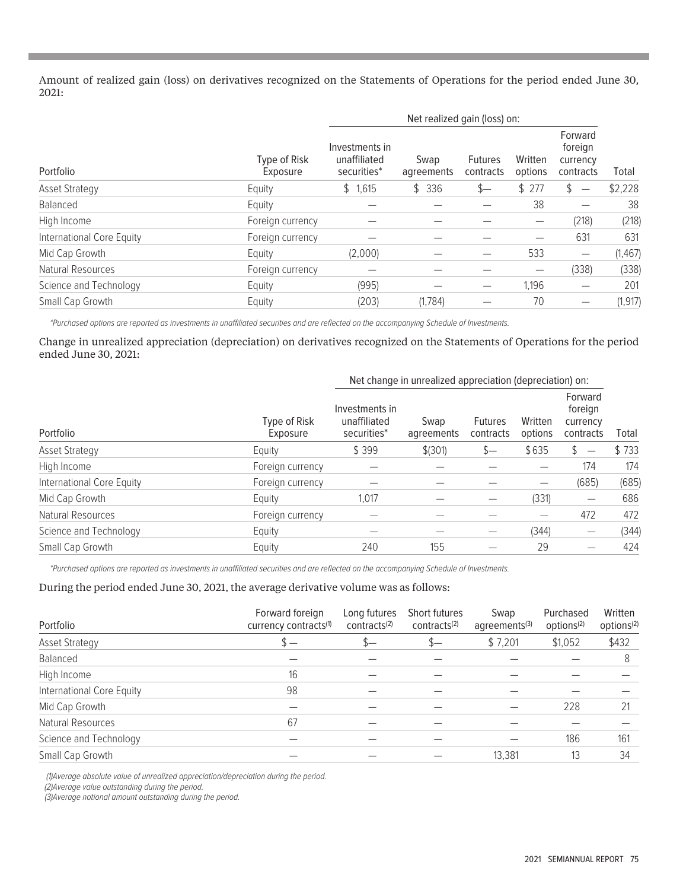Amount of realized gain (loss) on derivatives recognized on the Statements of Operations for the period ended June 30, 2021:

|                           |                          | Net realized gain (loss) on:                  |                    |                             |                          |                                             |          |  |
|---------------------------|--------------------------|-----------------------------------------------|--------------------|-----------------------------|--------------------------|---------------------------------------------|----------|--|
| Portfolio                 | Type of Risk<br>Exposure | Investments in<br>unaffiliated<br>securities* | Swap<br>agreements | <b>Futures</b><br>contracts | Written<br>options       | Forward<br>foreign<br>currency<br>contracts | Total    |  |
| <b>Asset Strategy</b>     | Equity                   | \$1,615                                       | \$336              | $s-$                        | \$277                    | \$<br>$\hspace{0.05cm}$                     | \$2,228  |  |
| Balanced                  | Equity                   |                                               |                    |                             | 38                       |                                             | 38       |  |
| High Income               | Foreign currency         |                                               |                    |                             |                          | (218)                                       | (218)    |  |
| International Core Equity | Foreign currency         |                                               |                    |                             |                          | 631                                         | 631      |  |
| Mid Cap Growth            | Equity                   | (2,000)                                       |                    |                             | 533                      | $\qquad \qquad \longleftarrow$              | (1, 467) |  |
| Natural Resources         | Foreign currency         |                                               |                    |                             | $\overline{\phantom{m}}$ | (338)                                       | (338)    |  |
| Science and Technology    | Equity                   | (995)                                         |                    |                             | 1,196                    |                                             | 201      |  |
| Small Cap Growth          | Equity                   | (203)                                         | (1,784)            |                             | 70                       |                                             | (1, 917) |  |

\*Purchased options are reported as investments in unaffiliated securities and are reflected on the accompanying Schedule of Investments.

Change in unrealized appreciation (depreciation) on derivatives recognized on the Statements of Operations for the period ended June 30, 2021:

|                           |                          | Net change in unrealized appreciation (depreciation) on: |                    |                                                   |       |                                             |       |  |
|---------------------------|--------------------------|----------------------------------------------------------|--------------------|---------------------------------------------------|-------|---------------------------------------------|-------|--|
| Portfolio                 | Type of Risk<br>Exposure | Investments in<br>unaffiliated<br>securities*            | Swap<br>agreements | Written<br><b>Futures</b><br>options<br>contracts |       | Forward<br>foreign<br>currency<br>contracts | Total |  |
| <b>Asset Strategy</b>     | Equity                   | \$399                                                    | $$$ (301)          | —⊄                                                | \$635 | \$<br>$\hspace{0.1mm}-\hspace{0.1mm}$       | \$733 |  |
| High Income               | Foreign currency         |                                                          |                    |                                                   |       | 174                                         | 174   |  |
| International Core Equity | Foreign currency         |                                                          |                    |                                                   |       | (685)                                       | (685) |  |
| Mid Cap Growth            | Equity                   | 1,017                                                    |                    |                                                   | (331) |                                             | 686   |  |
| Natural Resources         | Foreign currency         |                                                          |                    |                                                   |       | 472                                         | 472   |  |
| Science and Technology    | Equity                   |                                                          |                    |                                                   | (344) |                                             | (344) |  |
| Small Cap Growth          | Equity                   | 240                                                      | 155                |                                                   | 29    |                                             | 424   |  |

\*Purchased options are reported as investments in unaffiliated securities and are reflected on the accompanying Schedule of Investments.

#### During the period ended June 30, 2021, the average derivative volume was as follows:

| Portfolio                 | Forward foreign<br>currency contracts <sup>(1)</sup> | Long futures<br>contracts <sup>(2)</sup> | Short futures<br>contracts <sup>(2)</sup> | Swap<br>agreements $(3)$ | Purchased<br>options <sup>(2)</sup> | Written<br>options <sup>(2)</sup> |
|---------------------------|------------------------------------------------------|------------------------------------------|-------------------------------------------|--------------------------|-------------------------------------|-----------------------------------|
| <b>Asset Strategy</b>     |                                                      |                                          | ծ—                                        | \$7,201                  | \$1,052                             | \$432                             |
| Balanced                  |                                                      |                                          |                                           |                          |                                     |                                   |
| High Income               | 16                                                   |                                          |                                           |                          |                                     |                                   |
| International Core Equity | 98                                                   |                                          |                                           |                          |                                     |                                   |
| Mid Cap Growth            |                                                      |                                          |                                           |                          | 228                                 |                                   |
| Natural Resources         | 67                                                   |                                          |                                           |                          |                                     |                                   |
| Science and Technology    |                                                      |                                          |                                           |                          | 186                                 | 161                               |
| Small Cap Growth          |                                                      |                                          |                                           | 13,381                   | 13                                  | 34                                |
|                           |                                                      |                                          |                                           |                          |                                     |                                   |

(1)Average absolute value of unrealized appreciation/depreciation during the period.

(2)Average value outstanding during the period.

(3)Average notional amount outstanding during the period.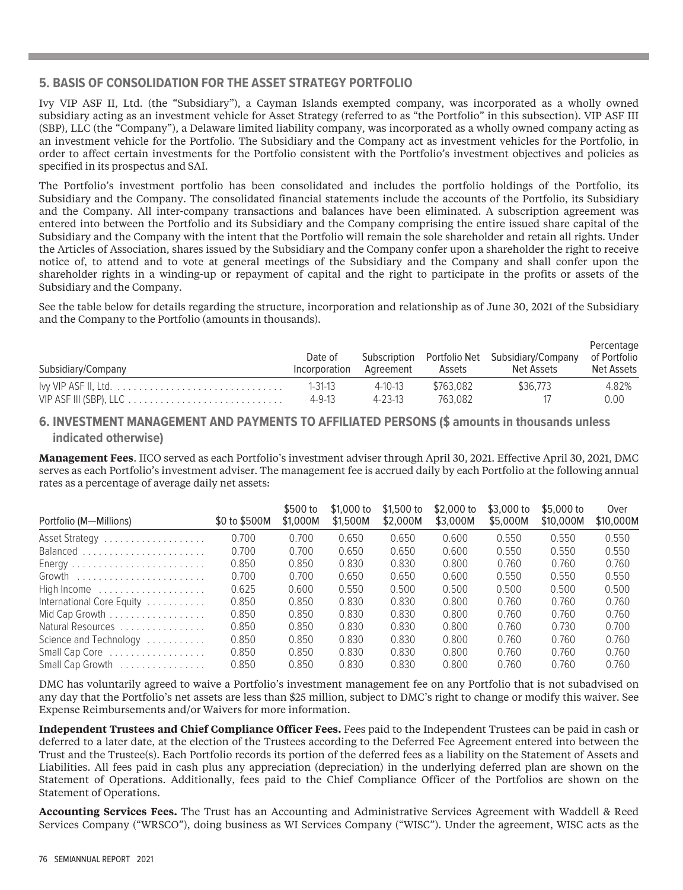#### **5. BASIS OF CONSOLIDATION FOR THE ASSET STRATEGY PORTFOLIO**

Ivy VIP ASF II, Ltd. (the "Subsidiary"), a Cayman Islands exempted company, was incorporated as a wholly owned subsidiary acting as an investment vehicle for Asset Strategy (referred to as "the Portfolio" in this subsection). VIP ASF III (SBP), LLC (the "Company"), a Delaware limited liability company, was incorporated as a wholly owned company acting as an investment vehicle for the Portfolio. The Subsidiary and the Company act as investment vehicles for the Portfolio, in order to affect certain investments for the Portfolio consistent with the Portfolio's investment objectives and policies as specified in its prospectus and SAI.

The Portfolio's investment portfolio has been consolidated and includes the portfolio holdings of the Portfolio, its Subsidiary and the Company. The consolidated financial statements include the accounts of the Portfolio, its Subsidiary and the Company. All inter-company transactions and balances have been eliminated. A subscription agreement was entered into between the Portfolio and its Subsidiary and the Company comprising the entire issued share capital of the Subsidiary and the Company with the intent that the Portfolio will remain the sole shareholder and retain all rights. Under the Articles of Association, shares issued by the Subsidiary and the Company confer upon a shareholder the right to receive notice of, to attend and to vote at general meetings of the Subsidiary and the Company and shall confer upon the shareholder rights in a winding-up or repayment of capital and the right to participate in the profits or assets of the Subsidiary and the Company.

See the table below for details regarding the structure, incorporation and relationship as of June 30, 2021 of the Subsidiary and the Company to the Portfolio (amounts in thousands).

| Subsidiary/Company | Date of<br>Incorporation Agreement Assets |         |           | Subscription Portfolio Net Subsidiary/Company<br>Net Assets | Percentage<br>of Portfolio<br>Net Assets |
|--------------------|-------------------------------------------|---------|-----------|-------------------------------------------------------------|------------------------------------------|
|                    | 1-31-13                                   | 4-10-13 | \$763.082 | \$36.773                                                    | 4.82%                                    |
|                    | 4-9-13                                    | 4-23-13 | 763.082   |                                                             | 0.00                                     |

## **6. INVESTMENT MANAGEMENT AND PAYMENTS TO AFFILIATED PERSONS (\$ amounts in thousands unless indicated otherwise)**

**Management Fees**. IICO served as each Portfolio's investment adviser through April 30, 2021. Effective April 30, 2021, DMC serves as each Portfolio's investment adviser. The management fee is accrued daily by each Portfolio at the following annual rates as a percentage of average daily net assets:

| Portfolio (M-Millions)                                    | \$0 to \$500M | \$500 to<br>\$1,000M | \$1,000 to<br>\$1,500M | \$1.500 to<br>\$2,000M | \$2,000 to<br>\$3,000M | \$3,000 to<br>\$5,000M | \$5,000 to<br>\$10,000M | Over<br>\$10,000M |
|-----------------------------------------------------------|---------------|----------------------|------------------------|------------------------|------------------------|------------------------|-------------------------|-------------------|
| Asset Strategy                                            | 0.700         | 0.700                | 0.650                  | 0.650                  | 0.600                  | 0.550                  | 0.550                   | 0.550             |
| Balanced                                                  | 0.700         | 0.700                | 0.650                  | 0.650                  | 0.600                  | 0.550                  | 0.550                   | 0.550             |
|                                                           | 0.850         | 0.850                | 0.830                  | 0.830                  | 0.800                  | 0.760                  | 0.760                   | 0.760             |
| Growth $\ldots \ldots \ldots \ldots \ldots \ldots \ldots$ | 0.700         | 0.700                | 0.650                  | 0.650                  | 0.600                  | 0.550                  | 0.550                   | 0.550             |
| High Income $\dots\dots\dots\dots\dots\dots\dots$         | 0.625         | 0.600                | 0.550                  | 0.500                  | 0.500                  | 0.500                  | 0.500                   | 0.500             |
| International Core Equity                                 | 0.850         | 0.850                | 0.830                  | 0.830                  | 0.800                  | 0.760                  | 0.760                   | 0.760             |
| Mid Cap Growth                                            | 0.850         | 0.850                | 0.830                  | 0.830                  | 0.800                  | 0.760                  | 0.760                   | 0.760             |
| Natural Resources                                         | 0.850         | 0.850                | 0.830                  | 0.830                  | 0.800                  | 0.760                  | 0.730                   | 0.700             |
| Science and Technology                                    | 0.850         | 0.850                | 0.830                  | 0.830                  | 0.800                  | 0.760                  | 0.760                   | 0.760             |
| Small Cap Core                                            | 0.850         | 0.850                | 0.830                  | 0.830                  | 0.800                  | 0.760                  | 0.760                   | 0.760             |
| Small Cap Growth                                          | 0.850         | 0.850                | 0.830                  | 0.830                  | 0.800                  | 0.760                  | 0.760                   | 0.760             |

DMC has voluntarily agreed to waive a Portfolio's investment management fee on any Portfolio that is not subadvised on any day that the Portfolio's net assets are less than \$25 million, subject to DMC's right to change or modify this waiver. See Expense Reimbursements and/or Waivers for more information.

**Independent Trustees and Chief Compliance Officer Fees.** Fees paid to the Independent Trustees can be paid in cash or deferred to a later date, at the election of the Trustees according to the Deferred Fee Agreement entered into between the Trust and the Trustee(s). Each Portfolio records its portion of the deferred fees as a liability on the Statement of Assets and Liabilities. All fees paid in cash plus any appreciation (depreciation) in the underlying deferred plan are shown on the Statement of Operations. Additionally, fees paid to the Chief Compliance Officer of the Portfolios are shown on the Statement of Operations.

**Accounting Services Fees.** The Trust has an Accounting and Administrative Services Agreement with Waddell & Reed Services Company ("WRSCO"), doing business as WI Services Company ("WISC"). Under the agreement, WISC acts as the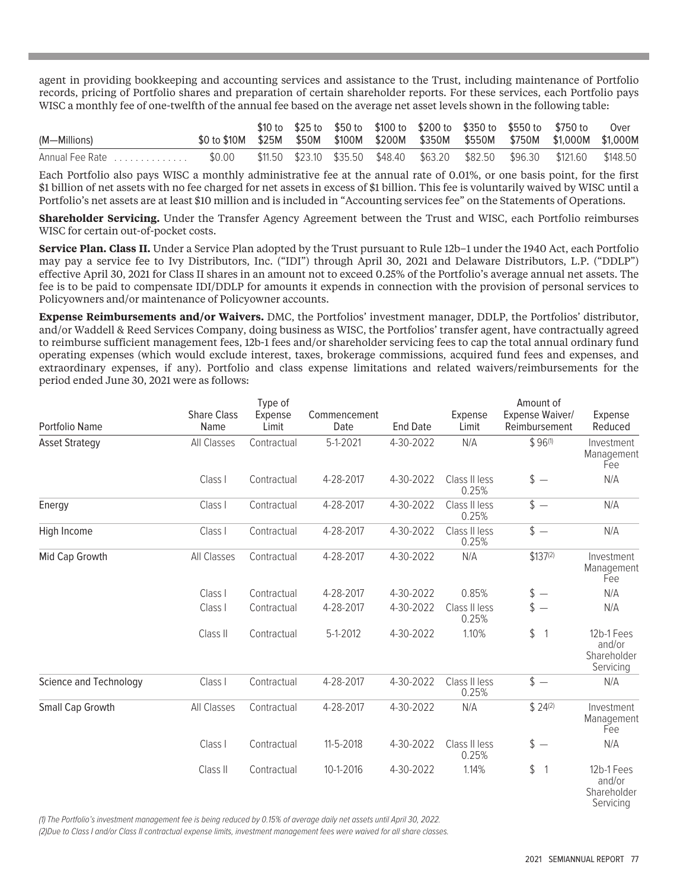agent in providing bookkeeping and accounting services and assistance to the Trust, including maintenance of Portfolio records, pricing of Portfolio shares and preparation of certain shareholder reports. For these services, each Portfolio pays WISC a monthly fee of one-twelfth of the annual fee based on the average net asset levels shown in the following table:

| (M-Millions)    | \$0 to \$10M \$25M \$50M \$100M \$200M \$350M \$550M \$750M \$1,000M \$1,000M |  |  |  | \$10 to \$25 to \$50 to \$100 to \$200 to \$350 to \$550 to \$750 to           | Over |
|-----------------|-------------------------------------------------------------------------------|--|--|--|--------------------------------------------------------------------------------|------|
| Annual Fee Rate | \$0.00                                                                        |  |  |  | \$11.50 \$23.10 \$35.50 \$48.40  \$63.20  \$82.50  \$96.30  \$121.60  \$148.50 |      |

Each Portfolio also pays WISC a monthly administrative fee at the annual rate of 0.01%, or one basis point, for the first \$1 billion of net assets with no fee charged for net assets in excess of \$1 billion. This fee is voluntarily waived by WISC until a Portfolio's net assets are at least \$10 million and is included in "Accounting services fee" on the Statements of Operations.

**Shareholder Servicing.** Under the Transfer Agency Agreement between the Trust and WISC, each Portfolio reimburses WISC for certain out-of-pocket costs.

**Service Plan. Class II.** Under a Service Plan adopted by the Trust pursuant to Rule 12b–1 under the 1940 Act, each Portfolio may pay a service fee to Ivy Distributors, Inc. ("IDI") through April 30, 2021 and Delaware Distributors, L.P. ("DDLP") effective April 30, 2021 for Class II shares in an amount not to exceed 0.25% of the Portfolio's average annual net assets. The fee is to be paid to compensate IDI/DDLP for amounts it expends in connection with the provision of personal services to Policyowners and/or maintenance of Policyowner accounts.

**Expense Reimbursements and/or Waivers.** DMC, the Portfolios' investment manager, DDLP, the Portfolios' distributor, and/or Waddell & Reed Services Company, doing business as WISC, the Portfolios' transfer agent, have contractually agreed to reimburse sufficient management fees, 12b-1 fees and/or shareholder servicing fees to cap the total annual ordinary fund operating expenses (which would exclude interest, taxes, brokerage commissions, acquired fund fees and expenses, and extraordinary expenses, if any). Portfolio and class expense limitations and related waivers/reimbursements for the period ended June 30, 2021 were as follows:

|                        |                            | Type of          |                      |                 |                        | Amount of                        |                                                  |
|------------------------|----------------------------|------------------|----------------------|-----------------|------------------------|----------------------------------|--------------------------------------------------|
| Portfolio Name         | <b>Share Class</b><br>Name | Expense<br>Limit | Commencement<br>Date | <b>End Date</b> | Expense<br>Limit       | Expense Waiver/<br>Reimbursement | Expense<br>Reduced                               |
| <b>Asset Strategy</b>  | All Classes                | Contractual      | $5 - 1 - 2021$       | 4-30-2022       | N/A                    | \$96(1)                          | Investment<br>Management<br>Fee                  |
|                        | Class I                    | Contractual      | 4-28-2017            | 4-30-2022       | Class II less<br>0.25% | $$-$                             | N/A                                              |
| Energy                 | Class I                    | Contractual      | 4-28-2017            | 4-30-2022       | Class II less<br>0.25% | $\frac{1}{2}$                    | N/A                                              |
| High Income            | Class I                    | Contractual      | 4-28-2017            | 4-30-2022       | Class II less<br>0.25% | $$ -$                            | N/A                                              |
| Mid Cap Growth         | All Classes                | Contractual      | 4-28-2017            | 4-30-2022       | N/A                    | $$137^{(2)}$                     | Investment<br>Management<br>Fee                  |
|                        | Class I                    | Contractual      | 4-28-2017            | 4-30-2022       | 0.85%                  | $\sqrt[6]{}$                     | N/A                                              |
|                        | Class I                    | Contractual      | 4-28-2017            | 4-30-2022       | Class II less<br>0.25% | $\frac{1}{2}$                    | N/A                                              |
|                        | Class II                   | Contractual      | 5-1-2012             | 4-30-2022       | 1.10%                  | \$<br>1                          | 12b-1 Fees<br>and/or<br>Shareholder<br>Servicing |
| Science and Technology | Class I                    | Contractual      | 4-28-2017            | 4-30-2022       | Class II less<br>0.25% | $$ -$                            | N/A                                              |
| Small Cap Growth       | All Classes                | Contractual      | 4-28-2017            | 4-30-2022       | N/A                    | $$24^{(2)}$                      | Investment<br>Management<br>Fee                  |
|                        | Class I                    | Contractual      | $11 - 5 - 2018$      | 4-30-2022       | Class II less<br>0.25% | $$-$                             | N/A                                              |
|                        | Class II                   | Contractual      | 10-1-2016            | 4-30-2022       | 1.14%                  | \$<br>$\mathbf{1}$               | 12b-1 Fees<br>and/or<br>Shareholder<br>Servicing |

(1) The Portfolio's investment management fee is being reduced by 0.15% of average daily net assets until April 30, 2022.

(2)Due to Class I and/or Class II contractual expense limits, investment management fees were waived for all share classes.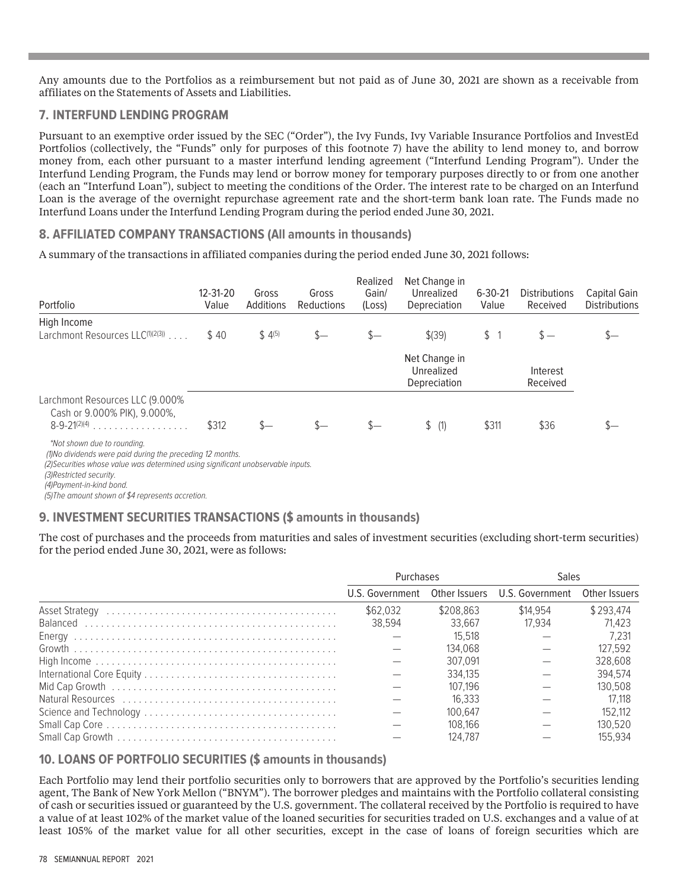Any amounts due to the Portfolios as a reimbursement but not paid as of June 30, 2021 are shown as a receivable from affiliates on the Statements of Assets and Liabilities.

## **7. INTERFUND LENDING PROGRAM**

Pursuant to an exemptive order issued by the SEC ("Order"), the Ivy Funds, Ivy Variable Insurance Portfolios and InvestEd Portfolios (collectively, the "Funds" only for purposes of this footnote 7) have the ability to lend money to, and borrow money from, each other pursuant to a master interfund lending agreement ("Interfund Lending Program"). Under the Interfund Lending Program, the Funds may lend or borrow money for temporary purposes directly to or from one another (each an "Interfund Loan"), subject to meeting the conditions of the Order. The interest rate to be charged on an Interfund Loan is the average of the overnight repurchase agreement rate and the short-term bank loan rate. The Funds made no Interfund Loans under the Interfund Lending Program during the period ended June 30, 2021.

## **8. AFFILIATED COMPANY TRANSACTIONS (All amounts in thousands)**

A summary of the transactions in affiliated companies during the period ended June 30, 2021 follows:

| Portfolio                                                                                 | $12 - 31 - 20$<br>Value | Gross<br>Additions | Gross<br>Reductions | Realized<br>Gain/<br>(Loss) | Net Change in<br>Unrealized<br>Depreciation | $6 - 30 - 21$<br>Value | <b>Distributions</b><br>Received | Capital Gain<br><b>Distributions</b> |
|-------------------------------------------------------------------------------------------|-------------------------|--------------------|---------------------|-----------------------------|---------------------------------------------|------------------------|----------------------------------|--------------------------------------|
| High Income<br>Larchmont Resources LLC(1)(2(3))                                           | \$40                    | $$4^{(5)}$$        | $s-$                | $\frac{2}{2}$               | $$^{(39)}$                                  | \$                     | $s-$                             |                                      |
|                                                                                           |                         |                    |                     |                             | Net Change in<br>Unrealized<br>Depreciation |                        | Interest<br>Received             |                                      |
| Larchmont Resources LLC (9.000%<br>Cash or 9.000% PIK), 9.000%,<br>$8 - 9 - 21^{(2)(4)}$  | \$312                   | $s-$               |                     | $S-$                        | (1)<br>$\frac{1}{2}$                        | \$311                  | \$36                             |                                      |
| *Not shown due to rounding.<br>(1) No dividends were paid during the preceding 12 months. |                         |                    |                     |                             |                                             |                        |                                  |                                      |

(2)Securities whose value was determined using significant unobservable inputs.

(3)Restricted security.

(4)Payment-in-kind bond.

(5)The amount shown of \$4 represents accretion.

## **9. INVESTMENT SECURITIES TRANSACTIONS (\$ amounts in thousands)**

The cost of purchases and the proceeds from maturities and sales of investment securities (excluding short-term securities) for the period ended June 30, 2021, were as follows:

| Purchases |           | Sales                                                       |           |  |
|-----------|-----------|-------------------------------------------------------------|-----------|--|
|           |           | U.S. Government Other Issuers U.S. Government Other Issuers |           |  |
| \$62,032  | \$208.863 | \$14,954                                                    | \$293.474 |  |
| 38.594    | 33.667    | 17.934                                                      | 71.423    |  |
|           | 15.518    |                                                             | 7.231     |  |
|           | 134.068   |                                                             | 127.592   |  |
|           | 307.091   |                                                             | 328,608   |  |
|           | 334.135   |                                                             | 394.574   |  |
|           | 107.196   |                                                             | 130.508   |  |
|           | 16.333    |                                                             | 17.118    |  |
|           | 100.647   |                                                             | 152.112   |  |
|           | 108.166   |                                                             | 130.520   |  |
|           | 124.787   |                                                             | 155.934   |  |

#### **10. LOANS OF PORTFOLIO SECURITIES (\$ amounts in thousands)**

Each Portfolio may lend their portfolio securities only to borrowers that are approved by the Portfolio's securities lending agent, The Bank of New York Mellon ("BNYM"). The borrower pledges and maintains with the Portfolio collateral consisting of cash or securities issued or guaranteed by the U.S. government. The collateral received by the Portfolio is required to have a value of at least 102% of the market value of the loaned securities for securities traded on U.S. exchanges and a value of at least 105% of the market value for all other securities, except in the case of loans of foreign securities which are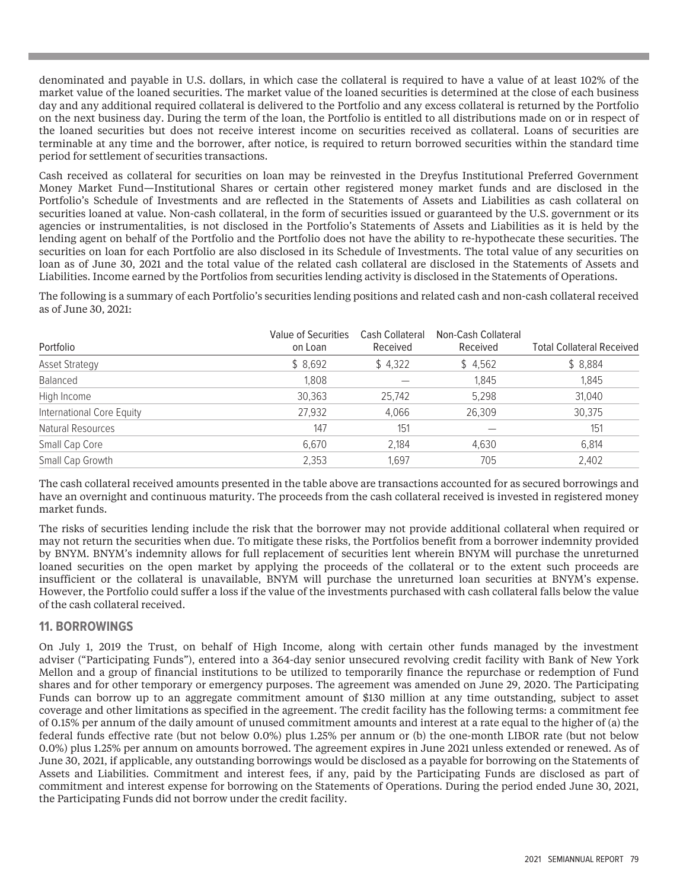denominated and payable in U.S. dollars, in which case the collateral is required to have a value of at least 102% of the market value of the loaned securities. The market value of the loaned securities is determined at the close of each business day and any additional required collateral is delivered to the Portfolio and any excess collateral is returned by the Portfolio on the next business day. During the term of the loan, the Portfolio is entitled to all distributions made on or in respect of the loaned securities but does not receive interest income on securities received as collateral. Loans of securities are terminable at any time and the borrower, after notice, is required to return borrowed securities within the standard time period for settlement of securities transactions.

Cash received as collateral for securities on loan may be reinvested in the Dreyfus Institutional Preferred Government Money Market Fund—Institutional Shares or certain other registered money market funds and are disclosed in the Portfolio's Schedule of Investments and are reflected in the Statements of Assets and Liabilities as cash collateral on securities loaned at value. Non-cash collateral, in the form of securities issued or guaranteed by the U.S. government or its agencies or instrumentalities, is not disclosed in the Portfolio's Statements of Assets and Liabilities as it is held by the lending agent on behalf of the Portfolio and the Portfolio does not have the ability to re-hypothecate these securities. The securities on loan for each Portfolio are also disclosed in its Schedule of Investments. The total value of any securities on loan as of June 30, 2021 and the total value of the related cash collateral are disclosed in the Statements of Assets and Liabilities. Income earned by the Portfolios from securities lending activity is disclosed in the Statements of Operations.

The following is a summary of each Portfolio's securities lending positions and related cash and non-cash collateral received as of June 30, 2021:

| Portfolio                 | <b>Value of Securities</b><br>on Loan | Cash Collateral<br>Received | Non-Cash Collateral<br>Received | <b>Total Collateral Received</b> |
|---------------------------|---------------------------------------|-----------------------------|---------------------------------|----------------------------------|
| <b>Asset Strategy</b>     | \$8,692                               | \$4,322                     | \$4,562                         | \$8,884                          |
| <b>Balanced</b>           | 1.808                                 |                             | 1.845                           | 1.845                            |
| High Income               | 30,363                                | 25,742                      | 5.298                           | 31,040                           |
| International Core Equity | 27,932                                | 4.066                       | 26,309                          | 30,375                           |
| Natural Resources         | 147                                   | 151                         |                                 | 151                              |
| Small Cap Core            | 6.670                                 | 2.184                       | 4,630                           | 6.814                            |
| Small Cap Growth          | 2,353                                 | 1.697                       | 705                             | 2.402                            |

The cash collateral received amounts presented in the table above are transactions accounted for as secured borrowings and have an overnight and continuous maturity. The proceeds from the cash collateral received is invested in registered money market funds.

The risks of securities lending include the risk that the borrower may not provide additional collateral when required or may not return the securities when due. To mitigate these risks, the Portfolios benefit from a borrower indemnity provided by BNYM. BNYM's indemnity allows for full replacement of securities lent wherein BNYM will purchase the unreturned loaned securities on the open market by applying the proceeds of the collateral or to the extent such proceeds are insufficient or the collateral is unavailable, BNYM will purchase the unreturned loan securities at BNYM's expense. However, the Portfolio could suffer a loss if the value of the investments purchased with cash collateral falls below the value of the cash collateral received.

#### **11. BORROWINGS**

On July 1, 2019 the Trust, on behalf of High Income, along with certain other funds managed by the investment adviser ("Participating Funds"), entered into a 364-day senior unsecured revolving credit facility with Bank of New York Mellon and a group of financial institutions to be utilized to temporarily finance the repurchase or redemption of Fund shares and for other temporary or emergency purposes. The agreement was amended on June 29, 2020. The Participating Funds can borrow up to an aggregate commitment amount of \$130 million at any time outstanding, subject to asset coverage and other limitations as specified in the agreement. The credit facility has the following terms: a commitment fee of 0.15% per annum of the daily amount of unused commitment amounts and interest at a rate equal to the higher of (a) the federal funds effective rate (but not below 0.0%) plus 1.25% per annum or (b) the one-month LIBOR rate (but not below 0.0%) plus 1.25% per annum on amounts borrowed. The agreement expires in June 2021 unless extended or renewed. As of June 30, 2021, if applicable, any outstanding borrowings would be disclosed as a payable for borrowing on the Statements of Assets and Liabilities. Commitment and interest fees, if any, paid by the Participating Funds are disclosed as part of commitment and interest expense for borrowing on the Statements of Operations. During the period ended June 30, 2021, the Participating Funds did not borrow under the credit facility.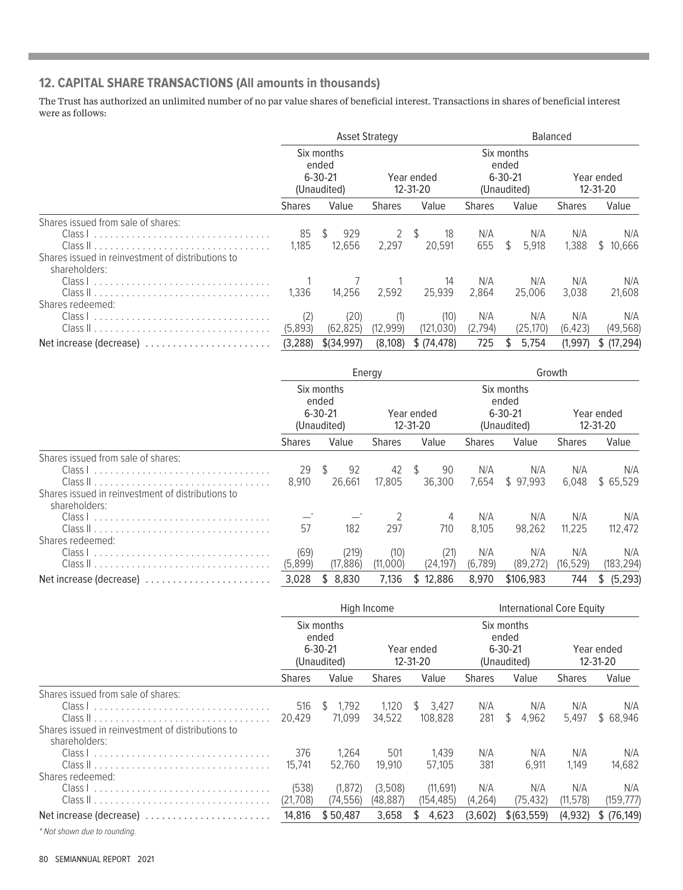# **12. CAPITAL SHARE TRANSACTIONS (All amounts in thousands)**

The Trust has authorized an unlimited number of no par value shares of beneficial interest. Transactions in shares of beneficial interest were as follows:

|                                                                                                          | <b>Asset Strategy</b>                               |                   |                        |                    | <b>Balanced</b>                                     |                    |                 |                        |  |
|----------------------------------------------------------------------------------------------------------|-----------------------------------------------------|-------------------|------------------------|--------------------|-----------------------------------------------------|--------------------|-----------------|------------------------|--|
|                                                                                                          | Six months<br>ended<br>$6 - 30 - 21$<br>(Unaudited) |                   | Year ended<br>12-31-20 |                    | Six months<br>ended<br>$6 - 30 - 21$<br>(Unaudited) |                    |                 | Year ended<br>12-31-20 |  |
|                                                                                                          | <b>Shares</b>                                       | Value             | <b>Shares</b>          | Value              | <b>Shares</b>                                       | Value              | <b>Shares</b>   | Value                  |  |
| Shares issued from sale of shares:<br>Shares issued in reinvestment of distributions to<br>shareholders: | 85<br>1,185                                         | 929<br>12.656     | 2.297                  | S<br>18<br>20.591  | N/A<br>655                                          | N/A<br>\$<br>5,918 | N/A<br>1,388    | N/A<br>\$10,666        |  |
| Shares redeemed:                                                                                         | 1.336                                               | 14,256            | 2.592                  | 25.939             | N/A<br>2.864                                        | N/A<br>25,006      | N/A<br>3,038    | N/A<br>21,608          |  |
|                                                                                                          | (2)<br>(5,893)                                      | (20)<br>(62, 825) | (1)<br>(12, 999)       | (10)<br>(121, 030) | N/A<br>(2,794)                                      | N/A<br>(25, 170)   | N/A<br>(6, 423) | N/A<br>(49, 568)       |  |
| Net increase (decrease)                                                                                  | (3, 288)                                            | $$$ (34,997)      | (8,108)                | \$ (74, 478)       | 725                                                 | 5.754              | (1,997)         | \$(17, 294)            |  |

|                                                                                                          |                                                     |                               | Energy                 |                               | Growth                                              |                  |                  |                        |  |
|----------------------------------------------------------------------------------------------------------|-----------------------------------------------------|-------------------------------|------------------------|-------------------------------|-----------------------------------------------------|------------------|------------------|------------------------|--|
|                                                                                                          | Six months<br>ended<br>$6 - 30 - 21$<br>(Unaudited) |                               | Year ended<br>12-31-20 |                               | Six months<br>ended<br>$6 - 30 - 21$<br>(Unaudited) |                  |                  | Year ended<br>12-31-20 |  |
|                                                                                                          | <b>Shares</b>                                       | Value                         | <b>Shares</b>          | Value                         | <b>Shares</b>                                       | Value            | <b>Shares</b>    | Value                  |  |
| Shares issued from sale of shares:<br>Shares issued in reinvestment of distributions to<br>shareholders: | 29<br>8.910                                         | <sup>\$</sup><br>92<br>26.661 | 42<br>17.805           | $\mathcal{S}$<br>90<br>36,300 | N/A<br>7.654                                        | N/A<br>\$97,993  | N/A<br>6.048     | N/A<br>\$65.529        |  |
|                                                                                                          | 57                                                  | 182                           | 297                    | 710                           | N/A<br>8.105                                        | N/A<br>98.262    | N/A<br>11.225    | N/A<br>112.472         |  |
| Shares redeemed:                                                                                         | (69)<br>(5,899)                                     | (219)<br>(17, 886)            | (10)<br>(11.000)       | (21)<br>(24.197)              | N/A<br>(6,789)                                      | N/A<br>(89, 272) | N/A<br>(16, 529) | N/A<br>(183, 294)      |  |
| Net increase (decrease)                                                                                  | 3,028                                               | 8,830                         | 7.136                  | \$12.886                      | 8,970                                               | \$106.983        | 744              | (5, 293)<br>S.         |  |

|                                                                                                          |                                                     |                                           | High Income                      | International Core Equity             |                            |                                                                         |                              |                                   |
|----------------------------------------------------------------------------------------------------------|-----------------------------------------------------|-------------------------------------------|----------------------------------|---------------------------------------|----------------------------|-------------------------------------------------------------------------|------------------------------|-----------------------------------|
|                                                                                                          | Six months<br>ended<br>$6 - 30 - 21$<br>(Unaudited) |                                           | Year ended<br>12-31-20           |                                       |                            | Six months<br>ended<br>6-30-21<br>Year ended<br>12-31-20<br>(Unaudited) |                              |                                   |
|                                                                                                          | <b>Shares</b>                                       | Value                                     | <b>Shares</b>                    | Value                                 | <b>Shares</b>              | Value                                                                   | <b>Shares</b>                | Value                             |
| Shares issued from sale of shares:<br>Shares issued in reinvestment of distributions to<br>shareholders: | 516<br>20.429<br>376<br>15.741                      | 1.792<br>\$.<br>71.099<br>1.264<br>52.760 | 1.120<br>34.522<br>501<br>19.910 | \$3.427<br>108.828<br>1.439<br>57.105 | N/A<br>281<br>N/A<br>381   | N/A<br>\$.<br>4,962<br>N/A<br>6,911                                     | N/A<br>5.497<br>N/A<br>1.149 | N/A<br>\$ 68,946<br>N/A<br>14,682 |
| Shares redeemed:<br>Net increase (decrease)                                                              | (538)<br>(21,708)<br>14,816                         | (1, 872)<br>(74, 556)<br>\$50.487         | (3,508)<br>(48, 887)<br>3,658    | (11,691)<br>(154, 485)<br>4,623<br>S  | N/A<br>(4, 264)<br>(3,602) | N/A<br>(75, 432)<br>\$ (63, 559)                                        | N/A<br>(11, 578)<br>(4,932)  | N/A<br>(159, 777)<br>$$$ (76,149) |

\* Not shown due to rounding.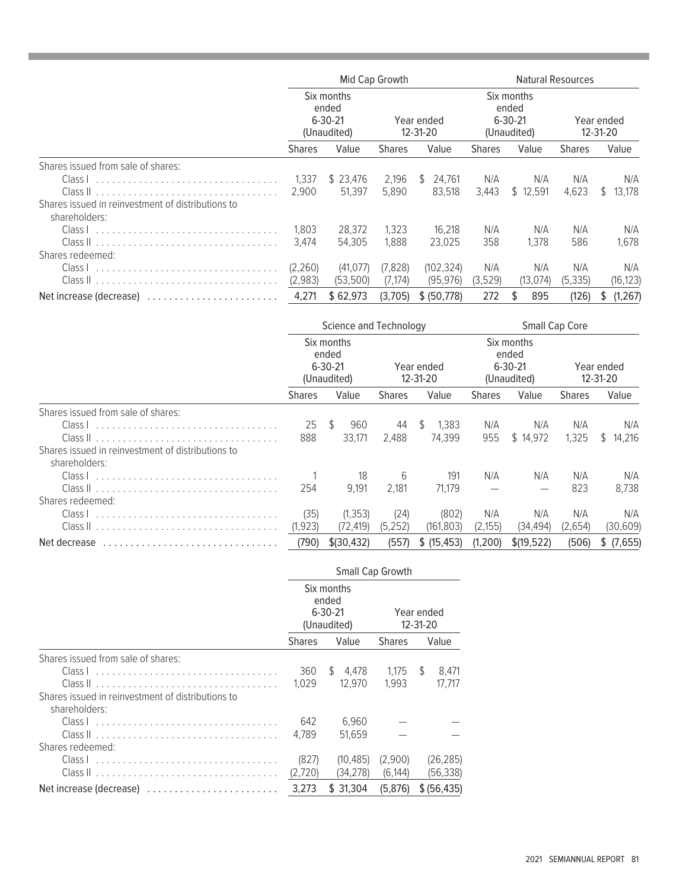|                                                                    |                                                                                     |           | Mid Cap Growth |                                                     | <b>Natural Resources</b>     |           |               |              |
|--------------------------------------------------------------------|-------------------------------------------------------------------------------------|-----------|----------------|-----------------------------------------------------|------------------------------|-----------|---------------|--------------|
|                                                                    | Six months<br>ended<br>$6 - 30 - 21$<br>Year ended<br>$12 - 31 - 20$<br>(Unaudited) |           |                | Six months<br>ended<br>$6 - 30 - 21$<br>(Unaudited) | Year ended<br>$12 - 31 - 20$ |           |               |              |
|                                                                    | <b>Shares</b>                                                                       | Value     | <b>Shares</b>  | Value                                               | <b>Shares</b>                | Value     | <b>Shares</b> | Value        |
| Shares issued from sale of shares:                                 |                                                                                     |           |                |                                                     |                              |           |               |              |
|                                                                    | 1.337                                                                               | \$23,476  | 2.196          | 24.761<br><sup>\$</sup>                             | N/A                          | N/A       | N/A           | N/A          |
|                                                                    | 2.900                                                                               | 51,397    | 5.890          | 83,518                                              | 3.443                        | \$12,591  | 4,623         | 13,178<br>S. |
| Shares issued in reinvestment of distributions to<br>shareholders: |                                                                                     |           |                |                                                     |                              |           |               |              |
| Class I                                                            | 1,803                                                                               | 28,372    | 1,323          | 16.218                                              | N/A                          | N/A       | N/A           | N/A          |
|                                                                    | 3.474                                                                               | 54.305    | 1.888          | 23.025                                              | 358                          | 1.378     | 586           | 1,678        |
| Shares redeemed:                                                   |                                                                                     |           |                |                                                     |                              |           |               |              |
| Class L                                                            | (2,260)                                                                             | (41, 077) | (7,828)        | (102, 324)                                          | N/A                          | N/A       | N/A           | N/A          |
|                                                                    | (2,983)                                                                             | (53,500)  | (7, 174)       | (95, 976)                                           | (3,529)                      | (13, 074) | (5, 335)      | (16, 123)    |
| Net increase (decrease)                                            | 4,271                                                                               | \$62,973  | (3,705)        | \$ (50,778)                                         | 272                          | 895       | (126)         | (1, 267)     |

|                                                                    | Science and Technology                              |     |                        |               |                                                     | Small Cap Core |                        |            |               |  |           |
|--------------------------------------------------------------------|-----------------------------------------------------|-----|------------------------|---------------|-----------------------------------------------------|----------------|------------------------|------------|---------------|--|-----------|
|                                                                    | Six months<br>ended<br>$6 - 30 - 21$<br>(Unaudited) |     | Year ended<br>12-31-20 |               | Six months<br>ended<br>$6 - 30 - 21$<br>(Unaudited) |                | Year ended<br>12-31-20 |            |               |  |           |
|                                                                    | <b>Shares</b>                                       |     | Value                  | <b>Shares</b> |                                                     | Value          | <b>Shares</b>          | Value      | <b>Shares</b> |  | Value     |
| Shares issued from sale of shares:                                 |                                                     |     |                        |               |                                                     |                |                        |            |               |  |           |
|                                                                    | 25                                                  | \$. | 960                    | 44            | S.                                                  | 1.383          | N/A                    | N/A        | N/A           |  | N/A       |
|                                                                    | 888                                                 |     | 33,171                 | 2.488         |                                                     | 74.399         | 955                    | \$14.972   | 1.325         |  | \$14.216  |
| Shares issued in reinvestment of distributions to<br>shareholders: |                                                     |     |                        |               |                                                     |                |                        |            |               |  |           |
|                                                                    |                                                     |     | 18                     | 6             |                                                     | 191            | N/A                    | N/A        | N/A           |  | N/A       |
|                                                                    | 254                                                 |     | 9.191                  | 2.181         |                                                     | 71.179         |                        |            | 823           |  | 8,738     |
| Shares redeemed:                                                   |                                                     |     |                        |               |                                                     |                |                        |            |               |  |           |
|                                                                    | (35)                                                |     | (1, 353)               | (24)          |                                                     | (802)          | N/A                    | N/A        | N/A           |  | N/A       |
|                                                                    | (1, 923)                                            |     | (72, 419)              | (5.252)       |                                                     | (161, 803)     | (2, 155)               | (34, 494)  | (2,654)       |  | (30, 609) |
| Net decrease                                                       | (790)                                               |     | $$$ (30,432)           | (557)         |                                                     | \$(15.453)     | (1.200)                | \$(19.522) | (506)         |  | (7,655)   |

|                                                                    |               |                                                     | Small Cap Growth |                              |  |
|--------------------------------------------------------------------|---------------|-----------------------------------------------------|------------------|------------------------------|--|
|                                                                    |               | Six months<br>ended<br>$6 - 30 - 21$<br>(Unaudited) |                  | Year ended<br>$12 - 31 - 20$ |  |
|                                                                    | <b>Shares</b> | Value                                               | <b>Shares</b>    | Value                        |  |
| Shares issued from sale of shares:                                 |               |                                                     |                  |                              |  |
|                                                                    | 360           | \$4,478                                             | 1.175 \$         | 8,471                        |  |
|                                                                    | 1.029         | 12.970                                              | 1.993            | 17,717                       |  |
| Shares issued in reinvestment of distributions to<br>shareholders: |               |                                                     |                  |                              |  |
|                                                                    | 642           | 6,960                                               |                  |                              |  |
|                                                                    | 4.789         | 51,659                                              |                  |                              |  |
| Shares redeemed:                                                   |               |                                                     |                  |                              |  |
|                                                                    | (827)         | (10, 485)                                           | (2,900)          | (26, 285)                    |  |
|                                                                    | (2,720)       | (34,278)                                            | (6, 144)         | (56, 338)                    |  |
| Net increase (decrease)                                            | 3.273         | \$31.304                                            | (5,876)          | \$ (56, 435)                 |  |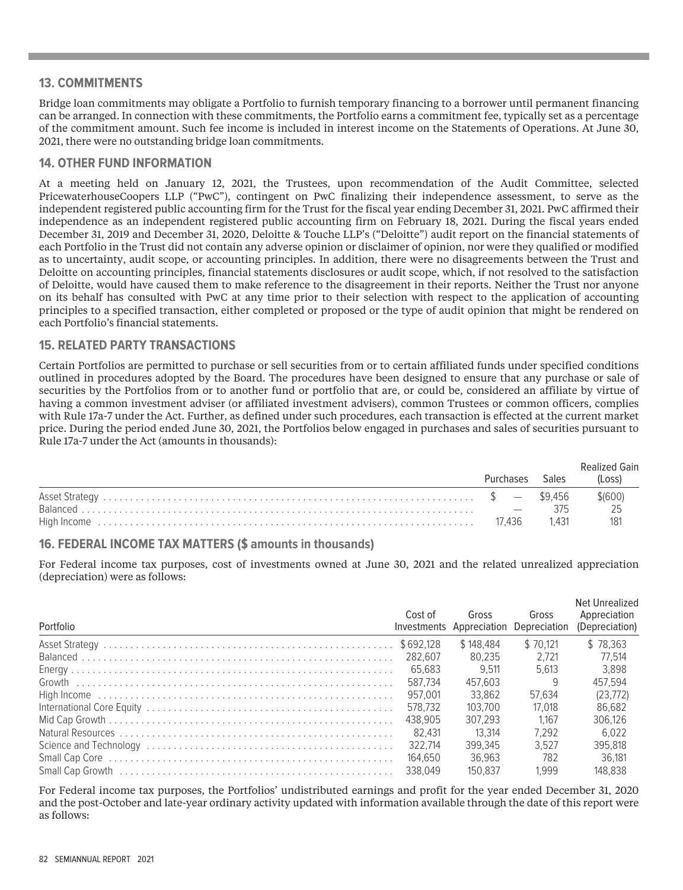#### **13. COMMITMENTS**

Bridge loan commitments may obligate a Portfolio to furnish temporary financing to a borrower until permanent financing can be arranged. In connection with these commitments, the Portfolio earns a commitment fee, typically set as a percentage of the commitment amount. Such fee income is included in interest income on the Statements of Operations. At June 30, 2021, there were no outstanding bridge loan commitments.

#### **14. OTHER FUND INFORMATION**

At a meeting held on January 12, 2021, the Trustees, upon recommendation of the Audit Committee, selected PricewaterhouseCoopers LLP ("PwC"), contingent on PwC finalizing their independence assessment, to serve as the independent registered public accounting firm for the Trust for the fiscal year ending December 31, 2021. PwC affirmed their independence as an independent registered public accounting firm on February 18, 2021. During the fiscal years ended December 31, 2019 and December 31, 2020, Deloitte & Touche LLP's ("Deloitte") audit report on the financial statements of each Portfolio in the Trust did not contain any adverse opinion or disclaimer of opinion, nor were they qualified or modified as to uncertainty, audit scope, or accounting principles. In addition, there were no disagreements between the Trust and Deloitte on accounting principles, financial statements disclosures or audit scope, which, if not resolved to the satisfaction of Deloitte, would have caused them to make reference to the disagreement in their reports. Neither the Trust nor anyone on its behalf has consulted with PwC at any time prior to their selection with respect to the application of accounting principles to a specified transaction, either completed or proposed or the type of audit opinion that might be rendered on each Portfolio's financial statements.

#### **15. RELATED PARTY TRANSACTIONS**

Certain Portfolios are permitted to purchase or sell securities from or to certain affiliated funds under specified conditions outlined in procedures adopted by the Board. The procedures have been designed to ensure that any purchase or sale of securities by the Portfolios from or to another fund or portfolio that are, or could be, considered an affiliate by virtue of having a common investment adviser (or affiliated investment advisers), common Trustees or common officers, complies with Rule 17a-7 under the Act. Further, as defined under such procedures, each transaction is effected at the current market price. During the period ended June 30, 2021, the Portfolios below engaged in purchases and sales of securities pursuant to Rule 17a-7 under the Act (amounts in thousands):

| Purchases Sales |       | Realized Gain<br>(Loss) |
|-----------------|-------|-------------------------|
|                 |       | $$^{(600)}_{25}$        |
|                 |       |                         |
| 17 436          | 1,431 | 181                     |

#### **16. FEDERAL INCOME TAX MATTERS (\$ amounts in thousands)**

For Federal income tax purposes, cost of investments owned at June 30, 2021 and the related unrealized appreciation (depreciation) were as follows:

| Portfolio | Cost of | Gross     | Gross<br>Investments Appreciation Depreciation | <b>Net Unrealized</b><br>Appreciation<br>(Depreciation) |
|-----------|---------|-----------|------------------------------------------------|---------------------------------------------------------|
|           |         | \$148.484 | \$70.121                                       | \$78.363                                                |
|           | 282.607 | 80.235    | 2.721                                          | 77.514                                                  |
|           | 65.683  | 9.511     | 5.613                                          | 3.898                                                   |
|           | 587.734 | 457.603   | 9                                              | 457.594                                                 |
|           | 957.001 | 33.862    | 57.634                                         | (23.772)                                                |
|           | 578.732 | 103.700   | 17.018                                         | 86.682                                                  |
|           | 438.905 | 307.293   | 1.167                                          | 306.126                                                 |
|           | 82.431  | 13.314    | 7.292                                          | 6.022                                                   |
|           | 322.714 | 399.345   | 3.527                                          | 395.818                                                 |
|           | 164.650 | 36.963    | 782                                            | 36.181                                                  |
|           | 338.049 | 150.837   | 1.999                                          | 148.838                                                 |

For Federal income tax purposes, the Portfolios' undistributed earnings and profit for the year ended December 31, 2020 and the post-October and late-year ordinary activity updated with information available through the date of this report were as follows: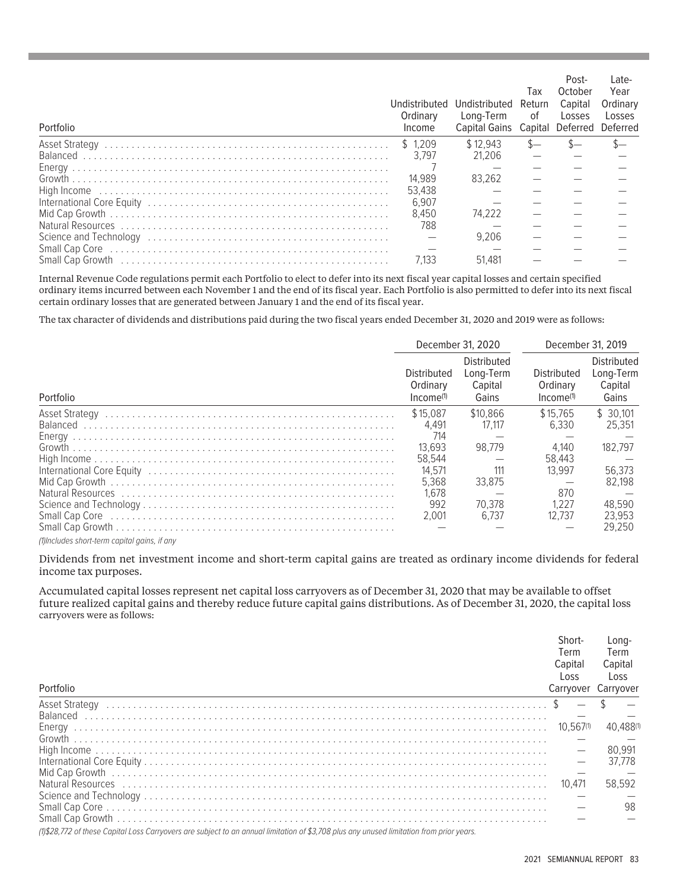| Portfolio | Ordinary<br>Income | Undistributed Undistributed Return<br>Long-Term<br>Capital Gains Capital Deferred Deferred | Tax<br>of | Post-<br>October<br>Capital<br>Losses | Late-<br>Year<br>Ordinary<br>Losses |
|-----------|--------------------|--------------------------------------------------------------------------------------------|-----------|---------------------------------------|-------------------------------------|
|           | \$1,209            | \$12.943                                                                                   |           |                                       |                                     |
|           | 3.797              | 21.206                                                                                     |           |                                       |                                     |
|           |                    |                                                                                            |           |                                       |                                     |
|           | 14.989             | 83.262                                                                                     |           |                                       |                                     |
|           | 53.438             |                                                                                            |           |                                       |                                     |
|           | 6.907              |                                                                                            |           |                                       |                                     |
|           | 8.450              | 74.222                                                                                     |           |                                       |                                     |
|           | 788                |                                                                                            |           |                                       |                                     |
|           |                    | 9.206                                                                                      |           |                                       |                                     |
|           |                    |                                                                                            |           |                                       |                                     |
|           |                    | 51.481                                                                                     |           |                                       |                                     |

Internal Revenue Code regulations permit each Portfolio to elect to defer into its next fiscal year capital losses and certain specified ordinary items incurred between each November 1 and the end of its fiscal year. Each Portfolio is also permitted to defer into its next fiscal certain ordinary losses that are generated between January 1 and the end of its fiscal year.

The tax character of dividends and distributions paid during the two fiscal years ended December 31, 2020 and 2019 were as follows:

|                                                                                                                                                                                                                                                            | Distributed |
|------------------------------------------------------------------------------------------------------------------------------------------------------------------------------------------------------------------------------------------------------------|-------------|
| Distributed<br>Long-Term<br>Long-Term<br>Distributed<br>Distributed<br>Ordinary<br>Ordinary<br>Capital<br>Capital<br>Portfolio<br>Income <sup>(1)</sup><br>Gains<br>Income <sup>(1)</sup>                                                                  | Gains       |
| \$10,866<br>\$15,087<br>\$15.765<br>\$30.101                                                                                                                                                                                                               |             |
| 4.491<br>6.330<br>17.117                                                                                                                                                                                                                                   | 25.351      |
| 714                                                                                                                                                                                                                                                        |             |
| 13.693<br>98.779<br>4.140                                                                                                                                                                                                                                  | 182.797     |
| 58.544<br>58.443                                                                                                                                                                                                                                           |             |
| 111<br>14.571<br>13.997                                                                                                                                                                                                                                    | 56,373      |
| 5.368<br>33.875                                                                                                                                                                                                                                            | 82.198      |
| 870<br>1.678                                                                                                                                                                                                                                               |             |
| 992<br>70.378<br>1.227                                                                                                                                                                                                                                     | 48.590      |
| 2.001<br>6.737<br>12.737<br>Small Cap Core (all contracts) contains a state of the Cap Core (all cap Core all contracts) and the Core of the Core of the Core of the Core of the Core of the Core of the Core of the Core of the Core of the Core of the C | 23.953      |
| Allocludge chart torm capital agine if any                                                                                                                                                                                                                 | 29,250      |

(1)Includes short-term capital gains, if any

Dividends from net investment income and short-term capital gains are treated as ordinary income dividends for federal income tax purposes.

Accumulated capital losses represent net capital loss carryovers as of December 31, 2020 that may be available to offset future realized capital gains and thereby reduce future capital gains distributions. As of December 31, 2020, the capital loss carryovers were as follows:

| Portfolio                                                                                                                                | Short-<br>Term<br>Capital<br>Loss | Long-<br>Term<br>Capital<br>Loss<br>Carryover Carryover |
|------------------------------------------------------------------------------------------------------------------------------------------|-----------------------------------|---------------------------------------------------------|
|                                                                                                                                          |                                   |                                                         |
| <b>Balanced</b>                                                                                                                          |                                   |                                                         |
| Enerav                                                                                                                                   | 10.567(1)                         | 40.488(1)                                               |
| Growth                                                                                                                                   |                                   |                                                         |
| High Income                                                                                                                              |                                   | 80.991                                                  |
|                                                                                                                                          |                                   | 37.778                                                  |
|                                                                                                                                          |                                   |                                                         |
|                                                                                                                                          | 10,471                            | 58.592                                                  |
|                                                                                                                                          |                                   |                                                         |
|                                                                                                                                          |                                   | 98                                                      |
|                                                                                                                                          |                                   |                                                         |
| (1)\$28,772 of these Capital Loss Carryovers are subject to an annual limitation of \$3,708 plus any unused limitation from prior years. |                                   |                                                         |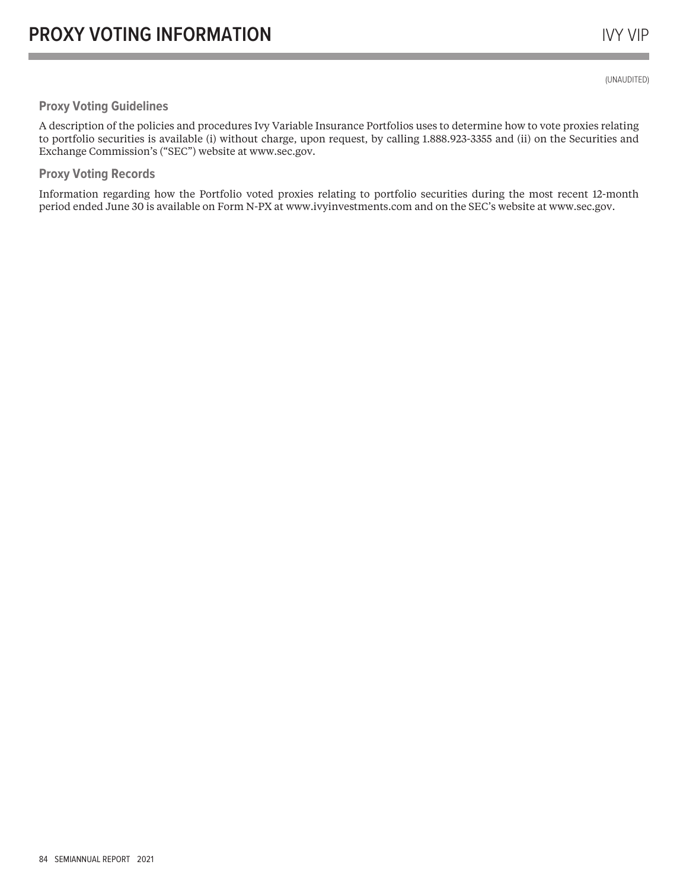#### **Proxy Voting Guidelines**

A description of the policies and procedures Ivy Variable Insurance Portfolios uses to determine how to vote proxies relating to portfolio securities is available (i) without charge, upon request, by calling 1.888.923-3355 and (ii) on the Securities and Exchange Commission's ("SEC") website at www.sec.gov.

#### **Proxy Voting Records**

Information regarding how the Portfolio voted proxies relating to portfolio securities during the most recent 12-month period ended June 30 is available on Form N-PX at www.ivyinvestments.com and on the SEC's website at www.sec.gov.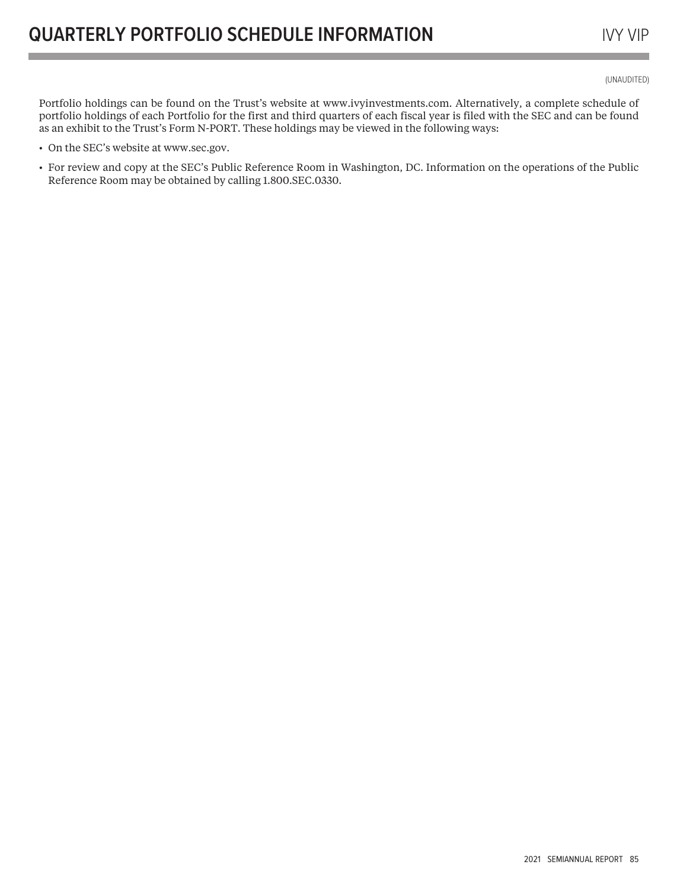#### (UNAUDITED)

Portfolio holdings can be found on the Trust's website at www.ivyinvestments.com. Alternatively, a complete schedule of portfolio holdings of each Portfolio for the first and third quarters of each fiscal year is filed with the SEC and can be found as an exhibit to the Trust's Form N-PORT. These holdings may be viewed in the following ways:

- On the SEC's website at www.sec.gov.
- For review and copy at the SEC's Public Reference Room in Washington, DC. Information on the operations of the Public Reference Room may be obtained by calling 1.800.SEC.0330.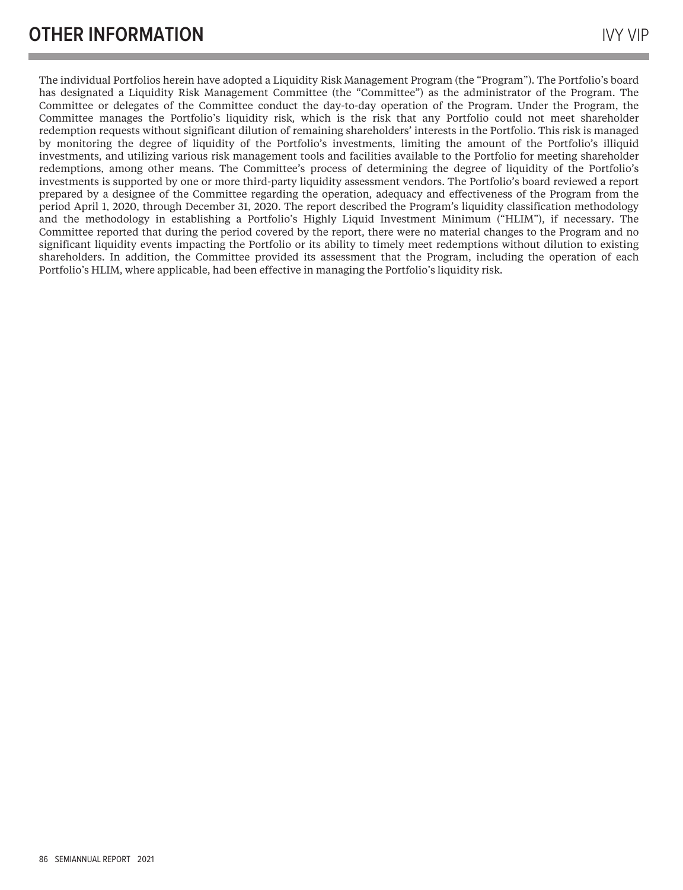The individual Portfolios herein have adopted a Liquidity Risk Management Program (the "Program"). The Portfolio's board has designated a Liquidity Risk Management Committee (the "Committee") as the administrator of the Program. The Committee or delegates of the Committee conduct the day-to-day operation of the Program. Under the Program, the Committee manages the Portfolio's liquidity risk, which is the risk that any Portfolio could not meet shareholder redemption requests without significant dilution of remaining shareholders' interests in the Portfolio. This risk is managed by monitoring the degree of liquidity of the Portfolio's investments, limiting the amount of the Portfolio's illiquid investments, and utilizing various risk management tools and facilities available to the Portfolio for meeting shareholder redemptions, among other means. The Committee's process of determining the degree of liquidity of the Portfolio's investments is supported by one or more third-party liquidity assessment vendors. The Portfolio's board reviewed a report prepared by a designee of the Committee regarding the operation, adequacy and effectiveness of the Program from the period April 1, 2020, through December 31, 2020. The report described the Program's liquidity classification methodology and the methodology in establishing a Portfolio's Highly Liquid Investment Minimum ("HLIM"), if necessary. The Committee reported that during the period covered by the report, there were no material changes to the Program and no significant liquidity events impacting the Portfolio or its ability to timely meet redemptions without dilution to existing shareholders. In addition, the Committee provided its assessment that the Program, including the operation of each Portfolio's HLIM, where applicable, had been effective in managing the Portfolio's liquidity risk.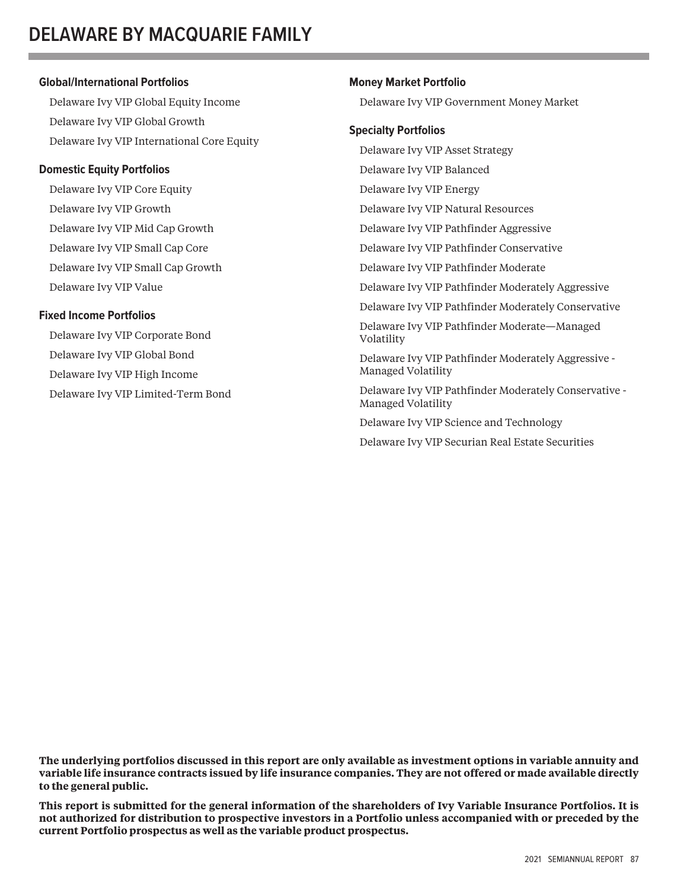# **DELAWARE BY MACQUARIE FAMILY**

#### **Global/International Portfolios**

Delaware Ivy VIP Global Equity Income Delaware Ivy VIP Global Growth Delaware Ivy VIP International Core Equity

## **Domestic Equity Portfolios**

Delaware Ivy VIP Core Equity Delaware Ivy VIP Growth Delaware Ivy VIP Mid Cap Growth Delaware Ivy VIP Small Cap Core Delaware Ivy VIP Small Cap Growth Delaware Ivy VIP Value

#### **Fixed Income Portfolios**

Delaware Ivy VIP Corporate Bond Delaware Ivy VIP Global Bond Delaware Ivy VIP High Income Delaware Ivy VIP Limited-Term Bond

#### **Money Market Portfolio**

Delaware Ivy VIP Government Money Market

#### **Specialty Portfolios**

Delaware Ivy VIP Asset Strategy

Delaware Ivy VIP Balanced

Delaware Ivy VIP Energy

Delaware Ivy VIP Natural Resources

Delaware Ivy VIP Pathfinder Aggressive

Delaware Ivy VIP Pathfinder Conservative

Delaware Ivy VIP Pathfinder Moderate

Delaware Ivy VIP Pathfinder Moderately Aggressive

Delaware Ivy VIP Pathfinder Moderately Conservative

Delaware Ivy VIP Pathfinder Moderate—Managed Volatility

Delaware Ivy VIP Pathfinder Moderately Aggressive - Managed Volatility

Delaware Ivy VIP Pathfinder Moderately Conservative - Managed Volatility

Delaware Ivy VIP Science and Technology

Delaware Ivy VIP Securian Real Estate Securities

**The underlying portfolios discussed in this report are only available as investment options in variable annuity and variable life insurance contracts issued by life insurance companies. They are not offered or made available directly to the general public.**

**This report is submitted for the general information of the shareholders of Ivy Variable Insurance Portfolios. It is not authorized for distribution to prospective investors in a Portfolio unless accompanied with or preceded by the current Portfolio prospectus as well as the variable product prospectus.**